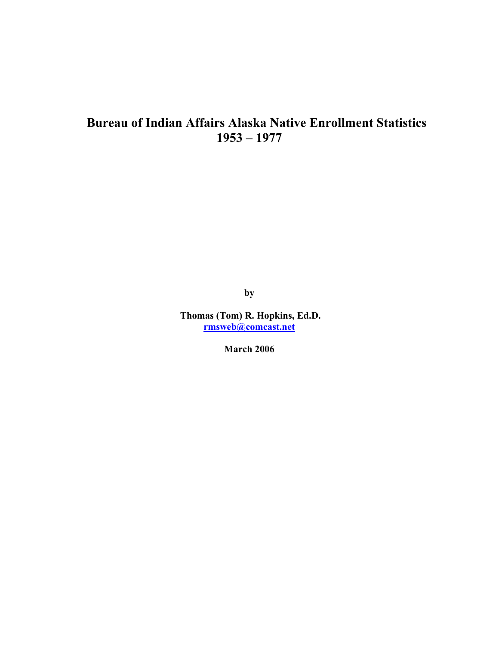# **Bureau of Indian Affairs Alaska Native Enrollment Statistics 1953 – 1977**

**by** 

 **Thomas (Tom) R. Hopkins, Ed.D. rmsweb@comcast.net**

**March 2006**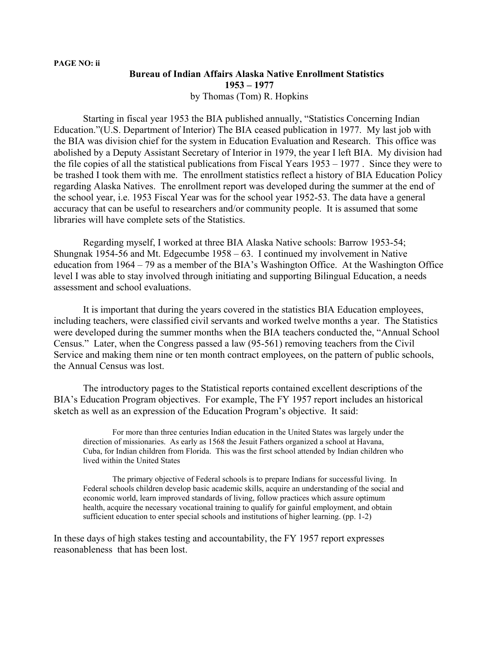# **Bureau of Indian Affairs Alaska Native Enrollment Statistics 1953 – 1977**  by Thomas (Tom) R. Hopkins

 Starting in fiscal year 1953 the BIA published annually, "Statistics Concerning Indian Education."(U.S. Department of Interior) The BIA ceased publication in 1977. My last job with the BIA was division chief for the system in Education Evaluation and Research. This office was abolished by a Deputy Assistant Secretary of Interior in 1979, the year I left BIA. My division had the file copies of all the statistical publications from Fiscal Years 1953 – 1977 . Since they were to be trashed I took them with me. The enrollment statistics reflect a history of BIA Education Policy regarding Alaska Natives. The enrollment report was developed during the summer at the end of the school year, i.e. 1953 Fiscal Year was for the school year 1952-53. The data have a general accuracy that can be useful to researchers and/or community people. It is assumed that some libraries will have complete sets of the Statistics.

 Regarding myself, I worked at three BIA Alaska Native schools: Barrow 1953-54; Shungnak 1954-56 and Mt. Edgecumbe 1958 – 63. I continued my involvement in Native education from 1964 – 79 as a member of the BIA's Washington Office. At the Washington Office level I was able to stay involved through initiating and supporting Bilingual Education, a needs assessment and school evaluations.

It is important that during the years covered in the statistics BIA Education employees, including teachers, were classified civil servants and worked twelve months a year. The Statistics were developed during the summer months when the BIA teachers conducted the, "Annual School Census." Later, when the Congress passed a law (95-561) removing teachers from the Civil Service and making them nine or ten month contract employees, on the pattern of public schools, the Annual Census was lost.

 The introductory pages to the Statistical reports contained excellent descriptions of the BIA's Education Program objectives. For example, The FY 1957 report includes an historical sketch as well as an expression of the Education Program's objective. It said:

For more than three centuries Indian education in the United States was largely under the direction of missionaries. As early as 1568 the Jesuit Fathers organized a school at Havana, Cuba, for Indian children from Florida. This was the first school attended by Indian children who lived within the United States

 The primary objective of Federal schools is to prepare Indians for successful living. In Federal schools children develop basic academic skills, acquire an understanding of the social and economic world, learn improved standards of living, follow practices which assure optimum health, acquire the necessary vocational training to qualify for gainful employment, and obtain sufficient education to enter special schools and institutions of higher learning. (pp. 1-2)

In these days of high stakes testing and accountability, the FY 1957 report expresses reasonableness that has been lost.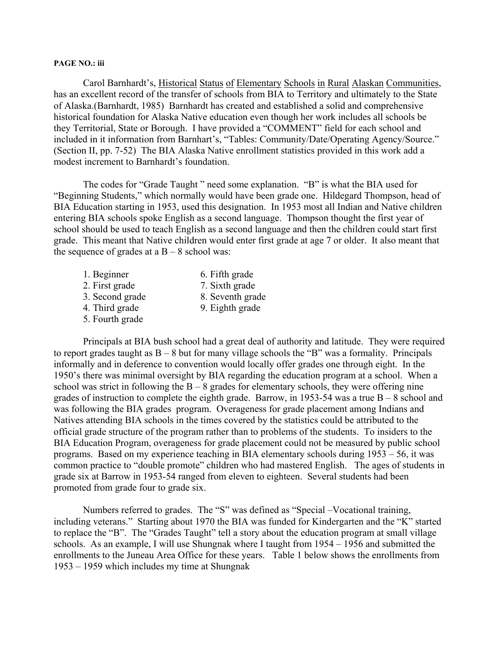### **PAGE NO.: iii**

 Carol Barnhardt's, Historical Status of Elementary Schools in Rural Alaskan Communities, has an excellent record of the transfer of schools from BIA to Territory and ultimately to the State of Alaska.(Barnhardt, 1985) Barnhardt has created and established a solid and comprehensive historical foundation for Alaska Native education even though her work includes all schools be they Territorial, State or Borough. I have provided a "COMMENT" field for each school and included in it information from Barnhart's, "Tables: Community/Date/Operating Agency/Source." (Section II, pp. 7-52) The BIA Alaska Native enrollment statistics provided in this work add a modest increment to Barnhardt's foundation.

 The codes for "Grade Taught " need some explanation. "B" is what the BIA used for "Beginning Students," which normally would have been grade one. Hildegard Thompson, head of BIA Education starting in 1953, used this designation. In 1953 most all Indian and Native children entering BIA schools spoke English as a second language. Thompson thought the first year of school should be used to teach English as a second language and then the children could start first grade. This meant that Native children would enter first grade at age 7 or older. It also meant that the sequence of grades at a  $B - 8$  school was:

- 1. Beginner 6. Fifth grade
- 2. First grade 7. Sixth grade
- 
- 
- 3. Second grade 8. Seventh grade
- 
- 4. Third grade 9. Eighth grade
- 5. Fourth grade
- 

 Principals at BIA bush school had a great deal of authority and latitude. They were required to report grades taught as  $B - 8$  but for many village schools the "B" was a formality. Principals informally and in deference to convention would locally offer grades one through eight. In the 1950's there was minimal oversight by BIA regarding the education program at a school. When a school was strict in following the  $B - 8$  grades for elementary schools, they were offering nine grades of instruction to complete the eighth grade. Barrow, in 1953-54 was a true  $B - 8$  school and was following the BIA grades program. Overageness for grade placement among Indians and Natives attending BIA schools in the times covered by the statistics could be attributed to the official grade structure of the program rather than to problems of the students. To insiders to the BIA Education Program, overageness for grade placement could not be measured by public school programs. Based on my experience teaching in BIA elementary schools during 1953 – 56, it was common practice to "double promote" children who had mastered English. The ages of students in grade six at Barrow in 1953-54 ranged from eleven to eighteen. Several students had been promoted from grade four to grade six.

 Numbers referred to grades. The "S" was defined as "Special –Vocational training, including veterans." Starting about 1970 the BIA was funded for Kindergarten and the "K" started to replace the "B". The "Grades Taught" tell a story about the education program at small village schools. As an example, I will use Shungnak where I taught from 1954 – 1956 and submitted the enrollments to the Juneau Area Office for these years. Table 1 below shows the enrollments from 1953 – 1959 which includes my time at Shungnak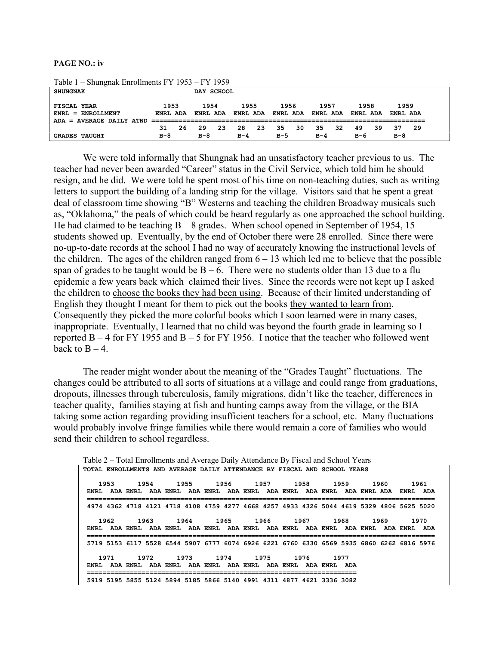#### **PAGE NO.: iv**

| <b>SHUNGNAK</b>                                  |                  | DAY SCHOOL |                  |     |                  |    |                  |    |                  |    |                  |     |                  |     |
|--------------------------------------------------|------------------|------------|------------------|-----|------------------|----|------------------|----|------------------|----|------------------|-----|------------------|-----|
| FISCAL YEAR<br>$ENRL = ENROLLMENT$               | 1953<br>ENRL ADA |            | 1954<br>ENRL ADA |     | 1955<br>ENRL ADA |    | 1956<br>ENRL ADA |    | 1957<br>ENRL ADA |    | 1958<br>ENRL ADA |     | 1959<br>ENRL ADA |     |
| ADA = AVERAGE DAILY ATND<br><b>GRADES TAUGHT</b> | 31.<br>$B-8$     | - 26       | 29<br>$B-8$      | -23 | 28<br>$B-4$      | 23 | 35<br>в-5        | 30 | 35.<br>$B-4$     | 32 | 49<br>в-6        | 39. | 37<br>$B-8$      | -29 |

 $T_{\text{c}}$  1.1. 1 –  $\Omega_{\text{c}}$  and  $\Gamma_{\text{c}}$  is  $1\text{h}$  and  $\Gamma_{\text{c}}$  FV 1053 – FV 1050

We were told informally that Shungnak had an unsatisfactory teacher previous to us. The teacher had never been awarded "Career" status in the Civil Service, which told him he should resign, and he did. We were told he spent most of his time on non-teaching duties, such as writing letters to support the building of a landing strip for the village. Visitors said that he spent a great deal of classroom time showing "B" Westerns and teaching the children Broadway musicals such as, "Oklahoma," the peals of which could be heard regularly as one approached the school building. He had claimed to be teaching  $B - 8$  grades. When school opened in September of 1954, 15 students showed up. Eventually, by the end of October there were 28 enrolled. Since there were no-up-to-date records at the school I had no way of accurately knowing the instructional levels of the children. The ages of the children ranged from  $6 - 13$  which led me to believe that the possible span of grades to be taught would be  $B - 6$ . There were no students older than 13 due to a flu epidemic a few years back which claimed their lives. Since the records were not kept up I asked the children to choose the books they had been using. Because of their limited understanding of English they thought I meant for them to pick out the books they wanted to learn from. Consequently they picked the more colorful books which I soon learned were in many cases, inappropriate. Eventually, I learned that no child was beyond the fourth grade in learning so I reported  $B - 4$  for FY 1955 and  $B - 5$  for FY 1956. I notice that the teacher who followed went back to  $B - 4$ .

The reader might wonder about the meaning of the "Grades Taught" fluctuations. The changes could be attributed to all sorts of situations at a village and could range from graduations, dropouts, illnesses through tuberculosis, family migrations, didn't like the teacher, differences in teacher quality, families staying at fish and hunting camps away from the village, or the BIA taking some action regarding providing insufficient teachers for a school, etc. Many fluctuations would probably involve fringe families while there would remain a core of families who would send their children to school regardless.

Table 2 – Total Enrollments and Average Daily Attendance By Fiscal and School Years **TOTAL ENROLLMENTS AND AVERAGE DAILY ATTENDANCE BY FISCAL AND SCHOOL YEARS** 

 **1953 1954 1955 1956 1957 1958 1959 1960 1961 ENRL ADA ENRL ADA ENRL ADA ENRL ADA ENRL ADA ENRL ADA ENRL ADA ENRL ADA ENRL ADA ========================================================================================= 4974 4362 4718 4121 4718 4108 4759 4277 4668 4257 4933 4326 5044 4619 5329 4806 5625 5020 1962 1963 1964 1965 1966 1967 1968 1969 1970 ENRL ADA ENRL ADA ENRL ADA ENRL ADA ENRL ADA ENRL ADA ENRL ADA ENRL ADA ENRL ADA ========================================================================================= 5719 5153 6117 5528 6544 5907 6777 6074 6926 6221 6760 6330 6569 5935 6860 6262 6816 5976 1971 1972 1973 1974 1975 1976 1977 ENRL ADA ENRL ADA ENRL ADA ENRL ADA ENRL ADA ENRL ADA ENRL ADA ===================================================================== 5919 5195 5855 5124 5894 5185 5866 5140 4991 4311 4877 4621 3336 3082**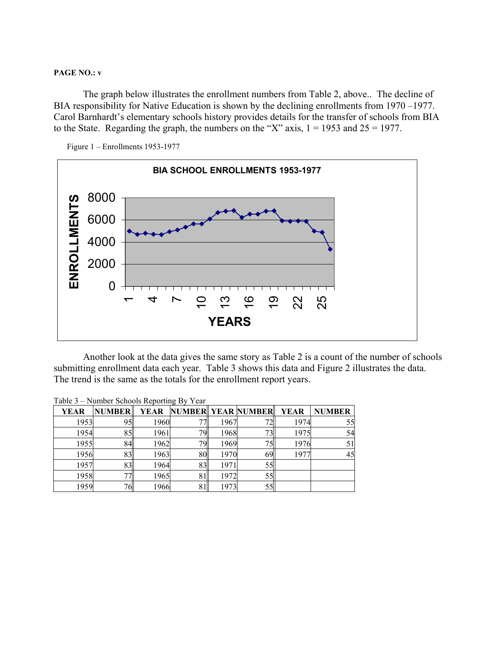#### **PAGE NO.: v**

The graph below illustrates the enrollment numbers from Table 2, above.. The decline of BIA responsibility for Native Education is shown by the declining enrollments from 1970–1977. Carol Barnhardt's elementary schools history provides details for the transfer of schools from BIA to the State. Regarding the graph, the numbers on the "X" axis,  $1 = 1953$  and  $25 = 1977$ .





 Another look at the data gives the same story as Table 2 is a count of the number of schools submitting enrollment data each year. Table 3 shows this data and Figure 2 illustrates the data. The trend is the same as the totals for the enrollment report years.

|             | $1400C$ $3 - 18000C$ Schools Reporting Dy Team |      |                              |      |                 |      |               |  |  |  |  |  |  |
|-------------|------------------------------------------------|------|------------------------------|------|-----------------|------|---------------|--|--|--|--|--|--|
| <b>YEAR</b> | <b>NUMBER</b>                                  |      | YEAR NUMBER YEAR NUMBER YEAR |      |                 |      | <b>NUMBER</b> |  |  |  |  |  |  |
| 1953        | 95                                             | 1960 |                              | 1967 | 72.             | 1974 | 55            |  |  |  |  |  |  |
| 1954        | 85                                             | 1961 | 79                           | 1968 | 73 <sub>1</sub> | 1975 | 54            |  |  |  |  |  |  |
| 1955        | 84                                             | 1962 | 79.                          | 1969 | 75 <sub>1</sub> | 1976 | 51            |  |  |  |  |  |  |
| 1956        | 83                                             | 1963 | 801                          | 1970 | 69.             | 1977 | 45            |  |  |  |  |  |  |
| 1957        | 83                                             | 1964 | 83.                          | 1971 | 551             |      |               |  |  |  |  |  |  |
| 1958        |                                                | 1965 |                              | 1972 | 551             |      |               |  |  |  |  |  |  |
| 1959        | 76                                             | 1966 |                              | 1973 | 55.             |      |               |  |  |  |  |  |  |

Table 3 – Number Schools Reporting By Year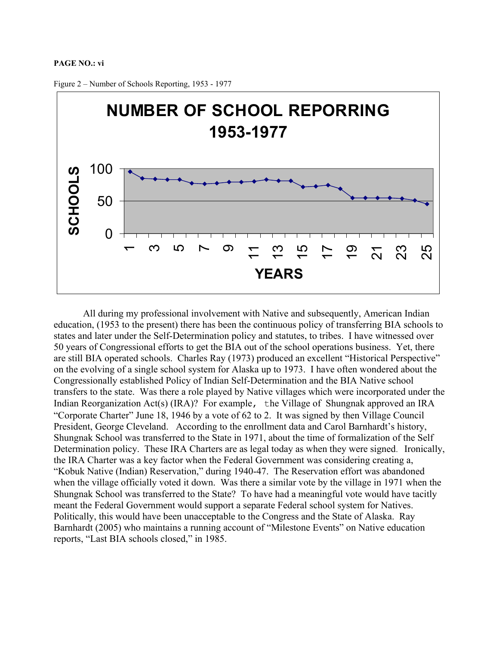#### **PAGE NO.: vi**



Figure 2 – Number of Schools Reporting, 1953 - 1977

All during my professional involvement with Native and subsequently, American Indian education, (1953 to the present) there has been the continuous policy of transferring BIA schools to states and later under the Self-Determination policy and statutes, to tribes. I have witnessed over 50 years of Congressional efforts to get the BIA out of the school operations business. Yet, there are still BIA operated schools. Charles Ray (1973) produced an excellent "Historical Perspective" on the evolving of a single school system for Alaska up to 1973. I have often wondered about the Congressionally established Policy of Indian Self-Determination and the BIA Native school transfers to the state. Was there a role played by Native villages which were incorporated under the Indian Reorganization Act(s) (IRA)? For example, the Village of Shungnak approved an IRA "Corporate Charter" June 18, 1946 by a vote of 62 to 2. It was signed by then Village Council President, George Cleveland. According to the enrollment data and Carol Barnhardt's history, Shungnak School was transferred to the State in 1971, about the time of formalization of the Self Determination policy. These IRA Charters are as legal today as when they were signed. Ironically, the IRA Charter was a key factor when the Federal Government was considering creating a, "Kobuk Native (Indian) Reservation," during 1940-47. The Reservation effort was abandoned when the village officially voted it down. Was there a similar vote by the village in 1971 when the Shungnak School was transferred to the State? To have had a meaningful vote would have tacitly meant the Federal Government would support a separate Federal school system for Natives. Politically, this would have been unacceptable to the Congress and the State of Alaska. Ray Barnhardt (2005) who maintains a running account of "Milestone Events" on Native education reports, "Last BIA schools closed," in 1985.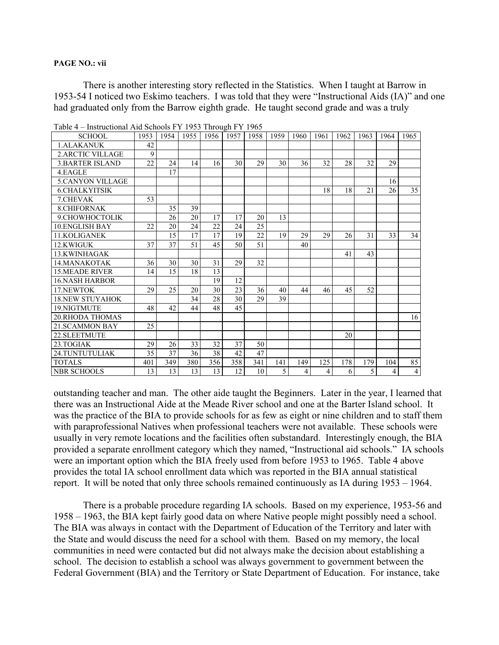#### **PAGE NO.: vii**

There is another interesting story reflected in the Statistics. When I taught at Barrow in 1953-54 I noticed two Eskimo teachers. I was told that they were "Instructional Aids (IA)" and one had graduated only from the Barrow eighth grade. He taught second grade and was a truly

| <b>SCHOOL</b>           | 1953 | 1954 | 1955 | 1956 | 1957 | 1958 | 1959 | 1960 | 1961 | 1962 | 1963 | 1964 | 1965           |
|-------------------------|------|------|------|------|------|------|------|------|------|------|------|------|----------------|
| 1. ALAKANUK             | 42   |      |      |      |      |      |      |      |      |      |      |      |                |
| <b>2.ARCTIC VILLAGE</b> | 9    |      |      |      |      |      |      |      |      |      |      |      |                |
| <b>3. BARTER ISLAND</b> | 22   | 24   | 14   | 16   | 30   | 29   | 30   | 36   | 32   | 28   | 32   | 29   |                |
| 4.EAGLE                 |      | 17   |      |      |      |      |      |      |      |      |      |      |                |
| <b>5.CANYON VILLAGE</b> |      |      |      |      |      |      |      |      |      |      |      | 16   |                |
| <b>6.CHALKYITSIK</b>    |      |      |      |      |      |      |      |      | 18   | 18   | 21   | 26   | 35             |
| 7. CHEVAK               | 53   |      |      |      |      |      |      |      |      |      |      |      |                |
| <b>8. CHIFORNAK</b>     |      | 35   | 39   |      |      |      |      |      |      |      |      |      |                |
| 9. CHOWHOCTOLIK         |      | 26   | 20   | 17   | 17   | 20   | 13   |      |      |      |      |      |                |
| <b>10 ENGLISH BAY</b>   | 22   | 20   | 24   | 22   | 24   | 25   |      |      |      |      |      |      |                |
| 11.KOLIGANEK            |      | 15   | 17   | 17   | 19   | 22   | 19   | 29   | 29   | 26   | 31   | 33   | 34             |
| 12.KWIGUK               | 37   | 37   | 51   | 45   | 50   | 51   |      | 40   |      |      |      |      |                |
| 13.KWINHAGAK            |      |      |      |      |      |      |      |      |      | 41   | 43   |      |                |
| 14. MANAKOTAK           | 36   | 30   | 30   | 31   | 29   | 32   |      |      |      |      |      |      |                |
| <b>15 MEADE RIVER</b>   | 14   | 15   | 18   | 13   |      |      |      |      |      |      |      |      |                |
| <b>16.NASH HARBOR</b>   |      |      |      | 19   | 12   |      |      |      |      |      |      |      |                |
| 17.NEWTOK               | 29   | 25   | 20   | 30   | 23   | 36   | 40   | 44   | 46   | 45   | 52   |      |                |
| <b>18.NEW STUYAHOK</b>  |      |      | 34   | 28   | 30   | 29   | 39   |      |      |      |      |      |                |
| 19.NIGTMUTE             | 48   | 42   | 44   | 48   | 45   |      |      |      |      |      |      |      |                |
| <b>20.RHODA THOMAS</b>  |      |      |      |      |      |      |      |      |      |      |      |      | 16             |
| 21. SCAMMON BAY         | 25   |      |      |      |      |      |      |      |      |      |      |      |                |
| 22. SLEETMUTE           |      |      |      |      |      |      |      |      |      | 20   |      |      |                |
| 23. TOGIAK              | 29   | 26   | 33   | 32   | 37   | 50   |      |      |      |      |      |      |                |
| 24.TUNTUTULIAK          | 35   | 37   | 36   | 38   | 42   | 47   |      |      |      |      |      |      |                |
| <b>TOTALS</b>           | 401  | 349  | 380  | 356  | 358  | 341  | 141  | 149  | 125  | 178  | 179  | 104  | 85             |
| NBR SCHOOLS             | 13   | 13   | 13   | 13   | 12   | 10   | 5    | 4    | 4    | 6    | 5    | 4    | $\overline{4}$ |

Table 4 – Instructional Aid Schools FY 1953 Through FY 1965

outstanding teacher and man. The other aide taught the Beginners. Later in the year, I learned that there was an Instructional Aide at the Meade River school and one at the Barter Island school. It was the practice of the BIA to provide schools for as few as eight or nine children and to staff them with paraprofessional Natives when professional teachers were not available. These schools were usually in very remote locations and the facilities often substandard. Interestingly enough, the BIA provided a separate enrollment category which they named, "Instructional aid schools." IA schools were an important option which the BIA freely used from before 1953 to 1965. Table 4 above provides the total IA school enrollment data which was reported in the BIA annual statistical report. It will be noted that only three schools remained continuously as IA during 1953 – 1964.

 There is a probable procedure regarding IA schools. Based on my experience, 1953-56 and 1958 – 1963, the BIA kept fairly good data on where Native people might possibly need a school. The BIA was always in contact with the Department of Education of the Territory and later with the State and would discuss the need for a school with them. Based on my memory, the local communities in need were contacted but did not always make the decision about establishing a school. The decision to establish a school was always government to government between the Federal Government (BIA) and the Territory or State Department of Education. For instance, take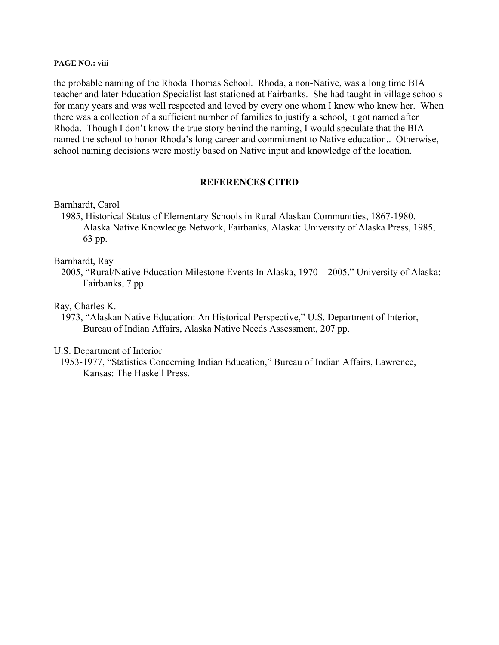#### **PAGE NO.: viii**

the probable naming of the Rhoda Thomas School. Rhoda, a non-Native, was a long time BIA teacher and later Education Specialist last stationed at Fairbanks. She had taught in village schools for many years and was well respected and loved by every one whom I knew who knew her. When there was a collection of a sufficient number of families to justify a school, it got named after Rhoda. Though I don't know the true story behind the naming, I would speculate that the BIA named the school to honor Rhoda's long career and commitment to Native education.. Otherwise, school naming decisions were mostly based on Native input and knowledge of the location.

# **REFERENCES CITED**

### Barnhardt, Carol

 1985, Historical Status of Elementary Schools in Rural Alaskan Communities, 1867-1980. Alaska Native Knowledge Network, Fairbanks, Alaska: University of Alaska Press, 1985, 63 pp.

### Barnhardt, Ray

 2005, "Rural/Native Education Milestone Events In Alaska, 1970 – 2005," University of Alaska: Fairbanks, 7 pp.

## Ray, Charles K.

 1973, "Alaskan Native Education: An Historical Perspective," U.S. Department of Interior, Bureau of Indian Affairs, Alaska Native Needs Assessment, 207 pp.

## U.S. Department of Interior

 1953-1977, "Statistics Concerning Indian Education," Bureau of Indian Affairs, Lawrence, Kansas: The Haskell Press.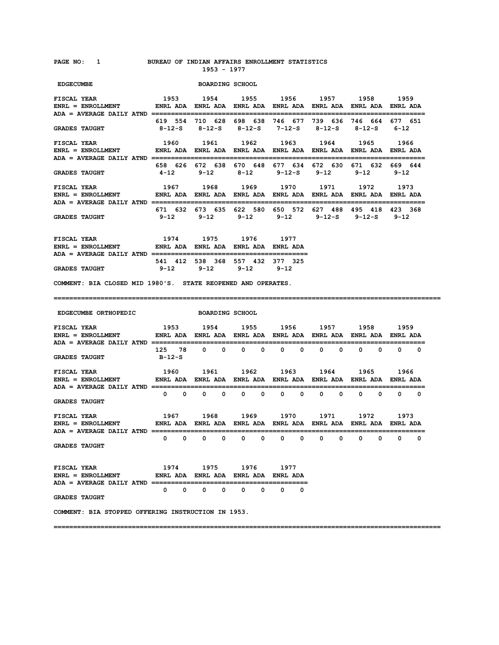#### **PAGE NO: 1 BUREAU OF INDIAN AFFAIRS ENROLLMENT STATISTICS 1953 - 1977**

| <b>EDGECUMBE</b>                                                                                                                                                                              |                                                                                        | <b>BOARDING SCHOOL</b>                                                                             |                              |                                                  |                             |                               |                                                       |
|-----------------------------------------------------------------------------------------------------------------------------------------------------------------------------------------------|----------------------------------------------------------------------------------------|----------------------------------------------------------------------------------------------------|------------------------------|--------------------------------------------------|-----------------------------|-------------------------------|-------------------------------------------------------|
| 1953<br><b>FISCAL YEAR</b><br>ENRL = ENROLLMENT              ENRL ADA   ENRL ADA   ENRL ADA   ENRL ADA   ENRL ADA   ENRL ADA   ENRL ADA<br>ADA = AVERAGE DAILY ATND ========================= |                                                                                        | 1954 1955 1956 1957 1958                                                                           |                              |                                                  |                             |                               | 1959                                                  |
| <b>GRADES TAUGHT</b>                                                                                                                                                                          | 8-12-S                                                                                 | 619 554 710 628 698 638 746 677 739 636 746 664 677 651<br>8-12-S 8-12-S 7-12-S 8-12-S 8-12-S 6-12 |                              |                                                  |                             |                               |                                                       |
| <b>FISCAL YEAR</b><br>ENRL = ENROLLMENT               ENRL ADA   ENRL ADA   ENRL ADA   ENRL ADA   ENRL ADA   ENRL ADA   ENRL ADA                                                              | 1960                                                                                   | 1961 1962 1963                                                                                     |                              |                                                  | 1964 1965                   | ;============================ |                                                       |
| <b>GRADES TAUGHT</b>                                                                                                                                                                          | 4-12                                                                                   | 658 626 672 638 670 648 677 634 672 630 671 632 669 644<br>9-12 8-12 9-12-S 9-12                   |                              |                                                  |                             | $9 - 12$                      | $9 - 12$                                              |
| <b>FISCAL YEAR</b><br>ENRL = ENROLLMENT              ENRL ADA   ENRL ADA   ENRL ADA   ENRL ADA   ENRL ADA   ENRL ADA   ENRL ADA                                                               | 1967 1968 1969 1970 1971 1972 1973                                                     |                                                                                                    |                              |                                                  |                             | =========================     |                                                       |
| <b>GRADES TAUGHT</b>                                                                                                                                                                          | 9-12                                                                                   | 671 632 673 635 622 580 650 572 627 488 495 418 423 368<br>$9 - 12$                                | 9-12 9-12 9-12-S 9-12-S 9-12 |                                                  |                             |                               |                                                       |
| <b>FISCAL YEAR</b>                                                                                                                                                                            |                                                                                        | 1974 1975                                                                                          | 1976 1977                    |                                                  |                             |                               |                                                       |
| <b>GRADES TAUGHT</b>                                                                                                                                                                          | $9 - 12$                                                                               | 541 412 538 368 557 432 377 325<br>$9 - 12$                                                        | $9 - 12$                     | $9 - 12$                                         |                             |                               |                                                       |
| COMMENT: BIA CLOSED MID 1980'S. STATE REOPENED AND OPERATES.                                                                                                                                  |                                                                                        |                                                                                                    |                              |                                                  |                             |                               |                                                       |
|                                                                                                                                                                                               |                                                                                        |                                                                                                    |                              |                                                  |                             |                               |                                                       |
| EDGECUMBE ORTHOPEDIC BOARDING SCHOOL                                                                                                                                                          |                                                                                        |                                                                                                    |                              |                                                  |                             |                               |                                                       |
| <b>FISCAL YEAR</b><br>ENRL = ENROLLMENT ENRL ADA ENRL ADA ENRL ADA ENRL ADA ENRL ADA ENRL ADA ENRL ADA ENRL ADA                                                                               |                                                                                        | 1953 1954 1955 1956 1957 1958                                                                      |                              |                                                  |                             |                               | 1959                                                  |
| <b>GRADES TAUGHT</b>                                                                                                                                                                          | в-12-s                                                                                 | 125 78 0 0 0 0                                                                                     |                              | $\begin{array}{ccc} & & & 0 & \quad \end{array}$ | $0\qquad 0$                 | $0\qquad 0$                   | ==================<br>$\begin{matrix}0&0\end{matrix}$ |
| <b>FISCAL YEAR</b><br><b>ENRL = ENROLLMENT</b>                                                                                                                                                |                                                                                        | 1960 1961 1962 1963 1964 1965                                                                      |                              |                                                  |                             |                               | 1966                                                  |
| ADA = AVERAGE DAILY ATND ==============================<br><b>GRADES TAUGHT</b>                                                                                                               | ENRL ADA ENRL ADA ENRL ADA ENRL ADA ENRL ADA ENRL ADA ENRL ADA ENRL ADA<br>$0\qquad 0$ | $0\qquad 0$                                                                                        | $0\qquad 0$                  | $0\qquad 0$                                      | $0\qquad 0$                 | $0\qquad 0$                   | $0\qquad 0$                                           |
| FISCAL YEAR<br>$ENRL = ENROLLMENT$                                                                                                                                                            | 1967 1968<br>ENRL ADA ENRL ADA ENRL ADA ENRL ADA ENRL ADA ENRL ADA ENRL ADA            |                                                                                                    | 1969 1970 1971               |                                                  |                             | 1972                          | 1973                                                  |
| <b>GRADES TAUGHT</b>                                                                                                                                                                          | $^{\circ}$<br>$\overline{\mathbf{0}}$                                                  | $^{\circ}$<br>0                                                                                    | $0\qquad 0$                  | $\overline{\mathbf{0}}$<br>$\mathbf{0}$          | $\mathbf{0}$<br>$\mathbf 0$ | $\bullet$<br>$\mathbf{0}$     | ==================<br>$0\qquad 0$                     |
| <b>FISCAL YEAR</b><br>ENRL = ENROLLMENT              ENRL ADA ENRL ADA ENRL ADA ENRL ADA                                                                                                      | 1974 1975 1976 1977                                                                    |                                                                                                    |                              |                                                  |                             |                               |                                                       |
| <b>GRADES TAUGHT</b>                                                                                                                                                                          |                                                                                        | $0\qquad 0\qquad 0\qquad 0\qquad 0\qquad 0\qquad 0$                                                |                              |                                                  |                             |                               |                                                       |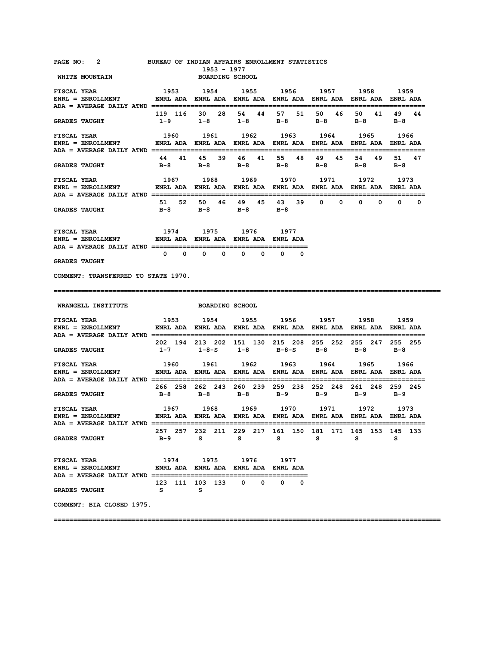| <b>PAGE NO:</b> |  | BUREAU OF INDIAN AFFAIRS ENROLLMENT STATISTICS |  |  |
|-----------------|--|------------------------------------------------|--|--|
|-----------------|--|------------------------------------------------|--|--|

**1953 - 1977<br>WHITE MOUNTAIN GENERAL BOARDING SCHC BOARDING SCHOOL** 

| <b>FISCAL YEAR</b><br>ENRL = ENROLLMENT ENRL ADA ENRL ADA ENRL ADA ENRL ADA ENRL ADA ENRL ADA ENRL ADA ENRL ADA                                                                                                                           | 1953 1954 1955 1956 1957                                |                                                                              |           |                                                                                                          | 1958  | 1959                   |
|-------------------------------------------------------------------------------------------------------------------------------------------------------------------------------------------------------------------------------------------|---------------------------------------------------------|------------------------------------------------------------------------------|-----------|----------------------------------------------------------------------------------------------------------|-------|------------------------|
| <b>GRADES TAUGHT</b>                                                                                                                                                                                                                      | 119 116 30 28 54 44 57 51 50 46 50 41 49 44             |                                                                              |           | $1-9$ $1-8$ $1-8$ $B-8$ $B-8$ $B-8$ $B-8$                                                                |       |                        |
| <b>FISCAL YEAR</b><br>ENRL = ENROLLMENT                 ENRL ADA   ENRL ADA   ENRL ADA   ENRL ADA   ENRL ADA   ENRL ADA   ENRL ADA                                                                                                        | 1960 1961                                               |                                                                              | 1962 1963 | 1964                                                                                                     | 1965  | 1966<br>============== |
| <b>GRADES TAUGHT</b>                                                                                                                                                                                                                      |                                                         | 44 41 45 39 46 41                                                            |           | 55 48 49 45<br>B-8 B-8 B-8 B-8 B-8 B-8 B-8                                                               | 54 49 | 51 47                  |
| <b>FISCAL YEAR</b><br>ENRL = ENROLLMENT                  ENRL ADA   ENRL ADA   ENRL ADA   ENRL ADA   ENRL ADA   ENRL ADA   ENRL ADA                                                                                                       | 1967 1968 1969 1970 1971 1972 1973                      |                                                                              |           |                                                                                                          |       |                        |
| <b>GRADES TAUGHT</b>                                                                                                                                                                                                                      |                                                         | B-8 B-8 B-8 B-8                                                              |           | 51 52 50 46 49 45 43 39 0 0 0 0 0 0 0                                                                    |       |                        |
| <b>FISCAL YEAR</b><br>ENRL = ENROLLMENT             ENRL ADA ENRL ADA ENRL ADA ENRL ADA                                                                                                                                                   |                                                         | 1974 1975 1976                                                               | 1977      |                                                                                                          |       |                        |
| <b>GRADES TAUGHT</b>                                                                                                                                                                                                                      |                                                         | $\begin{array}{ccccccccccccccccc} 0 & 0 & 0 & 0 & 0 & 0 & 0 & 0 \end{array}$ |           |                                                                                                          |       |                        |
| COMMENT: TRANSFERRED TO STATE 1970.                                                                                                                                                                                                       |                                                         |                                                                              |           |                                                                                                          |       |                        |
|                                                                                                                                                                                                                                           |                                                         |                                                                              |           |                                                                                                          |       |                        |
| <b>WRANGELL INSTITUTE</b>                                                                                                                                                                                                                 |                                                         | <b>BOARDING SCHOOL</b>                                                       |           |                                                                                                          |       |                        |
| <b>FISCAL YEAR</b><br>وروبا 1992 - 1993 - 1994 - 1994 - 1994 - 1994 - 1994 - 1994 - 1994 - 1994 - 1994 - 1994 - 1994 - 199<br>ENRL ENRL ADA ENRL ADA ENRL ADA ENRL ADA ENRL ADA ENRL ADA ENRL ADA ENRL ADA ENRL ADA                       |                                                         |                                                                              |           | 1953 1954 1955 1956 1957 1958 1959                                                                       |       |                        |
| <b>GRADES TAUGHT</b>                                                                                                                                                                                                                      |                                                         |                                                                              |           | 202 194 213 202 151 130 215 208 255 252 255 247 255 255<br>$1-7$ $1-8-S$ $1-8$ $B-8-S$ $B-8$ $B-8$ $B-8$ |       |                        |
| FISCAL YEAR<br>ENRL = ENROLLMENT ENRL ADA ENRL ADA ENRL ADA ENRL ADA ENRL ADA ENRL ADA ENRL ADA ENRL ADA ENRL ADA                                                                                                                         |                                                         |                                                                              |           | 1960 1961 1962 1963 1964 1965 1966                                                                       |       |                        |
| <b>GRADES TAUGHT</b>                                                                                                                                                                                                                      | 266 258 262 243 260 239 259 238 252 248 261 248 259 245 |                                                                              |           | B-8 B-8 B-8 B-9 B-9 B-9 B-9                                                                              |       |                        |
| <b>FISCAL YEAR</b><br>ENRL = ENROLLMENT ENRL ADA ENRL ADA ENRL ADA ENRL ADA ENRL ADA ENRL ADA ENRL ADA ENRL ADA                                                                                                                           |                                                         | 1967 1968 1969 1970                                                          |           | 1971                                                                                                     | 1972  | 1973                   |
| <b>GRADES TAUGHT</b>                                                                                                                                                                                                                      | 257 257 232 211 229 217 161 150 181 171 165 153 145 133 |                                                                              |           | B-9 S S S S S S                                                                                          |       |                        |
| ${\tt FISCAL \,\, YEAR} \qquad \qquad 1974 \qquad \qquad 1975 \qquad \qquad 1976 \qquad \qquad 1977$ ${\tt ENRL \,\,BDA} \quad \, {\tt ENRL \,\,ADA} \quad \, {\tt ENRL \,\,ADA} \quad \, {\tt ENRL \,\,ADA} \quad \, {\tt ENRL \,\,ADA}$ | 123 111 103 133 0 0 0 0                                 |                                                                              |           |                                                                                                          |       |                        |
| <b>GRADES TAUGHT</b>                                                                                                                                                                                                                      | <b>S</b>                                                | s                                                                            |           |                                                                                                          |       |                        |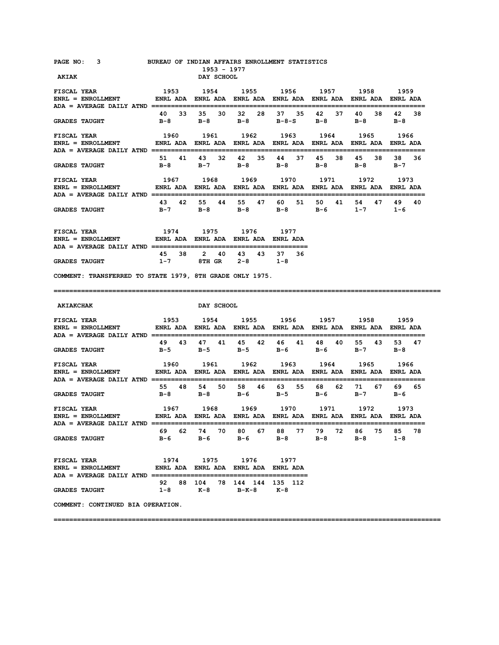| <b>PAGE NO:</b> |  |  |  |  |  | BUREAU OF INDIAN AFFAIRS ENROLLMENT STATISTICS |
|-----------------|--|--|--|--|--|------------------------------------------------|
|-----------------|--|--|--|--|--|------------------------------------------------|

 **1953 - 1977 AKIAK** DAY SCHOOL

| FISCAL YEAR 1953                                                                              |       |       |       |       |       |       | 1954 1955 1956 1957 1958 1959 |       |       |     |         |         |         |     |
|-----------------------------------------------------------------------------------------------|-------|-------|-------|-------|-------|-------|-------------------------------|-------|-------|-----|---------|---------|---------|-----|
| ENRL = ENROLLMENT            ENRL ADA ENRL ADA ENRL ADA ENRL ADA ENRL ADA ENRL ADA ENRL ADA   |       |       |       |       |       |       |                               |       |       |     |         |         |         |     |
|                                                                                               |       |       |       |       |       |       |                               |       |       |     |         |         |         |     |
|                                                                                               |       | 40 33 | 35 30 |       | 32    | 28    | 37 35                         |       | 42    | 37  | 40      | 38.     | 42      | -38 |
| <b>GRADES TAUGHT</b>                                                                          | $B-8$ |       | $B-8$ |       | $B-8$ |       | $B - 8 - S$                   |       | в-8   |     | $B - 8$ |         | $B-8$   |     |
|                                                                                               |       |       |       |       |       |       |                               |       |       |     |         |         |         |     |
| FISCAL YEAR 66 1960 1961 1962 1963 1964 1965 1966                                             |       |       |       |       |       |       |                               |       |       |     |         |         |         |     |
|                                                                                               |       |       |       |       |       |       |                               |       |       |     |         |         |         |     |
| ENRL = ENROLLMENT         ENRL ADA ENRL ADA ENRL ADA ENRL ADA ENRL ADA ENRL ADA ENRL ADA      |       |       |       |       |       |       |                               |       |       |     |         |         |         |     |
|                                                                                               |       |       |       |       |       |       |                               |       |       |     |         |         |         |     |
|                                                                                               |       | 51 41 | 43 32 |       | 42 35 |       |                               | 44 37 | 45    | 38. | 45      | 38      | 38 36   |     |
| GRADES TAUGHT $B-8$ $B-7$ $B-8$ $B-8$                                                         |       |       |       |       |       |       |                               |       | $B-8$ |     | $B-8$   |         | $B - 7$ |     |
|                                                                                               |       |       |       |       |       |       |                               |       |       |     |         |         |         |     |
|                                                                                               |       |       |       |       |       |       |                               |       |       |     |         |         |         |     |
|                                                                                               |       |       |       |       |       |       |                               |       |       |     |         |         |         |     |
|                                                                                               |       |       |       |       |       |       |                               |       |       |     |         |         |         |     |
| ENRL = ENROLLMENT         ENRL ADA ENRL ADA ENRL ADA ENRL ADA ENRL ADA ENRL ADA ENRL ADA      |       |       |       |       |       |       |                               |       |       |     |         |         |         |     |
|                                                                                               |       |       |       |       |       |       |                               |       |       |     |         |         |         |     |
|                                                                                               |       | 43 42 |       | 55 44 |       | 55 47 |                               | 60 51 | 50    | 41  | 54      | 47      | 49      | 40  |
| GRADES TAUGHT $B-7$ $B-8$ $B-8$ $B-8$                                                         |       |       |       |       |       |       |                               |       | $B-6$ |     |         | $1 - 7$ | $1 - 6$ |     |
|                                                                                               |       |       |       |       |       |       |                               |       |       |     |         |         |         |     |
|                                                                                               |       |       |       |       |       |       |                               |       |       |     |         |         |         |     |
| FISCAL YEAR 1974 1975 1976 1977                                                               |       |       |       |       |       |       |                               |       |       |     |         |         |         |     |
| ENRL = ENROLLMENT         ENRL ADA ENRL ADA ENRL ADA ENRL ADA                                 |       |       |       |       |       |       |                               |       |       |     |         |         |         |     |
| $ADA = AVERAGE$ $DAILY$ $ATND$ $\text{---}\text{---}\text{---}\text{---}\text{---}\text{---}$ |       |       |       |       |       |       |                               |       |       |     |         |         |         |     |
|                                                                                               | 45 38 |       | 2     | 40    | 43    | 43    | 37                            | -36   |       |     |         |         |         |     |

**COMMENT: TRANSFERRED TO STATE 1979, 8TH GRADE ONLY 1975.** 

#### **===================================================================================================**

 **AKIAKCHAK DAY SCHOOL FISCAL YEAR 1953 1954 1955 1956 1957 1958 1959 ENRL = ENROLLMENT ENRL ADA ENRL ADA ENRL ADA ENRL ADA ENRL ADA ENRL ADA ENRL ADA ADA = AVERAGE DAILY ATND ====================================================================== 49 43 47 41 45 42 46 41 48 40 55 43 53 47 GRADES TAUGHT B-5 B-5 B-5 B-6 B-6 B-7 B-8 FISCAL YEAR 1960 1961 1962 1963 1964 1965 1966 ENRL = ENROLLMENT ENRL ADA ENRL ADA ENRL ADA ENRL ADA ENRL ADA ENRL ADA ENRL ADA ADA = AVERAGE DAILY ATND ====================================================================== 55 48 54 50 58 46 63 55 68 62 71 67 69 65 GRADES TAUGHT B-8 B-8 B-6 B-5 B-6 B-7 B-6 FISCAL YEAR 1967 1968 1969 1970 1971 1972 1973 ENRL = ENROLLMENT ENRL ADA ENRL ADA ENRL ADA ENRL ADA ENRL ADA ENRL ADA ENRL ADA ADA = AVERAGE DAILY ATND ====================================================================== 69 62 74 70 80 67 88 77 79 72 86 75 85 78 GRADES TAUGHT B-6 B-6 B-6 B-8 B-8 B-8 1-8 FISCAL YEAR 1974 1975 1976 1977 ENRL = ENROLLMENT ENRL ADA ENRL ADA ENRL ADA ENRL ADA ADA = AVERAGE DAILY ATND ========================================** 

**===================================================================================================** 

|                      |  | 92 88 104 78 144 144 135 112 |  |  |  |
|----------------------|--|------------------------------|--|--|--|
| <b>GRADES TAUGHT</b> |  | 1-8 K-8 B-K-8 K-8            |  |  |  |

**COMMENT: CONTINUED BIA OPERATION.**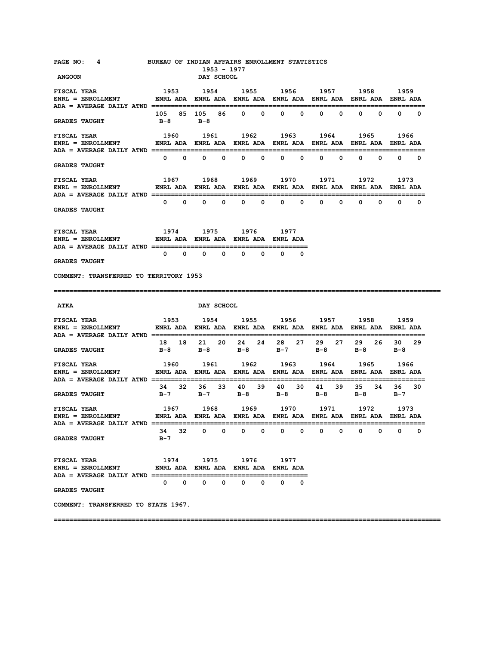| PAGE NO: 4 BUREAU OF INDIAN AFFAIRS ENROLLMENT STATISTICS<br><b>ANGOON</b>                                                                                                                           |                                     | 1953 - 1977<br>DAY SCHOOL   |                                                     |                   |                                           |                                     |                     |
|------------------------------------------------------------------------------------------------------------------------------------------------------------------------------------------------------|-------------------------------------|-----------------------------|-----------------------------------------------------|-------------------|-------------------------------------------|-------------------------------------|---------------------|
| FISCAL YEAR                                                                                                                                                                                          | 1953 1954 1955 1956 1957 1958       |                             |                                                     |                   |                                           |                                     | 1959                |
| <b>GRADES TAUGHT</b>                                                                                                                                                                                 | 105 85 105 86 0 0 0 0<br>$B-8$      | $B-8$                       |                                                     |                   | $0\qquad 0$                               |                                     | $0 \quad 0 \quad 0$ |
| FISCAL YEAR<br>ENRL = ENROLLMENT                  ENRL ADA    ENRL ADA    ENRL ADA    ENRL ADA    ENRL ADA    ENRL ADA                                                                               |                                     | 1960 1961                   |                                                     | 1962 1963 1964    |                                           | 1965                                | 1966                |
| <b>GRADES TAUGHT</b>                                                                                                                                                                                 |                                     |                             | $0\qquad 0\qquad 0\qquad 0\qquad 0\qquad 0\qquad 0$ |                   |                                           | $0\qquad 0\qquad 0\qquad 0\qquad 0$ |                     |
| <b>FISCAL YEAR</b>                                                                                                                                                                                   |                                     | 1967 1968                   |                                                     |                   | 1969 1970 1971 1972                       |                                     | 1973                |
| <b>GRADES TAUGHT</b>                                                                                                                                                                                 |                                     |                             |                                                     |                   |                                           |                                     |                     |
| 1974 1975 1976 1977<br>FISCAL YEAR<br>ENRL = ENROLLMENT       ENRL ADA ENRL ADA ENRL ADA ENRL ADA                                                                                                    |                                     |                             |                                                     |                   |                                           |                                     |                     |
| <b>GRADES TAUGHT</b>                                                                                                                                                                                 |                                     |                             |                                                     |                   |                                           |                                     |                     |
| COMMENT: TRANSFERRED TO TERRITORY 1953                                                                                                                                                               |                                     |                             |                                                     |                   |                                           |                                     |                     |
|                                                                                                                                                                                                      |                                     |                             |                                                     |                   |                                           |                                     |                     |
|                                                                                                                                                                                                      |                                     |                             |                                                     |                   |                                           |                                     |                     |
| <b>ATKA</b>                                                                                                                                                                                          |                                     | <b>DAY SCHOOL</b>           |                                                     |                   |                                           |                                     |                     |
| ENRL = ENROLLMENT               ENRL ADA   ENRL ADA   ENRL ADA   ENRL ADA   ENRL ADA   ENRL ADA   ENRL ADA                                                                                           |                                     |                             |                                                     |                   |                                           |                                     |                     |
| <b>GRADES TAUGHT</b>                                                                                                                                                                                 |                                     |                             | B-8 B-8 B-8 B-7 B-8                                 |                   | 18 18 21 20 24 24 28 27 29 27 29 26 30 29 | $B-8$                               | $B-8$               |
| <b>FISCAL YEAR</b>                                                                                                                                                                                   | 1960 1961                           |                             |                                                     | 1962 1963 1964    |                                           | 1965                                | 1966                |
| <b>GRADES TAUGHT</b>                                                                                                                                                                                 | $B-7$                               | B-7 B-8                     |                                                     | B-8 B-8           | 34 32 36 33 40 39 40 30 41 39             | 35 34<br>B-8                        | 36 30<br>B-7        |
|                                                                                                                                                                                                      |                                     |                             |                                                     |                   | 1967 1968 1969 1970 1971 1972             |                                     | 1973                |
| <b>GRADES TAUGHT</b>                                                                                                                                                                                 | 34<br>32<br>$B - 7$                 | $\mathbf{0}$<br>$\mathbf 0$ | $\mathbf 0$<br>0                                    | 0<br>0            | 0<br>0                                    | 0<br>0                              | $\mathbf{0}$<br>0   |
| FISCAL YEAR TISCAL<br>ENRL = ENROLLMENT            ENRL ADA ENRL ADA ENRL ADA ENRL ADA ENRL ADA ENRL ADA ENRL ADA<br>$ADA = AVERAGE DAILY ATND ==$<br><b>FISCAL YEAR</b><br><b>ENRL = ENROLLMENT</b> | ENRL ADA ENRL ADA ENRL ADA ENRL ADA |                             | 1974 1975 1976 1977                                 |                   |                                           |                                     |                     |
| <b>GRADES TAUGHT</b>                                                                                                                                                                                 |                                     | $0\qquad 0\qquad 0\qquad 0$ | $\mathbf{0}$<br>$\mathbf{o}$                        | $\mathbf{0}$<br>0 |                                           |                                     |                     |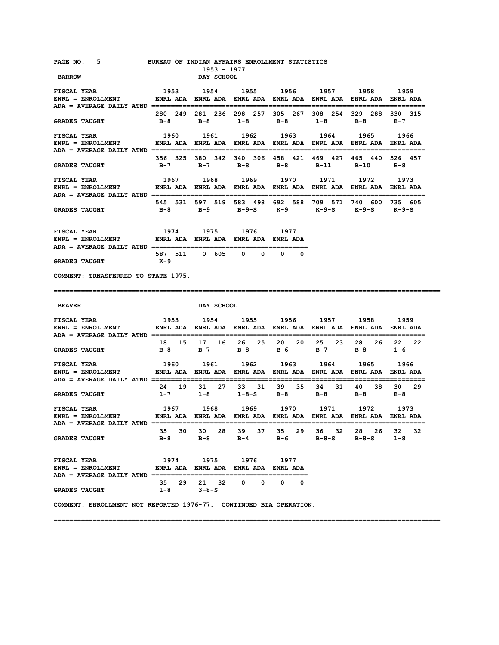| PAGE NO: 5<br><b>BARROW</b>                                                                                                        | BUREAU OF INDIAN AFFAIRS ENROLLMENT STATISTICS                         | 1953 - 1977<br>DAY SCHOOL |             |                     |                                                                                                |                       |                     |
|------------------------------------------------------------------------------------------------------------------------------------|------------------------------------------------------------------------|---------------------------|-------------|---------------------|------------------------------------------------------------------------------------------------|-----------------------|---------------------|
| <b>FISCAL YEAR</b><br>ENRL = ENROLLMENT                 ENRL ADA   ENRL ADA   ENRL ADA   ENRL ADA   ENRL ADA   ENRL ADA   ENRL ADA | 1953                                                                   |                           |             |                     | 1954 1955 1956 1957 1958 1959                                                                  |                       |                     |
| <b>GRADES TAUGHT</b>                                                                                                               |                                                                        |                           |             |                     | 280 249 281 236 298 257 305 267 308 254 329 288 330 315<br>B-8 B-8 1-8 B-8 1-8 B-8 B-7         |                       |                     |
| <b>FISCAL YEAR</b><br>ENRL = ENROLLMENT                 ENRL ADA   ENRL ADA   ENRL ADA   ENRL ADA   ENRL ADA   ENRL ADA   ENRL ADA | 1960 1961 1962 1963 1964 1965 1966                                     |                           |             |                     |                                                                                                |                       |                     |
| <b>GRADES TAUGHT</b>                                                                                                               |                                                                        |                           |             |                     | 356 325 380 342 340 306 458 421 469 427 465 440 526 457<br>B-7 B-7 B-8 B-8 B-11                | $B-10$ $B-8$          |                     |
| <b>FISCAL YEAR</b><br>ENRL = ENROLLMENT               ENRL ADA   ENRL ADA   ENRL ADA   ENRL ADA   ENRL ADA   ENRL ADA   ENRL ADA   |                                                                        |                           |             |                     | 1967 1968 1969 1970 1971 1972 1973                                                             |                       |                     |
| <b>GRADES TAUGHT</b>                                                                                                               |                                                                        |                           |             |                     | 545 531 597 519 583 498 692 588 709 571 740 600 735 605<br>B-8 B-9 B-9-S K-9 K-9-S K-9-S K-9-S |                       |                     |
| <b>FISCAL YEAR</b><br>$ENRL = ENROLLMENT$ ENRL ADA ENRL ADA ENRL ADA ENRL ADA ENRL ADA ENRL ADA                                    |                                                                        | 1974 1975 1976 1977       |             |                     |                                                                                                |                       |                     |
| <b>GRADES TAUGHT</b>                                                                                                               | к-9                                                                    | 587 511 0 605             | $0\qquad 0$ | $\mathbf{0}$<br>0   |                                                                                                |                       |                     |
| COMMENT: TRNASFERRED TO STATE 1975.                                                                                                |                                                                        |                           |             |                     |                                                                                                |                       |                     |
|                                                                                                                                    |                                                                        |                           |             |                     |                                                                                                |                       |                     |
| <b>BEAVER</b>                                                                                                                      |                                                                        | DAY SCHOOL                |             |                     |                                                                                                |                       |                     |
| <b>FISCAL YEAR</b><br>ADA = AVERAGE DAILY ATND ===========================                                                         |                                                                        |                           |             |                     | 1953 1954 1955 1956 1957 1958 1959                                                             |                       |                     |
| <b>GRADES TAUGHT</b>                                                                                                               |                                                                        |                           |             | B-8 B-7 B-8 B-6     | 18 15 17 16 26 25 20 20 25 23<br>$B-7$                                                         | 28 26 22<br>$B-8$ 1-6 | 22                  |
| <b>FISCAL YEAR</b><br><b>ENRL = ENROLLMENT</b>                                                                                     | 1960<br>ENRL ADA ENRL ADA ENRL ADA ENRL ADA ENRL ADA ENRL ADA ENRL ADA | 1961                      |             |                     | 1962 1963 1964 1965 1966                                                                       |                       |                     |
| <b>GRADES TAUGHT</b>                                                                                                               | 24 19<br>$1-7$                                                         |                           |             | $1-8$ $1-8-5$ $B-8$ | 31 27 33 31 39 35 34 31 40 38<br><b>B-8</b>                                                    | $B-8$                 | 30 29<br>B-8        |
| <b>FISCAL YEAR</b><br>$ENRL = ENROLLMENT$                                                                                          |                                                                        |                           |             |                     |                                                                                                |                       |                     |
| <b>GRADES TAUGHT</b>                                                                                                               |                                                                        |                           |             |                     | 35 30 30 28 39 37 35 29 36 32 28 26<br>B-8 B-8 B-4 B-6 B-8-S                                   | $B-8-S$               | 32<br>32<br>$1 - 8$ |
| <b>FISCAL YEAR</b><br>ENRL = ENROLLMENT              ENRL ADA   ENRL ADA   ENRL ADA   ENRL ADA                                     | 1974                                                                   | 1975                      | 1976        | 1977                |                                                                                                |                       |                     |
| <b>GRADES TAUGHT</b>                                                                                                               | $1 - 8$ $3 - 8 - S$                                                    | 35 29 21 32 0 0 0 0       |             |                     |                                                                                                |                       |                     |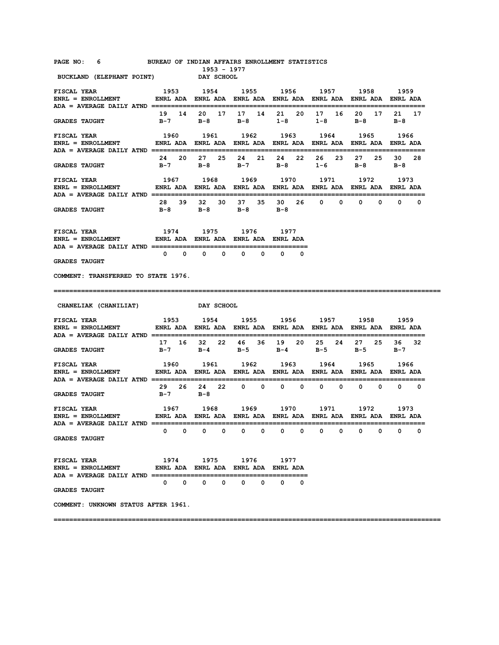| PAGE NO: |  |  | BUREAU OF INDIAN AFFAIRS ENROLLMENT STATISTICS |  |
|----------|--|--|------------------------------------------------|--|
|          |  |  |                                                |  |

**1953 - 1977<br>
DAY SCHOOL BUCKLAND (ELEPHANT POINT)** 

| <b>FISCAL YEAR</b><br>ENRL = ENROLLMENT ENRL ADA ENRL ADA ENRL ADA ENRL ADA ENRL ADA ENRL ADA ENRL ADA ENRL ADA ENRL ADA                                                   |                               |                                                                                  |             |                              | 1953 1954 1955 1956 1957 1958                                                         |                              | 1959        |
|----------------------------------------------------------------------------------------------------------------------------------------------------------------------------|-------------------------------|----------------------------------------------------------------------------------|-------------|------------------------------|---------------------------------------------------------------------------------------|------------------------------|-------------|
| <b>GRADES TAUGHT</b>                                                                                                                                                       |                               |                                                                                  |             |                              | 19  14  20  17  17  14  21  20  17  16  20  17  21  17<br>B-7 B-8 B-8 1-8 1-8 B-8 B-8 |                              |             |
| <b>FISCAL YEAR</b><br>ENRL = ENROLLMENT            ENRL ADA   ENRL ADA   ENRL ADA   ENRL ADA   ENRL ADA   ENRL ADA   ENRL ADA                                              |                               | 1960 1961                                                                        |             | 1962 1963                    | 1964                                                                                  | 1965                         | 1966        |
| <b>GRADES TAUGHT</b>                                                                                                                                                       |                               | 24  20  27  25  24  21                                                           |             | 24 22                        | 26 23<br>B-7 B-8 B-7 B-8 1-6 B-8 B-8                                                  | 27 25                        | 30 28       |
| <b>FISCAL YEAR</b><br>ENRL = ENROLLMENT                 ENRL ADA   ENRL ADA   ENRL ADA   ENRL ADA   ENRL ADA   ENRL ADA   ENRL ADA<br>ADA = AVERAGE DAILY ATND =========== | 1967 1968 1969 1970 1971 1972 |                                                                                  |             |                              |                                                                                       |                              | 1973        |
| <b>GRADES TAUGHT</b>                                                                                                                                                       |                               | B-8 B-8 B-8 B-8                                                                  |             |                              | 28 39 32 30 37 35 30 26 0 0 0 0 0 0 0                                                 |                              |             |
| <b>FISCAL YEAR</b><br>ENRL = ENROLLMENT             ENRL ADA ENRL ADA ENRL ADA ENRL ADA<br>ADA = AVERAGE DAILY ATND ===========================                            | 1974                          | 1975                                                                             | 1976        | 1977<br>==============       |                                                                                       |                              |             |
| <b>GRADES TAUGHT</b>                                                                                                                                                       |                               | $\begin{array}{ccccccccccccccccc} 0 & 0 & 0 & 0 & 0 & 0 & 0 & 0 \end{array}$     |             | $\Omega$                     |                                                                                       |                              |             |
| COMMENT: TRANSFERRED TO STATE 1976.                                                                                                                                        |                               |                                                                                  |             |                              |                                                                                       |                              |             |
|                                                                                                                                                                            |                               |                                                                                  |             |                              |                                                                                       |                              |             |
|                                                                                                                                                                            |                               | DAY SCHOOL                                                                       |             |                              |                                                                                       |                              |             |
| <b>FISCAL YEAR</b><br>ENRL = ENROLLMENT ENRL ADA ENRL ADA ENRL ADA ENRL ADA ENRL ADA ENRL ADA ENRL ADA ENRL ADA ENRL ADA                                                   |                               |                                                                                  |             |                              | 1953 1954 1955 1956 1957 1958 1959                                                    |                              |             |
| <b>GRADES TAUGHT</b>                                                                                                                                                       |                               |                                                                                  |             |                              | 17 16 32 22 46 36 19 20 25 24 27 25 36 32<br>B-7 B-4 B-5 B-4 B-5 B-5 B-7              |                              |             |
| FISCAL YEAR<br>ENRL = ENROLLMENT ENRL ADA ENRL ADA ENRL ADA ENRL ADA ENRL ADA ENRL ADA ENRL ADA ENRL ADA                                                                   |                               | 1960 1961 1962 1963                                                              |             |                              | 1964                                                                                  | 1965                         | 1966        |
| <b>GRADES TAUGHT</b>                                                                                                                                                       | $B-7$ $B-8$                   | 29  26  24  22  0  0                                                             |             | $0\qquad 0$                  |                                                                                       | $0\qquad 0\qquad 0\qquad 0$  | $0\qquad 0$ |
| <b>FISCAL YEAR</b><br>ENRL = ENROLLMENT ENRL ADA ENRL ADA ENRL ADA ENRL ADA ENRL ADA ENRL ADA ENRL ADA ENRL ADA                                                            | 1967 1968                     |                                                                                  |             | 1969 1970                    | 1971                                                                                  | 1972                         | 1973        |
| <b>GRADES TAUGHT</b>                                                                                                                                                       |                               | $0\qquad 0\qquad 0\qquad 0$                                                      | $0\qquad 0$ | $\mathbf{0}$<br>$\mathbf{0}$ | $\mathbf{0}$<br>$\mathbf{0}$                                                          | $\mathbf{0}$<br>$\mathbf{0}$ | $0\qquad 0$ |
| <b>FISCAL YEAR</b><br>ENRL = ENROLLMENT           ENRL ADA ENRL ADA ENRL ADA ENRL ADA                                                                                      | 1974 1975                     |                                                                                  | 1976 1977   |                              |                                                                                       |                              |             |
| <b>CHANELIAK (CHANILIAT)</b><br><b>GRADES TAUGHT</b>                                                                                                                       |                               | $\begin{array}{ccccccccccccccccccccc} 0 & 0 & 0 & 0 & 0 & 0 & 0 & 0 \end{array}$ |             |                              |                                                                                       |                              |             |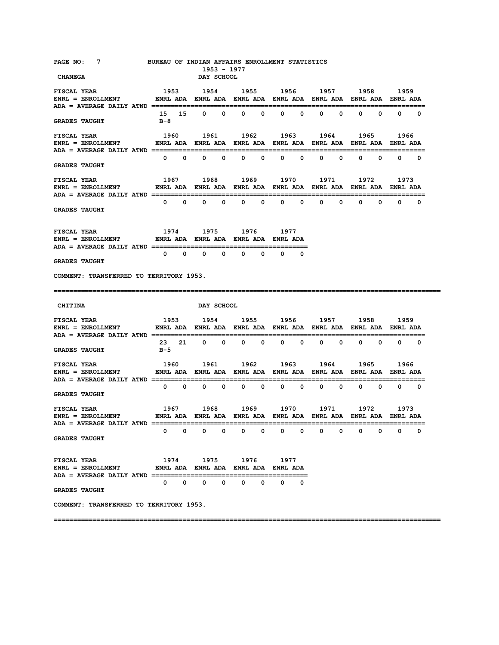| PAGE NO: 7<br><b>CHANEGA</b>                                                                                                   | BUREAU OF INDIAN AFFAIRS ENROLLMENT STATISTICS | 1953 - 1977<br><b>DAY SCHOOL</b>                      |        |             |                     |                                     |        |
|--------------------------------------------------------------------------------------------------------------------------------|------------------------------------------------|-------------------------------------------------------|--------|-------------|---------------------|-------------------------------------|--------|
| <b>FISCAL YEAR</b>                                                                                                             | 1953 1954 1955 1956 1957 1958 1959             |                                                       |        |             |                     |                                     |        |
| <b>GRADES TAUGHT</b>                                                                                                           | в-8                                            | 15 15 0 0 0 0 0 0                                     |        |             |                     | $0\qquad 0\qquad 0\qquad 0\qquad 0$ |        |
| <b>FISCAL YEAR</b>                                                                                                             |                                                | 1960 1961 1962 1963 1964 1965                         |        |             |                     |                                     | 1966   |
| <b>GRADES TAUGHT</b>                                                                                                           |                                                | $0\qquad 0\qquad 0\qquad 0\qquad 0\qquad 0\qquad 0$   |        |             |                     | $0\qquad 0\qquad 0\qquad 0\qquad 0$ |        |
| <b>FISCAL YEAR</b><br>ENRL = ENROLLMENT ENRL ADA ENRL ADA ENRL ADA ENRL ADA ENRL ADA ENRL ADA ENRL ADA ENRL ADA                |                                                | 1967 1968 1969 1970 1971 1972                         |        |             |                     |                                     | 1973   |
| <b>GRADES TAUGHT</b>                                                                                                           |                                                |                                                       |        |             |                     |                                     |        |
| <b>FISCAL YEAR</b><br>ENRL = ENROLLMENT             ENRL ADA ENRL ADA ENRL ADA ENRL ADA                                        | 1974 1975 1976 1977                            |                                                       |        |             |                     |                                     |        |
| <b>GRADES TAUGHT</b>                                                                                                           |                                                |                                                       |        | $0\qquad 0$ |                     |                                     |        |
| COMMENT: TRANSFERRED TO TERRITORY 1953.                                                                                        |                                                |                                                       |        |             |                     |                                     |        |
|                                                                                                                                |                                                |                                                       |        |             |                     |                                     |        |
| <b>CHITINA</b>                                                                                                                 |                                                | <b>DAY SCHOOL</b>                                     |        |             |                     |                                     |        |
| <b>FISCAL YEAR</b><br>ENRL = ENROLLMENT             ENRL ADA   ENRL ADA   ENRL ADA   ENRL ADA   ENRL ADA   ENRL ADA   ENRL ADA | 1953 1954 1955 1956 1957 1958 1959             |                                                       |        |             |                     |                                     |        |
| <b>GRADES TAUGHT</b>                                                                                                           | в-5                                            | 23 21 0 0 0 0 0 0                                     |        |             |                     | $0\qquad 0\qquad 0\qquad 0\qquad 0$ |        |
| <b>FISCAL YEAR</b><br>ENRL = ENROLLMENT            ENRL ADA ENRL ADA ENRL ADA ENRL ADA ENRL ADA ENRL ADA ENRL ADA              |                                                | 1960 1961                                             |        |             | 1962 1963 1964 1965 |                                     | 1966   |
| <b>GRADES TAUGHT</b>                                                                                                           |                                                | $0\qquad 0\qquad 0\qquad 0\qquad 0\qquad 0\qquad 0$   |        |             |                     | $0\qquad 0\qquad 0\qquad 0\qquad 0$ |        |
| <b>FISCAL YEAR</b>                                                                                                             |                                                | 1967 1968 1969 1970 1971 1972                         |        |             |                     |                                     | 1973   |
| ADA = AVERAGE DAILY ATND =<br><b>GRADES TAUGHT</b>                                                                             | 0<br>0                                         | 0<br>0                                                | 0<br>0 | 0<br>0      | 0<br>0              | 0<br>0                              | 0<br>0 |
| FISCAL YEAR<br>$ENRL = ENROLLMENT$<br><b>ADA = AVERAGE DAILY ATND ==========</b>                                               |                                                | 1974 1975 1976<br>ENRL ADA ENRL ADA ENRL ADA ENRL ADA |        | 1977        |                     |                                     |        |
| <b>GRADES TAUGHT</b>                                                                                                           | 0<br>0                                         | 0<br>0                                                | 0<br>0 | 0<br>0      |                     |                                     |        |
| COMMENT: TRANSFERRED TO TERRITORY 1953.                                                                                        |                                                |                                                       |        |             |                     |                                     |        |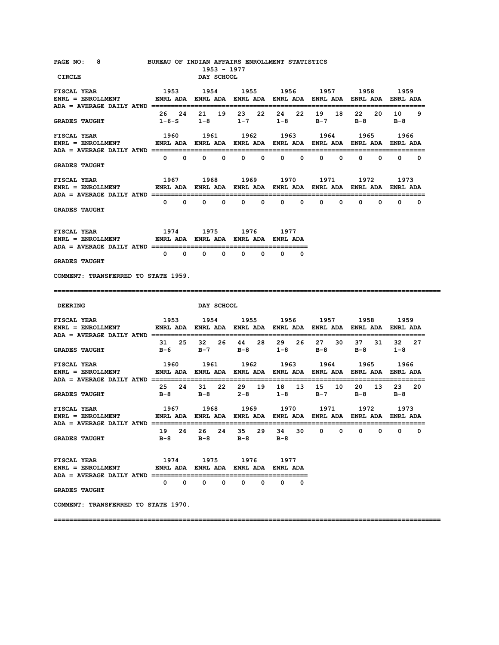| PAGE NO: 8<br>CIRCLE                                                                                                               |              |             |              | 1953 - 1977<br>DAY SCHOOL | BUREAU OF INDIAN AFFAIRS ENROLLMENT STATISTICS                                                                                           |              |              |             |                              |              |              |              |                              |             |
|------------------------------------------------------------------------------------------------------------------------------------|--------------|-------------|--------------|---------------------------|------------------------------------------------------------------------------------------------------------------------------------------|--------------|--------------|-------------|------------------------------|--------------|--------------|--------------|------------------------------|-------------|
| <b>FISCAL YEAR</b><br>ENRL = ENROLLMENT ENRL ADA ENRL ADA ENRL ADA ENRL ADA ENRL ADA ENRL ADA ENRL ADA ENRL ADA ENRL ADA           | 1953         |             |              |                           | 1954 1955 1956 1957 1958 1959                                                                                                            |              |              |             |                              |              |              |              |                              |             |
| <b>GRADES TAUGHT</b>                                                                                                               |              |             |              |                           | 26  24  21  19  23  22  24  22<br>1-6-S 1-8 1-7 1-8                                                                                      |              |              |             | 19<br>$B-7$                  | 18           |              | 22 20        | 10<br>$B-8$ $B-8$            | 9           |
| <b>FISCAL YEAR</b><br>$ENRL = ENROLLMENT$                                                                                          |              |             |              |                           | 1960 1961 1962 1963 1964 1965 1966<br>ENRL ADA ENRL ADA ENRL ADA ENRL ADA ENRL ADA ENRL ADA ENRL ADA                                     |              |              |             |                              |              |              |              |                              |             |
| <b>GRADES TAUGHT</b>                                                                                                               |              | $0\qquad 0$ |              | $0\qquad 0\qquad$         |                                                                                                                                          | $0\qquad 0$  | $\mathbf{0}$ | $\mathbf 0$ | $\mathbf{0}$                 | 0            | $\mathbf{0}$ | $\mathbf{0}$ |                              | $0\qquad 0$ |
| <b>FISCAL YEAR</b><br>ENRL = ENROLLMENT                 ENRL ADA   ENRL ADA   ENRL ADA   ENRL ADA   ENRL ADA   ENRL ADA   ENRL ADA |              |             |              |                           | 1967 1968 1969 1970 1971 1972                                                                                                            |              |              |             |                              |              |              |              | 1973                         |             |
| <b>GRADES TAUGHT</b>                                                                                                               |              | $0\qquad 0$ | $\mathbf{0}$ | $\mathbf{0}$              | $\mathbf{0}$                                                                                                                             | $\mathbf{0}$ | $\mathbf{0}$ |             | $\mathbf{0}$<br>$\mathbf{0}$ | $\mathbf{0}$ | $^{\circ}$   |              | $\mathbf{0}$<br>$\mathbf{0}$ | 0           |
| <b>FISCAL YEAR</b><br>ENRL = ENROLLMENT           ENRL ADA ENRL ADA ENRL ADA ENRL ADA                                              |              |             |              |                           | 1974 1975 1976 1977                                                                                                                      |              |              |             |                              |              |              |              |                              |             |
| <b>GRADES TAUGHT</b>                                                                                                               | $\mathbf{0}$ |             | $\mathbf{0}$ | $0\qquad 0$               | $\mathbf{0}$                                                                                                                             | $\Omega$     | $\Omega$     | $\Omega$    |                              |              |              |              |                              |             |
| COMMENT: TRANSFERRED TO STATE 1959.                                                                                                |              |             |              |                           |                                                                                                                                          |              |              |             |                              |              |              |              |                              |             |
|                                                                                                                                    |              |             |              |                           |                                                                                                                                          |              |              |             |                              |              |              |              |                              |             |
|                                                                                                                                    |              |             |              |                           |                                                                                                                                          |              |              |             |                              |              |              |              |                              |             |
| <b>DEERING</b>                                                                                                                     |              |             |              | DAY SCHOOL                |                                                                                                                                          |              |              |             |                              |              |              |              |                              |             |
| <b>FISCAL YEAR</b>                                                                                                                 |              |             |              |                           | 1953 1954 1955 1956 1957 1958 1959                                                                                                       |              |              |             |                              |              |              |              |                              |             |
| <b>GRADES TAUGHT</b>                                                                                                               |              |             |              |                           | 31 25 32 26 44 28 29 26 27 30<br>B-6 B-7 B-8 1-8 B-8                                                                                     |              |              |             |                              |              |              | 37 31        | 32<br>$B-8$ 1-8              | 27          |
| <b>FISCAL YEAR</b><br>ENRL = ENROLLMENT ENRL ADA ENRL ADA ENRL ADA ENRL ADA ENRL ADA ENRL ADA ENRL ADA ENRL ADA                    |              |             |              |                           | 1960 1961 1962 1963 1964 1965 1966                                                                                                       |              |              |             |                              |              |              |              |                              |             |
| <b>GRADES TAUGHT</b>                                                                                                               |              |             |              |                           | 25  24  31  22  29  19  18  13  15  10<br>B-8 B-8 2-8 1-8                                                                                |              |              |             | $B-7$                        |              |              | 20 13        | 23 20<br>$B-8$ $B-8$         |             |
| FISCAL YEAR<br>$ENRL = ENROLLMENT$                                                                                                 |              |             |              |                           | 1967       1968       1969       1970       1971       1972       1973<br>ENRL ADA ENRL ADA ENRL ADA ENRL ADA ENRL ADA ENRL ADA ENRL ADA |              |              |             |                              |              |              |              |                              |             |
| ADA = AVERAGE DAILY ATND ===============<br><b>GRADES TAUGHT</b>                                                                   |              |             |              |                           | 19  26  26  24  35  29  34  30  0  0  0  0  0<br>B-8 B-8 B-8 B-8                                                                         |              |              |             |                              |              |              |              |                              | 0           |
| <b>FISCAL YEAR</b><br>ENRL = ENROLLMENT              ENRL ADA ENRL ADA ENRL ADA ENRL ADA                                           |              |             |              |                           | 1974 1975 1976 1977                                                                                                                      |              |              |             |                              |              |              |              |                              |             |
| <b>GRADES TAUGHT</b>                                                                                                               |              |             |              |                           | $\begin{array}{ccccccccccccccccc} 0 & 0 & 0 & 0 & 0 & 0 & 0 & 0 \end{array}$                                                             |              |              |             |                              |              |              |              |                              |             |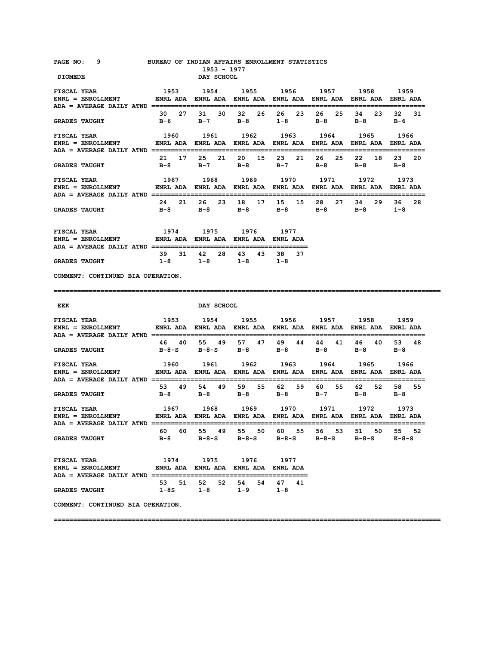| PAGE NO: 9                                                                                                                  | BUREAU OF INDIAN AFFAIRS ENROLLMENT STATISTICS | 1953 - 1977                                                                           |  |  |      |
|-----------------------------------------------------------------------------------------------------------------------------|------------------------------------------------|---------------------------------------------------------------------------------------|--|--|------|
| <b>DIOMEDE</b>                                                                                                              |                                                | <b>DAY SCHOOL</b>                                                                     |  |  |      |
| <b>FISCAL YEAR</b>                                                                                                          |                                                | 1953 1954 1955 1956 1957 1958 1959                                                    |  |  |      |
| <b>GRADES TAUGHT</b>                                                                                                        |                                                | 30  27  31  30  32  26  26  23  26  25  34  23  32  31<br>B-6 B-7 B-8 1-8 B-8 B-8 B-6 |  |  |      |
| <b>FISCAL YEAR</b>                                                                                                          |                                                | 1960 1961 1962 1963 1964 1965                                                         |  |  | 1966 |
| <b>GRADES TAUGHT</b>                                                                                                        |                                                | 21 17 25 21 20 15 23 21 26 25 22 18 23 20<br>B-8 B-7 B-8 B-7 B-8 B-8 B-8              |  |  |      |
| <b>FISCAL YEAR</b><br>ENRL = ENROLLMENT                ENRL ADA    ENRL ADA    ENRL ADA    ENRL ADA    ENRL ADA    ENRL ADA |                                                | 1967 1968 1969 1970 1971 1972                                                         |  |  | 1973 |
| <b>GRADES TAUGHT</b>                                                                                                        |                                                | 24  21  26  23  18  17  15  15  28  27  34  29  36  28<br>B-8 B-8 B-8 B-8 B-8 B-8 1-8 |  |  |      |
| <b>FISCAL YEAR</b><br>$ENRL = ENROLLMENT$ ENRL ADA ENRL ADA ENRL ADA ENRL ADA ENRL ADA ENRL ADA                             |                                                | 1974 1975 1976 1977                                                                   |  |  |      |
|                                                                                                                             |                                                | 39 31 42 28 43 43 38 37<br>$1-8$ $1-8$ $1-8$ $1-8$                                    |  |  |      |
| <b>GRADES TAUGHT</b>                                                                                                        |                                                |                                                                                       |  |  |      |
| COMMENT: CONTINUED BIA OPERATION.                                                                                           |                                                |                                                                                       |  |  |      |
| EEK                                                                                                                         |                                                | DAY SCHOOL                                                                            |  |  |      |
| <b>FISCAL YEAR</b>                                                                                                          |                                                | 1953 1954 1955 1956 1957 1958 1959                                                    |  |  |      |
| <b>GRADES TAUGHT</b>                                                                                                        |                                                | 46 40 55 49 57 47 49 44 44 41 46 40 53 48<br>B-8-S B-8-S B-8 B-8 B-8 B-8 B-8          |  |  |      |
| <b>FISCAL YEAR</b>                                                                                                          |                                                | 1960 1961 1962 1963 1964 1965 1966                                                    |  |  |      |
| <b>GRADES TAUGHT</b>                                                                                                        |                                                | 53 49 54 49 59 55 62 59 60 55 62 52 58 55<br>B-8 B-8 B-8 B-8 B-7 B-8 B-8              |  |  |      |
| <b>FISCAL YEAR</b><br>ENRL = ENROLLMENT            ENRL ADA ENRL ADA ENRL ADA ENRL ADA ENRL ADA ENRL ADA ENRL ADA           |                                                | 1967 1968 1969 1970 1971 1972                                                         |  |  | 1973 |
| GRADES TAUGHT $B-8$ $B-8-S$ $B-8-S$ $B-8-S$ $B-8-S$ $B-8-S$ $K-8-S$                                                         |                                                | 60 60 55 49 55 50 60 55 56 53 51 50 55 52                                             |  |  |      |

|                      |  |         | 53 51 52 52 54 54 47 |     |       | 41 |
|----------------------|--|---------|----------------------|-----|-------|----|
| <b>GRADES TAUGHT</b> |  | 1 – 8 S | $1 - 8$              | 1-9 | - 1-8 |    |

**COMMENT: CONTINUED BIA OPERATION.**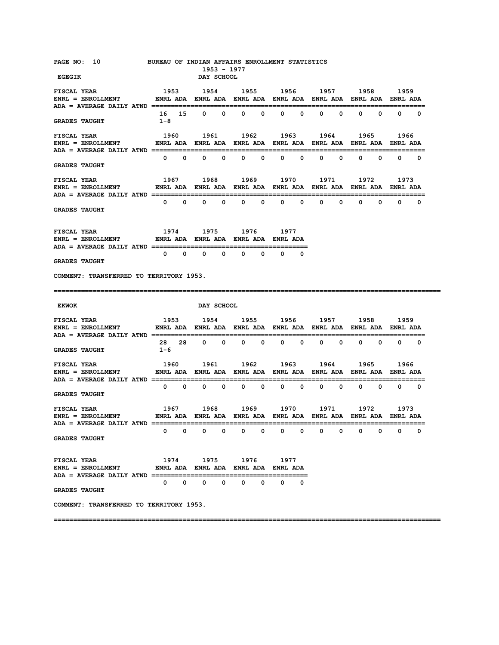| PAGE NO: 10 BUREAU OF INDIAN AFFAIRS ENROLLMENT STATISTICS<br><b>EGEGIK</b>                                                                                                                                                                                                                                                                                                                                                                                                                                                                     |                               | 1953 - 1977<br>DAY SCHOOL                        |            |                                                      |        |                                     |             |
|-------------------------------------------------------------------------------------------------------------------------------------------------------------------------------------------------------------------------------------------------------------------------------------------------------------------------------------------------------------------------------------------------------------------------------------------------------------------------------------------------------------------------------------------------|-------------------------------|--------------------------------------------------|------------|------------------------------------------------------|--------|-------------------------------------|-------------|
|                                                                                                                                                                                                                                                                                                                                                                                                                                                                                                                                                 |                               |                                                  |            |                                                      |        |                                     |             |
| <b>FISCAL YEAR</b>                                                                                                                                                                                                                                                                                                                                                                                                                                                                                                                              | 1953 1954 1955 1956 1957 1958 |                                                  |            |                                                      |        |                                     | 1959        |
| <b>GRADES TAUGHT</b>                                                                                                                                                                                                                                                                                                                                                                                                                                                                                                                            | $1 - 8$                       |                                                  |            | 16 15 0 0 0 0 0 0                                    |        | $0\qquad 0\qquad 0\qquad 0$         | $0\qquad 0$ |
| <b>FISCAL YEAR</b>                                                                                                                                                                                                                                                                                                                                                                                                                                                                                                                              |                               |                                                  |            | 1960 1961 1962 1963 1964 1965                        |        |                                     | 1966        |
| <b>GRADES TAUGHT</b>                                                                                                                                                                                                                                                                                                                                                                                                                                                                                                                            |                               |                                                  |            |                                                      |        |                                     |             |
| <b>FISCAL YEAR</b>                                                                                                                                                                                                                                                                                                                                                                                                                                                                                                                              |                               | 1967 1968                                        |            | 1969 1970 1971 1972                                  |        |                                     | 1973        |
| <b>GRADES TAUGHT</b>                                                                                                                                                                                                                                                                                                                                                                                                                                                                                                                            |                               |                                                  |            |                                                      |        |                                     |             |
| 1974 1975 1976 1977<br><b>FISCAL YEAR</b><br>$\verb ENRL  = ENROLLMENT  \qquad \qquad \verb ENRL  ADA   \quad \verb ENRL  ADA   \quad \verb ENRL  ADA   \quad \verb ENRL  ADA   \quad \verb ENRL  ADA   \quad \verb NNRL  ADA   \quad \verb NNRL  ADA   \quad \verb NNRL  ADA   \quad \verb NNRL  ADA   \quad \verb NNRL  ADA   \quad \verb NNRL  ADA   \quad \verb NNRL  ADA   \quad \verb NNRL  ADA   \quad \verb NNRL  ADA   \quad \verb NNRL  ADA   \quad \verb NNRL  ADA   \quad \verb NNRL  ADA   \quad \verb NNRL  ADA   \quad \verb NN$ |                               |                                                  |            |                                                      |        |                                     |             |
| <b>GRADES TAUGHT</b>                                                                                                                                                                                                                                                                                                                                                                                                                                                                                                                            |                               |                                                  |            | $0\qquad 0$                                          |        |                                     |             |
| COMMENT: TRANSFERRED TO TERRITORY 1953.                                                                                                                                                                                                                                                                                                                                                                                                                                                                                                         |                               |                                                  |            |                                                      |        |                                     |             |
|                                                                                                                                                                                                                                                                                                                                                                                                                                                                                                                                                 |                               |                                                  |            |                                                      |        |                                     |             |
|                                                                                                                                                                                                                                                                                                                                                                                                                                                                                                                                                 |                               |                                                  |            |                                                      |        |                                     |             |
| <b>EKWOK</b>                                                                                                                                                                                                                                                                                                                                                                                                                                                                                                                                    |                               | <b>DAY SCHOOL</b>                                |            |                                                      |        |                                     |             |
| ENRL = ENROLLMENT            ENRL ADA ENRL ADA ENRL ADA ENRL ADA ENRL ADA ENRL ADA ENRL ADA                                                                                                                                                                                                                                                                                                                                                                                                                                                     |                               |                                                  |            |                                                      |        |                                     |             |
| <b>GRADES TAUGHT</b>                                                                                                                                                                                                                                                                                                                                                                                                                                                                                                                            | 1-6                           |                                                  |            | 28 28 0 0 0 0 0 0 0 0 0 0 0 0 0                      |        |                                     |             |
| <b>FISCAL YEAR</b><br>ENRL = ENROLLMENT              ENRL ADA   ENRL ADA   ENRL ADA   ENRL ADA   ENRL ADA   ENRL ADA   ENRL ADA                                                                                                                                                                                                                                                                                                                                                                                                                 | 1960 1961                     |                                                  |            | 1962 1963 1964                                       |        | 1965                                | 1966        |
| <b>GRADES TAUGHT</b>                                                                                                                                                                                                                                                                                                                                                                                                                                                                                                                            |                               |                                                  |            | $0\quad 0\quad 0\quad 0\quad 0\quad 0\quad 0\quad 0$ |        | $0\qquad 0\qquad 0\qquad 0\qquad 0$ |             |
| FISCAL YEAR                                                                                                                                                                                                                                                                                                                                                                                                                                                                                                                                     |                               |                                                  |            | 1967 1968 1969 1970 1971 1972 1973                   |        |                                     |             |
| ENRL = ENROLLMENT            ENRL ADA ENRL ADA ENRL ADA ENRL ADA ENRL ADA ENRL ADA ENRL ADA<br>$ADA = AVERAGE DAILY ATND =$                                                                                                                                                                                                                                                                                                                                                                                                                     |                               |                                                  |            |                                                      |        |                                     |             |
| <b>GRADES TAUGHT</b>                                                                                                                                                                                                                                                                                                                                                                                                                                                                                                                            | 0<br>0                        | 0<br>0                                           | 0<br>0     | 0<br>0                                               | 0<br>0 | 0<br>0                              | 0<br>0      |
| <b>FISCAL YEAR</b><br><b>ENRL = ENROLLMENT</b><br><b>ADA = AVERAGE DAILY ATND ==========</b>                                                                                                                                                                                                                                                                                                                                                                                                                                                    |                               | 1974 1975<br>ENRL ADA ENRL ADA ENRL ADA ENRL ADA | 1976 — 197 | 1977                                                 |        |                                     |             |
| <b>GRADES TAUGHT</b>                                                                                                                                                                                                                                                                                                                                                                                                                                                                                                                            | $\mathbf{0}$<br>$\mathbf{0}$  | $^{\circ}$<br>0                                  | 0<br>0     | 0<br>0                                               |        |                                     |             |
| COMMENT: TRANSFERRED TO TERRITORY 1953.                                                                                                                                                                                                                                                                                                                                                                                                                                                                                                         |                               |                                                  |            |                                                      |        |                                     |             |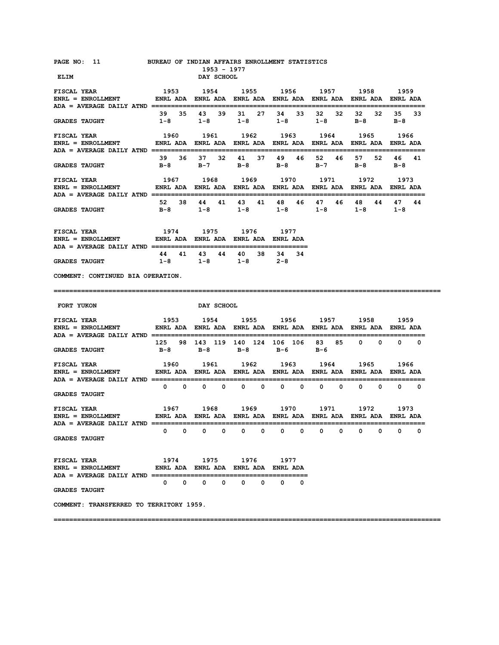| PAGE NO: 11 BUREAU OF INDIAN AFFAIRS ENROLLMENT STATISTICS                                                                         |              |              |                   | 1953 - 1977  |                                                                       |                |   |    |    |      |              |              |             |
|------------------------------------------------------------------------------------------------------------------------------------|--------------|--------------|-------------------|--------------|-----------------------------------------------------------------------|----------------|---|----|----|------|--------------|--------------|-------------|
| ELIM                                                                                                                               |              |              | <b>DAY SCHOOL</b> |              |                                                                       |                |   |    |    |      |              |              |             |
| <b>FISCAL YEAR</b><br>ENRL = ENROLLMENT            ENRL ADA ENRL ADA ENRL ADA ENRL ADA ENRL ADA ENRL ADA ENRL ADA                  |              |              |                   |              | 1953 1954 1955 1956 1957 1958                                         |                |   |    |    |      |              | 1959         |             |
| <b>GRADES TAUGHT</b>                                                                                                               |              |              | 39 35 43 39       |              | $1-8$ $1-8$ $1-8$ $1-8$ $1-8$ $1-8$                                   | 31 27 34 33    |   | 32 | 32 | 32   | 32<br>$B-8$  | 35<br>B-8    | 33          |
| <b>FISCAL YEAR</b><br>ENRL = ENROLLMENT             ENRL ADA   ENRL ADA   ENRL ADA   ENRL ADA   ENRL ADA   ENRL ADA   ENRL ADA     |              |              | 1960 1961         |              |                                                                       | 1962 1963 1964 |   |    |    | 1965 |              | 1966         |             |
| <b>GRADES TAUGHT</b>                                                                                                               |              |              |                   |              | 39 36 37 32 41 37 49 46 52 46 57 52<br>B-8 B-7 B-8 B-8 B-7 B-8 B-8    |                |   |    |    |      |              | 46 41        |             |
| <b>FISCAL YEAR</b>                                                                                                                 |              |              | 1967 1968         |              | 1969 1970 1971 1972                                                   |                |   |    |    |      |              | 1973         |             |
| <b>GRADES TAUGHT</b>                                                                                                               |              |              |                   |              | 52 38 44 41 43 41 48 46 47 46<br>B-8 1-8 1-8 1-8 1-8 1-8 1-8          |                |   |    |    |      | 48 44        | 47           | 44          |
| <b>FISCAL YEAR</b><br>ENRL = ENROLLMENT       ENRL ADA ENRL ADA ENRL ADA ENRL ADA                                                  |              |              |                   |              | 1974 1975 1976 1977                                                   |                |   |    |    |      |              |              |             |
| <b>GRADES TAUGHT</b>                                                                                                               |              |              |                   |              | 44 41 43 44 40 38 34 34<br>$1-8$ $1-8$ $1-8$ $2-8$                    |                |   |    |    |      |              |              |             |
| COMMENT: CONTINUED BIA OPERATION.                                                                                                  |              |              |                   |              |                                                                       |                |   |    |    |      |              |              |             |
|                                                                                                                                    |              |              |                   |              |                                                                       |                |   |    |    |      |              |              |             |
|                                                                                                                                    |              |              |                   |              |                                                                       |                |   |    |    |      |              |              |             |
| <b>FORT YUKON</b>                                                                                                                  |              |              | <b>DAY SCHOOL</b> |              |                                                                       |                |   |    |    |      |              |              |             |
| <b>FISCAL YEAR</b><br>ENRL = ENROLLMENT            ENRL ADA   ENRL ADA   ENRL ADA   ENRL ADA   ENRL ADA   ENRL ADA   ENRL ADA      |              |              |                   |              | 1953 1954 1955 1956 1957 1958 1959                                    |                |   |    |    |      |              |              |             |
| <b>GRADES TAUGHT</b>                                                                                                               |              |              |                   |              | 125 98 143 119 140 124 106 106 83 85 0 0 0 0 0<br>B-8 B-8 B-8 B-6 B-6 |                |   |    |    |      |              |              |             |
| <b>FISCAL YEAR</b><br>ENRL = ENROLLMENT                 ENRL ADA   ENRL ADA   ENRL ADA   ENRL ADA   ENRL ADA   ENRL ADA   ENRL ADA |              |              |                   |              | 1960 1961 1962 1963 1964 1965                                         |                |   |    |    |      |              | 1966         |             |
| <b>GRADES TAUGHT</b>                                                                                                               |              |              |                   |              |                                                                       |                |   |    |    |      |              |              | $0\qquad 0$ |
| ENRL = ENROLLMENT       ENRL ADA ENRL ADA ENRL ADA ENRL ADA ENRL ADA ENRL ADA ENRL ADA                                             |              |              |                   |              |                                                                       |                |   |    |    |      |              |              |             |
| <b>GRADES TAUGHT</b>                                                                                                               | $\mathbf{0}$ | $\mathbf{0}$ | $\mathbf{0}$      | $\mathbf{0}$ | $\mathbf{0}$<br>$\mathbf{o}$                                          | 0              | 0 | 0  | 0  | 0    | $\mathbf{o}$ | $\mathbf{0}$ | 0           |
| <b>FISCAL YEAR</b><br><b>ENRL = ENROLLMENT</b>                                                                                     |              |              |                   |              | 1974 1975 1976 1977<br>ENRL ADA ENRL ADA ENRL ADA ENRL ADA            |                |   |    |    |      |              |              |             |
| $ADA = AVERAGE$ $DALY$ $ATND$ $\text{---} \text{---} \text{---} \text{---}$<br><b>GRADES TAUGHT</b>                                |              |              |                   |              | $0\qquad 0\qquad 0\qquad 0\qquad 0$                                   | $\mathbf{0}$   | 0 |    |    |      |              |              |             |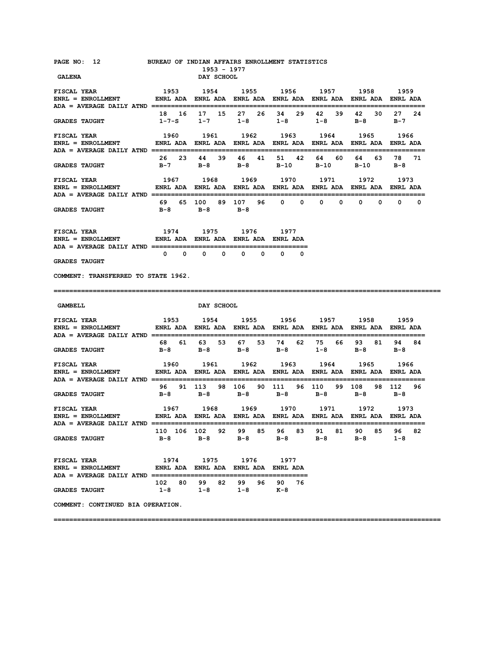| PAGE NO: 12 BUREAU OF INDIAN AFFAIRS ENROLLMENT STATISTICS<br><b>GALENA</b>                                                    |                                                            | 1953 - 1977<br>DAY SCHOOL          |                |                 |                                                                             |                     |                       |
|--------------------------------------------------------------------------------------------------------------------------------|------------------------------------------------------------|------------------------------------|----------------|-----------------|-----------------------------------------------------------------------------|---------------------|-----------------------|
| <b>FISCAL YEAR</b><br>ENRL = ENROLLMENT                  ENRL ADA    ENRL ADA    ENRL ADA    ENRL ADA    ENRL ADA    ENRL ADA  | 1953 1954 1955 1956 1957 1958                              |                                    |                |                 |                                                                             |                     | 1959                  |
| <b>GRADES TAUGHT</b>                                                                                                           |                                                            | 18  16  17  15  27  26  34  29  42 |                |                 | 39<br>$1-7-S$ $1-7$ $1-8$ $1-8$ $1-8$                                       | 42 30<br><b>B-8</b> | 27 24<br>$B-7$        |
| <b>FISCAL YEAR</b><br>ENRL = ENROLLMENT           ENRL ADA ENRL ADA ENRL ADA ENRL ADA ENRL ADA ENRL ADA ENRL ADA               | 1960                                                       | 1961                               |                | 1962 1963 1964  |                                                                             | 1965                | 1966                  |
| <b>GRADES TAUGHT</b>                                                                                                           |                                                            |                                    |                |                 | 26 23 44 39 46 41 51 42 64 60 64 63 78 71<br>B-7 B-8 B-8 B-10 B-10 B-10 B-8 |                     |                       |
| <b>FISCAL YEAR</b>                                                                                                             |                                                            | 1967 1968                          |                |                 | 1969 1970 1971 1972                                                         |                     | 1973                  |
| <b>GRADES TAUGHT</b>                                                                                                           |                                                            | B-8 B-8 B-8                        |                |                 |                                                                             |                     |                       |
| 1974 1975 1976 1977<br><b>FISCAL YEAR</b><br>ENRL = ENROLLMENT         ENRL ADA ENRL ADA ENRL ADA ENRL ADA                     |                                                            |                                    |                |                 |                                                                             |                     |                       |
| <b>GRADES TAUGHT</b>                                                                                                           |                                                            |                                    |                | $0\qquad 0$     |                                                                             |                     |                       |
| COMMENT: TRANSFERRED TO STATE 1962.                                                                                            |                                                            |                                    |                |                 |                                                                             |                     |                       |
|                                                                                                                                |                                                            |                                    |                |                 |                                                                             |                     |                       |
| GAMBELL                                                                                                                        |                                                            | <b>DAY SCHOOL</b>                  |                |                 |                                                                             |                     |                       |
| <b>FISCAL YEAR</b><br>ENRL = ENROLLMENT             ENRL ADA   ENRL ADA   ENRL ADA   ENRL ADA   ENRL ADA   ENRL ADA   ENRL ADA | 1953 1954 1955 1956 1957 1958 1959                         |                                    |                |                 |                                                                             |                     |                       |
| <b>GRADES TAUGHT</b>                                                                                                           | 68  61  63  53  67  53  74  62  75  66  93  81             |                                    |                |                 | B-8 B-8 B-8 B-8 1-8 B-8 B-8                                                 |                     | 94 84                 |
| <b>FISCAL YEAR</b><br>ENRL = ENROLLMENT         ENRL ADA ENRL ADA ENRL ADA ENRL ADA ENRL ADA ENRL ADA ENRL ADA                 | 1960 1961 1962 1963 1964                                   |                                    |                |                 |                                                                             | 1965                | 1966                  |
| <b>GRADES TAUGHT</b>                                                                                                           | B-8                                                        | $B-8$                              | $B-8$          | $B-8$           | 96 91 113 98 106 90 111 96 110 99 108 98 112 96<br>$B-8$                    | B-8                 | — в – 8               |
| <b>FISCAL YEAR</b><br>ENRL = ENROLLMENT       ENRL ADA ENRL ADA ENRL ADA ENRL ADA ENRL ADA ENRL ADA ENRL ADA                   | 1967 1968 1969 1970 1971 1972 1973                         |                                    |                |                 |                                                                             |                     |                       |
| ADA = AVERAGE DAILY ATND ================================<br><b>GRADES TAUGHT</b>                                              |                                                            | 110 106 102 92 99 85<br>B-8 B-8    | $B-8$          | 96 83<br>$B-8$  | 91<br>81 -<br>$B-8$                                                         | 90 85<br>$B-8$      | 96 —<br>82<br>$1 - 8$ |
| <b>FISCAL YEAR</b><br>$ENRL = ENROLLMENT$<br><b>ADA = AVERAGE DAILY ATND ================</b>                                  | 1974 1975 1976 1977<br>ENRL ADA ENRL ADA ENRL ADA ENRL ADA |                                    |                |                 |                                                                             |                     |                       |
| <b>GRADES TAUGHT</b>                                                                                                           | 102 80<br>$1-8$                                            | 99 82<br>$1-8$                     | 99 96<br>$1-8$ | 90<br>76<br>к-8 |                                                                             |                     |                       |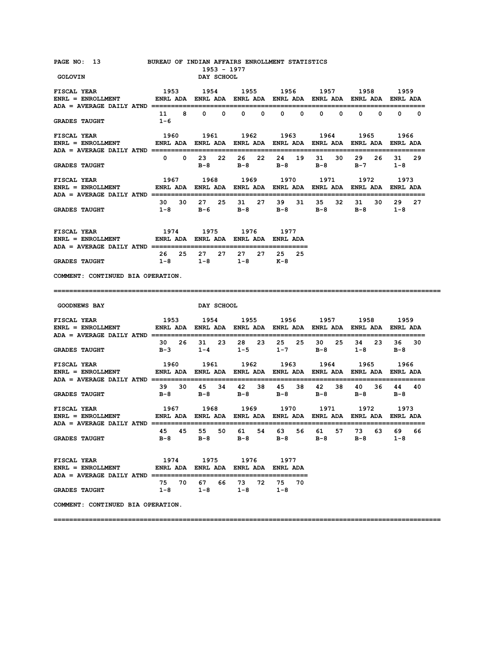| PAGE NO: 13 BUREAU OF INDIAN AFFAIRS ENROLLMENT STATISTICS<br><b>GOLOVIN</b>                                                                                                                                                                                                                                                                  |                                                                                                      | 1953 - 1977<br>DAY SCHOOL                          |      |                       |                                                                                       |                              |                                          |
|-----------------------------------------------------------------------------------------------------------------------------------------------------------------------------------------------------------------------------------------------------------------------------------------------------------------------------------------------|------------------------------------------------------------------------------------------------------|----------------------------------------------------|------|-----------------------|---------------------------------------------------------------------------------------|------------------------------|------------------------------------------|
| <b>FISCAL YEAR</b><br>ENRL = ENROLLMENT              ENRL ADA   ENRL ADA   ENRL ADA   ENRL ADA   ENRL ADA   ENRL ADA   ENRL ADA                                                                                                                                                                                                               | 1953                                                                                                 |                                                    |      |                       | 1954 1955 1956 1957 1958 1959                                                         |                              |                                          |
| <b>GRADES TAUGHT</b>                                                                                                                                                                                                                                                                                                                          | $1 - 6$                                                                                              | 11 8 0 0 0 0                                       |      | $0\qquad 0$           | $\mathbf{0}$                                                                          | $\mathbf{0}$<br>$\mathbf{0}$ | $\mathbf{0}$<br>$\mathbf{0}$<br>$\Omega$ |
| FISCAL YEAR TISCAL THE STATE OF THE STATE OF THE STATE OF THE STATE OF THE STATE OF THE STATE OF THE STATE OF THE STATE OF THE STATE OF THE STATE OF THE STATE OF THE STATE OF THE STATE OF THE STATE OF THE STATE OF THE STAT<br>ENRL = ENROLLMENT                ENRL ADA   ENRL ADA   ENRL ADA   ENRL ADA   ENRL ADA   ENRL ADA   ENRL ADA | 1960 1961 1962 1963 1964 1965 1966                                                                   |                                                    |      |                       |                                                                                       |                              |                                          |
| <b>GRADES TAUGHT</b>                                                                                                                                                                                                                                                                                                                          |                                                                                                      |                                                    |      | 0 0 23 22 26 22 24 19 | 30<br>31<br>B-8 B-8 B-8 B-8                                                           | 29 26<br>$B-7$               | 31<br>-29<br>$1 - 8$                     |
| <b>FISCAL YEAR</b><br>ENRL = ENROLLMENT         ENRL ADA ENRL ADA ENRL ADA ENRL ADA ENRL ADA ENRL ADA ENRL ADA                                                                                                                                                                                                                                | 1967 1968 1969 1970 1971 1972 1973                                                                   |                                                    |      |                       |                                                                                       |                              |                                          |
| <b>GRADES TAUGHT</b>                                                                                                                                                                                                                                                                                                                          |                                                                                                      |                                                    |      |                       | 30 30 27 25 31 27 39 31 35 32 31 30 29<br>$1-8$ $B-6$ $B-8$ $B-8$ $B-8$ $B-8$ $1-8$   |                              | 27                                       |
| ${\tt FISCAL \,\, YEAR} \qquad \qquad 1974 \qquad \qquad 1975 \qquad \qquad 1976 \qquad \qquad 1977$ ${\tt ENRL} \, = \, {\tt ENROLLMENT} \qquad \qquad {\tt ENRL} \, {\tt ADA} \, \, {\tt ENRL} \, {\tt ADA} \, \, {\tt ENRL} \, {\tt ADA} \, \, {\tt ENRL} \, {\tt ADA}$                                                                    |                                                                                                      |                                                    |      |                       |                                                                                       |                              |                                          |
| <b>GRADES TAUGHT</b>                                                                                                                                                                                                                                                                                                                          |                                                                                                      | 26 25 27 27 27<br>$1-8$ $1-8$ $1-8$ $K-8$          |      | 27 25 25              |                                                                                       |                              |                                          |
| COMMENT: CONTINUED BIA OPERATION.                                                                                                                                                                                                                                                                                                             |                                                                                                      |                                                    |      |                       |                                                                                       |                              |                                          |
|                                                                                                                                                                                                                                                                                                                                               |                                                                                                      |                                                    |      |                       |                                                                                       |                              |                                          |
| <b>GOODNEWS BAY</b>                                                                                                                                                                                                                                                                                                                           |                                                                                                      | <b>DAY SCHOOL</b>                                  |      |                       |                                                                                       |                              |                                          |
|                                                                                                                                                                                                                                                                                                                                               | 1953 1954 1955 1956 1957 1958 1959                                                                   |                                                    |      |                       |                                                                                       |                              |                                          |
| <b>GRADES TAUGHT</b>                                                                                                                                                                                                                                                                                                                          |                                                                                                      |                                                    |      |                       | 30  26  31  23  28  23  25  25  30  25  34  23  36  30<br>B-3 1-4 1-5 1-7 B-8 1-8 B-8 |                              |                                          |
| <b>FISCAL YEAR</b><br>$ENRL = ENROLLMENT$                                                                                                                                                                                                                                                                                                     | 1960 1961 1962 1963 1964 1965 1966<br>ENRL ADA ENRL ADA ENRL ADA ENRL ADA ENRL ADA ENRL ADA ENRL ADA |                                                    |      |                       |                                                                                       |                              |                                          |
| <b>GRADES TAUGHT</b>                                                                                                                                                                                                                                                                                                                          |                                                                                                      |                                                    |      |                       | 39 30 45 34 42 38 45 38 42 38<br>B-8 B-8 B-8 B-8 B-8 B-8 B-8                          |                              | 40 36 44 40                              |
| FISCAL YEAR<br>$ENRL = ENROLLMENT$                                                                                                                                                                                                                                                                                                            |                                                                                                      |                                                    |      |                       |                                                                                       |                              |                                          |
| <b>GRADES TAUGHT</b>                                                                                                                                                                                                                                                                                                                          |                                                                                                      |                                                    |      |                       | 45 45 55 50 61 54 63 56 61 57 73 63<br>B-8 B-8 B-8 B-8 B-8                            | $B-8$                        | 69<br>66<br>$1 - 8$                      |
| <b>FISCAL YEAR</b><br>ENRL = ENROLLMENT               ENRL ADA   ENRL ADA   ENRL ADA   ENRL ADA                                                                                                                                                                                                                                               | 1974                                                                                                 | 1975                                               | 1976 | 1977                  |                                                                                       |                              |                                          |
| <b>GRADES TAUGHT</b>                                                                                                                                                                                                                                                                                                                          |                                                                                                      | 75 70 67 66 73 72<br>$1-8$ $1-8$ $1-8$ $1-8$ $1-8$ |      | 75 70                 |                                                                                       |                              |                                          |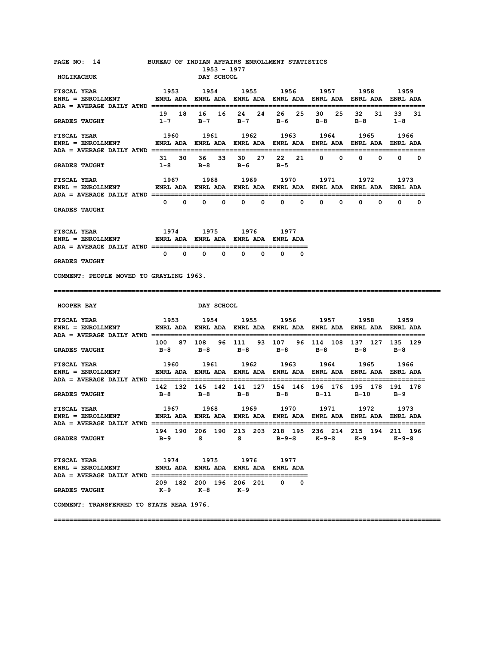| PAGE NO: 14<br><b>HOLIKACHUK</b>                                                                                                                                                                                                                                                                                                                                                                                                                 | BUREAU OF INDIAN AFFAIRS ENROLLMENT STATISTICS                                           | 1953 - 1977<br><b>DAY SCHOOL</b> |                            |                                                                                                      |                              |                              |                     |
|--------------------------------------------------------------------------------------------------------------------------------------------------------------------------------------------------------------------------------------------------------------------------------------------------------------------------------------------------------------------------------------------------------------------------------------------------|------------------------------------------------------------------------------------------|----------------------------------|----------------------------|------------------------------------------------------------------------------------------------------|------------------------------|------------------------------|---------------------|
| <b>FISCAL YEAR</b><br>פכי העבר בעם הכפע בעם הכפע בעם השפע בעם האבי העבר בעם השפע בעם השפע בעם השפע בעם השפע בי השפע השפע בי השפע השפ<br>ENRL ENROLLMENT ENRL ADA ENRL ADA ENRL ADA ENRL ADA ENRL ADA ENRL ADA ENRL ADA                                                                                                                                                                                                                           | 1953                                                                                     |                                  |                            | 1954 1955 1956 1957 1958 1959                                                                        |                              |                              |                     |
| <b>GRADES TAUGHT</b>                                                                                                                                                                                                                                                                                                                                                                                                                             |                                                                                          |                                  |                            | 19 18 16 16 24 24 26 25 30 25 32 31<br>1–7 B–7 B–7 B–6 B–8 B–8                                       |                              |                              | 33<br>31<br>$1 - 8$ |
| <b>FISCAL YEAR</b><br>ENRL = ENROLLMENT             ENRL ADA  ENRL ADA  ENRL ADA  ENRL ADA  ENRL ADA  ENRL ADA  ENRL ADA                                                                                                                                                                                                                                                                                                                         | 1960 1961 1962 1963 1964 1965 1966                                                       |                                  |                            |                                                                                                      |                              |                              |                     |
| <b>GRADES TAUGHT</b>                                                                                                                                                                                                                                                                                                                                                                                                                             | $1-8$                                                                                    | 31 30 36 33 30                   | B-8 B-6                    | в-5                                                                                                  | $\mathbf{0}$<br>$^{\circ}$   | $\mathbf{0}$<br>0            | $0\qquad 0$         |
| <b>FISCAL YEAR</b><br>ENRL = ENROLLMENT               ENRL ADA   ENRL ADA   ENRL ADA   ENRL ADA   ENRL ADA   ENRL ADA   ENRL ADA                                                                                                                                                                                                                                                                                                                 |                                                                                          |                                  |                            | 1967 1968 1969 1970                                                                                  | 1971 —                       | 1972                         | 1973                |
| <b>GRADES TAUGHT</b>                                                                                                                                                                                                                                                                                                                                                                                                                             |                                                                                          | $0\qquad 0\qquad 0\qquad 0$      | $\mathbf{0}$               | $\mathbf{0}$<br>$\mathbf{0}$<br>$\Omega$                                                             | $\mathbf{0}$<br>$\mathbf{0}$ | $\mathbf{0}$<br>$\mathbf{0}$ | $\mathbf{0}$<br>0   |
| <b>FISCAL YEAR</b><br>ENRL = ENROLLMENT         ENRL ADA ENRL ADA ENRL ADA ENRL ADA                                                                                                                                                                                                                                                                                                                                                              |                                                                                          | 1974 1975 1976 1977              |                            |                                                                                                      |                              |                              |                     |
| <b>GRADES TAUGHT</b>                                                                                                                                                                                                                                                                                                                                                                                                                             |                                                                                          | $0\qquad 0\qquad 0\qquad 0$      | $\mathbf{0}$<br>$^{\circ}$ | $\mathbf{0}$<br>$\mathbf 0$                                                                          |                              |                              |                     |
| COMMENT: PEOPLE MOVED TO GRAYLING 1963.                                                                                                                                                                                                                                                                                                                                                                                                          |                                                                                          |                                  |                            |                                                                                                      |                              |                              |                     |
|                                                                                                                                                                                                                                                                                                                                                                                                                                                  |                                                                                          |                                  |                            |                                                                                                      |                              |                              |                     |
| <b>HOOPER BAY</b>                                                                                                                                                                                                                                                                                                                                                                                                                                |                                                                                          | DAY SCHOOL                       |                            |                                                                                                      |                              |                              |                     |
| <b>FISCAL YEAR</b><br>$ENRL = ENROLLMENT$                                                                                                                                                                                                                                                                                                                                                                                                        |                                                                                          |                                  |                            | 1953 1954 1955 1956 1957 1958 1959<br>ENRL ADA ENRL ADA ENRL ADA ENRL ADA ENRL ADA ENRL ADA ENRL ADA |                              |                              |                     |
| <b>GRADES TAUGHT</b>                                                                                                                                                                                                                                                                                                                                                                                                                             |                                                                                          |                                  |                            | 100 87 108 96 111 93 107 96 114 108 137 127 135 129<br>B-8 B-8 B-8 B-8 B-8 B-8 B-8                   |                              |                              |                     |
| FISCAL YEAR<br>ENRL = ENROLLMENT                                                                                                                                                                                                                                                                                                                                                                                                                 |                                                                                          |                                  |                            | 1960 1961 1962 1963 1964 1965 1966<br>ENRL ADA ENRL ADA ENRL ADA ENRL ADA ENRL ADA ENRL ADA ENRL ADA |                              |                              |                     |
| <b>GRADES TAUGHT</b>                                                                                                                                                                                                                                                                                                                                                                                                                             | 142 132 145 142 141 127 154 146 196 176 195 178 191 178                                  |                                  |                            | B-8 B-8 B-8 B-8 B-11 B-10 B-9                                                                        |                              |                              |                     |
| ${\tt FISCAL YEAR} \qquad \qquad \begin{minipage}{0.93cm} \begin{minipage}{0.93cm} \begin{minipage}{0.93cm} \begin{minipage}{0.93cm} \begin{minipage}{0.93cm} \begin{minipage}{0.93cm} \begin{minipage}{0.93cm} \begin{minipage}{0.93cm} \begin{minipage}{0.93cm} \begin{minipage}{0.93cm} \begin{minipage}{0.93cm} \begin{minipage}{0.93cm} \begin{minipage}{0.93cm} \begin{minipage}{0.93cm} \begin{minipage}{0.93cm} \begin{minipage}{0.93cm$ |                                                                                          |                                  |                            |                                                                                                      |                              |                              |                     |
| <b>GRADES TAUGHT</b>                                                                                                                                                                                                                                                                                                                                                                                                                             | 194 190 206 190 213 203 218 195 236 214 215 194 211 196<br>B-9 S S B-9-S K-9-S K-9 K-9-S |                                  |                            |                                                                                                      |                              |                              |                     |
| <b>FISCAL YEAR</b><br>$ENRL = ENROLLMENT$ ENRL ADA ENRL ADA ENRL ADA ENRL ADA ENRL ADA                                                                                                                                                                                                                                                                                                                                                           |                                                                                          | 1974 1975 1976 1977              |                            |                                                                                                      |                              |                              |                     |
| <b>GRADES TAUGHT</b>                                                                                                                                                                                                                                                                                                                                                                                                                             | 209 182 200 196 206 201 0 0                                                              | K-9 K-8 K-9                      |                            |                                                                                                      |                              |                              |                     |
| COMMENT: TRANSFERRED TO STATE REAA 1976.                                                                                                                                                                                                                                                                                                                                                                                                         |                                                                                          |                                  |                            |                                                                                                      |                              |                              |                     |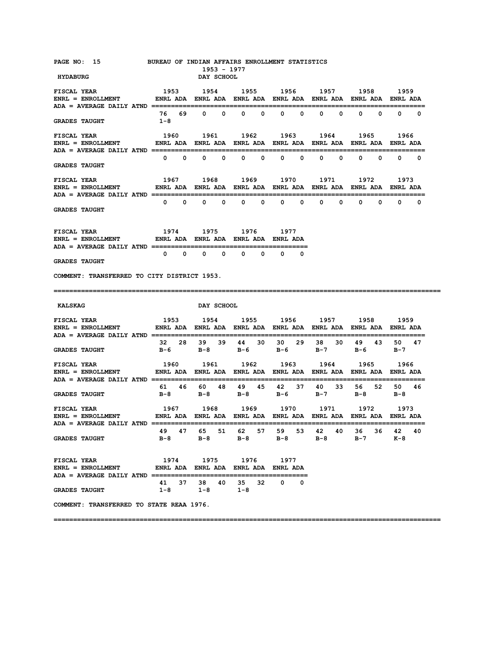| PAGE NO: 15 BUREAU OF INDIAN AFFAIRS ENROLLMENT STATISTICS<br><b>HYDABURG</b>                                                |                                                                                      | 1953 - 1977<br>DAY SCHOOL |                     |                      |                   |                                                                               |                 |
|------------------------------------------------------------------------------------------------------------------------------|--------------------------------------------------------------------------------------|---------------------------|---------------------|----------------------|-------------------|-------------------------------------------------------------------------------|-----------------|
|                                                                                                                              |                                                                                      |                           |                     |                      |                   |                                                                               |                 |
| <b>FISCAL YEAR</b>                                                                                                           | 1953 1954 1955 1956 1957 1958                                                        |                           |                     |                      |                   |                                                                               | 1959            |
|                                                                                                                              |                                                                                      |                           |                     |                      |                   |                                                                               |                 |
| <b>GRADES TAUGHT</b>                                                                                                         | $1 - 8$                                                                              |                           |                     |                      |                   |                                                                               |                 |
| <b>FISCAL YEAR</b>                                                                                                           |                                                                                      |                           |                     |                      |                   | 1960 1961 1962 1963 1964 1965                                                 | 1966            |
| <b>GRADES TAUGHT</b>                                                                                                         |                                                                                      |                           |                     |                      |                   |                                                                               |                 |
|                                                                                                                              |                                                                                      |                           |                     |                      |                   |                                                                               |                 |
| <b>FISCAL YEAR</b>                                                                                                           |                                                                                      | 1967 1968                 |                     |                      |                   | 1969 1970 1971 1972                                                           | 1973            |
|                                                                                                                              |                                                                                      |                           |                     |                      |                   |                                                                               |                 |
| <b>GRADES TAUGHT</b>                                                                                                         |                                                                                      |                           |                     |                      |                   |                                                                               |                 |
| FISCAL YEAR 1974 1975 1976 1977                                                                                              |                                                                                      |                           |                     |                      |                   |                                                                               |                 |
| ENRL = ENROLLMENT         ENRL ADA ENRL ADA ENRL ADA ENRL ADA                                                                |                                                                                      |                           |                     |                      |                   |                                                                               |                 |
| <b>GRADES TAUGHT</b>                                                                                                         | $\begin{array}{ccccccccccccccccccccc} 0 & 0 & 0 & 0 & 0 & 0 & 0 & 0 & 0 \end{array}$ |                           |                     |                      |                   |                                                                               |                 |
| COMMENT: TRANSFERRED TO CITY DISTRICT 1953.                                                                                  |                                                                                      |                           |                     |                      |                   |                                                                               |                 |
|                                                                                                                              |                                                                                      |                           |                     |                      |                   |                                                                               |                 |
| :======================                                                                                                      |                                                                                      |                           |                     |                      |                   |                                                                               |                 |
| KALSKAG                                                                                                                      |                                                                                      | <b>DAY SCHOOL</b>         |                     |                      |                   |                                                                               |                 |
|                                                                                                                              |                                                                                      |                           |                     |                      |                   |                                                                               |                 |
| ENRL = ENROLLMENT             ENRL ADA   ENRL ADA   ENRL ADA   ENRL ADA   ENRL ADA   ENRL ADA   ENRL ADA                     |                                                                                      |                           |                     |                      |                   |                                                                               |                 |
| <b>GRADES TAUGHT</b>                                                                                                         |                                                                                      |                           |                     |                      |                   | 32  28  39  39  44  30  30  29  38  30  49  43<br>B-6 B-8 B-6 B-6 B-7 B-6 B-7 | 50 47           |
| <b>FISCAL YEAR</b>                                                                                                           | 1960 1961 1962 1963 1964                                                             |                           |                     |                      |                   | 1965                                                                          | 1966            |
| ENRL = ENROLLMENT            ENRL ADA ENRL ADA ENRL ADA ENRL ADA ENRL ADA ENRL ADA ENRL ADA                                  |                                                                                      |                           |                     |                      |                   |                                                                               |                 |
| <b>GRADES TAUGHT</b>                                                                                                         | 61 46 60 48 49 45 42 37 40 33<br>B-8                                                 | $B-8$ $B-8$               |                     | B-6 B-7              |                   | B-8 B-8                                                                       | 56 52 50 46     |
|                                                                                                                              |                                                                                      |                           |                     |                      |                   |                                                                               |                 |
| ENRL = ENROLLMENT            ENRL ADA ENRL ADA ENRL ADA ENRL ADA ENRL ADA ENRL ADA ENRL ADA<br>$ADA = AVERAGE DAILY ATND ==$ |                                                                                      |                           |                     |                      |                   |                                                                               |                 |
| <b>GRADES TAUGHT</b>                                                                                                         | 49 47<br>B-8                                                                         | 65<br>51<br>$B-8$         | $B-8$               | 62 57 59 53<br>$B-8$ | 42<br>40<br>$B-8$ | 36 —<br>36 —<br>$B-7$                                                         | 42<br>40<br>к-8 |
| <b>FISCAL YEAR</b><br><b>ENRL = ENROLLMENT</b>                                                                               | 1974<br>ENRL ADA ENRL ADA ENRL ADA ENRL ADA                                          | 1975 1976                 |                     | 1977                 |                   |                                                                               |                 |
| <b>GRADES TAUGHT</b>                                                                                                         | 41 37<br>$1-8$                                                                       | 38<br>40<br>1-8           | 35<br>32<br>$1 - 8$ | $\mathbf{0}$<br>0    |                   |                                                                               |                 |
| COMMENT: TRANSFERRED TO STATE REAA 1976.                                                                                     |                                                                                      |                           |                     |                      |                   |                                                                               |                 |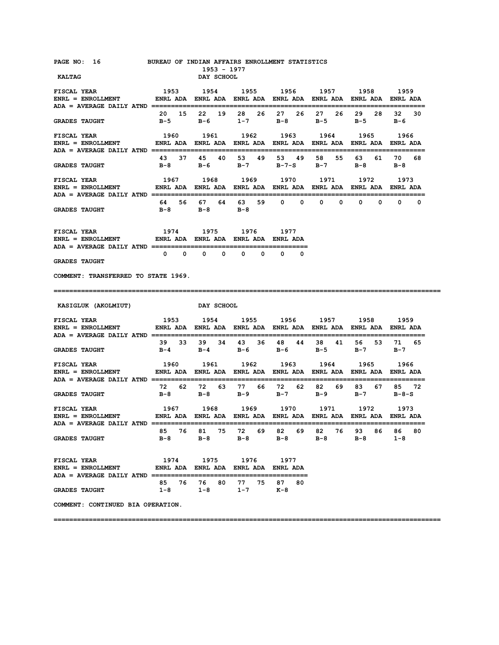| PAGE NO: 16 BUREAU OF INDIAN AFFAIRS ENROLLMENT STATISTICS<br><b>KALTAG</b>                                                                       |                                                                                  | 1953 - 1977<br>DAY SCHOOL  |                |                 |                                                                        |                  |                       |
|---------------------------------------------------------------------------------------------------------------------------------------------------|----------------------------------------------------------------------------------|----------------------------|----------------|-----------------|------------------------------------------------------------------------|------------------|-----------------------|
| <b>FISCAL YEAR</b>                                                                                                                                | 1953 1954 1955 1956 1957 1958                                                    |                            |                |                 |                                                                        |                  | 1959                  |
| ENRL = ENROLLMENT            ENRL ADA ENRL ADA ENRL ADA ENRL ADA ENRL ADA ENRL ADA ENRL ADA                                                       |                                                                                  |                            |                |                 |                                                                        |                  |                       |
| <b>GRADES TAUGHT</b>                                                                                                                              |                                                                                  |                            |                |                 | 20 15 22 19 28 26 27 26 27 26<br>B-5 B-6 1-7 B-8 B-5                   | 29 28<br>B-5 B-6 | 32<br>30              |
| <b>FISCAL YEAR</b><br>ENRL = ENROLLMENT             ENRL ADA   ENRL ADA   ENRL ADA   ENRL ADA   ENRL ADA   ENRL ADA   ENRL ADA                    |                                                                                  | 1960 1961                  |                | 1962 1963 1964  |                                                                        | 1965             | 1966                  |
| <b>GRADES TAUGHT</b>                                                                                                                              |                                                                                  |                            |                |                 | 43 37 45 40 53 49 53 49 58 55 63 61 70 68<br>B-8 B-6 B-7 B-7-S B-7 B-8 |                  | $B-8$                 |
| <b>FISCAL YEAR</b><br>ENRL = ENROLLMENT              ENRL ADA   ENRL ADA   ENRL ADA   ENRL ADA   ENRL ADA   ENRL ADA   ENRL ADA                   |                                                                                  | 1967 1968                  |                |                 | 1969 1970 1971 1972                                                    |                  | 1973                  |
| <b>GRADES TAUGHT</b>                                                                                                                              |                                                                                  | B-8 B-8 B-8                |                |                 | 64 56 67 64 63 59 0 0 0 0 0 0 0 0 0                                    |                  |                       |
| FISCAL YEAR 1974 1975 1976 1977<br>ENRL = ENROLLMENT       ENRL ADA ENRL ADA ENRL ADA ENRL ADA                                                    |                                                                                  |                            |                |                 |                                                                        |                  |                       |
| <b>GRADES TAUGHT</b>                                                                                                                              | $\begin{array}{ccccccccccccccccccccc} 0 & 0 & 0 & 0 & 0 & 0 & 0 & 0 \end{array}$ |                            |                |                 |                                                                        |                  |                       |
| COMMENT: TRANSFERRED TO STATE 1969.                                                                                                               |                                                                                  |                            |                |                 |                                                                        |                  |                       |
|                                                                                                                                                   |                                                                                  |                            |                |                 |                                                                        |                  |                       |
| KASIGLUK (AKOLMIUT)                                                                                                                               | DAY SCHOOL                                                                       |                            |                |                 |                                                                        |                  |                       |
|                                                                                                                                                   |                                                                                  |                            |                |                 |                                                                        |                  |                       |
| ENRL = ENROLLMENT            ENRL ADA   ENRL ADA   ENRL ADA   ENRL ADA   ENRL ADA   ENRL ADA   ENRL ADA                                           |                                                                                  |                            |                |                 |                                                                        |                  |                       |
| <b>GRADES TAUGHT</b>                                                                                                                              | 39 33 39 34 43 36 48 44 38 41 56 53 71 65                                        |                            |                |                 | $B-4$ $B-4$ $B-6$ $B-5$ $B-7$ $B-7$                                    |                  |                       |
| <b>FISCAL YEAR</b><br>ENRL = ENROLLMENT                  ENRL ADA    ENRL ADA    ENRL ADA    ENRL ADA    ENRL ADA    ENRL ADA    ENRL ADA         | 1960 1961 1962 1963 1964 1965                                                    |                            |                |                 |                                                                        |                  | 1966                  |
| <b>GRADES TAUGHT</b>                                                                                                                              | B-8                                                                              | B-8 B-9                    |                | B-7 B-9         | 72 62 72 63 77 66 72 62 82 69                                          | B-7 B-8-S        | 83 67 85 72           |
| 1967 1968 1969 1970 1971 1972<br><b>FISCAL YEAR</b><br>ENRL = ENROLLMENT           ENRL ADA ENRL ADA ENRL ADA ENRL ADA ENRL ADA ENRL ADA ENRL ADA |                                                                                  |                            |                |                 |                                                                        |                  | 1973                  |
| ADA = AVERAGE DAILY ATND =================================<br><b>GRADES TAUGHT</b>                                                                | $B-8$                                                                            | 85 76 81 75 72 69<br>$B-8$ | $B-8$          | 82 69<br>$B-8$  | 82 76<br>$B-8$                                                         | 93 86<br>$B-8$   | 86 -<br>80<br>$1 - 8$ |
| <b>FISCAL YEAR</b><br>$ENRL = ENROLLMENT$<br>ADA = AVERAGE DAILY ATND =================                                                           | ENRL ADA ENRL ADA ENRL ADA ENRL ADA                                              | 1974 1975 1976 1977        |                |                 |                                                                        |                  |                       |
| <b>GRADES TAUGHT</b>                                                                                                                              | 85 76<br>$1 - 8$                                                                 | 76<br>80<br>$1-8$          | 77 75<br>$1-7$ | 87<br>80<br>к-8 |                                                                        |                  |                       |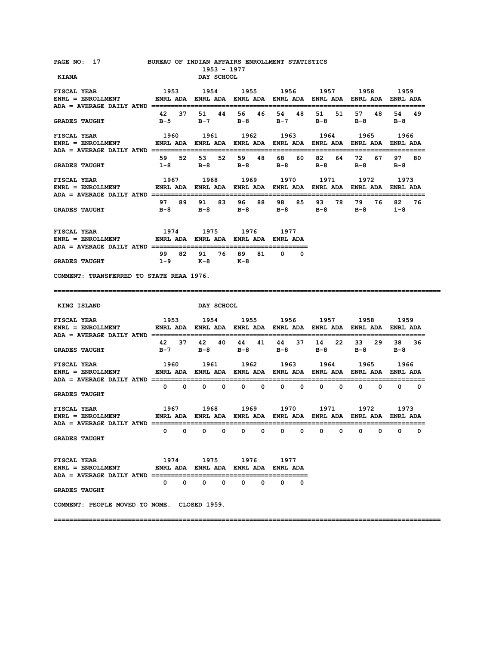| PAGE NO: 17                                                                                                                     | <b>BUREAU OF INDIAN AFFAIRS ENROLLMENT STATISTICS</b>                  | 1953 - 1977                                 |                                                                                                                                                                                                                                 |                             |                          |                               |                              |
|---------------------------------------------------------------------------------------------------------------------------------|------------------------------------------------------------------------|---------------------------------------------|---------------------------------------------------------------------------------------------------------------------------------------------------------------------------------------------------------------------------------|-----------------------------|--------------------------|-------------------------------|------------------------------|
| <b>KIANA</b>                                                                                                                    |                                                                        | DAY SCHOOL                                  |                                                                                                                                                                                                                                 |                             |                          |                               |                              |
| <b>FISCAL YEAR</b><br>ENRL = ENROLLMENT         ENRL ADA ENRL ADA ENRL ADA ENRL ADA ENRL ADA ENRL ADA ENRL ADA                  | 1953 1954 1955 1956 1957 1958 1959                                     |                                             |                                                                                                                                                                                                                                 |                             |                          |                               |                              |
| <b>GRADES TAUGHT</b>                                                                                                            | 42 37<br>B-5                                                           | 44<br>51<br>$B-7$                           | 56 46<br>B-8                                                                                                                                                                                                                    | 54 48<br>$B-7$              | 51<br>51<br>в-8          | 57<br>48<br>в-8               | 54<br>49<br>в-8              |
| <b>FISCAL YEAR</b><br>ENRL = ENROLLMENT            ENRL ADA   ENRL ADA   ENRL ADA   ENRL ADA   ENRL ADA   ENRL ADA   ENRL ADA   | 1960                                                                   | 1961                                        | 1962                                                                                                                                                                                                                            |                             | 1963 1964                | 1965                          | 1966                         |
| <b>GRADES TAUGHT</b>                                                                                                            | 59 52 53<br>1-8                                                        | B-8 B-8 B-8                                 | 52 59 48                                                                                                                                                                                                                        | 68 —<br>60                  | 82<br>64<br>$B-8$        | 72 —<br>67<br>$B-8$           | 97 80<br>в-8                 |
| <b>FISCAL YEAR</b><br>ENRL = ENROLLMENT             ENRL ADA   ENRL ADA   ENRL ADA   ENRL ADA   ENRL ADA   ENRL ADA   ENRL ADA  |                                                                        | 1967 1968                                   |                                                                                                                                                                                                                                 | 1969 1970                   | 1971                     | 1972                          | 1973                         |
| <b>GRADES TAUGHT</b>                                                                                                            | в-8                                                                    | 97 89 91 83 96 88<br>B-8                    | B-8                                                                                                                                                                                                                             | 98<br>85<br>в-8             | 93<br>78 -<br>в-8        | 79 76<br>в-в                  | 82<br>76<br>$1 - 8$          |
|                                                                                                                                 |                                                                        |                                             |                                                                                                                                                                                                                                 |                             |                          |                               |                              |
| FISCAL YEAR<br><b>ENRL = ENROLLMENT</b>                                                                                         | 1974<br>ENRL ADA ENRL ADA ENRL ADA ENRL ADA                            | 1975                                        | 1976                                                                                                                                                                                                                            | 1977                        |                          |                               |                              |
| <b>GRADES TAUGHT</b>                                                                                                            | 99 82 91<br>$1-9$ $K-8$                                                |                                             | 76 89<br>81 —<br>к-8                                                                                                                                                                                                            | $\mathbf{0}$<br>0           |                          |                               |                              |
| COMMENT: TRANSFERRED TO STATE REAA 1976.                                                                                        |                                                                        |                                             |                                                                                                                                                                                                                                 |                             |                          |                               |                              |
|                                                                                                                                 |                                                                        |                                             |                                                                                                                                                                                                                                 |                             |                          |                               |                              |
| =================================                                                                                               |                                                                        |                                             |                                                                                                                                                                                                                                 |                             |                          |                               |                              |
| KING ISLAND<br><b>FISCAL YEAR</b>                                                                                               |                                                                        | DAY SCHOOL<br>1954 1955 1956 1957 1958 1959 |                                                                                                                                                                                                                                 |                             |                          |                               |                              |
| <b>ENRL = ENROLLMENT</b>                                                                                                        | 1953<br>ENRL ADA ENRL ADA ENRL ADA ENRL ADA ENRL ADA ENRL ADA ENRL ADA |                                             |                                                                                                                                                                                                                                 |                             |                          | ============================= |                              |
| <b>GRADES TAUGHT</b>                                                                                                            | 42<br>$B-7$                                                            | 37 42<br>40<br>в-8                          | 44 41<br>$B-8$ $B-8$                                                                                                                                                                                                            | 44<br>37                    | 14<br>22<br>в-8          | 33 29<br>$B-8$                | 38 36<br>$B-8$               |
| <b>FISCAL YEAR</b><br>ENRL = ENROLLMENT             ENRL ADA   ENRL ADA   ENRL ADA   ENRL ADA   ENRL ADA   ENRL ADA   ENRL ADA  | 1960                                                                   | 1961 1962 1963 1964 1965 1966               |                                                                                                                                                                                                                                 |                             |                          |                               |                              |
| <b>GRADES TAUGHT</b>                                                                                                            | $\begin{matrix} 0 & 0 \end{matrix}$                                    | $0\qquad 0$                                 | $0\qquad 0$                                                                                                                                                                                                                     | $\mathbf{0}$<br>$\mathbf 0$ | $^{\circ}$<br>$^{\circ}$ | 0<br>0                        | $\mathbf{0}$<br>$\mathbf{o}$ |
| <b>FISCAL YEAR</b><br>ENRL = ENROLLMENT              ENRL ADA   ENRL ADA   ENRL ADA   ENRL ADA   ENRL ADA   ENRL ADA   ENRL ADA | 1967 1968                                                              |                                             | 1969 — 1969 — 1970 — 1970 — 1980 — 1980 — 1980 — 1980 — 1980 — 1980 — 1980 — 1980 — 1980 — 1980 — 1980 — 1980 — 1980 — 1980 — 1980 — 1980 — 1980 — 1980 — 1980 — 1980 — 1980 — 1980 — 1980 — 1980 — 1980 — 1980 — 1980 — 1980 — |                             | 1970 1971                | 1972                          | 1973                         |
|                                                                                                                                 | $\mathbf{0}$                                                           | $\mathbf{0}$                                | $0\qquad 0\qquad 0$<br>$\mathbf 0$                                                                                                                                                                                              | $\mathbf 0$<br>$\mathbf 0$  | $\mathbf 0$<br>0         | 0<br>$\mathbf 0$              | $\mathbf{0}$<br>0            |
| <b>GRADES TAUGHT</b>                                                                                                            |                                                                        |                                             |                                                                                                                                                                                                                                 |                             |                          |                               |                              |
| <b>FISCAL YEAR</b><br>$ENRL = ENROLLMENT$                                                                                       | ENRL ADA ENRL ADA ENRL ADA ENRL ADA                                    | 1974 1975 1976 1977                         |                                                                                                                                                                                                                                 |                             |                          |                               |                              |
| ADA = AVERAGE DAILY ATND ================<br><b>GRADES TAUGHT</b>                                                               |                                                                        | $0\qquad 0\qquad 0\qquad 0$                 | $\mathbf{0}$<br>0                                                                                                                                                                                                               | $\mathbf{0}$<br>$\Omega$    |                          |                               |                              |
| COMMENT: PEOPLE MOVED TO NOME. CLOSED 1959.                                                                                     |                                                                        |                                             |                                                                                                                                                                                                                                 |                             |                          |                               |                              |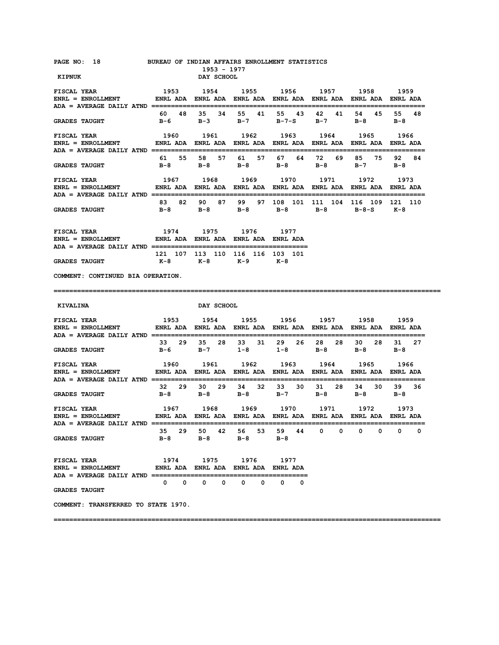| PAGE NO: 18                                                                                                                                          | BUREAU OF INDIAN AFFAIRS ENROLLMENT STATISTICS | 1953 - 1977                                 |                |                |                                                                                    |                      |                  |
|------------------------------------------------------------------------------------------------------------------------------------------------------|------------------------------------------------|---------------------------------------------|----------------|----------------|------------------------------------------------------------------------------------|----------------------|------------------|
| <b>KIPNUK</b>                                                                                                                                        |                                                | DAY SCHOOL                                  |                |                |                                                                                    |                      |                  |
| <b>FISCAL YEAR</b><br>ENRL = ENROLLMENT            ENRL ADA ENRL ADA ENRL ADA ENRL ADA ENRL ADA ENRL ADA ENRL ADA                                    | 1953 1954 1955 1956 1957 1958                  |                                             |                |                |                                                                                    |                      | 1959             |
| <b>GRADES TAUGHT</b>                                                                                                                                 | B-6                                            |                                             |                |                | 60 48 35 34 55 41 55 43 42 41<br>B-3 B-7 B-7-S B-7                                 | 54 45<br>B-8         | 55 48<br>— в – 8 |
| <b>FISCAL YEAR</b><br>ENRL = ENROLLMENT             ENRL ADA   ENRL ADA   ENRL ADA   ENRL ADA   ENRL ADA   ENRL ADA   ENRL ADA                       | 1960                                           | 1961                                        | 1962           | 1963 1964      |                                                                                    | 1965                 | 1966             |
| <b>GRADES TAUGHT</b>                                                                                                                                 |                                                |                                             |                |                | 61 55 58 57 61 57 67 64 72 69<br>B-8 B-8 B-8 B-8 B-8                               | 85 75<br>$B-7$ $B-8$ | 92 84            |
| <b>FISCAL YEAR</b><br>ENRL = ENROLLMENT           ENRL ADA ENRL ADA ENRL ADA ENRL ADA ENRL ADA ENRL ADA ENRL ADA                                     |                                                | 1967 1968                                   |                |                | 1969 1970 1971                                                                     | 1972                 | 1973             |
| <b>GRADES TAUGHT</b>                                                                                                                                 |                                                |                                             |                |                | 83 82 90 87 99 97 108 101 111 104 116 109 121 110<br>B-8 B-8 B-8 B-8 B-8 B-8-S K-8 |                      |                  |
| 1974 1975 1976 1977<br><b>FISCAL YEAR</b><br>ENRL = ENROLLMENT             ENRL ADA ENRL ADA ENRL ADA ENRL ADA                                       |                                                |                                             |                |                |                                                                                    |                      |                  |
| <b>GRADES TAUGHT</b>                                                                                                                                 | 121 107 113 110 116 116 103 101                | K-8 K-8 K-9 K-8                             |                |                |                                                                                    |                      |                  |
| COMMENT: CONTINUED BIA OPERATION.                                                                                                                    |                                                |                                             |                |                |                                                                                    |                      |                  |
|                                                                                                                                                      |                                                |                                             |                |                |                                                                                    |                      |                  |
| KIVALINA                                                                                                                                             |                                                | <b>DAY SCHOOL</b>                           |                |                |                                                                                    |                      |                  |
| 1953 1954 1955 1956 1957 1958 1959<br><b>FISCAL YEAR</b><br>ENRL = ENROLLMENT         ENRL ADA ENRL ADA ENRL ADA ENRL ADA ENRL ADA ENRL ADA ENRL ADA |                                                |                                             |                |                |                                                                                    |                      |                  |
| <b>GRADES TAUGHT</b>                                                                                                                                 |                                                |                                             |                |                | 33 29 35 28 33 31 29 26 28 28<br>B-6 B-7 1-8 1-8 B-8 B-8 B-8                       |                      | 30 28 31 27      |
| <b>FISCAL YEAR</b><br>ENRL = ENROLLMENT         ENRL ADA ENRL ADA ENRL ADA ENRL ADA ENRL ADA ENRL ADA ENRL ADA                                       | 1960 1961 1962 1963 1964 1965                  |                                             |                |                |                                                                                    |                      | 1966             |
| <b>GRADES TAUGHT</b>                                                                                                                                 |                                                | B-8 B-8 B-8 B-7 B-8                         |                |                | 32 29 30 29 34 32 33 30 31 28                                                      | 34 30<br>$B-8$       | 39 36<br>— в – 8 |
| 1967 1968 1969 1970 1971 1972<br><b>FISCAL YEAR</b><br>ENRL = ENROLLMENT         ENRL ADA ENRL ADA ENRL ADA ENRL ADA ENRL ADA ENRL ADA ENRL ADA      |                                                |                                             |                |                |                                                                                    |                      | 1973             |
| $ADA = AVERAGE DAILY ATND == == == ==$<br><b>GRADES TAUGHT</b>                                                                                       | 35 29<br>$B-8$                                 | 50 42<br>$B-8$                              | 56 53<br>$B-8$ | 59 44<br>$B-8$ | 0<br>0                                                                             | 0<br>0               | 0<br>0           |
| FISCAL YEAR<br><b>ENRL = ENROLLMENT</b><br>ADA = AVERAGE DAILY ATND ==========================                                                       | ENRL ADA ENRL ADA ENRL ADA ENRL ADA            | 1974 1975 1976 1977                         |                |                |                                                                                    |                      |                  |
| <b>GRADES TAUGHT</b>                                                                                                                                 |                                                | $0\qquad 0\qquad 0\qquad 0\qquad 0\qquad 0$ |                | $\mathbf{o}$   |                                                                                    |                      |                  |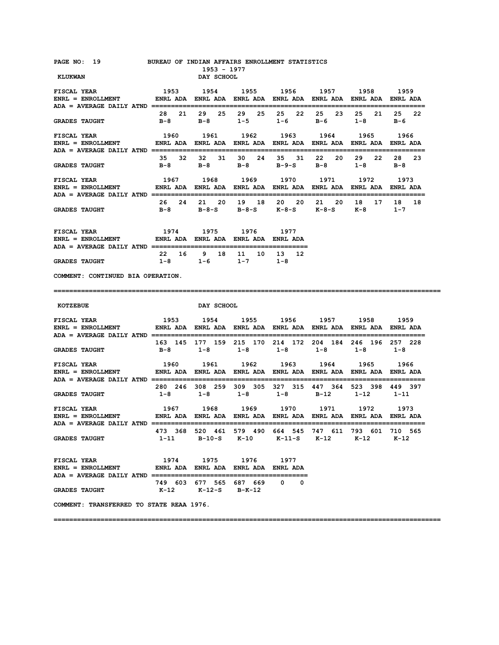| PAGE NO: 19<br><b>KLUKWAN</b>                                                                                                                                                                                                                                                                                                                                                                                                                       | BUREAU OF INDIAN AFFAIRS ENROLLMENT STATISTICS                     | 1953 - 1977<br>DAY SCHOOL                          |            |                              |                                                                                                   |           |          |
|-----------------------------------------------------------------------------------------------------------------------------------------------------------------------------------------------------------------------------------------------------------------------------------------------------------------------------------------------------------------------------------------------------------------------------------------------------|--------------------------------------------------------------------|----------------------------------------------------|------------|------------------------------|---------------------------------------------------------------------------------------------------|-----------|----------|
| <b>FISCAL YEAR</b><br>ENRL = ENROLLMENT         ENRL ADA ENRL ADA ENRL ADA ENRL ADA ENRL ADA ENRL ADA ENRL ADA                                                                                                                                                                                                                                                                                                                                      |                                                                    |                                                    |            |                              | 1953 1954 1955 1956 1957 1958 1959                                                                |           |          |
| <b>GRADES TAUGHT</b>                                                                                                                                                                                                                                                                                                                                                                                                                                |                                                                    |                                                    |            |                              | 28 21 29 25 29 25 25 22 25 23<br>B-8 B-8 1-5 1-6 B-6 1-8 B-6                                      | 25 21     | 25<br>22 |
| <b>FISCAL YEAR</b>                                                                                                                                                                                                                                                                                                                                                                                                                                  |                                                                    |                                                    |            |                              | 1960 1961 1962 1963 1964                                                                          | 1965      | 1966     |
| <b>GRADES TAUGHT</b>                                                                                                                                                                                                                                                                                                                                                                                                                                |                                                                    |                                                    |            |                              | 35 32 32 31 30 24 35 31 22 20 29 22<br>B-8 B-8 B-8 B-9-S B-8 1-8 B-8                              |           | 28<br>23 |
| <b>FISCAL YEAR</b>                                                                                                                                                                                                                                                                                                                                                                                                                                  |                                                                    |                                                    |            |                              | 1967 1968 1969 1970 1971 1972 1973                                                                |           |          |
| <b>GRADES TAUGHT</b>                                                                                                                                                                                                                                                                                                                                                                                                                                |                                                                    |                                                    |            |                              | 26  24  21  20  19  18  20  20  21  20  18  17  18  18<br>B-8 B-8-S B-8-S K-8-S K-8-S K-8 1-7     |           |          |
| FISCAL YEAR<br>ENRL = ENROLLMENT             ENRL ADA ENRL ADA ENRL ADA ENRL ADA                                                                                                                                                                                                                                                                                                                                                                    | 1974 1975 1976 1977                                                |                                                    |            |                              |                                                                                                   |           |          |
| <b>GRADES TAUGHT</b>                                                                                                                                                                                                                                                                                                                                                                                                                                |                                                                    | 22  16  9  18  11  10  13  12<br>$1-8$ $1-6$ $1-7$ |            | $1-8$                        |                                                                                                   |           |          |
| COMMENT: CONTINUED BIA OPERATION.                                                                                                                                                                                                                                                                                                                                                                                                                   |                                                                    |                                                    |            |                              |                                                                                                   |           |          |
|                                                                                                                                                                                                                                                                                                                                                                                                                                                     |                                                                    |                                                    |            |                              |                                                                                                   |           |          |
|                                                                                                                                                                                                                                                                                                                                                                                                                                                     |                                                                    |                                                    |            |                              |                                                                                                   |           |          |
| KOTZEBUE                                                                                                                                                                                                                                                                                                                                                                                                                                            |                                                                    | <b>DAY SCHOOL</b>                                  |            |                              |                                                                                                   |           |          |
| <b>FISCAL YEAR</b><br>$\verb ENRL  = ENROLLMENT   \hspace{1.5cm} \verb ENDA    \hspace{1.5cm} ENRL ADA   \hspace{1.5cm} ENRL ADA   \hspace{1.5cm} ENRL ADA   \hspace{1.5cm} ENRL ADA   \hspace{1.5cm} ENRL ADA   \hspace{1.5cm} ENRL ADA   \hspace{1.5cm} ENRL ADA   \hspace{1.5cm} ENRL ADA   \hspace{1.5cm} ENRL ADA   \hspace{1.5cm} ENRL ADA   \hspace{1.5cm} ENRL ADA   \hspace{1.5cm} ENRL ADA   \hspace{1.5cm} ENRL ADA   \hspace{1.5cm} EN$ | 1953 1954 1955 1956 1957 1958                                      |                                                    |            |                              |                                                                                                   |           | 1959     |
| <b>GRADES TAUGHT</b>                                                                                                                                                                                                                                                                                                                                                                                                                                |                                                                    | B-8 1-8 1-8 1-8 1-8                                |            |                              | 163 145 177 159 215 170 214 172 204 184 246 196 257 228                                           | $1 - 8$   | $1-8$    |
| <b>FISCAL YEAR</b><br>ENRL = ENROLLMENT            ENRL ADA ENRL ADA ENRL ADA ENRL ADA ENRL ADA ENRL ADA ENRL ADA                                                                                                                                                                                                                                                                                                                                   |                                                                    |                                                    |            |                              | 1960 1961 1962 1963 1964 1965                                                                     |           | 1966     |
| <b>GRADES TAUGHT</b>                                                                                                                                                                                                                                                                                                                                                                                                                                | 280 246 308 259 309 305 327 315 447 364 523 398 449 397<br>$1 - 8$ | $1-8$ $1-8$                                        |            | $1-8$ B-12                   |                                                                                                   | 1-12 1-11 |          |
| <b>FISCAL YEAR</b>                                                                                                                                                                                                                                                                                                                                                                                                                                  |                                                                    |                                                    |            |                              | 1967 1968 1969 1970 1971 1972                                                                     |           | 1973     |
| ENRL = ENROLLMENT            ENRL ADA   ENRL ADA   ENRL ADA   ENRL ADA   ENRL ADA   ENRL ADA   ENRL ADA<br>$ADA = AVERAGE DAILY ATND =$<br><b>GRADES TAUGHT</b>                                                                                                                                                                                                                                                                                     |                                                                    |                                                    |            |                              | 473 368 520 461 579 490 664 545 747 611 793 601 710 565<br>1-11 B-10-S K-10 K-11-S K-12 K-12 K-12 |           |          |
| FISCAL YEAR<br>ENRL = ENROLLMENT             ENRL ADA ENRL ADA ENRL ADA ENRL ADA                                                                                                                                                                                                                                                                                                                                                                    |                                                                    | 1974 1975                                          | 1976 — 197 | 1977                         |                                                                                                   |           |          |
| <b>GRADES TAUGHT</b>                                                                                                                                                                                                                                                                                                                                                                                                                                |                                                                    | 749 603 677 565 687 669<br>K-12 K-12-S B-K-12      |            | $\mathbf{0}$<br>$\mathbf{o}$ |                                                                                                   |           |          |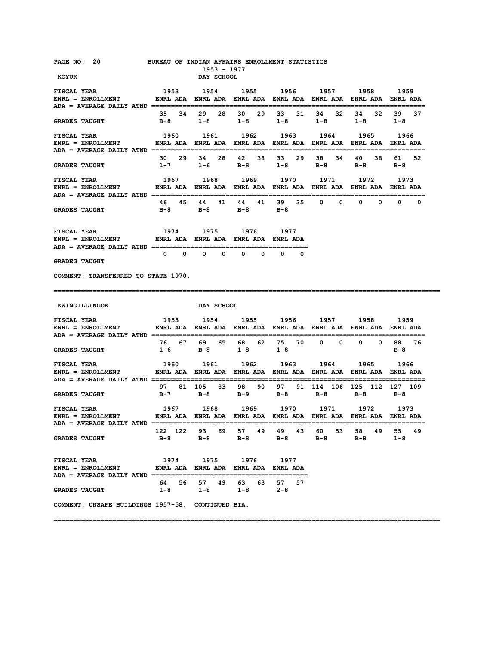| PAGE NO: 20<br>KOYUK                                                                                                           |                                     | BUREAU OF INDIAN AFFAIRS ENROLLMENT STATISTICS<br>1953 - 1977<br>DAY SCHOOL         |                |                   |                     |                 |                     |
|--------------------------------------------------------------------------------------------------------------------------------|-------------------------------------|-------------------------------------------------------------------------------------|----------------|-------------------|---------------------|-----------------|---------------------|
| <b>FISCAL YEAR</b>                                                                                                             | 1953 1954 1955 1956 1957 1958       |                                                                                     |                |                   |                     |                 | 1959                |
| <b>GRADES TAUGHT</b>                                                                                                           |                                     | 35 34 29 28 30 29 33 31 34 32<br>B-8 1-8 1-8 1-8 1-8                                |                |                   |                     | $1 - 8$ $1 - 8$ | 34 32 39 37         |
| <b>FISCAL YEAR</b><br>ENRL = ENROLLMENT         ENRL ADA ENRL ADA ENRL ADA ENRL ADA ENRL ADA ENRL ADA ENRL ADA ENRL ADA        |                                     | 1960 1961                                                                           |                | 1962 1963 1964    |                     | 1965            | 1966                |
| <b>GRADES TAUGHT</b>                                                                                                           |                                     | 30  29  34  28  42  38  33  29  38  34<br>$1-7$ $1-6$ $B-8$ $1-8$ $B-8$ $B-8$ $B-8$ |                |                   |                     | 40 38           | 61 —<br>-52         |
| <b>FISCAL YEAR</b><br>------- -<br>ENRL = ENROLLMENT           ENRL ADA   ENRL ADA   ENRL ADA   ENRL ADA   ENRL ADA   ENRL ADA |                                     | 1967 1968 1969 1970 1971 1972                                                       |                |                   |                     |                 | 1973                |
| <b>GRADES TAUGHT</b>                                                                                                           |                                     | 46 45 44 41 44 41 39 35 0 0 0 0 0 0 0<br>B-8 B-8 B-8 B-8                            |                |                   |                     |                 |                     |
| FISCAL YEAR<br>$ENRL = ENROLLMENT$ ENRL ADA ENRL ADA ENRL ADA ENRL ADA ENRL ADA                                                | 1974 1975 1976 1977                 |                                                                                     |                |                   |                     |                 |                     |
| <b>GRADES TAUGHT</b>                                                                                                           |                                     | $\begin{matrix}0&0&0&0&0&0\end{matrix}$                                             |                | $0\qquad 0$       |                     |                 |                     |
| COMMENT: TRANSFERRED TO STATE 1970.                                                                                            |                                     |                                                                                     |                |                   |                     |                 |                     |
|                                                                                                                                |                                     |                                                                                     |                |                   |                     |                 |                     |
|                                                                                                                                |                                     |                                                                                     |                |                   |                     |                 |                     |
| <b>KWINGILLINGOK</b>                                                                                                           |                                     | <b>DAY SCHOOL</b>                                                                   |                |                   |                     |                 |                     |
| <b>FISCAL YEAR</b><br>ENRL = ENROLLMENT            ENRL ADA ENRL ADA ENRL ADA ENRL ADA ENRL ADA ENRL ADA ENRL ADA              | 1953 1954 1955 1956 1957 1958 1959  |                                                                                     |                |                   |                     |                 |                     |
| <b>GRADES TAUGHT</b>                                                                                                           |                                     | 76 67 69 65 68 62 75 70 0 0 0 0 88 76<br>$1-6$ B-8                                  | $1 - 8$        | $1 - 8$           |                     |                 | в-8                 |
| <b>FISCAL YEAR</b><br>ENRL = ENROLLMENT             ENRL ADA   ENRL ADA   ENRL ADA   ENRL ADA   ENRL ADA   ENRL ADA   ENRL ADA |                                     | 1960 1961                                                                           |                | 1962 1963 1964    |                     | 1965            | 1966                |
| <b>GRADES TAUGHT</b>                                                                                                           | B-7                                 | 97 81 105 83 98 90 97 91 114 106 125 112 127 109<br><b>B-8</b>                      | B-9            | $B-8$             | B-8                 | в-8             | — в-8               |
| <b>FISCAL YEAR</b><br>ENRL = ENROLLMENT           ENRL ADA ENRL ADA ENRL ADA ENRL ADA ENRL ADA ENRL ADA ENRL ADA               |                                     | 1967 1968 1969 1970 1971 1972 1973                                                  |                |                   |                     |                 |                     |
| $ADA = AVERAGE DAILY ATND =$<br><b>GRADES TAUGHT</b>                                                                           | 122 122<br>в-8                      | 93<br>69 —<br>$B-8$                                                                 | 57 49<br>B-8   | 49<br>43<br>$B-8$ | 60 —<br>53<br>$B-8$ | 58<br>49<br>в-8 | 55<br>49<br>$1 - 8$ |
| <b>FISCAL YEAR</b><br>$ENRL = ENROLLMENT$                                                                                      | ENRL ADA ENRL ADA ENRL ADA ENRL ADA | 1974 1975                                                                           | 1976 1977      | =========         |                     |                 |                     |
| <b>GRADES TAUGHT</b>                                                                                                           | 64 56<br>$1-8$                      | 57 49<br>$1-8$                                                                      | 63 63<br>$1-8$ | 57 57<br>$2 - 8$  |                     |                 |                     |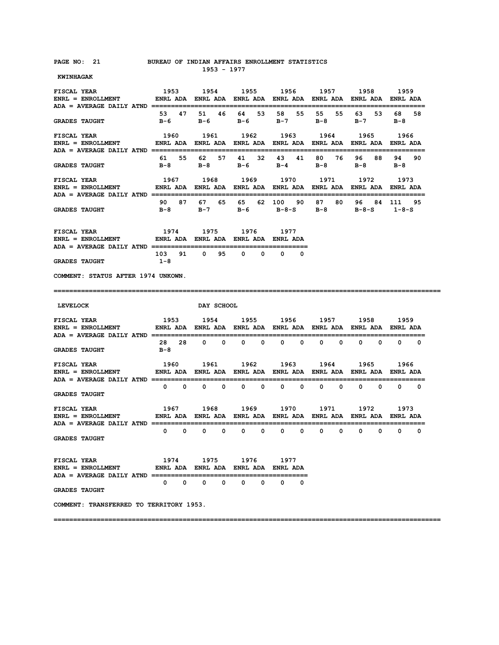#### **PAGE NO: 21 BUREAU OF INDIAN AFFAIRS ENROLLMENT STATISTICS 1953 - 1977**

 **KWINHAGAK** 

| <b>FISCAL YEAR</b><br>ENRL = ENROLLMENT       ENRL ADA ENRL ADA ENRL ADA ENRL ADA ENRL ADA ENRL ADA ENRL ADA<br>ADA = AVERAGE DAILY ATND =========================               |                                                                        | 1953 1954 1955 1956           |                             |                               | 1957                     | 1958                         | 1959<br>==============       |
|----------------------------------------------------------------------------------------------------------------------------------------------------------------------------------|------------------------------------------------------------------------|-------------------------------|-----------------------------|-------------------------------|--------------------------|------------------------------|------------------------------|
| <b>GRADES TAUGHT</b>                                                                                                                                                             | 47<br>53<br>в-6                                                        | 51 46<br>в-6                  | 64<br>53<br>в-6             | 58<br>55<br>в-7               | 55<br>55<br>в-8          | 53<br>63<br>в-7              | 68 —<br>58<br>в-8            |
| <b>FISCAL YEAR</b><br>$ENRL = ENROLLMENT$<br>ADA = AVERAGE DAILY ATND ======                                                                                                     | 1960<br>ENRL ADA ENRL ADA ENRL ADA ENRL ADA ENRL ADA ENRL ADA ENRL ADA | 1961                          | 1962                        | 1963                          | 1964                     | 1965                         | 1966                         |
| <b>GRADES TAUGHT</b>                                                                                                                                                             | 61 55<br>B-8                                                           | 62 57<br>в-8                  | 41 32<br>в-6                | 43 41<br>B-4                  | 80 76<br>в-8             | 96 88<br>в-8                 | 94.<br>90<br>$B-8$           |
| <b>FISCAL YEAR</b><br>$ENRL = ENROLLMENT$<br>ADA = AVERAGE DAILY ATND ================                                                                                           | ENRL ADA ENRL ADA ENRL ADA ENRL ADA ENRL ADA ENRL ADA ENRL ADA         | 1967 1968 1969 1970           |                             |                               | 1971                     | 1972                         | 1973                         |
| <b>GRADES TAUGHT</b>                                                                                                                                                             | 90<br>87<br>B-8                                                        | 67 65<br>$B-7$                | 65 —<br>$B-6$               | 62 100 90<br>в-8-s            | 87 -<br>80 -<br>B-8      | $B - 8 - S$ 1-8-S            | 96 84 111 95                 |
| <b>FISCAL YEAR</b><br>$ENRL = ENROLLMENT$<br>ADA = AVERAGE DAILY ATND =====================                                                                                      | ENRL ADA ENRL ADA ENRL ADA ENRL ADA                                    | 1974 1975                     | 1976                        | 1977                          |                          |                              |                              |
| <b>GRADES TAUGHT</b>                                                                                                                                                             | 103 91<br>$1 - 8$                                                      | $\overline{\mathbf{0}}$<br>95 | $^{\circ}$<br>$\Omega$      | n.<br><sup>0</sup>            |                          |                              |                              |
| COMMENT: STATUS AFTER 1974 UNKOWN.                                                                                                                                               |                                                                        |                               |                             |                               |                          |                              |                              |
|                                                                                                                                                                                  |                                                                        |                               |                             |                               |                          |                              | ======================       |
|                                                                                                                                                                                  |                                                                        |                               |                             |                               |                          |                              |                              |
| <b>LEVELOCK</b>                                                                                                                                                                  |                                                                        | DAY SCHOOL                    |                             |                               |                          |                              |                              |
| <b>FISCAL YEAR</b><br>------ -----<br>ENRL = ENROLLMENT                  ENRL ADA    ENRL ADA    ENRL ADA    ENRL ADA    ENRL ADA    ENRL ADA                                    |                                                                        |                               |                             |                               | 1953 1954 1955 1956 1957 | 1958                         | 1959                         |
| <b>GRADES TAUGHT</b>                                                                                                                                                             | 28 28<br>B-8                                                           | $0\qquad 0$                   | $\mathbf{0}$<br>0           | 0<br>0                        | 0<br>0                   | 0<br>0                       | $\mathbf{0}$<br>0            |
| <b>FISCAL YEAR</b><br>ENRL = ENROLLMENT              ENRL ADA   ENRL ADA   ENRL ADA   ENRL ADA   ENRL ADA   ENRL ADA   ENRL ADA                                                  | 1960                                                                   | 1961                          | 1962                        | 1963                          | 1964                     | 1965                         | 1966                         |
| <b>GRADES TAUGHT</b>                                                                                                                                                             | $0\qquad 0$                                                            | $\mathbf{0}$<br>$\mathbf 0$   | $\mathbf{0}$<br>$\mathbf 0$ | $\mathbf{0}$<br>0             | 0<br>0                   | $\Omega$<br>0                | $\Omega$<br>0                |
| <b>FISCAL YEAR</b><br>ENRL = ENROLLMENT                  ENRL ADA    ENRL ADA    ENRL ADA    ENRL ADA    ENRL ADA    ENRL ADA<br>ADA = AVERAGE DAILY ATND ====================== | 1967                                                                   | 1968                          | 1969                        | 1970                          | 1971                     | 1972                         | 1973<br>==================   |
| <b>GRADES TAUGHT</b>                                                                                                                                                             | $\mathbf{0}$<br>$\mathbf 0$                                            | $\mathbf 0$<br>0              | $^{\circ}$<br>$\mathbf 0$   | $\mathbf{0}$<br>$\mathbf{0}$  | $\mathbf{0}$<br>0        | $\mathbf{0}$<br>$\mathbf{0}$ | $\mathbf{0}$<br>$\mathbf{0}$ |
| <b>FISCAL YEAR</b><br>ENRL = ENROLLMENT              ENRL ADA ENRL ADA ENRL ADA ENRL ADA                                                                                         | 1974                                                                   | 1975                          | 1976                        | 1977                          |                          |                              |                              |
| ADA = AVERAGE DAILY ATND ============================<br><b>GRADES TAUGHT</b>                                                                                                    | $0\qquad 0$                                                            | $\bullet$ 0<br>$^{\circ}$     | $\mathbf{0}$<br>$^{\circ}$  | ========<br>$\mathbf{0}$<br>0 |                          |                              |                              |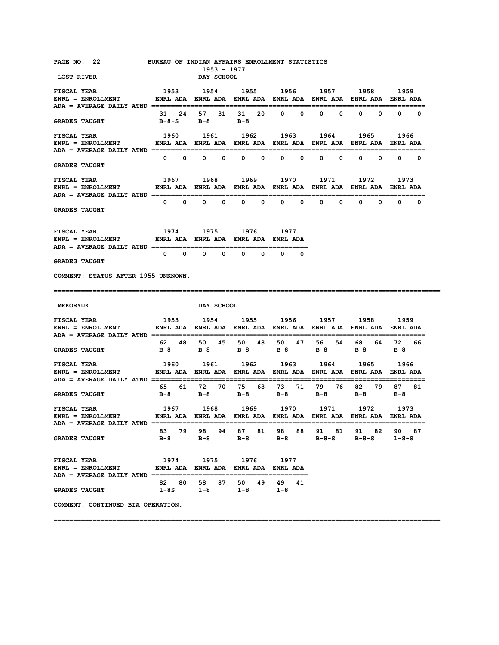| PAGE NO: 22<br><b>LOST RIVER</b>                                                                                                                               |           |                   | DAY SCHOOL        | 1953 - 1977 | BUREAU OF INDIAN AFFAIRS ENROLLMENT STATISTICS                    |               |                   |                     |                      |                                     |                  |                      |             |
|----------------------------------------------------------------------------------------------------------------------------------------------------------------|-----------|-------------------|-------------------|-------------|-------------------------------------------------------------------|---------------|-------------------|---------------------|----------------------|-------------------------------------|------------------|----------------------|-------------|
| <b>FISCAL YEAR</b><br>ENRL = ENROLLMENT                  ENRL ADA    ENRL ADA    ENRL ADA    ENRL ADA    ENRL ADA    ENRL ADA                                  |           |                   |                   |             | 1953 1954 1955 1956 1957 1958 1959                                |               |                   |                     |                      |                                     |                  |                      |             |
| <b>GRADES TAUGHT</b>                                                                                                                                           |           |                   |                   |             | 31  24  57  31  31  20  0  0<br>B-8-S B-8 B-8                     |               |                   |                     | $0\qquad 0\qquad$    | $\mathbf{0}$                        |                  | $\mathbf{0}$         | $0\qquad 0$ |
| <b>FISCAL YEAR</b>                                                                                                                                             |           |                   |                   |             | 1960 1961 1962 1963 1964 1965                                     |               |                   |                     |                      |                                     |                  | 1966                 |             |
| <b>GRADES TAUGHT</b>                                                                                                                                           |           |                   |                   |             | $0\quad 0\quad 0\quad 0\quad 0\quad 0\quad 0\quad 0$              |               |                   |                     |                      | $0\qquad 0\qquad 0\qquad 0\qquad 0$ |                  |                      |             |
| <b>FISCAL YEAR</b><br>ENRL = ENROLLMENT ENRL ADA ENRL ADA ENRL ADA ENRL ADA ENRL ADA ENRL ADA ENRL ADA ENRL ADA                                                |           |                   |                   |             | 1967 1968 1969 1970 1971 1972                                     |               |                   |                     |                      |                                     |                  | 1973                 |             |
| <b>GRADES TAUGHT</b>                                                                                                                                           |           |                   |                   |             |                                                                   |               |                   |                     |                      |                                     | $\mathbf{0}$     |                      | $0\qquad 0$ |
| FISCAL YEAR<br>ENRL = ENROLLMENT            ENRL ADA ENRL ADA ENRL ADA ENRL ADA                                                                                | 1974 1975 |                   |                   |             | 1976 1977                                                         |               |                   |                     |                      |                                     |                  |                      |             |
| <b>GRADES TAUGHT</b>                                                                                                                                           |           |                   |                   |             | $0\qquad 0$                                                       |               | $\Omega$ $\Omega$ |                     |                      |                                     |                  |                      |             |
| COMMENT: STATUS AFTER 1955 UNKNOWN.                                                                                                                            |           |                   |                   |             |                                                                   |               |                   |                     |                      |                                     |                  |                      |             |
|                                                                                                                                                                |           |                   |                   |             |                                                                   |               |                   |                     |                      |                                     |                  |                      |             |
| <b>MEKORYUK</b>                                                                                                                                                |           |                   | <b>DAY SCHOOL</b> |             |                                                                   |               |                   |                     |                      |                                     |                  |                      |             |
| <b>FISCAL YEAR</b><br>ENRL = ENROLLMENT                  ENRL ADA    ENRL ADA    ENRL ADA    ENRL ADA    ENRL ADA    ENRL ADA    ENRL ADA                      | 1953      |                   |                   |             | 1954 1955 1956 1957 1958                                          |               |                   |                     |                      |                                     |                  | 1959                 |             |
| <b>GRADES TAUGHT</b>                                                                                                                                           | $B-8$     |                   |                   |             | 62 48 50 45 50 48<br>B-8 B-8                                      |               |                   | 50 47 56<br>B-8 B-8 | 54                   | в-8                                 |                  | 68 64 72 66<br>B-8   |             |
| <b>FISCAL YEAR</b><br>ENRL = ENROLLMENT            ENRL ADA ENRL ADA ENRL ADA ENRL ADA ENRL ADA ENRL ADA ENRL ADA                                              |           |                   | 1960 1961         |             | 1962 1963                                                         |               |                   | 1964                |                      | 1965                                |                  | 1966                 |             |
| <b>GRADES TAUGHT</b>                                                                                                                                           | $B-8$     |                   | B-8               |             | 65    61    72    70    75    68    73    71    79    76<br>$B-8$ |               |                   | B-8 B-8             |                      | в-8                                 | 82 79            | 87 81<br>B-8         |             |
| <b>FISCAL YEAR</b><br>ENRL = ENROLLMENT            ENRL ADA   ENRL ADA   ENRL ADA   ENRL ADA   ENRL ADA   ENRL ADA   ENRL ADA<br>$ADA = AVERAGE DAILY ATND ==$ |           |                   |                   |             | 1967 1968 1969 1970 1971                                          |               |                   |                     |                      | 1972                                |                  | 1973                 |             |
| <b>GRADES TAUGHT</b>                                                                                                                                           | $B-8$     | 83 79             | $B-8$             | 98 94       | 87 81<br>B-8                                                      |               | 98 88<br>$B-8$    |                     | 91 81<br>$B - 8 - S$ |                                     | 91 82<br>$B-8-S$ | 90 87<br>$1 - 8 - S$ |             |
| <b>FISCAL YEAR</b><br>ENRL = ENROLLMENT             ENRL ADA ENRL ADA ENRL ADA ENRL ADA<br>ADA = AVERAGE DAILY ATND ====================                       |           |                   | 1974 1975         |             | 1976 — 197                                                        | 1977          |                   |                     |                      |                                     |                  |                      |             |
| <b>GRADES TAUGHT</b>                                                                                                                                           |           | 82 80<br>$1 - 8S$ | 58                | 87<br>$1-8$ | 50 49<br>$1 - 8$                                                  | 49<br>$1 - 8$ | 41                |                     |                      |                                     |                  |                      |             |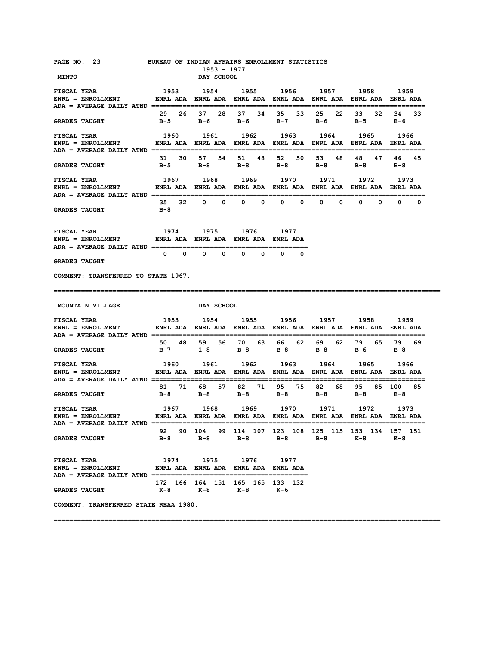| PAGE NO: 23<br><b>MINTO</b>                                                                                                    | BUREAU OF INDIAN AFFAIRS ENROLLMENT STATISTICS                                                                                                 | 1953 - 1977<br>DAY SCHOOL                          |                              |                   |                                                                                                      |                                            |                   |
|--------------------------------------------------------------------------------------------------------------------------------|------------------------------------------------------------------------------------------------------------------------------------------------|----------------------------------------------------|------------------------------|-------------------|------------------------------------------------------------------------------------------------------|--------------------------------------------|-------------------|
| <b>FISCAL YEAR</b><br>ENRL = ENROLLMENT             ENRL ADA   ENRL ADA   ENRL ADA   ENRL ADA   ENRL ADA   ENRL ADA   ENRL ADA | 1953                                                                                                                                           |                                                    |                              |                   | 1954 1955 1956 1957 1958 1959                                                                        |                                            |                   |
| <b>GRADES TAUGHT</b>                                                                                                           |                                                                                                                                                | 29  26  37  28  37  34                             |                              | 35<br>33          | 22<br>25<br>в-5 в-6 в-6 в-7 в-6                                                                      | 32<br>33<br>$B-5$                          | 34<br>-33<br>в-6  |
| <b>FISCAL YEAR</b><br><b>ENRL = ENROLLMENT</b>                                                                                 | 1960 1961 1962 1963 1964 1965 1966<br>ENRL ADA ENRL ADA ENRL ADA ENRL ADA ENRL ADA ENRL ADA ENRL ADA                                           |                                                    |                              |                   |                                                                                                      |                                            |                   |
| <b>GRADES TAUGHT</b>                                                                                                           | $B-5$                                                                                                                                          | 31 30 57 54 51 48                                  | B-8 B-8                      | 52<br>50<br>$B-8$ | 53<br>48<br>$B-8$                                                                                    | 48<br>47<br>$B-8$                          | 46<br>45<br>в-8   |
| <b>FISCAL YEAR</b><br><b>ENRL = ENROLLMENT</b>                                                                                 | ENRL ADA ENRL ADA ENRL ADA ENRL ADA ENRL ADA ENRL ADA ENRL ADA                                                                                 |                                                    |                              |                   | 1967 1968 1969 1970 1971 1972 1973                                                                   |                                            |                   |
| <b>GRADES TAUGHT</b>                                                                                                           | 35<br>в-8                                                                                                                                      | 32 0 0                                             | $0\qquad 0$                  | $\mathbf{0}$      | $\mathbf{0}$<br>$\mathbf{0}$                                                                         | $\mathbf{0}$<br>$^{\circ}$<br>$\mathbf{0}$ | $\mathbf{0}$<br>0 |
| <b>FISCAL YEAR</b><br>ENRL = ENROLLMENT         ENRL ADA ENRL ADA ENRL ADA ENRL ADA                                            |                                                                                                                                                | 1974 1975 1976 1977                                |                              |                   |                                                                                                      |                                            |                   |
| <b>GRADES TAUGHT</b>                                                                                                           |                                                                                                                                                | $0\qquad 0\qquad 0\qquad 0$                        | $\mathbf{0}$<br>$\mathbf{0}$ | $^{\circ}$<br>0   |                                                                                                      |                                            |                   |
| COMMENT: TRANSFERRED TO STATE 1967.                                                                                            |                                                                                                                                                |                                                    |                              |                   |                                                                                                      |                                            |                   |
|                                                                                                                                |                                                                                                                                                |                                                    |                              |                   |                                                                                                      |                                            |                   |
| MOUNTAIN VILLAGE                                                                                                               |                                                                                                                                                | <b>DAY SCHOOL</b>                                  |                              |                   |                                                                                                      |                                            |                   |
| <b>FISCAL YEAR</b><br>$ENRL = ENROLLMENT$                                                                                      | ENRL ADA ENRL ADA ENRL ADA ENRL ADA ENRL ADA ENRL ADA ENRL ADA                                                                                 |                                                    |                              |                   | 1953 1954 1955 1956 1957 1958                                                                        |                                            | 1959              |
| <b>GRADES TAUGHT</b>                                                                                                           | $B-7$                                                                                                                                          | 50 48 59 56 70 63 66                               | $1-8$ B-8 B-8                |                   | 62 69<br>$B-8$                                                                                       | 62 79 65 79<br>$B-6$ $B-8$                 | 69                |
| FISCAL YEAR<br>$ENRL = ENROLLMENT$                                                                                             |                                                                                                                                                |                                                    |                              |                   | 1960 1961 1962 1963 1964 1965 1966<br>ENRL ADA ENRL ADA ENRL ADA ENRL ADA ENRL ADA ENRL ADA ENRL ADA |                                            |                   |
| <b>GRADES TAUGHT</b>                                                                                                           |                                                                                                                                                | 81 71 68 57 82 71 95 75 82<br>B-8 B-8 B-8 B-8      |                              |                   | 68 —<br>$B-8$                                                                                        | $B-8$ $B-8$                                | 95 85 100 85      |
| FISCAL YEAR<br>ENRL = ENROLLMENT<br>$ADA = AVERAGE DAILY ATND =$                                                               | 1967        1968        1969        1970        1971        1972        1973<br>ENRL ADA ENRL ADA ENRL ADA ENRL ADA ENRL ADA ENRL ADA ENRL ADA |                                                    |                              |                   |                                                                                                      |                                            |                   |
| <b>GRADES TAUGHT</b>                                                                                                           |                                                                                                                                                |                                                    |                              |                   | 92  90  104  99  114  107  123  108  125  115  153  134  157  151<br>B-8 B-8 B-8 B-8 B-8 K-8 K-8     |                                            |                   |
| <b>FISCAL YEAR</b><br>ENRL = ENROLLMENT            ENRL ADA ENRL ADA ENRL ADA ENRL ADA                                         |                                                                                                                                                | 1974 1975 1976                                     |                              | 1977              |                                                                                                      |                                            |                   |
| <b>GRADES TAUGHT</b>                                                                                                           |                                                                                                                                                | 172 166 164 151 165 165 133 132<br>K-8 K-8 K-8 K-6 |                              |                   |                                                                                                      |                                            |                   |
| COMMENT: TRANSFERRED STATE REAA 1980.                                                                                          |                                                                                                                                                |                                                    |                              |                   |                                                                                                      |                                            |                   |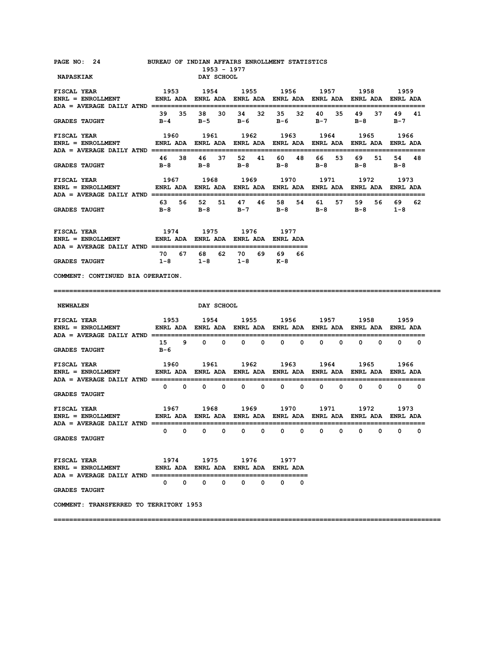| PAGE NO: 24<br><b>NAPASKIAK</b>                                                                                                                                                                                                                                                                                                                                                                                                       |      |       |                     | 1953 - 1977<br>DAY SCHOOL | BUREAU OF INDIAN AFFAIRS ENROLLMENT STATISTICS                                                                   |              |             |               |             |              |                |                                |             |
|---------------------------------------------------------------------------------------------------------------------------------------------------------------------------------------------------------------------------------------------------------------------------------------------------------------------------------------------------------------------------------------------------------------------------------------|------|-------|---------------------|---------------------------|------------------------------------------------------------------------------------------------------------------|--------------|-------------|---------------|-------------|--------------|----------------|--------------------------------|-------------|
| <b>FISCAL YEAR</b><br>ENRL = ENROLLMENT           ENRL ADA   ENRL ADA   ENRL ADA   ENRL ADA   ENRL ADA   ENRL ADA   ENRL ADA                                                                                                                                                                                                                                                                                                          | 1953 |       |                     |                           | 1954 1955 1956 1957 1958 1959                                                                                    |              |             |               |             |              |                |                                |             |
| <b>GRADES TAUGHT</b>                                                                                                                                                                                                                                                                                                                                                                                                                  |      |       | 39 35 38            |                           | 30 34 32<br>B-4 B-5 B-6 B-6 B-7                                                                                  |              |             | 35 32 40      | 35          | 49           | 37<br>$B-8$    | 49 41<br>$B-7$                 |             |
| FISCAL YEAR<br>ENRL = ENROLLMENT         ENRL ADA ENRL ADA ENRL ADA ENRL ADA ENRL ADA ENRL ADA ENRL ADA                                                                                                                                                                                                                                                                                                                               |      |       |                     |                           | 1960 1961 1962 1963 1964 1965 1966                                                                               |              |             |               |             |              |                |                                |             |
| <b>GRADES TAUGHT</b>                                                                                                                                                                                                                                                                                                                                                                                                                  |      | 46 38 |                     |                           | 46 37 52 41 60<br>B-8 B-8 B-8 B-8                                                                                |              | 48          | 66 —<br>$B-8$ | 53          |              | 69 51<br>$B-8$ | 54<br>B-8                      | 48          |
| <b>FISCAL YEAR</b><br>ENRL = ENROLLMENT         ENRL ADA ENRL ADA ENRL ADA ENRL ADA ENRL ADA ENRL ADA ENRL ADA                                                                                                                                                                                                                                                                                                                        |      |       |                     |                           | 1967 1968 1969 1970 1971 1972 1973                                                                               |              |             |               |             |              |                | ------------------------------ |             |
| <b>GRADES TAUGHT</b>                                                                                                                                                                                                                                                                                                                                                                                                                  |      |       |                     |                           | 63 56 52 51 47 46 58<br>B-8 B-8 B-7 B-8 B-8                                                                      |              |             | 54 61         | 57          |              | 59 56          | 69 —<br>$B-8$ 1-8              | 62          |
| ${\tt FISCAL} ~~ {\tt YEAR} ~~ 1974 ~~ 1975 ~~ 1976 ~~ 1977 \\ {\tt ENRL} = {\tt ENROLLMENT} ~~ {\tt ENRL} ~~ {\tt ADA} ~~ {\tt ENRL} ~~ {\tt ADA} ~~ {\tt ENRL} ~~ {\tt ADA} ~~ {\tt ENRL} ~~ {\tt ADA} ~~ {\tt ENRL} ~~ {\tt ADA}$                                                                                                                                                                                                  |      |       |                     |                           |                                                                                                                  |              |             |               |             |              |                |                                |             |
| <b>GRADES TAUGHT</b>                                                                                                                                                                                                                                                                                                                                                                                                                  |      |       |                     |                           | 70 67 68 62 70 69 69<br>$1-8$ $1-8$ $1-8$ $K-8$                                                                  |              | 66          |               |             |              |                |                                |             |
| COMMENT: CONTINUED BIA OPERATION.                                                                                                                                                                                                                                                                                                                                                                                                     |      |       |                     |                           |                                                                                                                  |              |             |               |             |              |                |                                |             |
|                                                                                                                                                                                                                                                                                                                                                                                                                                       |      |       |                     |                           |                                                                                                                  |              |             |               |             |              |                |                                |             |
|                                                                                                                                                                                                                                                                                                                                                                                                                                       |      |       |                     |                           |                                                                                                                  |              |             |               |             |              |                |                                |             |
| <b>NEWHALEN</b>                                                                                                                                                                                                                                                                                                                                                                                                                       |      |       |                     | DAY SCHOOL                |                                                                                                                  |              |             |               |             |              |                |                                |             |
|                                                                                                                                                                                                                                                                                                                                                                                                                                       |      |       |                     |                           |                                                                                                                  |              |             |               |             |              |                |                                |             |
| <b>GRADES TAUGHT</b>                                                                                                                                                                                                                                                                                                                                                                                                                  | в-6  |       |                     |                           | 15 9 0 0 0 0                                                                                                     |              | $0\qquad 0$ |               | $0\qquad 0$ |              | $0\qquad 0$    |                                | $0\qquad 0$ |
| $\begin{array}{ccccccccc} \texttt{FISCAL} & \texttt{YEAR} & & & & 1960 & & 1961 & & 1962 & & 1963 & & 1964 & & 1965 & & 1966 \\ \texttt{ENRL} & = & \texttt{ENROLLMENT} & & & \texttt{ENRL} & \texttt{ADA} & \texttt{ENRL} & \texttt{ADA} & \texttt{ENRL} & \texttt{ADA} & \texttt{BNRL} & \texttt{ADA} & \texttt{ENRL} & \texttt{ADA} & \texttt{ENRL} & \texttt{ADA} & \texttt{ENRL} & \texttt{ADA} & \texttt{BRA} & \texttt{BRA} &$ |      |       |                     |                           |                                                                                                                  |              |             |               |             |              |                |                                |             |
| <b>GRADES TAUGHT</b>                                                                                                                                                                                                                                                                                                                                                                                                                  |      |       |                     |                           |                                                                                                                  |              |             |               |             |              |                |                                |             |
| <b>FISCAL YEAR</b><br>$ENRL = ENROLLMENT$                                                                                                                                                                                                                                                                                                                                                                                             |      |       |                     |                           | 1967 - 1968 - 1969 - 1970 - 1971 - 1972 - 1973<br>ENRL ADA ENRL ADA ENRL ADA ENRL ADA ENRL ADA ENRL ADA ENRL ADA |              |             |               |             |              |                |                                |             |
| $ADA = AVERAGE DALLY ATND$ ================<br><b>GRADES TAUGHT</b>                                                                                                                                                                                                                                                                                                                                                                   | 0    |       | $0\qquad 0\qquad 0$ |                           | $0\qquad 0$                                                                                                      | $\mathbf{0}$ | $\mathbf 0$ |               | $0\qquad 0$ | $\mathbf{0}$ |                | $\mathbf{0}$<br>$\mathbf{0}$   | 0           |
| <b>FISCAL YEAR</b><br>ENRL = ENROLLMENT              ENRL ADA ENRL ADA ENRL ADA ENRL ADA                                                                                                                                                                                                                                                                                                                                              |      |       | 1974 1975           |                           | 1976 — 197                                                                                                       | 1977         |             |               |             |              |                |                                |             |
| <b>GRADES TAUGHT</b>                                                                                                                                                                                                                                                                                                                                                                                                                  |      |       |                     |                           | $0\qquad 0\qquad 0\qquad 0\qquad 0\qquad 0$                                                                      | $\mathbf{0}$ | $\Omega$    |               |             |              |                |                                |             |
| COMMENT: TRANSFERRED TO TERRITORY 1953                                                                                                                                                                                                                                                                                                                                                                                                |      |       |                     |                           |                                                                                                                  |              |             |               |             |              |                |                                |             |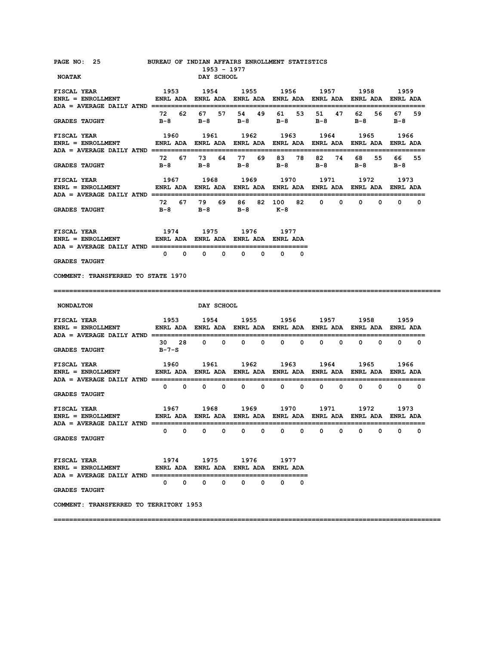| PAGE NO: 25 BUREAU OF INDIAN AFFAIRS ENROLLMENT STATISTICS<br><b>NOATAK</b>                                                                                                                                                                                                |             |                   |                 | 1953 - 1977<br>DAY SCHOOL |                                                                                                      |             |              |                                                                                                                                                                                                                                 |                                           |             |              |                   |               |                |
|----------------------------------------------------------------------------------------------------------------------------------------------------------------------------------------------------------------------------------------------------------------------------|-------------|-------------------|-----------------|---------------------------|------------------------------------------------------------------------------------------------------|-------------|--------------|---------------------------------------------------------------------------------------------------------------------------------------------------------------------------------------------------------------------------------|-------------------------------------------|-------------|--------------|-------------------|---------------|----------------|
| <b>FISCAL YEAR</b><br>ENRL = ENROLLMENT               ENRL ADA   ENRL ADA   ENRL ADA   ENRL ADA   ENRL ADA   ENRL ADA   ENRL ADA                                                                                                                                           | 1953        |                   |                 |                           | 1954 1955 1956 1957 1958 1959                                                                        |             |              |                                                                                                                                                                                                                                 |                                           |             |              |                   |               |                |
| <b>GRADES TAUGHT</b>                                                                                                                                                                                                                                                       |             | 72 62             | 67 -<br>B-8 B-8 |                           | 57 54 49<br>$B-8$ $B-8$ $B-8$                                                                        |             | 61 —         | 53                                                                                                                                                                                                                              | 51                                        | 47          | 62 —         | 56 —<br>$B-8$     | 67 —<br>$B-8$ | 59             |
| <b>FISCAL YEAR</b><br>ENRL = ENROLLMENT                ENRL ADA   ENRL ADA   ENRL ADA   ENRL ADA   ENRL ADA   ENRL ADA   ENRL ADA                                                                                                                                          |             |                   |                 |                           | 1960 1961 1962 1963 1964 1965 1966                                                                   |             |              |                                                                                                                                                                                                                                 |                                           |             |              |                   |               |                |
| <b>GRADES TAUGHT</b>                                                                                                                                                                                                                                                       | $B-8$       |                   | 72 67 73        |                           | 64 77 69<br>B-8 B-8                                                                                  |             | 83 78<br>в-8 |                                                                                                                                                                                                                                 | 82<br>$B-8$                               | 74          | 68 —         | 55<br>$B-8$       | 66 —<br>в-8   | 55             |
| <b>FISCAL YEAR</b><br>$ENRL = ENROLLMENT$<br>ADA = AVERAGE DAILY ATND ===========================                                                                                                                                                                          |             |                   |                 |                           | 1967 1968 1969 1970 1971 1972 1973<br>ENRL ADA ENRL ADA ENRL ADA ENRL ADA ENRL ADA ENRL ADA ENRL ADA |             |              |                                                                                                                                                                                                                                 |                                           |             |              |                   |               |                |
| <b>GRADES TAUGHT</b>                                                                                                                                                                                                                                                       | - 72<br>B-8 |                   | 67 79           |                           | 69 86<br>$B-8$ $B-8$ $K-8$                                                                           |             | 82 100       | 82 —                                                                                                                                                                                                                            |                                           | $0\qquad 0$ | $\mathbf{0}$ |                   | $0\qquad 0$   | 0              |
| ${\tt FISCAL \,\, YEAR} \qquad \qquad 1974 \qquad \qquad 1975 \qquad \qquad 1976 \qquad \qquad 1977$ ${\tt ENRL} \, = \, {\tt ENROLLMENT} \qquad \qquad {\tt ENRL} \, {\tt ADA} \, \, {\tt ENRL} \, {\tt ADA} \, \, {\tt ENRL} \, {\tt ADA} \, \, {\tt ENRL} \, {\tt ADA}$ |             |                   |                 |                           |                                                                                                      |             |              |                                                                                                                                                                                                                                 |                                           |             |              |                   |               |                |
| <b>GRADES TAUGHT</b>                                                                                                                                                                                                                                                       |             | $0\qquad 0\qquad$ |                 | $0\qquad 0$               | $\mathbf{0}$                                                                                         | 0           | $\mathbf{0}$ | $\Omega$                                                                                                                                                                                                                        |                                           |             |              |                   |               |                |
| COMMENT: TRANSFERRED TO STATE 1970                                                                                                                                                                                                                                         |             |                   |                 |                           |                                                                                                      |             |              |                                                                                                                                                                                                                                 |                                           |             |              |                   |               |                |
|                                                                                                                                                                                                                                                                            |             |                   |                 |                           |                                                                                                      |             |              |                                                                                                                                                                                                                                 |                                           |             |              |                   |               |                |
| <b>NONDALTON</b>                                                                                                                                                                                                                                                           |             |                   |                 | DAY SCHOOL                |                                                                                                      |             |              |                                                                                                                                                                                                                                 |                                           |             |              |                   |               |                |
| <b>FISCAL YEAR</b><br>$ENRL = ENROLLMENT$                                                                                                                                                                                                                                  |             |                   |                 |                           | 1953 1954 1955 1956 1957 1958 1959<br>ENRL ADA ENRL ADA ENRL ADA ENRL ADA ENRL ADA ENRL ADA ENRL ADA |             |              |                                                                                                                                                                                                                                 |                                           |             |              |                   |               |                |
| <b>GRADES TAUGHT</b>                                                                                                                                                                                                                                                       | B-7-S       |                   | 30 28 0 0       |                           | $0\qquad 0$                                                                                          |             | $\mathbf{0}$ | 0                                                                                                                                                                                                                               | -------------------------<br>$\mathbf{0}$ | 0           | $\mathbf{0}$ | 0                 | ----------    | $0\qquad 0$    |
| <b>FISCAL YEAR</b><br>$ENRL = ENROLLMENT$<br>ADA = AVERAGE DAILY ATND ================                                                                                                                                                                                     | 1960        |                   | 1961            |                           | 1962 - 19<br>ENRL ADA ENRL ADA ENRL ADA ENRL ADA ENRL ADA ENRL ADA ENRL ADA                          |             |              | 1963 — 1963 — 1964 — 1965 — 1970 — 1984 — 1985 — 1985 — 1986 — 1986 — 1986 — 1986 — 1986 — 1986 — 1986 — 1986 — 1986 — 1986 — 1986 — 1986 — 1986 — 1986 — 1986 — 1986 — 1986 — 1986 — 1986 — 1986 — 1986 — 1986 — 1986 — 1986 — |                                           |             | 1964 1965    |                   | 1966          |                |
| <b>GRADES TAUGHT</b>                                                                                                                                                                                                                                                       |             |                   |                 |                           | $0\qquad 0\qquad 0\qquad 0\qquad 0\qquad 0$                                                          |             |              | $0\qquad 0$                                                                                                                                                                                                                     |                                           | $0\qquad 0$ |              | $0\qquad 0\qquad$ |               | $0\qquad 0$    |
| <b>FISCAL YEAR</b><br>$ENRL = ENROLLMENT$                                                                                                                                                                                                                                  |             |                   |                 |                           | 1967 1968 1969<br>ENRL ADA ENRL ADA ENRL ADA ENRL ADA ENRL ADA ENRL ADA ENRL ADA                     |             |              |                                                                                                                                                                                                                                 | 1970 1971 1972                            |             |              |                   | 1973          |                |
| ADA = AVERAGE DAILY ATND =================<br><b>GRADES TAUGHT</b>                                                                                                                                                                                                         | 0           | $\mathbf{0}$      | $\mathbf{0}$    | $\overline{\mathbf{0}}$   | $\mathbf{0}$                                                                                         | $\mathbf 0$ | $^{\circ}$   | $\mathbf 0$                                                                                                                                                                                                                     | ;===================<br>0                 | 0           | 0            | $^{\circ}$        | 0             | =========<br>0 |
| <b>FISCAL YEAR</b><br>ENRL = ENROLLMENT              ENRL ADA   ENRL ADA   ENRL ADA   ENRL ADA                                                                                                                                                                             |             |                   |                 |                           | 1974 1975 1976 1977                                                                                  |             |              |                                                                                                                                                                                                                                 |                                           |             |              |                   |               |                |
| <b>GRADES TAUGHT</b>                                                                                                                                                                                                                                                       |             |                   |                 |                           | $\begin{matrix} 0 & 0 & 0 & 0 & 0 & 0 \end{matrix}$                                                  |             | $\mathbf{0}$ | $\Omega$                                                                                                                                                                                                                        |                                           |             |              |                   |               |                |
| COMMENT: TRANSFERRED TO TERRITORY 1953                                                                                                                                                                                                                                     |             |                   |                 |                           |                                                                                                      |             |              |                                                                                                                                                                                                                                 |                                           |             |              |                   |               |                |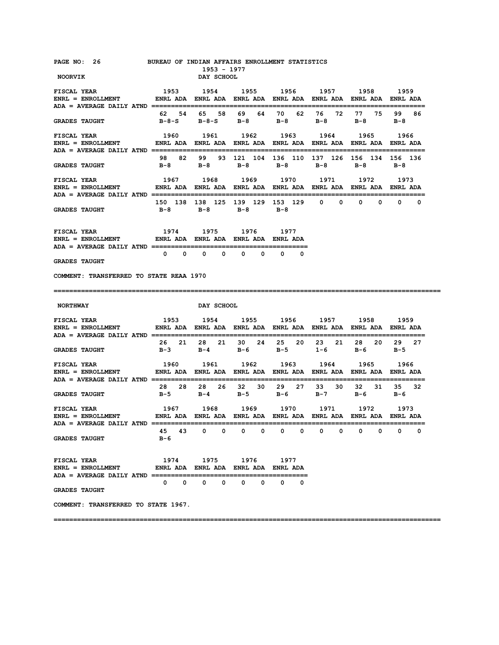| PAGE NO: 26 BUREAU OF INDIAN AFFAIRS ENROLLMENT STATISTICS<br><b>NOORVIK</b>                                                                                                                                                                                                                                                                                                                        |                                                                                                      | 1953 - 1977<br>DAY SCHOOL                           |           |   |                                                                                    |             |                        |
|-----------------------------------------------------------------------------------------------------------------------------------------------------------------------------------------------------------------------------------------------------------------------------------------------------------------------------------------------------------------------------------------------------|------------------------------------------------------------------------------------------------------|-----------------------------------------------------|-----------|---|------------------------------------------------------------------------------------|-------------|------------------------|
| <b>FISCAL YEAR</b><br>ENRL = ENROLLMENT ENRL ADA ENRL ADA ENRL ADA ENRL ADA ENRL ADA ENRL ADA ENRL ADA ENRL ADA                                                                                                                                                                                                                                                                                     | 1953                                                                                                 |                                                     |           |   | 1954 1955 1956 1957 1958 1959                                                      |             |                        |
| GRADES TAUGHT $B-B-S$ $B-B-S$ $B-B$ $B-B$ $B-B$ $B-B$ $B-B$                                                                                                                                                                                                                                                                                                                                         |                                                                                                      |                                                     |           |   | 62 54 65 58 69 64 70 62 76 72                                                      | 77 75       | 99 86                  |
| <b>FISCAL YEAR</b><br>$ENRL = ENROLLMENT$                                                                                                                                                                                                                                                                                                                                                           | 1960 1961 1962 1963 1964 1965 1966<br>ENRL ADA ENRL ADA ENRL ADA ENRL ADA ENRL ADA ENRL ADA ENRL ADA |                                                     |           |   |                                                                                    |             |                        |
| <b>GRADES TAUGHT</b>                                                                                                                                                                                                                                                                                                                                                                                |                                                                                                      |                                                     |           |   | 98 82 99 93 121 104 136 110 137 126 156 134 156 136<br>B-8 B-8 B-8 B-8 B-8 B-8 B-8 |             |                        |
| <b>FISCAL YEAR</b><br>ENRL = ENROLLMENT               ENRL ADA   ENRL ADA   ENRL ADA   ENRL ADA   ENRL ADA   ENRL ADA   ENRL ADA                                                                                                                                                                                                                                                                    |                                                                                                      |                                                     |           |   | 1967 1968 1969 1970 1971 1972 1973                                                 |             |                        |
| <b>GRADES TAUGHT</b>                                                                                                                                                                                                                                                                                                                                                                                |                                                                                                      | B-8 B-8 B-8 B-8                                     |           |   | 150 138 138 125 139 129 153 129 0 0 0                                              |             | $0\qquad 0\qquad$<br>0 |
| <b>FISCAL YEAR</b><br>ENRL = ENROLLMENT           ENRL ADA ENRL ADA ENRL ADA ENRL ADA                                                                                                                                                                                                                                                                                                               |                                                                                                      | 1974 1975 1976 1977                                 |           |   |                                                                                    |             |                        |
| <b>GRADES TAUGHT</b>                                                                                                                                                                                                                                                                                                                                                                                |                                                                                                      | $0\qquad 0\qquad 0\qquad 0\qquad 0\qquad 0\qquad 0$ |           |   |                                                                                    |             |                        |
| COMMENT: TRANSFERRED TO STATE REAA 1970                                                                                                                                                                                                                                                                                                                                                             |                                                                                                      |                                                     |           |   |                                                                                    |             |                        |
|                                                                                                                                                                                                                                                                                                                                                                                                     |                                                                                                      |                                                     |           |   |                                                                                    |             |                        |
|                                                                                                                                                                                                                                                                                                                                                                                                     |                                                                                                      |                                                     |           |   |                                                                                    |             |                        |
| <b>NORTHWAY</b>                                                                                                                                                                                                                                                                                                                                                                                     |                                                                                                      | DAY SCHOOL                                          |           |   |                                                                                    |             |                        |
| <b>FISCAL YEAR</b><br>ENRL = ENROLLMENT                  ENRL ADA    ENRL ADA    ENRL ADA    ENRL ADA    ENRL ADA    ENRL ADA                                                                                                                                                                                                                                                                       |                                                                                                      |                                                     |           |   | 1953 1954 1955 1956 1957 1958                                                      |             | 1959                   |
| <b>GRADES TAUGHT</b>                                                                                                                                                                                                                                                                                                                                                                                |                                                                                                      |                                                     |           |   | 26 21 28 21 30 24 25 20 23 21 28 20 29<br>B-3 B-4 B-6 B-5 1-6                      | $B-6$ $B-5$ | -27                    |
| FISCAL YEAR                                                                                                                                                                                                                                                                                                                                                                                         |                                                                                                      |                                                     |           |   | 1960 1961 1962 1963 1964 1965 1966                                                 |             |                        |
| <b>GRADES TAUGHT</b>                                                                                                                                                                                                                                                                                                                                                                                |                                                                                                      |                                                     |           |   | 28 28 28 26 32 30 29 27 33 30 32 31 35 32<br>B-5 B-4 B-5 B-6 B-7                   | $B-6$ $B-6$ |                        |
| ${\tt FISCAL}~~{\tt YEAR}~~{\tt 1967}~~{\tt 1968}~~{\tt 1969}~~{\tt 1970}~~{\tt 1971}~~{\tt 1972}~~{\tt 1973}~~{\tt ENRL}~~{\tt NNLL}~~{\tt ANRL}~~{\tt ANRL}~~{\tt NDA}~~{\tt ENRL}~~{\tt NNLA}~~{\tt ENRL}~~{\tt NDA}~~{\tt ENRL}~~{\tt NDA}~~{\tt ENRL}~~{\tt NDA}~~{\tt ENRL}~~{\tt NDA}~~{\tt ENRL}~~{\tt NDA}~~{\tt NMA}~~{\tt NMA}~~{\tt NMA}~~{\tt NMA}~~{\tt NMA}~~{\tt NMA}~~{\tt NMA}~~$ |                                                                                                      |                                                     |           |   |                                                                                    |             |                        |
| $ADA = AVERAGE DAILY ATND == == ==$<br><b>GRADES TAUGHT</b>                                                                                                                                                                                                                                                                                                                                         | в-6                                                                                                  |                                                     |           |   | 45 43 0 0 0 0 0 0 0 0                                                              |             | 0                      |
| <b>FISCAL YEAR</b><br>ENRL = ENROLLMENT              ENRL ADA ENRL ADA ENRL ADA ENRL ADA                                                                                                                                                                                                                                                                                                            |                                                                                                      | 1974 1975                                           | 1976 1977 |   |                                                                                    |             |                        |
| <b>GRADES TAUGHT</b>                                                                                                                                                                                                                                                                                                                                                                                |                                                                                                      | $0\qquad 0\qquad 0\qquad 0\qquad 0\qquad 0$         |           | 0 |                                                                                    |             |                        |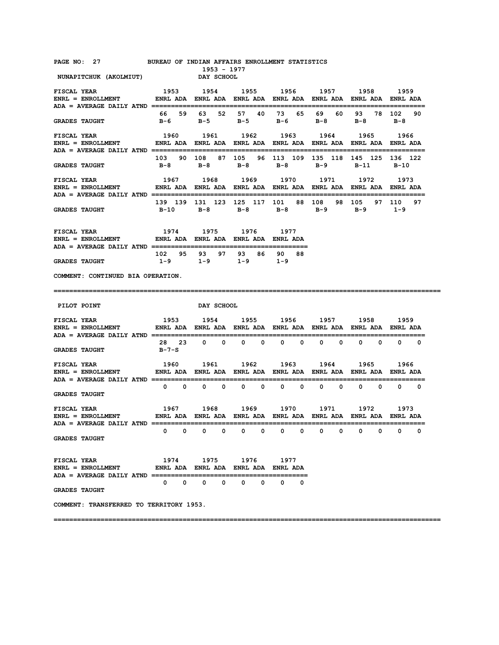| PAGE NO: |  |  | BUREAU OF INDIAN AFFAIRS ENROLLMENT STATISTICS |  |
|----------|--|--|------------------------------------------------|--|
|          |  |  |                                                |  |

 $N$ UNAPITCHUK (AKOLMIUT)

**1953 - 1977<br>
<b>1953 - 1977**<br> **DAY SCHOOL** 

| <b>FISCAL YEAR</b>                                                                                                                                                                                                                                                                                                                                                              |                                                                |                   |                                                                              |           | 1953 1954 1955 1956 1957 1958                                                                      |      | 1959                            |
|---------------------------------------------------------------------------------------------------------------------------------------------------------------------------------------------------------------------------------------------------------------------------------------------------------------------------------------------------------------------------------|----------------------------------------------------------------|-------------------|------------------------------------------------------------------------------|-----------|----------------------------------------------------------------------------------------------------|------|---------------------------------|
| <b>GRADES TAUGHT</b>                                                                                                                                                                                                                                                                                                                                                            |                                                                |                   |                                                                              |           | 66 59 63 52 57 40 73 65 69 60 93 78 102 90<br>B-6 B-5 B-5 B-6 B-8 B-8 B-8                          |      |                                 |
| <b>FISCAL YEAR</b><br>ENRL = ENROLLMENT ENRL ADA ENRL ADA ENRL ADA ENRL ADA ENRL ADA ENRL ADA ENRL ADA ENRL ADA                                                                                                                                                                                                                                                                 |                                                                | 1960 1961         |                                                                              | 1962 1963 | 1964                                                                                               | 1965 | 1966                            |
| <b>GRADES TAUGHT</b>                                                                                                                                                                                                                                                                                                                                                            |                                                                |                   |                                                                              |           | 103  90  108  87  105  96  113  109  135  118  145  125  136  122<br>B-8 B-8 B-8 B-8 B-9 B-11 B-10 |      |                                 |
| <b>FISCAL YEAR</b><br>ENRL = ENROLLMENT           ENRL ADA ENRL ADA ENRL ADA ENRL ADA ENRL ADA ENRL ADA ENRL ADA                                                                                                                                                                                                                                                                |                                                                |                   | 1967 1968 1969 1970                                                          |           | 1971                                                                                               | 1972 | 1973                            |
| <b>GRADES TAUGHT</b>                                                                                                                                                                                                                                                                                                                                                            | 139 139 131 123 125 117 101 88 108 98 105 97 110 97            |                   |                                                                              |           | B-10 B-8 B-8 B-8 B-9 B-9 1-9                                                                       |      |                                 |
| <b>FISCAL YEAR</b><br>ENRL = ENROLLMENT ENRL ADA ENRL ADA ENRL ADA ENRL ADA                                                                                                                                                                                                                                                                                                     |                                                                | 1974 1975         | 1976 1977                                                                    |           |                                                                                                    |      |                                 |
| <b>GRADES TAUGHT</b>                                                                                                                                                                                                                                                                                                                                                            |                                                                |                   | 102 95 93 97 93 86 90 88<br>$1-9$ $1-9$ $1-9$ $1-9$                          |           |                                                                                                    |      |                                 |
| COMMENT: CONTINUED BIA OPERATION.<br>===========================                                                                                                                                                                                                                                                                                                                |                                                                |                   |                                                                              |           |                                                                                                    |      |                                 |
| PILOT POINT                                                                                                                                                                                                                                                                                                                                                                     |                                                                | <b>DAY SCHOOL</b> |                                                                              |           |                                                                                                    |      |                                 |
|                                                                                                                                                                                                                                                                                                                                                                                 |                                                                |                   |                                                                              |           |                                                                                                    |      |                                 |
| 1953 1954 1955 1956 1957 1958 1959                                                                                                                                                                                                                                                                                                                                              | ENRL ADA ENRL ADA ENRL ADA ENRL ADA ENRL ADA ENRL ADA ENRL ADA |                   |                                                                              |           |                                                                                                    |      |                                 |
|                                                                                                                                                                                                                                                                                                                                                                                 | B-7-S                                                          |                   |                                                                              |           | 28 23 0 0 0 0 0 0 0 0 0 0 0                                                                        |      | $\begin{matrix}0&0\end{matrix}$ |
|                                                                                                                                                                                                                                                                                                                                                                                 |                                                                |                   |                                                                              |           | 1960 1961 1962 1963 1964 1965                                                                      |      |                                 |
|                                                                                                                                                                                                                                                                                                                                                                                 |                                                                |                   | $0\qquad 0\qquad 0\qquad 0\qquad 0\qquad 0\qquad 0$                          |           | $0\qquad 0$                                                                                        |      | $0\qquad 0\qquad 0\qquad 0$     |
|                                                                                                                                                                                                                                                                                                                                                                                 |                                                                |                   |                                                                              |           | 1967 1968 1969 1970 1971 1972 1973                                                                 |      |                                 |
|                                                                                                                                                                                                                                                                                                                                                                                 |                                                                |                   |                                                                              |           |                                                                                                    |      | =====                           |
| <b>FISCAL YEAR</b><br>$ENRL = ENROLLMENT$<br><b>GRADES TAUGHT</b><br><b>GRADES TAUGHT</b><br><b>FISCAL YEAR</b><br><b>GRADES TAUGHT</b><br>${\tt FISCAL} ~~ {\tt VERR} ~~ 1974 ~~ 1975 ~~ 1976 ~~ 1977 \\ {\tt ENRL} = {\tt ENROLLMENT} ~~ {\tt ENRL} ~~ {\tt ADA} ~~ {\tt ENRL} ~~ {\tt ADA} ~~ {\tt ENRL} ~~ {\tt ADA} ~~ {\tt ENRL} ~~ {\tt ADA} ~~ {\tt ENRL} ~~ {\tt ADA}$ |                                                                |                   |                                                                              |           |                                                                                                    |      |                                 |
| <b>GRADES TAUGHT</b>                                                                                                                                                                                                                                                                                                                                                            |                                                                |                   | $\begin{array}{ccccccccccccccccc} 0 & 0 & 0 & 0 & 0 & 0 & 0 & 0 \end{array}$ |           |                                                                                                    |      |                                 |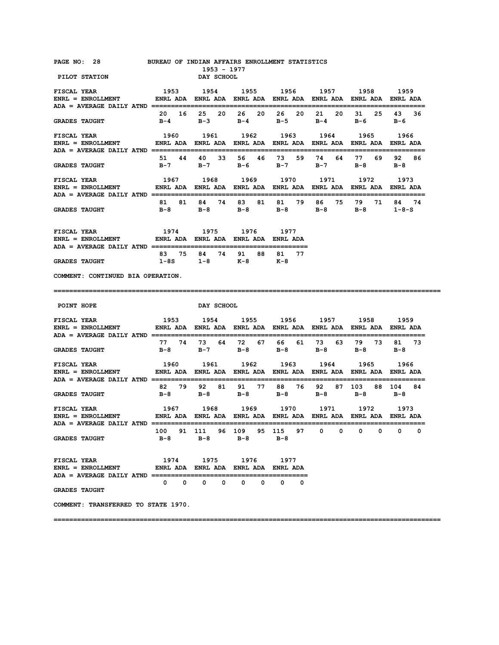| PAGE NO: 28<br><b>PILOT STATION</b>                                                                                                      |       | DAY SCHOOL                  | 1953 - 1977 | BUREAU OF INDIAN AFFAIRS ENROLLMENT STATISTICS      |                   |                                                                       |                   |                   |
|------------------------------------------------------------------------------------------------------------------------------------------|-------|-----------------------------|-------------|-----------------------------------------------------|-------------------|-----------------------------------------------------------------------|-------------------|-------------------|
| <b>FISCAL YEAR</b>                                                                                                                       |       |                             |             |                                                     |                   | 1953 1954 1955 1956 1957 1958 1959                                    |                   |                   |
| <b>GRADES TAUGHT</b>                                                                                                                     |       |                             |             |                                                     |                   | 20 16 25 20 26 20 26 20 21 20<br>B-4 B-3 B-4 B-5 B-4 B-6 B-6          |                   | 31 25 43 36       |
| <b>FISCAL YEAR</b><br>ENRL = ENROLLMENT ENRL ADA ENRL ADA ENRL ADA ENRL ADA ENRL ADA ENRL ADA ENRL ADA ENRL ADA                          |       |                             |             |                                                     |                   | 1960 1961 1962 1963 1964 1965                                         |                   | 1966              |
| <b>GRADES TAUGHT</b>                                                                                                                     |       |                             |             |                                                     |                   | 51 44 40 33 56 46 73 59 74 64 77 69 92<br>B-7 B-7 B-6 B-7 B-7 B-8 B-8 |                   | 86                |
| <b>FISCAL YEAR</b>                                                                                                                       |       |                             |             |                                                     |                   | 1967 1968 1969 1970 1971 1972                                         |                   | 1973              |
| GRADES TAUGHT $B-8$ $B-8$ $B-8$ $B-8$ $B-8$ $B-8$ $B-8$ $B-8$ $1-8-S$                                                                    |       |                             |             |                                                     |                   | 81 81 84 74 83 81 81 79 86 75 79 71 84 74                             |                   |                   |
| <b>FISCAL YEAR</b><br>ENRL = ENROLLMENT             ENRL ADA ENRL ADA ENRL ADA ENRL ADA                                                  |       |                             |             | 1974 1975 1976 1977                                 |                   |                                                                       |                   |                   |
| <b>GRADES TAUGHT</b>                                                                                                                     |       |                             |             | 83 75 84 74 91 88 81 77<br>$1-8S$ $1-8$ $K-8$ $K-8$ |                   |                                                                       |                   |                   |
| COMMENT: CONTINUED BIA OPERATION.                                                                                                        |       |                             |             |                                                     |                   |                                                                       |                   |                   |
|                                                                                                                                          |       |                             |             |                                                     |                   |                                                                       |                   |                   |
|                                                                                                                                          |       |                             |             |                                                     |                   |                                                                       |                   |                   |
| POINT HOPE                                                                                                                               |       | <b>DAY SCHOOL</b>           |             |                                                     |                   |                                                                       |                   |                   |
| <b>FISCAL YEAR</b><br>ENRL = ENROLLMENT                 ENRL ADA    ENRL ADA    ENRL ADA    ENRL ADA    ENRL ADA    ENRL ADA    ENRL ADA |       |                             |             |                                                     |                   | 1953 1954 1955 1956 1957 1958 1959                                    |                   |                   |
| <b>GRADES TAUGHT</b>                                                                                                                     |       |                             |             |                                                     |                   | 77 74 73 64 72 67 66 61 73 63 79 73<br>B-8 B-7 B-8 B-8 B-8 B-8        |                   | 81 73<br>$B-8$    |
| <b>FISCAL YEAR</b>                                                                                                                       |       |                             |             |                                                     |                   | 1960 1961 1962 1963 1964 1965                                         |                   | 1966              |
| <b>GRADES TAUGHT</b>                                                                                                                     | $B-8$ |                             |             | B-8 B-8 B-8 B-8                                     |                   | 82 79 92 81 91 77 88 76 92 87 103 88 104 84                           | B-8               | в — 8             |
| FISCAL YEAR<br>ENRL = ENROLLMENT            ENRL ADA   ENRL ADA   ENRL ADA   ENRL ADA   ENRL ADA   ENRL ADA   ENRL ADA                   |       |                             |             |                                                     |                   | 1967 1968 1969 1970 1971 1972                                         |                   | 1973              |
| $ADA = AVERAGE DAILY ATND =$<br><b>GRADES TAUGHT</b>                                                                                     | $B-8$ | $B-8$                       |             | 100 91 111 96 109 95 115 97<br>B-8                  | B-8               | 0<br>0                                                                | 0<br>$\mathbf{0}$ | $\mathbf{0}$<br>0 |
| <b>FISCAL YEAR</b><br>ENRL = ENROLLMENT         ENRL ADA ENRL ADA ENRL ADA ENRL ADA<br>ADA = AVERAGE DAILY ATND ====================     |       |                             |             | 1974 1975 1976 1977                                 |                   |                                                                       |                   |                   |
| <b>GRADES TAUGHT</b>                                                                                                                     |       | $0\qquad 0\qquad 0\qquad 0$ |             | $\mathbf{0}$<br>0                                   | $\mathbf{0}$<br>0 |                                                                       |                   |                   |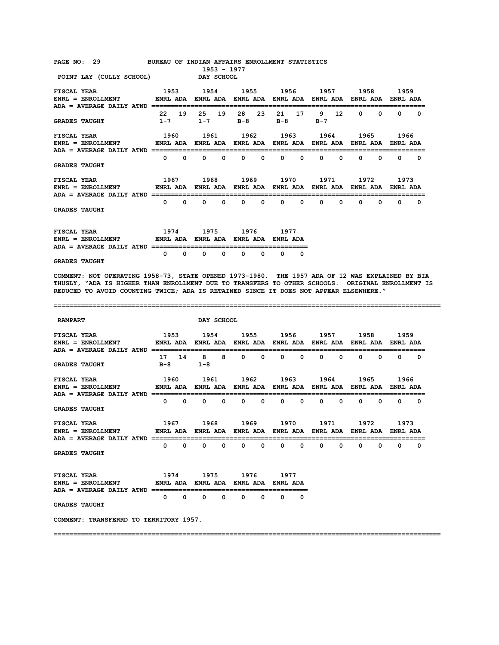PAGE NO: 29 BUREAU OF INDIAN AFFAIRS ENROLLMENT STATISTICS<br>1953 - 1977

 **1953 - 1977 POINT LAY (CULLY SCHOOL) DAY SCHOOL** 

| FISCAL YEAR<br>$ENRL = ENROLLMENT$<br>$ADA = AVERAGE DAILY ATND$ | 1953<br><b>ENRL ADA</b>                                       |    | 1954<br><b>ENRL ADA</b> |    | 1955          |          | 1956<br>ENRL ADA ENRL ADA ENRL ADA ENRL ADA |          | 1957         |                 | 1958     |   | 1959<br><b>ENRL ADA</b> |              |
|------------------------------------------------------------------|---------------------------------------------------------------|----|-------------------------|----|---------------|----------|---------------------------------------------|----------|--------------|-----------------|----------|---|-------------------------|--------------|
| <b>GRADES TAUGHT</b>                                             | 22<br>$1 - 7$                                                 | 19 | 25<br>$1 - 7$           | 19 | 28<br>$B - 8$ | 23       | 21<br>$B-8$                                 | 17       | 9<br>$B - 7$ | 12 <sup>2</sup> | $\Omega$ | 0 | 0                       | <sup>0</sup> |
| FISCAL YEAR<br>$ENRL = ENROLLMENT$<br>$ADA = AVERAGE DAILY ATND$ | 1960<br>ENRL ADA ENRL ADA ENRL ADA ENRL ADA ENRL ADA ENRL ADA |    | 1961                    |    | 1962          |          | 1963                                        |          | 1964         |                 | 1965     |   | 1966<br><b>ENRL ADA</b> |              |
| <b>GRADES TAUGHT</b>                                             | 0                                                             | 0  | 0                       | 0  | 0             | $\Omega$ | $\Omega$                                    | $\Omega$ | $\Omega$     | <sup>0</sup>    | 0        | 0 | <sup>0</sup>            | <sup>0</sup> |
| FISCAL YEAR<br>$ENRL = ENROLLMENT$<br>ADA = AVERAGE DAILY ATND   | 1967<br>ENRL ADA ENRL ADA ENRL ADA ENRL ADA ENRL ADA ENRL ADA |    | 1968                    |    | 1969          |          | 1970                                        |          | 1971         |                 | 1972     |   | 1973<br><b>FNRI ADA</b> |              |
| GRADES TAUGHT                                                    | 0                                                             | 0  | 0                       | 0  | 0             | $\Omega$ | $\Omega$                                    | $\Omega$ | $\Omega$     | 0               | 0        | 0 | $\Omega$                | <sup>0</sup> |
| FISCAL YEAR                                                      | 1974                                                          |    | 1975                    |    | 1976          |          | 1977                                        |          |              |                 |          |   |                         |              |

| ------------        |                                             |  |
|---------------------|---------------------------------------------|--|
| $ENRL = ENROLLMENT$ | ENRL ADA ENRL ADA ENRL ADA ENRL ADA         |  |
|                     |                                             |  |
|                     | $\begin{matrix} 0 & 0 & 0 & 0 \end{matrix}$ |  |

**GRADES TAUGHT** 

**COMMENT: NOT OPERATING 1958-73, STATE OPENED 1973-1980. THE 1957 ADA OF 12 WAS EXPLAINED BY BIA THUSLY, "ADA IS HIGHER THAN ENROLLMENT DUE TO TRANSFERS TO OTHER SCHOOLS. ORIGINAL ENROLLMENT IS REDUCED TO AVOID COUNTING TWICE; ADA IS RETAINED SINCE IT DOES NOT APPEAR ELSEWHERE."** 

**===================================================================================================** 

| <b>RAMPART</b>                                                                                                                                       |              |                   |                                         | DAY SCHOOL   |                             |          |          |          |             |              |                |              |          |                          |
|------------------------------------------------------------------------------------------------------------------------------------------------------|--------------|-------------------|-----------------------------------------|--------------|-----------------------------|----------|----------|----------|-------------|--------------|----------------|--------------|----------|--------------------------|
| ENRL = ENROLLMENT           ENRL ADA  ENRL ADA  ENRL ADA  ENRL ADA  ENRL ADA  ENRL ADA  ENRL ADA                                                     |              |                   |                                         |              |                             |          |          |          |             |              |                |              |          |                          |
| <b>GRADES TAUGHT</b>                                                                                                                                 | $B-8$        | 17 14             | 8<br>$1 - 8$                            | 8            | $\Omega$                    | $\Omega$ | $\Omega$ | $\Omega$ | 0           | <sup>n</sup> | <sup>n</sup>   | <sup>n</sup> | $\Omega$ | $\overline{\phantom{0}}$ |
| FISCAL YEAR 6 1960 1961 1962 1963 1964 1965 1966<br>ENRL = ENROLLMENT           ENRL ADA  ENRL ADA  ENRL ADA  ENRL ADA  ENRL ADA  ENRL ADA  ENRL ADA |              |                   |                                         |              |                             |          |          |          |             |              |                |              |          |                          |
| <b>GRADES TAUGHT</b>                                                                                                                                 |              | $\Omega$ $\Omega$ | $\Omega$                                | $\Omega$     | $^{\circ}$                  | $\Omega$ | 0        | 0        | $\mathbf 0$ | $\Omega$     | $\Omega$       | <sup>0</sup> | $\Omega$ | $\Omega$                 |
| ENRL = ENROLLMENT         ENRL ADA ENRL ADA ENRL ADA ENRL ADA ENRL ADA ENRL ADA ENRL ADA<br>ADA = AVERAGE DAILY ATND ============================    |              |                   |                                         |              |                             |          |          |          |             |              | 1971 1972 1973 |              |          |                          |
| <b>GRADES TAUGHT</b>                                                                                                                                 |              |                   | $\begin{matrix} 0 & 0 & 0 \end{matrix}$ |              | $0\qquad 0\qquad 0\qquad 0$ |          |          |          | $\Omega$    | $\Omega$     | $\Omega$       | $\Omega$     | $\Omega$ | . വ                      |
| FISCAL YEAR 1974 1975 1976 1977<br>ENRL = ENROLLMENT         ENRL ADA ENRL ADA ENRL ADA ENRL ADA                                                     |              |                   |                                         |              |                             |          |          |          |             |              |                |              |          |                          |
| <b>GRADES TAUGHT</b>                                                                                                                                 | $\mathbf{0}$ | $\Omega$          | $\mathbf{0}$                            | $\mathbf{0}$ | $\Omega$                    | $\Omega$ | $\Omega$ | $\Omega$ |             |              |                |              |          |                          |

**===================================================================================================** 

**COMMENT: TRANSFERRD TO TERRITORY 1957.**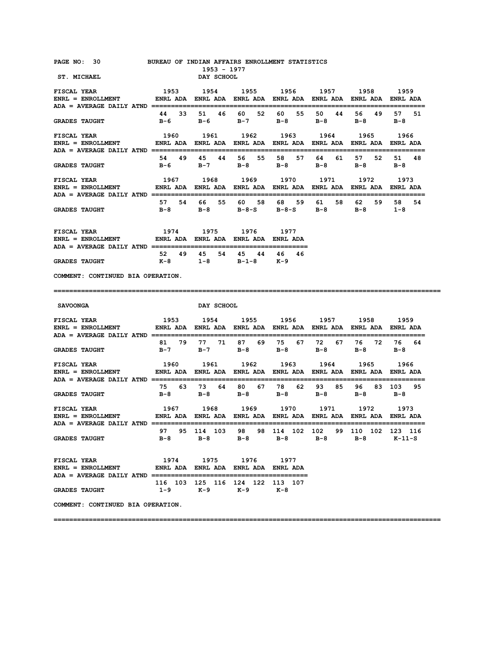| PAGE NO: 30 BUREAU OF INDIAN AFFAIRS ENROLLMENT STATISTICS<br><b>ST. MICHAEL</b>                                                  |                                                                                                                                          | 1953 - 1977<br>DAY SCHOOL                          |                   |                      |                                                                 |                 |
|-----------------------------------------------------------------------------------------------------------------------------------|------------------------------------------------------------------------------------------------------------------------------------------|----------------------------------------------------|-------------------|----------------------|-----------------------------------------------------------------|-----------------|
|                                                                                                                                   |                                                                                                                                          |                                                    |                   |                      |                                                                 |                 |
|                                                                                                                                   |                                                                                                                                          |                                                    |                   |                      |                                                                 |                 |
| <b>GRADES TAUGHT</b>                                                                                                              |                                                                                                                                          | 44 33 51 46 60 52 60 55 50 44                      |                   |                      | 56 49<br>B-6 B-6 B-7 B-8 B-8 B-8 B-8                            | 57 51           |
| <b>FISCAL YEAR</b><br>ENRL = ENROLLMENT                ENRL ADA   ENRL ADA   ENRL ADA   ENRL ADA   ENRL ADA   ENRL ADA   ENRL ADA | 1960 1961 1962 1963 1964 1965 1966                                                                                                       |                                                    |                   |                      |                                                                 |                 |
| <b>GRADES TAUGHT</b>                                                                                                              |                                                                                                                                          | 54 49 45 44 56 55 58<br>B-6 B-7 B-8 B-8            |                   | 57 64<br>61<br>$B-8$ | 57 52<br>$B-8$                                                  | 51<br>48<br>в-8 |
| <b>FISCAL YEAR</b><br>ENRL = ENROLLMENT         ENRL ADA ENRL ADA ENRL ADA ENRL ADA ENRL ADA ENRL ADA ENRL ADA                    | 1967 1968 1969 1970 1971 1972 1973                                                                                                       |                                                    |                   |                      |                                                                 |                 |
| <b>GRADES TAUGHT</b>                                                                                                              | 57 54 66                                                                                                                                 |                                                    | 55 60 58 68 59 61 |                      | 59<br>58 62<br>B-8 B-8 B-8-S B-8-S B-8 B-8 1-8                  | 58<br>54        |
| FISCAL YEAR                                                                                                                       |                                                                                                                                          | 1974 1975 1976 1977                                |                   |                      |                                                                 |                 |
| <b>GRADES TAUGHT</b>                                                                                                              |                                                                                                                                          | 52 49 45 54 45 44 46 46<br>K-8 1-8 B-1-8 K-9       |                   |                      |                                                                 |                 |
| COMMENT: CONTINUED BIA OPERATION.                                                                                                 |                                                                                                                                          |                                                    |                   |                      |                                                                 |                 |
|                                                                                                                                   |                                                                                                                                          |                                                    |                   |                      |                                                                 |                 |
|                                                                                                                                   |                                                                                                                                          |                                                    |                   |                      |                                                                 |                 |
| <b>SAVOONGA</b>                                                                                                                   |                                                                                                                                          | <b>DAY SCHOOL</b>                                  |                   |                      |                                                                 |                 |
| <b>FISCAL YEAR</b>                                                                                                                | 1953 1954 1955 1956 1957 1958 1959                                                                                                       |                                                    |                   |                      |                                                                 |                 |
| <b>GRADES TAUGHT</b>                                                                                                              |                                                                                                                                          | B-7 B-7 B-8 B-8 B-8                                |                   |                      | 81 79 77 71 87 69 75 67 72 67 76 72 76<br>$B-8$ $B-8$           | 64              |
| <b>FISCAL YEAR</b><br>ENRL = ENROLLMENT ENRL ADA ENRL ADA ENRL ADA ENRL ADA ENRL ADA ENRL ADA ENRL ADA ENRL ADA                   |                                                                                                                                          |                                                    |                   |                      | 1960 1961 1962 1963 1964 1965 1966                              |                 |
| <b>GRADES TAUGHT</b>                                                                                                              |                                                                                                                                          | 75  63  73  64  80  67  78  62  93  85             |                   |                      | B-8 B-8 B-8 B-8 B-8 B-8 B-8                                     | 96 83 103 95    |
| FISCAL YEAR<br>ENRL = ENROLLMENT                                                                                                  | 1967       1968       1969       1970       1971       1972       1973<br>ENRL ADA ENRL ADA ENRL ADA ENRL ADA ENRL ADA ENRL ADA ENRL ADA |                                                    |                   |                      |                                                                 |                 |
| ADA = AVERAGE DAILY ATND ==================<br><b>GRADES TAUGHT</b>                                                               | B-8 B-8 B-8 B-8 B-8 B-8 K-11-S                                                                                                           |                                                    |                   |                      | 97  95  114  103  98  98  114  102  102  99  110  102  123  116 |                 |
| <b>FISCAL YEAR</b><br>$ENRL = ENROLLMENT$ ENRL ADA ENRL ADA ENRL ADA ENRL ADA ENRL ADA                                            |                                                                                                                                          | 1974 1975 1976 1977                                |                   |                      |                                                                 |                 |
| <b>GRADES TAUGHT</b>                                                                                                              |                                                                                                                                          | 116 103 125 116 124 122 113 107<br>1-9 K-9 K-9 K-8 |                   |                      |                                                                 |                 |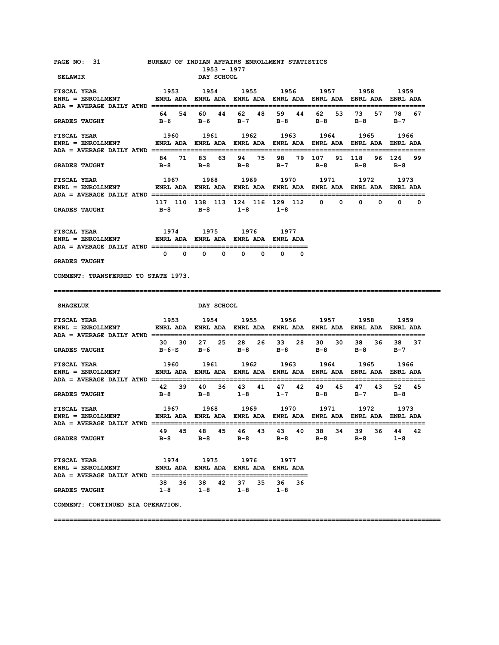| PAGE NO: 31 BUREAU OF INDIAN AFFAIRS ENROLLMENT STATISTICS                                                                                                                                                                          |                                                                                                      | 1953 - 1977       |                                                                                  |                     |                                                        |                                              |                     |
|-------------------------------------------------------------------------------------------------------------------------------------------------------------------------------------------------------------------------------------|------------------------------------------------------------------------------------------------------|-------------------|----------------------------------------------------------------------------------|---------------------|--------------------------------------------------------|----------------------------------------------|---------------------|
| <b>SELAWIK</b>                                                                                                                                                                                                                      |                                                                                                      | DAY SCHOOL        |                                                                                  |                     |                                                        |                                              |                     |
| 1953 1954 1955 1956 1957 1958 1959<br><b>FISCAL YEAR</b><br>ENRL = ENROLLMENT            ENRL ADA ENRL ADA ENRL ADA ENRL ADA ENRL ADA ENRL ADA ENRL ADA                                                                             |                                                                                                      |                   |                                                                                  |                     |                                                        |                                              |                     |
| <b>GRADES TAUGHT</b>                                                                                                                                                                                                                |                                                                                                      | 64 54 60 44 62 48 | B-6 B-6 B-7 B-8 B-8                                                              | 59 44               | 62 —<br>53                                             | 73 —<br>57<br>в-8                            | 78<br>67<br>$B-7$   |
| <b>FISCAL YEAR</b><br>ENRL = ENROLLMENT            ENRL ADA ENRL ADA ENRL ADA ENRL ADA ENRL ADA ENRL ADA ENRL ADA                                                                                                                   |                                                                                                      |                   | 1960 1961 1962 1963 1964                                                         |                     |                                                        | 1965<br>------------------------------       | 1966                |
| <b>GRADES TAUGHT</b>                                                                                                                                                                                                                |                                                                                                      |                   |                                                                                  |                     | B-8 B-8 B-8 B-7 B-8 B-8                                | 84 71 83 63 94 75 98 79 107 91 118 96 126 99 | B-8                 |
| <b>FISCAL YEAR</b><br>ENRL = ENROLLMENT           ENRL ADA ENRL ADA ENRL ADA ENRL ADA ENRL ADA ENRL ADA ENRL ADA                                                                                                                    |                                                                                                      | 1967 1968         |                                                                                  |                     | 1969 1970 1971                                         | 1972                                         | 1973                |
| <b>GRADES TAUGHT</b>                                                                                                                                                                                                                | 117 110 138 113 124 116 129 112 0 0 0 0 0 0 0<br>$B-8$                                               |                   | $B-8$ 1-8 1-8                                                                    |                     |                                                        |                                              |                     |
| ${\tt FISCAL} ~~ {\tt YER} ~~ 1974 ~~ 1975 ~~ 1976 ~~ 1977 \\ {\tt ENRL} = {\tt ENROLLMENT} ~~ {\tt ENRL} ~~ {\tt ADA} ~~ {\tt ENRL} ~~ {\tt ADA} ~~ {\tt ENRL} ~~ {\tt ADA} ~~ {\tt ENRL} ~~ {\tt ADA} ~~ {\tt ENRL} ~~ {\tt ADA}$ |                                                                                                      |                   |                                                                                  |                     |                                                        |                                              |                     |
| <b>GRADES TAUGHT</b>                                                                                                                                                                                                                |                                                                                                      |                   | $\begin{array}{ccccccccccccccccccccc} 0 & 0 & 0 & 0 & 0 & 0 & 0 & 0 \end{array}$ |                     |                                                        |                                              |                     |
| COMMENT: TRANSFERRED TO STATE 1973.                                                                                                                                                                                                 |                                                                                                      |                   |                                                                                  |                     |                                                        |                                              |                     |
|                                                                                                                                                                                                                                     |                                                                                                      |                   |                                                                                  |                     |                                                        |                                              |                     |
| <b>SHAGELUK</b>                                                                                                                                                                                                                     |                                                                                                      | <b>DAY SCHOOL</b> |                                                                                  |                     |                                                        |                                              |                     |
| <b>FISCAL YEAR</b><br>$ENRL = ENROLLMENT$                                                                                                                                                                                           | 1953 1954 1955 1956 1957 1958 1959<br>ENRL ADA ENRL ADA ENRL ADA ENRL ADA ENRL ADA ENRL ADA ENRL ADA |                   |                                                                                  |                     |                                                        |                                              |                     |
| <b>GRADES TAUGHT</b>                                                                                                                                                                                                                |                                                                                                      |                   |                                                                                  |                     | 30 30 27 25 28 26 33 28 30 30<br>B-6-S B-6 B-8 B-8 B-8 | 38 36<br>B-8 B-7                             | 38 37               |
| <b>FISCAL YEAR</b><br>ENRL = ENROLLMENT             ENRL ADA  ENRL ADA  ENRL ADA  ENRL ADA  ENRL ADA  ENRL ADA  ENRL ADA                                                                                                            | 1960 1961 1962 1963 1964 1965 1966                                                                   |                   |                                                                                  |                     |                                                        |                                              |                     |
| <b>GRADES TAUGHT</b>                                                                                                                                                                                                                |                                                                                                      |                   | 42 39 40 36 43 41                                                                |                     | 47 42 49 45<br>B-8 B-8 1-8 1-7 B-8                     | 47 43<br>$B-7$                               | 52 45<br>в-8        |
| <b>FISCAL YEAR</b><br>ENRL = ENROLLMENT         ENRL ADA ENRL ADA ENRL ADA ENRL ADA ENRL ADA ENRL ADA ENRL ADA                                                                                                                      | 1967 1968 1969 1970 1971 1972                                                                        |                   |                                                                                  |                     |                                                        |                                              | 1973                |
| <b>GRADES TAUGHT</b>                                                                                                                                                                                                                | $B-8$                                                                                                | $B-8$             | 49 45 48 45 46 43 43 40<br>$B-8$                                                 | $B-8$               | 38<br>34<br>$B-8$                                      | 39 36<br>$B-8$                               | 42<br>44<br>$1 - 8$ |
| <b>FISCAL YEAR</b><br>ENRL = ENROLLMENT ENRL ADA ENRL ADA ENRL ADA ENRL ADA                                                                                                                                                         |                                                                                                      |                   | 1974 1975 1976 1977                                                              |                     |                                                        |                                              |                     |
| <b>GRADES TAUGHT</b>                                                                                                                                                                                                                | 38 36<br>$1-8$                                                                                       | 38 42<br>$1-8$    | 37 35<br>$1 - 8$                                                                 | 36<br>36<br>$1 - 8$ |                                                        |                                              |                     |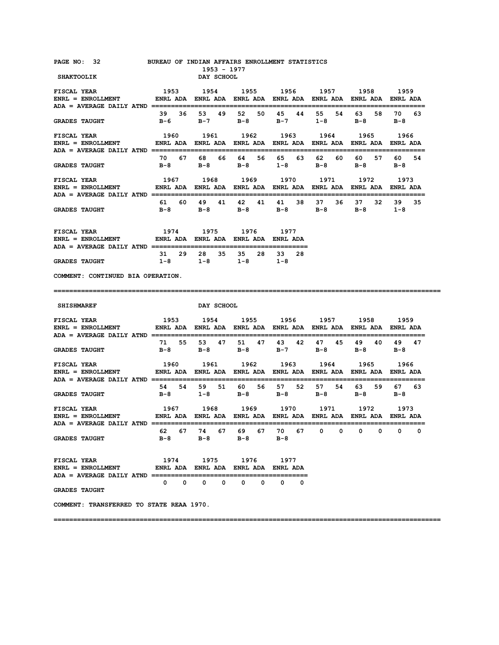| PAGE NO: 32 BUREAU OF INDIAN AFFAIRS ENROLLMENT STATISTICS<br><b>SHAKTOOLIK</b>                                                                                                                                                                                                 |                                                                                                      | 1953 - 1977<br>DAY SCHOOL                                                                       |                |               |                     |                        |                     |
|---------------------------------------------------------------------------------------------------------------------------------------------------------------------------------------------------------------------------------------------------------------------------------|------------------------------------------------------------------------------------------------------|-------------------------------------------------------------------------------------------------|----------------|---------------|---------------------|------------------------|---------------------|
| <b>FISCAL YEAR</b><br>ENRL = ENROLLMENT         ENRL ADA ENRL ADA ENRL ADA ENRL ADA ENRL ADA ENRL ADA ENRL ADA                                                                                                                                                                  | 1953                                                                                                 | 1954 1955 1956 1957 1958 1959                                                                   |                |               |                     |                        |                     |
| <b>GRADES TAUGHT</b>                                                                                                                                                                                                                                                            | 39 36                                                                                                | 53<br>B-6 B-7 B-8 B-7 1-8                                                                       | 49 52 50       | 45<br>44      | 55<br>54            | 63 —<br>58<br>$B-8$    | 70 —<br>63<br>$B-8$ |
| FISCAL YEAR<br>ENRL = ENROLLMENT             ENRL ADA  ENRL ADA  ENRL ADA  ENRL ADA  ENRL ADA  ENRL ADA  ENRL ADA                                                                                                                                                               | 1960 1961 1962 1963 1964 1965 1966                                                                   |                                                                                                 |                |               |                     |                        |                     |
| <b>GRADES TAUGHT</b>                                                                                                                                                                                                                                                            | 70 67                                                                                                | 68 —<br>B-8 B-8 B-8 1-8                                                                         | 66 64 56       | 65 —<br>63    | 62 —<br>60<br>$B-8$ | 60 —<br>57<br>$B-8$    | 60 —<br>54<br>B-8   |
| <b>FISCAL YEAR</b><br>ENRL = ENROLLMENT               ENRL ADA   ENRL ADA   ENRL ADA   ENRL ADA   ENRL ADA   ENRL ADA   ENRL ADA                                                                                                                                                | 1967 1968 1969 1970 1971 1972 1973                                                                   |                                                                                                 |                |               |                     |                        |                     |
| <b>GRADES TAUGHT</b>                                                                                                                                                                                                                                                            | 61                                                                                                   | 60 49<br>B-8 B-8 B-8 B-8 B-8                                                                    | 41  42  41  41 |               | 38 37<br>36         | 37 32<br>$B-8$ 1-8     | 39 35               |
| ${\tt FISCAL \; YEAR} \qquad \qquad 1974 \qquad \qquad 1975 \qquad \qquad 1976 \qquad \qquad 1977 \\ {\tt ENRL} \; = \; {\tt ENROLLMENT} \qquad \qquad {\tt ENRL \; ADA} \; \; {\tt ENRL \; ADA} \; \; {\tt ENRL} \; {\tt ADA} \; \; {\tt ENRL \; ADA} \; \; {\tt ENRL \; ADA}$ |                                                                                                      |                                                                                                 |                |               |                     |                        |                     |
| <b>GRADES TAUGHT</b>                                                                                                                                                                                                                                                            |                                                                                                      | 31 29 28 35 35 28 33 28<br>$1-8$ $1-8$ $1-8$ $1-8$                                              |                |               |                     |                        |                     |
| COMMENT: CONTINUED BIA OPERATION.                                                                                                                                                                                                                                               |                                                                                                      |                                                                                                 |                |               |                     |                        |                     |
|                                                                                                                                                                                                                                                                                 |                                                                                                      |                                                                                                 |                |               |                     |                        |                     |
| <b>SHISHMAREF</b>                                                                                                                                                                                                                                                               |                                                                                                      | DAY SCHOOL                                                                                      |                |               |                     |                        |                     |
| <b>FISCAL YEAR</b><br>$ENRL = ENROLLMENT$                                                                                                                                                                                                                                       | 1953 1954 1955 1956 1957 1958 1959<br>ENRL ADA ENRL ADA ENRL ADA ENRL ADA ENRL ADA ENRL ADA ENRL ADA |                                                                                                 |                |               |                     |                        |                     |
| <b>GRADES TAUGHT</b>                                                                                                                                                                                                                                                            |                                                                                                      | 71 55 53 47 51 47 43 42<br>B-8 B-8 B-8 B-7 B-8                                                  |                |               | 47 45               | $B-8$ $B-8$            | 49 40 49 47         |
| <b>FISCAL YEAR</b><br><b>ENRL = ENROLLMENT</b>                                                                                                                                                                                                                                  | 1960                                                                                                 | 1961 1962 1963 1964 1965 1966<br>ENRL ADA ENRL ADA ENRL ADA ENRL ADA ENRL ADA ENRL ADA ENRL ADA |                |               |                     |                        |                     |
| <b>GRADES TAUGHT</b>                                                                                                                                                                                                                                                            | $B-8$                                                                                                | 54 54 59 51 60 56 57 52 57                                                                      |                | $1-8$ B-8 B-8 | $B-8$               | 54 63 59<br><b>B-8</b> | 67 63<br>в-8        |
| <b>FISCAL YEAR</b><br>$ENRL = ENROLLMENT$                                                                                                                                                                                                                                       | 1967 1968 1969 1970 1971 1972 1973<br>ENRL ADA ENRL ADA ENRL ADA ENRL ADA ENRL ADA ENRL ADA ENRL ADA |                                                                                                 |                |               |                     |                        |                     |
| <b>GRADES TAUGHT</b>                                                                                                                                                                                                                                                            |                                                                                                      | 62 67 74 67 69 67 70 67 0 0 0 0 0<br>B-8 B-8 B-8 B-8                                            |                |               |                     |                        | 0                   |
| <b>FISCAL YEAR</b><br>ENRL = ENROLLMENT         ENRL ADA ENRL ADA ENRL ADA ENRL ADA                                                                                                                                                                                             |                                                                                                      | 1974 1975 1976 1977                                                                             |                |               |                     |                        |                     |
| <b>GRADES TAUGHT</b>                                                                                                                                                                                                                                                            |                                                                                                      | $\begin{array}{ccccccccccccccccc} 0 & 0 & 0 & 0 & 0 & 0 & 0 & 0 \end{array}$                    |                |               |                     |                        |                     |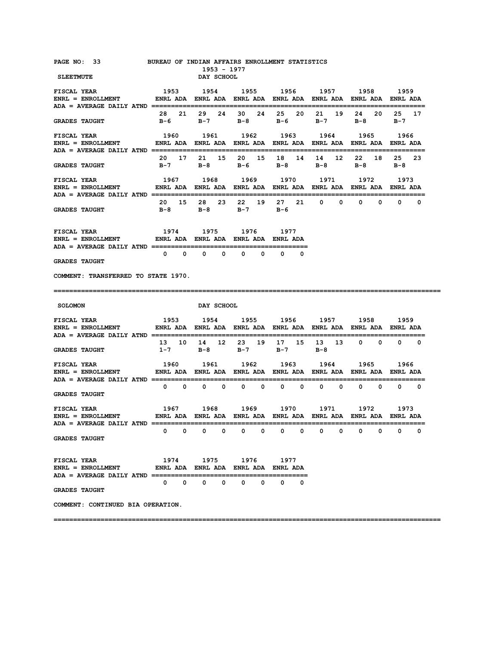| PAGE NO: 33<br><b>SLEETMUTE</b>                                                                                                                                                                                                                                                                                       | BUREAU OF INDIAN AFFAIRS ENROLLMENT STATISTICS                                                       | 1953 - 1977<br>DAY SCHOOL           |                                |                   |                                                                                            |                              |                              |
|-----------------------------------------------------------------------------------------------------------------------------------------------------------------------------------------------------------------------------------------------------------------------------------------------------------------------|------------------------------------------------------------------------------------------------------|-------------------------------------|--------------------------------|-------------------|--------------------------------------------------------------------------------------------|------------------------------|------------------------------|
| <b>FISCAL YEAR</b><br>ENRL = ENROLLMENT         ENRL ADA ENRL ADA ENRL ADA ENRL ADA ENRL ADA ENRL ADA ENRL ADA                                                                                                                                                                                                        | 1953                                                                                                 |                                     |                                |                   | 1954 1955 1956 1957 1958 1959<br>-----------------------------------                       |                              |                              |
| <b>GRADES TAUGHT</b>                                                                                                                                                                                                                                                                                                  | 28 21                                                                                                | 29                                  | 24 30 24                       | 25<br>20          | 21 19<br>B-6 B-7 B-8 B-6 B-7                                                               | 24 20<br>B-8 B-7             | 25 17                        |
| <b>FISCAL YEAR</b><br>ENRL = ENROLLMENT         ENRL ADA ENRL ADA ENRL ADA ENRL ADA ENRL ADA ENRL ADA ENRL ADA                                                                                                                                                                                                        | 1960 1961 1962 1963 1964 1965 1966                                                                   |                                     |                                |                   |                                                                                            |                              |                              |
| <b>GRADES TAUGHT</b>                                                                                                                                                                                                                                                                                                  | 20 17                                                                                                | 21 15                               | 20 15<br>B-7 B-8 B-6 B-8       | 18<br>14          | 12 <sup>7</sup><br>14<br>$B-8$                                                             | 22<br>18<br>$B-8$            | 25 —<br>23<br>B-8            |
| <b>FISCAL YEAR</b><br>ENRL = ENROLLMENT         ENRL ADA ENRL ADA ENRL ADA ENRL ADA ENRL ADA ENRL ADA ENRL ADA                                                                                                                                                                                                        |                                                                                                      |                                     |                                |                   | 1967 1968 1969 1970 1971 1972                                                              |                              | 1973                         |
| <b>GRADES TAUGHT</b>                                                                                                                                                                                                                                                                                                  | 20 15 28                                                                                             |                                     | 23 22 19 27<br>B-8 B-8 B-7 B-6 | 21                | $0\qquad 0$                                                                                | $\mathbf{0}$<br>$\mathbf{0}$ | $\mathbf{0}$<br>0            |
| ${\tt FISCAL \,\, YEAR} \qquad \qquad 1974 \qquad \qquad 1975 \qquad \qquad 1976 \qquad \qquad 1977$ ${\tt ENRL} \, = \, {\tt ENROLLMENT} \qquad \qquad {\tt ENRL \,\, ADA} \, \, \, {\tt ENRL} \, \, ADA \, \, \, {\tt ENRL} \, \, ADA \, \, {\tt ENRL} \, \, ADA$<br>ADA = AVERAGE DAILY ATND ===================== |                                                                                                      |                                     |                                |                   |                                                                                            |                              |                              |
| <b>GRADES TAUGHT</b>                                                                                                                                                                                                                                                                                                  |                                                                                                      | $0\qquad 0\qquad 0\qquad 0$         | $\mathbf{0}$<br>$\mathbf{o}$   | $\mathbf{0}$<br>0 |                                                                                            |                              |                              |
| COMMENT: TRANSFERRED TO STATE 1970.                                                                                                                                                                                                                                                                                   |                                                                                                      |                                     |                                |                   |                                                                                            |                              |                              |
|                                                                                                                                                                                                                                                                                                                       |                                                                                                      |                                     |                                |                   |                                                                                            |                              |                              |
|                                                                                                                                                                                                                                                                                                                       |                                                                                                      |                                     |                                |                   |                                                                                            |                              |                              |
| <b>SOLOMON</b>                                                                                                                                                                                                                                                                                                        |                                                                                                      | DAY SCHOOL                          |                                |                   |                                                                                            |                              |                              |
| <b>FISCAL YEAR</b><br>$ENRL = ENROLLMENT$                                                                                                                                                                                                                                                                             | 1953 1954 1955 1956 1957 1958 1959<br>ENRL ADA ENRL ADA ENRL ADA ENRL ADA ENRL ADA ENRL ADA ENRL ADA |                                     |                                |                   |                                                                                            |                              |                              |
| <b>GRADES TAUGHT</b>                                                                                                                                                                                                                                                                                                  | 13<br>10<br>$1 - 7$                                                                                  | 14                                  | 12 23<br>19<br>$B-8$ $B-7$     | 17<br>15<br>$B-7$ | 13<br>13<br>B-8                                                                            | $0\qquad 0$                  | $\mathbf{0}$<br>$\mathbf{0}$ |
| <b>FISCAL YEAR</b><br>$ENRL = ENROLLMENT$                                                                                                                                                                                                                                                                             | 1960                                                                                                 |                                     |                                |                   | 1961 1962 1963 1964 1965<br>ENRL ADA ENRL ADA ENRL ADA ENRL ADA ENRL ADA ENRL ADA ENRL ADA |                              | 1966                         |
| <b>GRADES TAUGHT</b>                                                                                                                                                                                                                                                                                                  |                                                                                                      | $0\qquad 0\qquad 0\qquad 0$         | $0\qquad 0$                    | $0\qquad 0\qquad$ | $0\qquad 0\qquad$                                                                          | $0\qquad 0\qquad$            | $0\qquad 0$                  |
| <b>FISCAL YEAR</b><br>$ENRL = ENROLLMENT$                                                                                                                                                                                                                                                                             | 1967 1968 1969 1970 1971 1972<br>ENRL ADA ENRL ADA ENRL ADA ENRL ADA ENRL ADA ENRL ADA ENRL ADA      |                                     |                                |                   |                                                                                            |                              | 1973                         |
| ADA = AVERAGE DAILY ATND ==========<br><b>GRADES TAUGHT</b>                                                                                                                                                                                                                                                           | $0\qquad 0$                                                                                          | $\mathbf{0}$<br>$\mathbf 0$         | $\mathbf{o}$<br>$\mathbf{0}$   | $\mathbf{o}$<br>0 | 0<br>0                                                                                     | 0<br>$\mathbf 0$             | 0<br>0                       |
| <b>FISCAL YEAR</b><br>ENRL = ENROLLMENT              ENRL ADA ENRL ADA ENRL ADA ENRL ADA                                                                                                                                                                                                                              |                                                                                                      |                                     | 1974 1975 1976 1977            |                   |                                                                                            |                              |                              |
| <b>GRADES TAUGHT</b>                                                                                                                                                                                                                                                                                                  |                                                                                                      | $0\qquad 0\qquad 0\qquad 0\qquad 0$ |                                | $\mathbf 0$<br>0  |                                                                                            |                              |                              |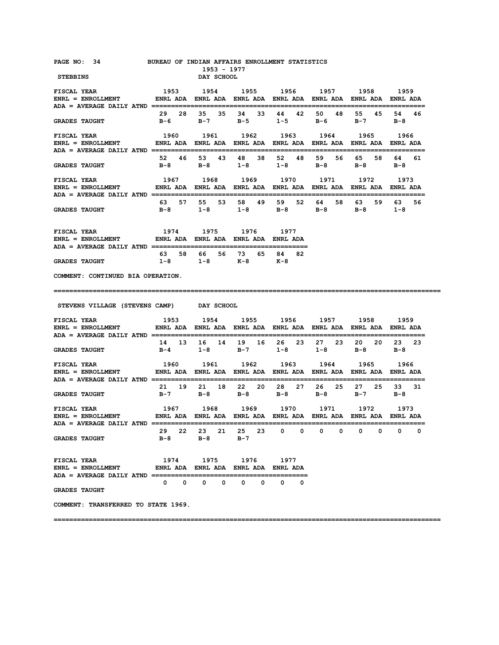| PAGE NO: 34 BUREAU OF INDIAN AFFAIRS ENROLLMENT STATISTICS<br>STEBBINS                                                                                                                                                                                                   |                                                                                                                  | 1953 - 1977<br>DAY SCHOOL                                      |                   |       |            |                  |                |
|--------------------------------------------------------------------------------------------------------------------------------------------------------------------------------------------------------------------------------------------------------------------------|------------------------------------------------------------------------------------------------------------------|----------------------------------------------------------------|-------------------|-------|------------|------------------|----------------|
| <b>FISCAL YEAR</b><br>ENRL = ENROLLMENT         ENRL ADA ENRL ADA ENRL ADA ENRL ADA ENRL ADA ENRL ADA ENRL ADA                                                                                                                                                           | 1953                                                                                                             | 1954 1955 1956 1957 1958 1959                                  |                   |       |            |                  |                |
| <b>GRADES TAUGHT</b>                                                                                                                                                                                                                                                     |                                                                                                                  | B-6 B-7 B-5 1-5 B-6 B-7 B-8                                    |                   |       | 48         | 55 45            | 54 46          |
| ENRL = ENROLLMENT             ENRL ADA  ENRL ADA  ENRL ADA  ENRL ADA  ENRL ADA  ENRL ADA  ENRL ADA                                                                                                                                                                       |                                                                                                                  |                                                                |                   |       |            |                  |                |
| <b>GRADES TAUGHT</b>                                                                                                                                                                                                                                                     |                                                                                                                  | 52 46 53 43 48 38<br>B-8 B-8 1-8 1-8 B-8                       |                   | 52 48 | 59<br>56 — | 65 58<br>B-8 B-8 | 64 –<br>61     |
| <b>FISCAL YEAR</b><br>ENRL = ENROLLMENT                 ENRL ADA    ENRL ADA    ENRL ADA    ENRL ADA    ENRL ADA    ENRL ADA<br>ADA = AVERAGE DAILY ATND =================================                                                                               | 1967 1968 1969 1970 1971 1972 1973                                                                               |                                                                |                   |       |            |                  |                |
| <b>GRADES TAUGHT</b>                                                                                                                                                                                                                                                     | 63 57 55                                                                                                         | B-8 1-8 1-8 B-8 B-8 B-8 1-8                                    | 53 58 49 59 52 64 |       | 58         | 63 59            | 63 56          |
| ${\tt FISCAL \,\, YEAR} \qquad \qquad 1974 \qquad 1975 \qquad 1976 \qquad 1977$ ${\tt ENRL} \, = \, {\tt ENROLLMENT} \qquad \qquad {\tt ENRL \,\, ADA} \, \, \, {\tt ENRL \,\, ADA} \, \, \, {\tt ENRL \,\, ADA} \, \, \, {\tt ENRL \,\, ADA} \, \, {\tt ENRL \,\, ADA}$ |                                                                                                                  |                                                                |                   |       |            |                  |                |
| <b>GRADES TAUGHT</b>                                                                                                                                                                                                                                                     |                                                                                                                  | 63 58 66 56 73 65 84 82<br>1-8 1-8 K-8 K-8                     |                   |       |            |                  |                |
| COMMENT: CONTINUED BIA OPERATION.                                                                                                                                                                                                                                        |                                                                                                                  |                                                                |                   |       |            |                  |                |
|                                                                                                                                                                                                                                                                          |                                                                                                                  |                                                                |                   |       |            |                  |                |
|                                                                                                                                                                                                                                                                          |                                                                                                                  |                                                                |                   |       |            |                  |                |
| STEVENS VILLAGE (STEVENS CAMP) DAY SCHOOL                                                                                                                                                                                                                                |                                                                                                                  |                                                                |                   |       |            |                  |                |
| <b>FISCAL YEAR</b><br>ENRL = ENROLLMENT         ENRL ADA ENRL ADA ENRL ADA ENRL ADA ENRL ADA ENRL ADA ENRL ADA                                                                                                                                                           | 1953 1954 1955 1956 1957 1958 1959                                                                               |                                                                |                   |       |            |                  |                |
| <b>GRADES TAUGHT</b>                                                                                                                                                                                                                                                     |                                                                                                                  | 14 13 16 14 19 16 26 23 27 23<br>B-4 1-8 B-7 1-8 1-8 B-8 B-8   |                   |       |            | 20 20            | 23 23          |
| <b>FISCAL YEAR</b><br>$ENRL = ENROLLMENT$                                                                                                                                                                                                                                | 1960 1961 1962 1963 1964 1965 1966                                                                               | ENRL ADA ENRL ADA ENRL ADA ENRL ADA ENRL ADA ENRL ADA ENRL ADA |                   |       |            |                  |                |
| <b>GRADES TAUGHT</b>                                                                                                                                                                                                                                                     |                                                                                                                  | 21 19 21 18 22 20 28 27 26 25<br>B-7 B-8 B-8 B-8 B-8 B-8       |                   |       |            | 27 25<br>$B-7$   | 33 31<br>$B-8$ |
| FISCAL YEAR<br>$ENRL = ENROLLMENT$                                                                                                                                                                                                                                       | 1967 - 1968 - 1969 - 1970 - 1971 - 1972 - 1973<br>ENRL-ADA ENRL-ADA ENRL-ADA ENRL-ADA ENRL-ADA ENRL-ADA ENRL-ADA |                                                                |                   |       |            |                  |                |
| <b>GRADES TAUGHT</b>                                                                                                                                                                                                                                                     |                                                                                                                  | 29  22  23  21  25  23  0  0  0  0  0  0  0<br>B-8 B-8 B-7     |                   |       |            |                  | 0              |
| <b>FISCAL YEAR</b><br>ENRL = ENROLLMENT         ENRL ADA ENRL ADA ENRL ADA ENRL ADA                                                                                                                                                                                      |                                                                                                                  | 1974 1975 1976 1977                                            |                   |       |            |                  |                |
| <b>GRADES TAUGHT</b>                                                                                                                                                                                                                                                     |                                                                                                                  | $0\qquad 0\qquad 0\qquad 0\qquad 0\qquad 0\qquad 0$            |                   |       |            |                  |                |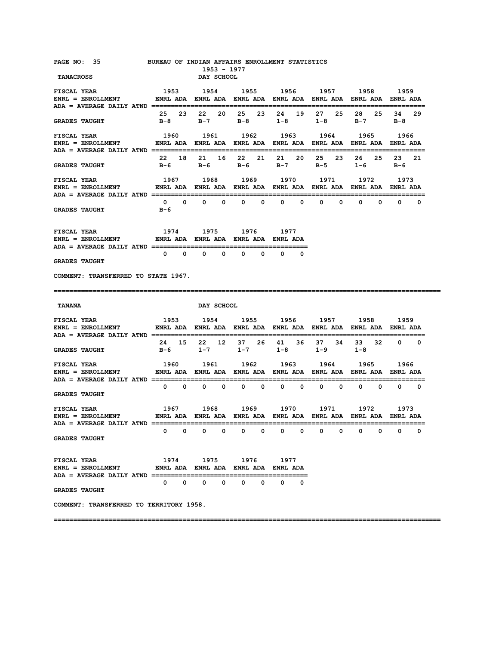| PAGE NO: 35 BUREAU OF INDIAN AFFAIRS ENROLLMENT STATISTICS<br><b>TANACROSS</b>                                                                 |     | 1953 - 1977<br>DAY SCHOOL   |                                                                                                                                              |                          |                                                    |                     |                                   |
|------------------------------------------------------------------------------------------------------------------------------------------------|-----|-----------------------------|----------------------------------------------------------------------------------------------------------------------------------------------|--------------------------|----------------------------------------------------|---------------------|-----------------------------------|
| <b>FISCAL YEAR</b><br>ENRL = ENROLLMENT                  ENRL ADA    ENRL ADA    ENRL ADA    ENRL ADA    ENRL ADA    ENRL ADA                  |     |                             | 1953 1954 1955 1956 1957 1958 1959                                                                                                           |                          |                                                    |                     |                                   |
| <b>GRADES TAUGHT</b>                                                                                                                           |     |                             | 25  23  22  20  25  23  24  19<br>B-8 B-7 B-8 1-8 1-8                                                                                        |                          | 27<br>25                                           | 28 25<br>$B-7$      | 34<br>-29<br>B-8                  |
| FISCAL YEAR<br>ENRL = ENROLLMENT         ENRL ADA ENRL ADA ENRL ADA ENRL ADA ENRL ADA ENRL ADA ENRL ADA                                        |     |                             | 1960 1961 1962 1963 1964 1965 1966                                                                                                           |                          |                                                    |                     |                                   |
| <b>GRADES TAUGHT</b>                                                                                                                           |     |                             | 22 18 21 16 22 21 21<br>B-6 B-6 B-6 B-7 B-5                                                                                                  | 20                       | 23<br>25                                           | 26 25<br>$1-6$      | 23<br>21<br>в-6                   |
| <b>FISCAL YEAR</b><br>ENRL = ENROLLMENT         ENRL ADA ENRL ADA ENRL ADA ENRL ADA ENRL ADA ENRL ADA ENRL ADA                                 |     |                             | 1967 1968 1969 1970 1971 1972 1973                                                                                                           |                          |                                                    |                     |                                   |
| <b>GRADES TAUGHT</b>                                                                                                                           | в-6 |                             | $0\qquad 0\qquad 0\qquad 0\qquad 0$                                                                                                          | $0\qquad 0$              | $\mathbf{0}$                                       | $0\qquad 0$         | $\mathbf{0}$<br>$\mathbf{0}$<br>0 |
| <b>FISCAL YEAR</b>                                                                                                                             |     |                             | 1974 1975 1976 1977                                                                                                                          |                          |                                                    |                     |                                   |
| <b>GRADES TAUGHT</b>                                                                                                                           |     | $0\qquad 0\qquad 0\qquad 0$ | $0\qquad 0$                                                                                                                                  | $0\qquad 0$              |                                                    |                     |                                   |
| COMMENT: TRANSFERRED TO STATE 1967.                                                                                                            |     |                             |                                                                                                                                              |                          |                                                    |                     |                                   |
|                                                                                                                                                |     |                             |                                                                                                                                              |                          |                                                    |                     |                                   |
| <b>TANANA</b>                                                                                                                                  |     | DAY SCHOOL                  |                                                                                                                                              |                          |                                                    |                     |                                   |
|                                                                                                                                                |     |                             |                                                                                                                                              |                          |                                                    |                     |                                   |
| <b>GRADES TAUGHT</b>                                                                                                                           |     |                             | 24 15 22 12 37 26 41 36 37 34<br>B-6 1-7 1-7 1-8 1-9                                                                                         |                          |                                                    | 33 32<br>$1 - 8$    | $0\qquad 0$                       |
| <b>FISCAL YEAR</b>                                                                                                                             |     |                             | 1960 1961 1962 1963 1964 1965                                                                                                                |                          |                                                    |                     | 1966                              |
| ADA = AVERAGE DAILY ATND ===========================<br><b>GRADES TAUGHT</b>                                                                   |     |                             |                                                                                                                                              |                          |                                                    |                     |                                   |
|                                                                                                                                                |     |                             | 1967        1968       1969        1970       1971        1972        1973<br>ENRL ADA ENRL ADA ENRL ADA ENRL ADA ENRL ADA ENRL ADA ENRL ADA |                          |                                                    |                     |                                   |
| $ADA = AVERAGE DAILY ATND == ==$<br><b>GRADES TAUGHT</b>                                                                                       | 0   |                             | $\begin{matrix}0&0&0&0&0&0 \end{matrix}$                                                                                                     | $\overline{\phantom{0}}$ | $\overline{\mathbf{0}}$<br>$\overline{\mathbf{0}}$ | $0\qquad 0\qquad 0$ | 0                                 |
| FISCAL YEAR<br>ENRL = ENROLLMENT              ENRL ADA ENRL ADA ENRL ADA ENRL ADA<br>ADA = AVERAGE DAILY ATND ================================ |     | 1974 1975                   | 1976                                                                                                                                         | 1977                     |                                                    |                     |                                   |
| <b>GRADES TAUGHT</b>                                                                                                                           |     | $0\qquad 0\qquad 0\qquad 0$ | $0\qquad 0$                                                                                                                                  | $\mathbf{0}$<br>0        |                                                    |                     |                                   |
| FISCAL YEAR<br>ENRL = ENROLLMENT<br>COMMENT: TRANSFERRED TO TERRITORY 1958.                                                                    |     |                             |                                                                                                                                              |                          |                                                    |                     |                                   |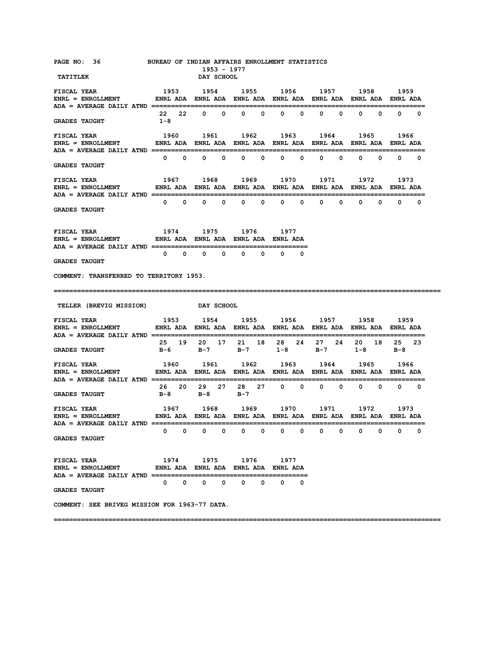| PAGE NO: 36 BUREAU OF INDIAN AFFAIRS ENROLLMENT STATISTICS<br><b>TATITLEK</b>                                                   |                                                            | 1953 - 1977<br>DAY SCHOOL   |                   |                             |                               |                                     |                      |
|---------------------------------------------------------------------------------------------------------------------------------|------------------------------------------------------------|-----------------------------|-------------------|-----------------------------|-------------------------------|-------------------------------------|----------------------|
| <b>FISCAL YEAR</b>                                                                                                              | 1953 1954 1955 1956 1957 1958                              |                             |                   |                             |                               |                                     | 1959                 |
| <b>GRADES TAUGHT</b>                                                                                                            | $1 - 8$                                                    |                             | 22 22 0 0 0 0 0 0 |                             | $0\qquad 0\qquad$             | $0\qquad 0\qquad$                   | $0\qquad 0$          |
| FISCAL YEAR                                                                                                                     |                                                            |                             |                   |                             |                               | 1960 1961 1962 1963 1964 1965       | 1966                 |
| <b>GRADES TAUGHT</b>                                                                                                            |                                                            | $0\qquad 0\qquad 0\qquad 0$ |                   | $0\qquad 0\qquad 0\qquad 0$ |                               | $0\qquad 0\qquad 0\qquad 0\qquad 0$ |                      |
| <b>FISCAL YEAR</b>                                                                                                              |                                                            | 1967 1968                   |                   |                             |                               | 1969 1970 1971 1972                 | 1973                 |
| <b>GRADES TAUGHT</b>                                                                                                            |                                                            |                             |                   |                             |                               |                                     |                      |
| <b>FISCAL YEAR</b><br>ENRL = ENROLLMENT       ENRL ADA ENRL ADA ENRL ADA ENRL ADA                                               | 1974 1975 1976 1977                                        |                             |                   |                             |                               |                                     |                      |
| <b>GRADES TAUGHT</b>                                                                                                            | $\begin{matrix}0&0&0&0&0\end{matrix}$                      |                             |                   | $\mathbf{0}$<br>$0\qquad 0$ |                               |                                     |                      |
| COMMENT: TRANSFERRED TO TERRITORY 1953.                                                                                         |                                                            |                             |                   |                             |                               |                                     |                      |
|                                                                                                                                 |                                                            |                             |                   |                             |                               |                                     |                      |
|                                                                                                                                 |                                                            |                             |                   |                             |                               |                                     |                      |
| <b>TELLER (BREVIG MISSION)</b>                                                                                                  |                                                            | DAY SCHOOL                  |                   |                             |                               |                                     |                      |
| <b>FISCAL YEAR</b><br>ENRL = ENROLLMENT           ENRL ADA ENRL ADA ENRL ADA ENRL ADA ENRL ADA ENRL ADA ENRL ADA                | 1953 1954 1955 1956 1957 1958                              |                             |                   |                             |                               |                                     | 1959                 |
| <b>GRADES TAUGHT</b>                                                                                                            |                                                            | B-6 B-7 B-7                 |                   | $1-8$ B-7                   | 25 19 20 17 21 18 28 24 27 24 | $1 - 8$                             | 20 18 25 23<br>$B-8$ |
| <b>FISCAL YEAR</b><br>ENRL = ENROLLMENT              ENRL ADA   ENRL ADA   ENRL ADA   ENRL ADA   ENRL ADA   ENRL ADA   ENRL ADA | 1960 1961 1962 1963 1964                                   |                             |                   |                             |                               | 1965                                | 1966                 |
| <b>GRADES TAUGHT</b>                                                                                                            | 26 20<br>$B-8$                                             | в-8                         | $B-7$             |                             |                               | 29 27 28 27 0 0 0 0 0 0 0 0         |                      |
| <b>FISCAL YEAR</b>                                                                                                              |                                                            |                             |                   |                             |                               | 1967 1968 1969 1970 1971 1972       | 1973                 |
| $ADA = AVERAGE DAILY ATND =$<br><b>GRADES TAUGHT</b>                                                                            | 0<br>0                                                     | 0<br>0                      | 0<br>0            | 0<br>0                      | 0<br>0                        | 0<br>0                              | 0<br>0               |
| <b>FISCAL YEAR</b><br><b>ENRL = ENROLLMENT</b>                                                                                  | 1974 1975 1976 1977<br>ENRL ADA ENRL ADA ENRL ADA ENRL ADA |                             |                   |                             |                               |                                     |                      |
| ADA = AVERAGE DAILY ATND ==============<br><b>GRADES TAUGHT</b>                                                                 |                                                            | $0\qquad 0\qquad 0$<br>0    | 0<br>0            | 0<br>0                      |                               |                                     |                      |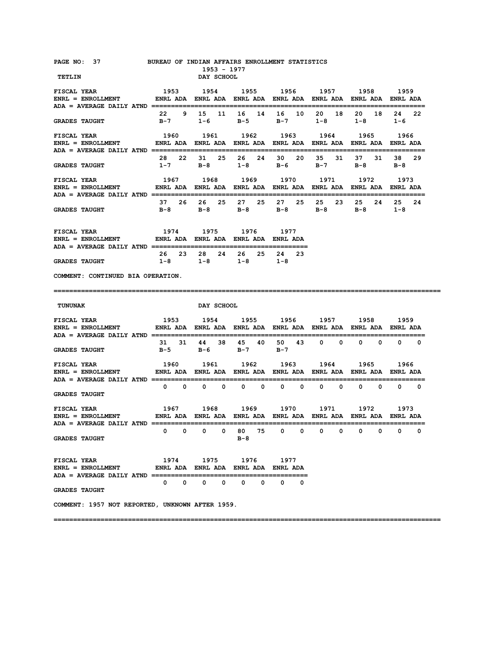| PAGE NO: 37 BUREAU OF INDIAN AFFAIRS ENROLLMENT STATISTICS                                                                                                           |                               | 1953 - 1977                                                                   |                   |                   |                                                                               |                  |                   |
|----------------------------------------------------------------------------------------------------------------------------------------------------------------------|-------------------------------|-------------------------------------------------------------------------------|-------------------|-------------------|-------------------------------------------------------------------------------|------------------|-------------------|
| TETLIN                                                                                                                                                               |                               | DAY SCHOOL                                                                    |                   |                   |                                                                               |                  |                   |
| <b>FISCAL YEAR</b><br>ENRL = ENROLLMENT                  ENRL ADA    ENRL ADA    ENRL ADA    ENRL ADA    ENRL ADA    ENRL ADA                                        | 1953 1954 1955 1956 1957 1958 |                                                                               |                   |                   |                                                                               |                  | 1959              |
| <b>GRADES TAUGHT</b>                                                                                                                                                 | $B-7$                         | 22 9 15 11 16 14 16 10 20                                                     |                   | $1-6$ B-5 B-7 1-8 | 18                                                                            | 20 18<br>$1 - 8$ | 24 22<br>$1 - 6$  |
| <b>FISCAL YEAR</b><br>ENRL = ENROLLMENT             ENRL ADA   ENRL ADA   ENRL ADA   ENRL ADA   ENRL ADA   ENRL ADA   ENRL ADA                                       |                               | 1960 1961 1962 1963 1964                                                      |                   |                   |                                                                               | 1965             | 1966              |
| <b>GRADES TAUGHT</b>                                                                                                                                                 |                               |                                                                               |                   |                   | 28  22  31  25  26  24  30  20  35  31  37  31<br>$1-7$ B-8 $1-8$ B-6 B-7 B-8 |                  | 38 29<br>$B-8$    |
| <b>FISCAL YEAR</b><br>ENRL = ENROLLMENT              ENRL ADA   ENRL ADA   ENRL ADA   ENRL ADA   ENRL ADA   ENRL ADA   ENRL ADA                                      |                               | 1967 1968                                                                     |                   |                   | 1969 1970 1971 1972                                                           |                  | 1973              |
| <b>GRADES TAUGHT</b>                                                                                                                                                 |                               |                                                                               |                   |                   | B-8 B-8 B-8 B-8 B-8 B-8 1-8                                                   | 25 24            | 25<br>24          |
| 1974 - 1975 - 1976 - 1977<br><b>FISCAL YEAR</b><br>ENRL = ENROLLMENT            ENRL ADA ENRL ADA ENRL ADA ENRL ADA                                                  |                               |                                                                               |                   |                   |                                                                               |                  |                   |
| <b>GRADES TAUGHT</b>                                                                                                                                                 |                               | 26 23 28 24 26 25 24 23<br>$1-8$ $1-8$ $1-8$ $1-8$                            |                   |                   |                                                                               |                  |                   |
| COMMENT: CONTINUED BIA OPERATION.                                                                                                                                    |                               |                                                                               |                   |                   |                                                                               |                  |                   |
|                                                                                                                                                                      |                               |                                                                               |                   |                   |                                                                               |                  |                   |
| <b>TUNUNAK</b>                                                                                                                                                       |                               | <b>DAY SCHOOL</b>                                                             |                   |                   |                                                                               |                  |                   |
| 1953 1954 1955 1956 1957 1958 1959<br><b>FISCAL YEAR</b><br>ENRL = ENROLLMENT             ENRL ADA   ENRL ADA   ENRL ADA   ENRL ADA   ENRL ADA   ENRL ADA   ENRL ADA |                               |                                                                               |                   |                   |                                                                               |                  |                   |
| <b>GRADES TAUGHT</b>                                                                                                                                                 |                               | B-5 B-6 B-7 B-7                                                               |                   |                   | 31 31 44 38 45 40 50 43 0 0 0 0 0 0                                           |                  |                   |
| <b>FISCAL YEAR</b><br>ENRL = ENROLLMENT         ENRL ADA ENRL ADA ENRL ADA ENRL ADA ENRL ADA ENRL ADA ENRL ADA                                                       | 1960 1961 1962 1963 1964 1965 |                                                                               |                   |                   |                                                                               |                  | 1966              |
| <b>GRADES TAUGHT</b>                                                                                                                                                 |                               |                                                                               |                   |                   |                                                                               |                  |                   |
| 1967 1968 1969 1970 1971 1972 1973<br><b>FISCAL YEAR</b><br>ENRL = ENROLLMENT       ENRL ADA ENRL ADA ENRL ADA ENRL ADA ENRL ADA ENRL ADA ENRL ADA                   |                               |                                                                               |                   |                   |                                                                               |                  |                   |
| <b>GRADES TAUGHT</b>                                                                                                                                                 | $^{\circ}$<br>0               | 0<br>0                                                                        | 75<br>80 —<br>в-8 | 0<br>0            | 0<br>0                                                                        | 0<br>0           | $\mathbf{0}$<br>0 |
| <b>FISCAL YEAR</b><br><b>ENRL = ENROLLMENT</b>                                                                                                                       | $\mathbf{0}$<br>$\mathbf{0}$  | 1974 1975 1976 1977<br>ENRL ADA ENRL ADA ENRL ADA ENRL ADA<br>$^{\circ}$<br>0 | 0<br>0            | 0<br>0            |                                                                               |                  |                   |
| <b>GRADES TAUGHT</b>                                                                                                                                                 |                               |                                                                               |                   |                   |                                                                               |                  |                   |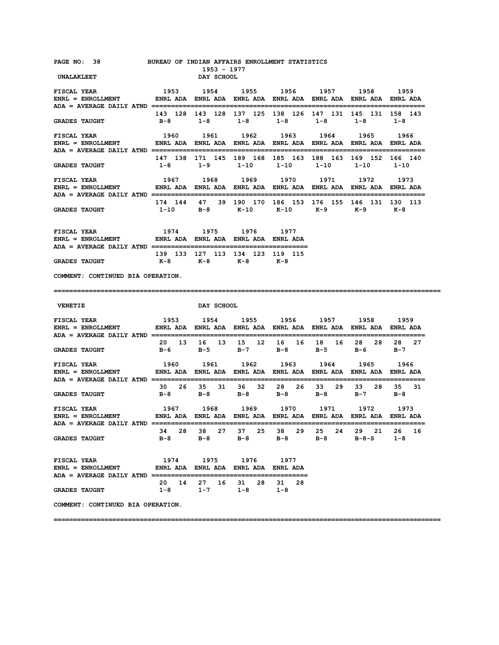| PAGE NO: 38 BUREAU OF INDIAN AFFAIRS ENROLLMENT STATISTICS<br>UNALAKLEET                                                                                                                                                                                                                                                                                                                                                                                                                                                                                                                                                             |                                    | 1953 - 1977<br>DAY SCHOOL                                 |                                                                                             |  |               |
|--------------------------------------------------------------------------------------------------------------------------------------------------------------------------------------------------------------------------------------------------------------------------------------------------------------------------------------------------------------------------------------------------------------------------------------------------------------------------------------------------------------------------------------------------------------------------------------------------------------------------------------|------------------------------------|-----------------------------------------------------------|---------------------------------------------------------------------------------------------|--|---------------|
| <b>FISCAL YEAR</b><br>ENRL = ENROLLMENT         ENRL ADA ENRL ADA ENRL ADA ENRL ADA ENRL ADA ENRL ADA ENRL ADA                                                                                                                                                                                                                                                                                                                                                                                                                                                                                                                       | 1953                               |                                                           | 1954 1955 1956 1957 1958 1959                                                               |  |               |
| <b>GRADES TAUGHT</b>                                                                                                                                                                                                                                                                                                                                                                                                                                                                                                                                                                                                                 |                                    |                                                           | 143 128 143 128 137 125 138 126 147 131 145 131 158 143<br>B-8 1-8 1-8 1-8 1-8 1-8 1-8      |  |               |
| FISCAL YEAR<br>ENRL = ENROLLMENT         ENRL ADA ENRL ADA ENRL ADA ENRL ADA ENRL ADA ENRL ADA ENRL ADA                                                                                                                                                                                                                                                                                                                                                                                                                                                                                                                              | 1960 1961 1962 1963 1964 1965 1966 |                                                           |                                                                                             |  |               |
| <b>GRADES TAUGHT</b>                                                                                                                                                                                                                                                                                                                                                                                                                                                                                                                                                                                                                 |                                    |                                                           | 147 138 171 145 189 168 185 163 188 163 169 152 166 140<br>1-8 1-9 1-10 1-10 1-10 1-10 1-10 |  |               |
| <b>FISCAL YEAR</b><br>ENRL = ENROLLMENT         ENRL ADA ENRL ADA ENRL ADA ENRL ADA ENRL ADA ENRL ADA ENRL ADA                                                                                                                                                                                                                                                                                                                                                                                                                                                                                                                       | 1967 1968 1969 1970 1971 1972 1973 |                                                           |                                                                                             |  |               |
| <b>GRADES TAUGHT</b>                                                                                                                                                                                                                                                                                                                                                                                                                                                                                                                                                                                                                 |                                    |                                                           | 174 144 47 39 190 170 186 153 176 155 146 131 130 113<br>1-10 B-8 K-10 K-10 K-9 K-9 K-8     |  |               |
| ${\tt FISCAL \,\, YEAR} \qquad \qquad 1974 \qquad \qquad 1975 \qquad \qquad 1976 \qquad \qquad 1977$ ${\tt ENRL} \, = \, {\tt ENROLLMENT} \qquad \qquad {\tt ENRL} \, {\tt ADA} \, \, {\tt ENRL} \, {\tt ADA} \, \, {\tt ENRL} \, {\tt ADA} \, \, {\tt ENRL} \, {\tt ADA}$                                                                                                                                                                                                                                                                                                                                                           |                                    |                                                           |                                                                                             |  |               |
| GRADES TAUGHT $K-8$ $K-8$ $K-8$ $K-8$                                                                                                                                                                                                                                                                                                                                                                                                                                                                                                                                                                                                | 139 133 127 113 134 123 119 115    |                                                           |                                                                                             |  |               |
| COMMENT: CONTINUED BIA OPERATION.                                                                                                                                                                                                                                                                                                                                                                                                                                                                                                                                                                                                    |                                    |                                                           |                                                                                             |  |               |
|                                                                                                                                                                                                                                                                                                                                                                                                                                                                                                                                                                                                                                      |                                    |                                                           |                                                                                             |  |               |
| <b>VENETIE</b>                                                                                                                                                                                                                                                                                                                                                                                                                                                                                                                                                                                                                       |                                    | <b>DAY SCHOOL</b>                                         |                                                                                             |  |               |
|                                                                                                                                                                                                                                                                                                                                                                                                                                                                                                                                                                                                                                      |                                    |                                                           |                                                                                             |  |               |
|                                                                                                                                                                                                                                                                                                                                                                                                                                                                                                                                                                                                                                      |                                    |                                                           | 20  13  16  13  15  12  16  16  18  16  28  28  28  27<br>B-6 B-5 B-7 B-8 B-5 B-6 B-7       |  |               |
|                                                                                                                                                                                                                                                                                                                                                                                                                                                                                                                                                                                                                                      |                                    |                                                           |                                                                                             |  |               |
|                                                                                                                                                                                                                                                                                                                                                                                                                                                                                                                                                                                                                                      |                                    |                                                           | 30  26  35  31  36  32  28  26  33  29  33  28  35  31<br>B-8 B-8 B-8 B-8 B-8 B-7 B-8       |  |               |
| 1967 - 1968 1969 1970 1971 1972 1973<br>IENT - ENRL-ADA ENRL-ADA ENRL-ADA ENRL-ADA ENRL-ADA ENRL-ADA ENRL-ADA                                                                                                                                                                                                                                                                                                                                                                                                                                                                                                                        |                                    |                                                           |                                                                                             |  |               |
|                                                                                                                                                                                                                                                                                                                                                                                                                                                                                                                                                                                                                                      |                                    |                                                           | 34  28  38  27  37  25  38  29  25  24  29  21  26<br>B-8 B-8 B-8 B-8 B-8 B-8-S             |  | 16<br>$1 - 8$ |
|                                                                                                                                                                                                                                                                                                                                                                                                                                                                                                                                                                                                                                      |                                    | 1974 1975 1976 1977                                       |                                                                                             |  |               |
| <b>GRADES TAUGHT</b><br>${\tt FISCAL}~~{\tt YEAR}~~{\tt 1960}~~{\tt 1961}~~{\tt 1962}~~{\tt 1963}~~{\tt 1964}~~{\tt 1965}~~{\tt 1966}~~{\tt ENRL}~~{\tt ADA}~~{\tt ENRL}~~{\tt RNA}~~{\tt ENRL}~~{\tt ADA}~~{\tt ENRL}~~{\tt RNA}~~{\tt ENRL}~~{\tt ADA}~~{\tt ENRL}~~{\tt ADA}~~{\tt ENRL}~~{\tt ADA}~~{\tt ENRL}~~{\tt ADA}~~{\tt ENRL}~~{\tt ADA}~~{\tt NRA}~~{\tt NMA}~~{\tt NMA}~~{\tt NMA}~~{\tt NMA}~~{\tt NMA}~~{\$<br><b>GRADES TAUGHT</b><br>FISCAL YEAR<br>$ENRL = ENROLLMENT$<br><b>GRADES TAUGHT</b><br><b>FISCAL YEAR</b><br>ENRL = ENROLLMENT             ENRL ADA ENRL ADA ENRL ADA ENRL ADA<br><b>GRADES TAUGHT</b> |                                    | 20  14  27  16  31  28  31  28<br>$1-8$ $1-7$ $1-8$ $1-8$ |                                                                                             |  |               |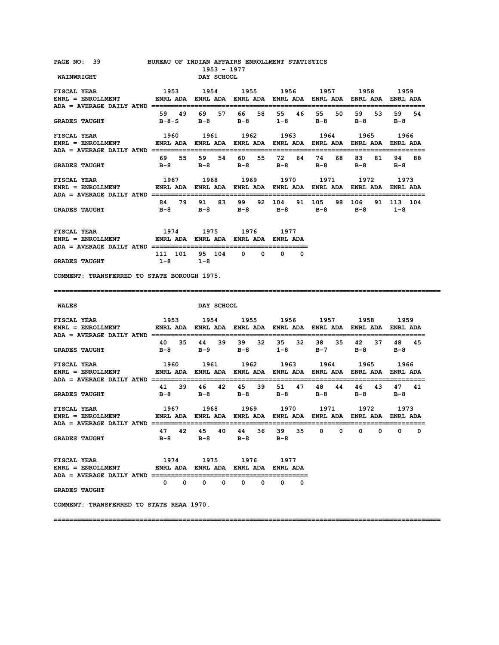| PAGE NO: 39<br><b>WAINWRIGHT</b>                                                                                                                                                                                                                                           | BUREAU OF INDIAN AFFAIRS ENROLLMENT STATISTICS                                                       | 1953 - 1977<br>DAY SCHOOL                                                                            |             |                        |                         |                  |
|----------------------------------------------------------------------------------------------------------------------------------------------------------------------------------------------------------------------------------------------------------------------------|------------------------------------------------------------------------------------------------------|------------------------------------------------------------------------------------------------------|-------------|------------------------|-------------------------|------------------|
| <b>FISCAL YEAR</b><br>ENRL = ENROLLMENT         ENRL ADA ENRL ADA ENRL ADA ENRL ADA ENRL ADA ENRL ADA ENRL ADA                                                                                                                                                             | 1953                                                                                                 | 1954 1955 1956 1957 1958 1959                                                                        |             |                        |                         |                  |
| <b>GRADES TAUGHT</b>                                                                                                                                                                                                                                                       |                                                                                                      | 59 49 69 57 66 58<br>B-8-S B-8 B-8 1-8 B-8                                                           | 55 46 55    | 50                     | 59<br>53<br>$B-8$       | 59<br>54<br>B-8  |
| <b>FISCAL YEAR</b><br>ENRL = ENROLLMENT                ENRL ADA   ENRL ADA   ENRL ADA   ENRL ADA   ENRL ADA   ENRL ADA   ENRL ADA                                                                                                                                          | 1960 1961 1962 1963 1964 1965 1966                                                                   |                                                                                                      |             |                        |                         |                  |
| <b>GRADES TAUGHT</b>                                                                                                                                                                                                                                                       |                                                                                                      | 69 55 59 54 60 55<br>B-8 B-8 B-8 B-8                                                                 | 72          | 64 74<br>68 —<br>$B-8$ | 83<br>81<br>$B-8$ $B-8$ | 94 88            |
| <b>FISCAL YEAR</b><br>ENRL = ENROLLMENT               ENRL ADA   ENRL ADA   ENRL ADA   ENRL ADA   ENRL ADA   ENRL ADA   ENRL ADA                                                                                                                                           |                                                                                                      | 1967 1968 1969 1970 1971 1972 1973                                                                   |             |                        |                         |                  |
| <b>GRADES TAUGHT</b>                                                                                                                                                                                                                                                       |                                                                                                      | 84 79 91 83 99<br>B-8 B-8 B-8 B-8 B-8 B-8 1-8                                                        | 92 104      | 91 105                 | 98 106                  | 91 113 104       |
| ${\tt FISCAL \,\, YEAR} \qquad \qquad 1974 \qquad \qquad 1975 \qquad \qquad 1976 \qquad \qquad 1977$ ${\tt ENRL} \, = \, {\tt ENROLLMENT} \qquad \qquad {\tt ENRL} \, {\tt ADA} \, \, {\tt ENRL} \, {\tt ADA} \, \, {\tt ENRL} \, {\tt ADA} \, \, {\tt ENRL} \, {\tt ADA}$ |                                                                                                      |                                                                                                      |             |                        |                         |                  |
| <b>GRADES TAUGHT</b>                                                                                                                                                                                                                                                       | $1-8$                                                                                                | 111 101 95 104 0 0<br>$1 - 8$                                                                        | $0\qquad 0$ |                        |                         |                  |
| COMMENT: TRANSFERRED TO STATE BOROUGH 1975.                                                                                                                                                                                                                                |                                                                                                      |                                                                                                      |             |                        |                         |                  |
|                                                                                                                                                                                                                                                                            |                                                                                                      |                                                                                                      |             |                        |                         |                  |
|                                                                                                                                                                                                                                                                            |                                                                                                      |                                                                                                      |             |                        |                         |                  |
| <b>WALES</b>                                                                                                                                                                                                                                                               |                                                                                                      | DAY SCHOOL                                                                                           |             |                        |                         |                  |
| FISCAL YEAR<br>ENRL = ENROLLMENT                                                                                                                                                                                                                                           | 1953 1954 1955 1956 1957 1958 1959<br>ENRL ADA ENRL ADA ENRL ADA ENRL ADA ENRL ADA ENRL ADA ENRL ADA |                                                                                                      |             |                        |                         |                  |
| <b>GRADES TAUGHT</b>                                                                                                                                                                                                                                                       |                                                                                                      | 40 35 44 39 39 32 35 32 38 35 42 37 48 45<br>B-8 B-9 B-8 1-8 B-7                                     |             |                        | $B-8$ $B-8$             |                  |
| <b>FISCAL YEAR</b><br>$ENRL = ENROLLMENT$                                                                                                                                                                                                                                  |                                                                                                      | 1960 1961 1962 1963 1964 1965 1966<br>ENRL ADA ENRL ADA ENRL ADA ENRL ADA ENRL ADA ENRL ADA ENRL ADA |             |                        |                         |                  |
| <b>GRADES TAUGHT</b>                                                                                                                                                                                                                                                       |                                                                                                      | 41 39 46 42 45 39 51 47 48 44 46 43 47 41<br>B-8 B-8 B-8 B-8 B-8 B-8 B-8                             |             |                        |                         |                  |
| <b>FISCAL YEAR</b><br>$ENRL = ENROLLMENT$                                                                                                                                                                                                                                  |                                                                                                      |                                                                                                      |             |                        |                         | ================ |
| <b>GRADES TAUGHT</b>                                                                                                                                                                                                                                                       |                                                                                                      | 47 42 45 40 44 36 39 35 0 0 0 0 0 0<br>B-8 B-8 B-8 B-8                                               |             |                        |                         | 0                |
| <b>FISCAL YEAR</b><br>ENRL = ENROLLMENT             ENRL ADA ENRL ADA ENRL ADA ENRL ADA                                                                                                                                                                                    |                                                                                                      | 1974 1975 1976 1977                                                                                  |             |                        |                         |                  |
| <b>GRADES TAUGHT</b>                                                                                                                                                                                                                                                       |                                                                                                      | $\begin{array}{ccccccccccccccccc} 0 & 0 & 0 & 0 & 0 & 0 & 0 & 0 \end{array}$                         |             |                        |                         |                  |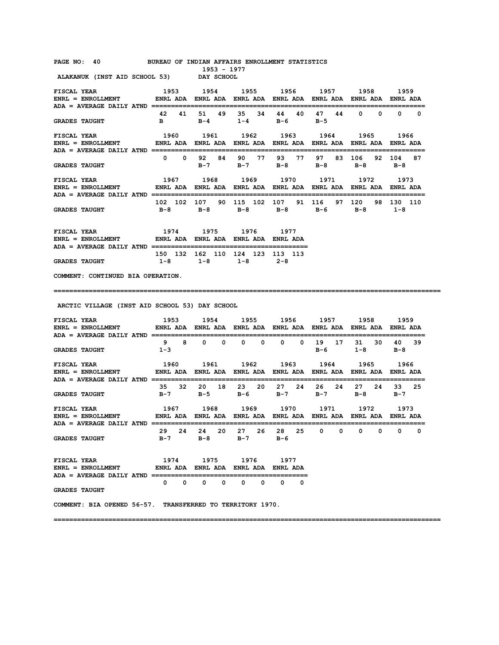**PAGE NO: 40 BUREAU OF INDIAN AFFAIRS ENROLLMENT STATISTICS** 

 **1953 - 1977 ALAKANUK (INST AID SCHOOL 53)** 

| ENRL = ENROLLMENT       ENRL ADA ENRL ADA ENRL ADA ENRL ADA ENRL ADA ENRL ADA ENRL ADA                        |            |                                     |                         |    |                         |      |                                   |       |               |    |                |          |                    |     |
|---------------------------------------------------------------------------------------------------------------|------------|-------------------------------------|-------------------------|----|-------------------------|------|-----------------------------------|-------|---------------|----|----------------|----------|--------------------|-----|
| <b>GRADES TAUGHT</b>                                                                                          | 42         | 41<br>$\mathbf{B}$ and $\mathbf{B}$ | 51 .                    | 49 | 35.<br>$B - 4$ 1 – 4    | -34  | в-6                               | 44 40 | 47<br>$B-5$   | 44 | $\Omega$       | $\Omega$ | $\Omega$           | - 0 |
| ENRL = ENROLLMENT         ENRL ADA ENRL ADA ENRL ADA ENRL ADA ENRL ADA ENRL ADA ENRL ADA                      |            |                                     |                         |    |                         |      |                                   |       |               |    |                |          |                    |     |
| <b>GRADES TAUGHT</b>                                                                                          | $^{\circ}$ | $\mathbf{0}$                        | 92<br>$B - 7$           | 84 | 90<br>$B-7$             | - 77 | $B-8$                             | 93 77 | 97<br>$B - 8$ | 83 | 106<br>$B - 8$ | 92       | 104<br>$B - 8$     | 87  |
| ENRL = ENROLLMENT         ENRL ADA ENRL ADA ENRL ADA ENRL ADA ENRL ADA ENRL ADA<br>$ADA = AVERAGE DAILY ATND$ |            |                                     |                         |    |                         |      |                                   |       |               |    |                |          | <b>ENRI ADA</b>    |     |
| GRADES TAUGHT $B-8$ $B-8$ $B-8$ $B-8$ $B-8$ $B-6$                                                             |            |                                     |                         |    |                         |      | 102 102 107 90 115 102 107 91 116 |       |               | 97 | 120<br>B-8     | 98.      | 130 110<br>$1 - 8$ |     |
| 1974<br>FISCAL YEAR<br>$ENRL = ENROLLMENT$ ENRL ADA                                                           |            |                                     | 1975<br><b>ENRL ADA</b> |    | 1976<br><b>ENRL ADA</b> |      | 1977<br><b>FNRI</b> ADA           |       |               |    |                |          |                    |     |

**COMMENT: CONTINUED BIA OPERATION.** 

**===================================================================================================** 

 **ARCTIC VILLAGE (INST AID SCHOOL 53) DAY SCHOOL** 

 **150 132 162 110 124 123 113 113 GRADES TAUGHT 1-8 1-8 1-8 2-8** 

| FISCAL YEAR 1953<br>ENRL = ENROLLMENT         ENRL ADA ENRL ADA ENRL ADA ENRL ADA ENRL ADA ENRL ADA ENRL ADA                                                 |                               |          |                   |          |                   | 1954 1955 1956 1957 |              |              |            | 1958     |             | 1959          |                   |
|--------------------------------------------------------------------------------------------------------------------------------------------------------------|-------------------------------|----------|-------------------|----------|-------------------|---------------------|--------------|--------------|------------|----------|-------------|---------------|-------------------|
| GRADES TAUGHT 1-3                                                                                                                                            |                               | $9 \t 8$ | $\Omega$ $\Omega$ |          | $\Omega$ $\Omega$ |                     | $0 \qquad 0$ | 19<br>$B-6$  | 17         | 31       | 30<br>$1-8$ | 40.<br>$B-8$  | 39                |
| FISCAL YEAR 66 1960 1961 1962 1963 1964 1965 1966<br>ENRL = ENROLLMENT            ENRL ADA   ENRL ADA   ENRL ADA   ENRL ADA   ENRL ADA   ENRL ADA   ENRL ADA |                               |          |                   |          |                   |                     |              |              |            |          |             |               |                   |
| GRADES TAUGHT $B-7$ $B-5$ $B-6$ $B-7$                                                                                                                        | 35 32 20 18 23 20 27 24 26 24 |          |                   |          |                   |                     |              | $B-7$        |            | 27       | 24<br>$B-8$ | 33<br>$B - 7$ | 25                |
| ENRL = ENROLLMENT         ENRL ADA ENRL ADA ENRL ADA ENRL ADA ENRL ADA ENRL ADA ENRL ADA                                                                     |                               |          |                   |          |                   |                     |              |              |            |          |             |               |                   |
| GRADES TAUGHT $B-7$ $B-8$ $B-7$ $B-6$                                                                                                                        | 29 24 24 20 27 26 28 25       |          |                   |          |                   |                     |              | $\mathbf{0}$ | $^{\circ}$ | $\Omega$ | $^{\circ}$  |               | $\Omega$ $\Omega$ |
| FISCAL YEAR 1974 1975 1976 1977<br>ENRL = ENROLLMENT         ENRL ADA ENRL ADA ENRL ADA ENRL ADA                                                             |                               |          |                   |          |                   |                     |              |              |            |          |             |               |                   |
| <b>GRADES TAUGHT</b>                                                                                                                                         |                               |          |                   | $\Omega$ | $\Omega$          |                     | 0 0          |              |            |          |             |               |                   |
| COMMENT: BIA OPENED 56-57. TRANSFERRED TO TERRITORY 1970.                                                                                                    |                               |          |                   |          |                   |                     |              |              |            |          |             |               |                   |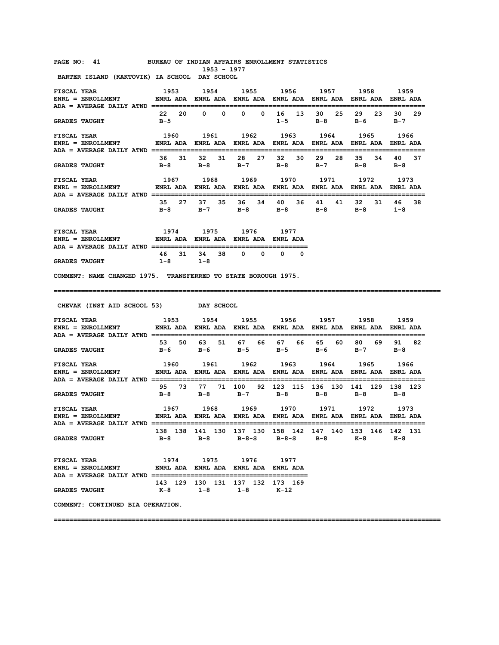#### **PAGE NO: 41 BUREAU OF INDIAN AFFAIRS ENROLLMENT STATISTICS 1953 - 1977**

 **BARTER ISLAND (KAKTOVIK) IA SCHOOL DAY SCHOOL** 

| <b>FISCAL YEAR</b><br>ENRL = ENROLLMENT           ENRL ADA ENRL ADA ENRL ADA ENRL ADA ENRL ADA ENRL ADA ENRL ADA<br>ADA = AVERAGE DAILY ATND ================ |                                                                | 1953 1954 1955 1956 1957 1958                                    |                    |                       |                   |                                  | 1959                       |
|---------------------------------------------------------------------------------------------------------------------------------------------------------------|----------------------------------------------------------------|------------------------------------------------------------------|--------------------|-----------------------|-------------------|----------------------------------|----------------------------|
| <b>GRADES TAUGHT</b>                                                                                                                                          | $B-5$                                                          | 22 20 0 0                                                        | $0\qquad 0$        | 16 13<br>$1 - 5$      | 30<br>25<br>B-8   | 29 23<br>в-6                     | 30<br>29<br>B-7            |
| FISCAL YEAR<br>$ENRL = ENROLLMENT$                                                                                                                            | ENRL ADA ENRL ADA ENRL ADA ENRL ADA ENRL ADA ENRL ADA ENRL ADA | 1960 1961 1962 1963                                              |                    |                       | 1964              | 1965 1966                        |                            |
| <b>GRADES TAUGHT</b>                                                                                                                                          | 36 31<br>в-8                                                   | $B-8$                                                            | 32 31 28 27<br>B-7 | 32 30<br>$B-8$        | 29<br>28<br>$B-7$ | 35 34 40<br>в-8                  | -37<br>$B-8$               |
| <b>FISCAL YEAR</b><br>$ENRL = ENROLLMENT$<br>ADA = AVERAGE DAILY ATND ===============                                                                         | ENRL ADA ENRL ADA ENRL ADA ENRL ADA ENRL ADA ENRL ADA ENRL ADA | 1967 1968 1969 1970 1971                                         |                    |                       |                   | 1972 1973                        |                            |
| <b>GRADES TAUGHT</b>                                                                                                                                          | 35 27<br>в-8                                                   | 37 35<br>$B-7$                                                   | в-8                | 36 34 40 36 41<br>B-8 | 41<br>$B-8$       | 32 31<br>$B-8$                   | 46<br>38<br>$1 - 8$        |
| <b>FISCAL YEAR</b><br>ENRL = ENROLLMENT             ENRL ADA ENRL ADA ENRL ADA ENRL ADA<br>ADA = AVERAGE DAILY ATND =================================         | 1974                                                           | 1975                                                             | 1976               | 1977<br>========      |                   |                                  |                            |
| <b>GRADES TAUGHT</b>                                                                                                                                          | 31<br>46<br>$1 - 8$                                            | 34<br>38<br>$1 - 8$                                              | $\mathbf{0}$<br>0  | $\mathbf{0}$<br>0     |                   |                                  |                            |
| COMMENT: NAME CHANGED 1975. TRANSFERRED TO STATE BOROUGH 1975.                                                                                                |                                                                |                                                                  |                    |                       |                   |                                  |                            |
| CHEVAK (INST AID SCHOOL 53) DAY SCHOOL                                                                                                                        |                                                                |                                                                  |                    |                       |                   |                                  |                            |
| <b>FISCAL YEAR</b>                                                                                                                                            | 1953                                                           | 1954                                                             |                    | 1955 1956             | 1957              | 1958                             | 1959                       |
| ENRL = ENROLLMENT                 ENRL ADA    ENRL ADA    ENRL ADA    ENRL ADA    ENRL ADA    ENRL ADA                                                        | 53                                                             | 50 63 51 67 66                                                   |                    | 67 66                 | 65 —<br>60 -      | 80 69                            | 91<br>82                   |
| <b>GRADES TAUGHT</b>                                                                                                                                          | в-6                                                            | — в-6                                                            | B-5                | $B - 5$               | в-6               | B-7                              | — в – 8                    |
| FISCAL YEAR<br>ENRL = ENROLLMENT         ENRL ADA ENRL ADA ENRL ADA ENRL ADA ENRL ADA ENRL ADA ENRL ADA                                                       | 1960                                                           | 1961                                                             | 1962               | 1963                  | 1964              | 1965                             | 1966<br>================== |
| ADA = AVERAGE DAILY ATND ==========================<br><b>GRADES TAUGHT</b>                                                                                   | 95<br>в-8                                                      | 73 77 71 100 92 123 115 136 130 141 129 138 123<br>B-8           | B-7                | в-8                   | B-8               | в-8                              | — в – 8                    |
| FISCAL YEAR<br>ENRL = ENROLLMENT                 ENRL ADA    ENRL ADA    ENRL ADA    ENRL ADA    ENRL ADA    ENRL ADA                                         | 1967                                                           | 1968                                                             | 1969               | 1970                  | 1971              | 1972<br>======================== | 1973                       |
| ADA = AVERAGE DAILY ATND =========================<br><b>GRADES TAUGHT</b>                                                                                    | B-8                                                            | 138 138 141 130 137 130 158 142 147 140 153 146 142 131<br>$B-8$ | B-8-S              | B-8-S B-8             |                   | $K-8$                            | K-8                        |
| <b>FISCAL YEAR</b>                                                                                                                                            |                                                                | 1974 1975 1976 1977                                              |                    |                       |                   |                                  |                            |

**COMMENT: CONTINUED BIA OPERATION.**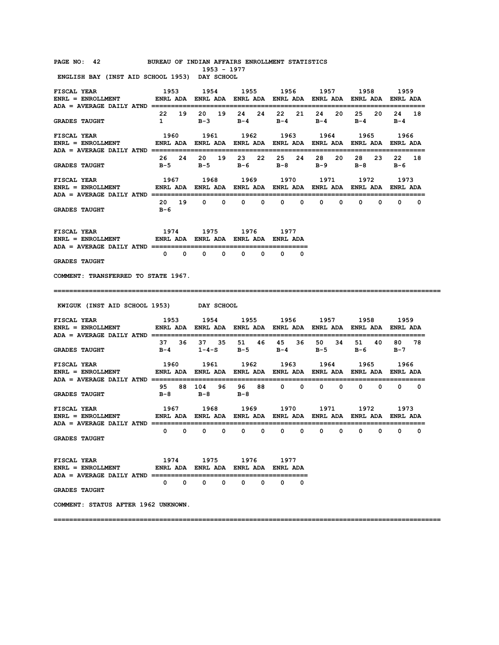#### **PAGE NO: 42 BUREAU OF INDIAN AFFAIRS ENROLLMENT STATISTICS**

 **1953 - 1977 ENGLISH BAY (INST AID SCHOOL 1953) DAY SCHOOL** 

| <b>FISCAL YEAR</b>                                                                                                             | 1953                                |                                            | 1954 1955 1956 1957                  |                  |                                                                        | 1958                            | 1959                            |
|--------------------------------------------------------------------------------------------------------------------------------|-------------------------------------|--------------------------------------------|--------------------------------------|------------------|------------------------------------------------------------------------|---------------------------------|---------------------------------|
| <b>GRADES TAUGHT</b>                                                                                                           | 22 19<br>$\mathbf{1}$               | 20<br>19<br>$B-3$                          | 24<br>24<br>$B-4$                    | 22 21<br>$B-4$   | 24<br>20<br>B-4                                                        | 25<br>20<br>в-4                 | 24<br>18<br>в-4                 |
| <b>FISCAL YEAR</b><br>ENRL = ENROLLMENT                  ENRL ADA    ENRL ADA    ENRL ADA    ENRL ADA    ENRL ADA    ENRL ADA  | 1960                                | 1961                                       |                                      | 1962 1963 1964   |                                                                        | 1965                            | 1966                            |
| <b>GRADES TAUGHT</b>                                                                                                           | 26 24<br>B-5                        | B-5                                        | 20 19 23 22<br>$B-6$                 | 25 24<br>в-8     | 28<br>20<br>в-9                                                        | 28<br>23<br>в-8                 | 22<br>18<br>в-6                 |
| <b>FISCAL YEAR</b>                                                                                                             | 1967                                | 1968                                       |                                      | 1969 1970        | 1971                                                                   | 1972                            | 1973                            |
| <b>GRADES TAUGHT</b>                                                                                                           | 20 19<br>в-6                        | $0\qquad 0$                                | $^{\circ}$<br>0                      | $\mathbf 0$<br>0 | $^{\circ}$<br>$\mathbf{0}$                                             | $\mathbf 0$<br>0                | $\mathbf{0}$<br>0               |
| FISCAL YEAR<br>ENRL = ENROLLMENT            ENRL ADA ENRL ADA ENRL ADA ENRL ADA                                                | 1974 1975 1976 1977                 |                                            |                                      |                  |                                                                        |                                 |                                 |
| <b>GRADES TAUGHT</b>                                                                                                           | $\circ$ $\circ$                     | 0<br>0                                     | $^{\circ}$<br>0                      | 0<br>0           |                                                                        |                                 |                                 |
| COMMENT: TRANSFERRED TO STATE 1967.                                                                                            |                                     |                                            |                                      |                  |                                                                        |                                 |                                 |
| KWIGUK (INST AID SCHOOL 1953) DAY SCHOOL                                                                                       |                                     |                                            |                                      |                  |                                                                        |                                 |                                 |
| FISCAL YEAR<br>ENRL = ENROLLMENT               ENRL ADA   ENRL ADA   ENRL ADA   ENRL ADA   ENRL ADA   ENRL ADA   ENRL ADA      | 1953 1954 1955 1956 1957 1958       |                                            |                                      |                  |                                                                        |                                 | 1959                            |
| <b>GRADES TAUGHT</b>                                                                                                           | в-4                                 | 37 36 37 35                                | 51 46<br>$1 - 4 - S$ $B - 5$ $B - 4$ | 45<br>36         | 50<br>34<br>$B-5$                                                      | 51 —<br>40<br>в-6               | 80 —<br>78<br>в-7               |
| <b>FISCAL YEAR</b><br>$ENRL = ENROLLMENT$                                                                                      | 1960                                | 1961                                       | 1962                                 | 1963             | 1964<br>ENRL ADA ENRL ADA ENRL ADA ENRL ADA ENRL ADA ENRL ADA ENRL ADA | 1965                            | 1966                            |
| <b>GRADES TAUGHT</b>                                                                                                           | 95<br>B-8                           | 88 104<br>96 —<br>$B-8$                    | 96 88<br>— B-8                       | $0\qquad 0$      | $0\qquad 0$                                                            | $\begin{matrix}0&0\end{matrix}$ | $\begin{matrix}0&0\end{matrix}$ |
| <b>FISCAL YEAR</b><br>ENRL = ENROLLMENT             ENRL ADA   ENRL ADA   ENRL ADA   ENRL ADA   ENRL ADA   ENRL ADA   ENRL ADA |                                     | 1967 1968                                  |                                      | 1969 1970        | 1971                                                                   | 1972                            | 1973                            |
| <b>ADA = AVERAGE DAILY ATND =================</b><br><b>GRADES TAUGHT</b>                                                      | $0\qquad 0$                         | 0<br>$^{\circ}$                            | 0<br>$^{\circ}$                      | $^{\circ}$<br>0  | $^{\circ}$<br>$^{\circ}$                                               | 0<br>0                          | $^{\circ}$<br>0                 |
| <b>FISCAL YEAR</b><br>$ENRL = ENROLLMENT$                                                                                      | ENRL ADA ENRL ADA ENRL ADA ENRL ADA |                                            | 1974 1975 1976                       | 1977             |                                                                        |                                 |                                 |
| <b>GRADES TAUGHT</b>                                                                                                           | $\mathbf{0}$                        | $\mathbf{0}$<br>$\mathbf{0}$<br>$^{\circ}$ | $\mathbf 0$<br>0                     | 0<br>0           |                                                                        |                                 |                                 |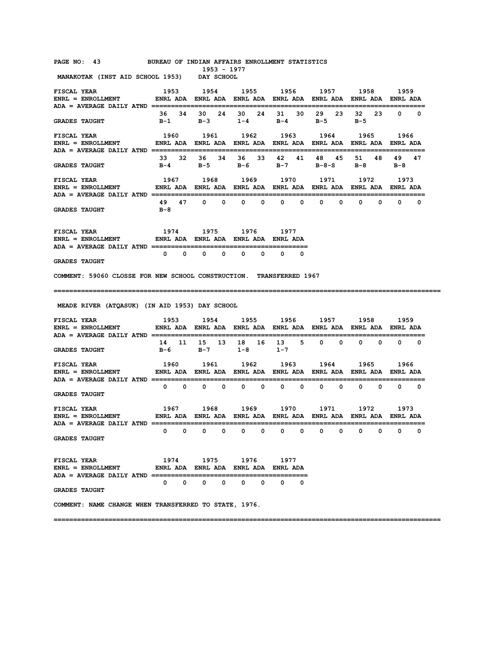| PAGE NO: 43 BUREAU OF INDIAN AFFAIRS ENROLLMENT STATISTICS                                                                                                                                                                                                                                                                                                                                                                                         |                                                                                      | 1953 - 1977                                |                   |        |                     |          |             |
|----------------------------------------------------------------------------------------------------------------------------------------------------------------------------------------------------------------------------------------------------------------------------------------------------------------------------------------------------------------------------------------------------------------------------------------------------|--------------------------------------------------------------------------------------|--------------------------------------------|-------------------|--------|---------------------|----------|-------------|
| MANAKOTAK (INST AID SCHOOL 1953) DAY SCHOOL                                                                                                                                                                                                                                                                                                                                                                                                        |                                                                                      |                                            |                   |        |                     |          |             |
| <b>FISCAL YEAR</b><br>ENRL = ENROLLMENT           ENRL ADA ENRL ADA ENRL ADA ENRL ADA ENRL ADA ENRL ADA ENRL ADA                                                                                                                                                                                                                                                                                                                                   | 1953 1954 1955 1956 1957 1958 1959                                                   |                                            |                   |        |                     |          |             |
|                                                                                                                                                                                                                                                                                                                                                                                                                                                    |                                                                                      |                                            |                   |        |                     |          |             |
| <b>GRADES TAUGHT</b>                                                                                                                                                                                                                                                                                                                                                                                                                               | B-1 B-3 1-4 B-4 B-5 B-5                                                              | 36 34 30 24 30 24 31 30 29 23              |                   |        |                     | 23<br>32 | $0\qquad 0$ |
| <b>FISCAL YEAR</b><br>ENRL = ENROLLMENT             ENRL ADA   ENRL ADA   ENRL ADA   ENRL ADA   ENRL ADA   ENRL ADA   ENRL ADA                                                                                                                                                                                                                                                                                                                     |                                                                                      | 1960 1961 1962 1963 1964 1965              |                   |        |                     |          | 1966        |
|                                                                                                                                                                                                                                                                                                                                                                                                                                                    |                                                                                      |                                            |                   |        |                     |          |             |
| <b>GRADES TAUGHT</b>                                                                                                                                                                                                                                                                                                                                                                                                                               | 33 32 36 34 36 33 42 41 48 45 51 48 49 47                                            | B-4 B-5 B-6 B-7 B-8-S B-8 B-8              |                   |        |                     |          |             |
| <b>FISCAL YEAR</b>                                                                                                                                                                                                                                                                                                                                                                                                                                 |                                                                                      | 1967 1968                                  |                   |        | 1969 1970 1971 1972 |          | 1973        |
|                                                                                                                                                                                                                                                                                                                                                                                                                                                    |                                                                                      |                                            |                   |        |                     |          |             |
|                                                                                                                                                                                                                                                                                                                                                                                                                                                    |                                                                                      |                                            |                   |        |                     |          |             |
| GRADES TAUGHT B-8                                                                                                                                                                                                                                                                                                                                                                                                                                  |                                                                                      | 49 47 0 0 0 0 0 0 0 0 0 0 0 0 0            |                   |        |                     |          |             |
|                                                                                                                                                                                                                                                                                                                                                                                                                                                    |                                                                                      |                                            |                   |        |                     |          |             |
| FISCAL YEAR 1974 1975 1976 1977<br>ENRL = ENROLLMENT             ENRL ADA ENRL ADA ENRL ADA ENRL ADA                                                                                                                                                                                                                                                                                                                                               |                                                                                      |                                            |                   |        |                     |          |             |
|                                                                                                                                                                                                                                                                                                                                                                                                                                                    |                                                                                      |                                            |                   |        |                     |          |             |
| <b>GRADES TAUGHT</b>                                                                                                                                                                                                                                                                                                                                                                                                                               | $\begin{array}{ccccccccccccccccccccc} 0 & 0 & 0 & 0 & 0 & 0 & 0 & 0 & 0 \end{array}$ |                                            |                   |        |                     |          |             |
| COMMENT: 59060 CLOSSE FOR NEW SCHOOL CONSTRUCTION. TRANSFERRED 1967                                                                                                                                                                                                                                                                                                                                                                                |                                                                                      |                                            |                   |        |                     |          |             |
|                                                                                                                                                                                                                                                                                                                                                                                                                                                    |                                                                                      |                                            |                   |        |                     |          |             |
|                                                                                                                                                                                                                                                                                                                                                                                                                                                    |                                                                                      |                                            |                   |        |                     |          |             |
| MEADE RIVER (ATQASUK) (IN AID 1953) DAY SCHOOL                                                                                                                                                                                                                                                                                                                                                                                                     |                                                                                      |                                            |                   |        |                     |          |             |
|                                                                                                                                                                                                                                                                                                                                                                                                                                                    |                                                                                      |                                            |                   |        |                     |          |             |
| ENRL = ENROLLMENT         ENRL ADA ENRL ADA ENRL ADA ENRL ADA ENRL ADA ENRL ADA ENRL ADA                                                                                                                                                                                                                                                                                                                                                           |                                                                                      |                                            |                   |        |                     |          |             |
|                                                                                                                                                                                                                                                                                                                                                                                                                                                    |                                                                                      |                                            |                   |        |                     |          |             |
| <b>GRADES TAUGHT</b>                                                                                                                                                                                                                                                                                                                                                                                                                               | 14 11 15 13 18 16 13 5 0 0 0 0 0 0                                                   | $B-6$ $B-7$ $1-8$ $1-7$                    |                   |        |                     |          |             |
| <b>FISCAL YEAR</b>                                                                                                                                                                                                                                                                                                                                                                                                                                 |                                                                                      |                                            |                   |        |                     |          | 1966        |
| ENRL = ENROLLMENT            ENRL ADA ENRL ADA ENRL ADA ENRL ADA ENRL ADA ENRL ADA ENRL ADA                                                                                                                                                                                                                                                                                                                                                        | 1960 1961 1962 1963 1964 1965                                                        |                                            |                   |        |                     |          |             |
|                                                                                                                                                                                                                                                                                                                                                                                                                                                    |                                                                                      |                                            |                   |        |                     |          |             |
| <b>GRADES TAUGHT</b>                                                                                                                                                                                                                                                                                                                                                                                                                               |                                                                                      |                                            |                   |        |                     |          |             |
|                                                                                                                                                                                                                                                                                                                                                                                                                                                    |                                                                                      |                                            |                   |        |                     |          |             |
| $\verb ENRL  = \verb ENROLLMENT  \qquad \verb ENRL  \verb ADA  \verb ENRL  \verb ADA  \verb ENRL  \verb ADA  \verb ENRL  \verb ADA  \verb ENRL  \verb ADA  \verb ENRL  \verb ADA  \verb ENRL  \verb ADA  \verb BDRL  \verb ADA  \verb BDRL  \verb ADA  \verb BDRL  \verb ADA  \verb BDRL  \verb ADA  \verb BDRL  \verb ADR  \verb ADR  \verb ADR  \verb ADR  \verb ADR  \verb ADR  \verb ADR  \verb ADR  \verb ADR  \verb ADR  \verb ADR  \verb A$ |                                                                                      |                                            |                   |        |                     |          |             |
| $ADA = AVERAGE DALLY AND == == ==$                                                                                                                                                                                                                                                                                                                                                                                                                 |                                                                                      |                                            |                   |        |                     |          |             |
| <b>GRADES TAUGHT</b>                                                                                                                                                                                                                                                                                                                                                                                                                               | 0<br>0                                                                               | 0<br>0                                     | $\mathbf 0$<br>0  | 0<br>0 | 0<br>0              | 0<br>0   | 0<br>0      |
|                                                                                                                                                                                                                                                                                                                                                                                                                                                    |                                                                                      |                                            |                   |        |                     |          |             |
| FISCAL YEAR                                                                                                                                                                                                                                                                                                                                                                                                                                        |                                                                                      | 1974 1975 1976                             |                   | 1977   |                     |          |             |
| $ENRL = ENROLLMENT$<br>ADA = AVERAGE DAILY ATND =======================                                                                                                                                                                                                                                                                                                                                                                            |                                                                                      | ENRL ADA ENRL ADA ENRL ADA ENRL ADA        |                   |        |                     |          |             |
| <b>GRADES TAUGHT</b>                                                                                                                                                                                                                                                                                                                                                                                                                               | $\mathbf{0}$                                                                         | $\mathbf{0}$<br>$^{\circ}$<br>$\mathbf{0}$ | $\mathbf{0}$<br>0 | 0<br>0 |                     |          |             |
| COMMENT: NAME CHANGE WHEN TRANSFERRED TO STATE, 1976.                                                                                                                                                                                                                                                                                                                                                                                              |                                                                                      |                                            |                   |        |                     |          |             |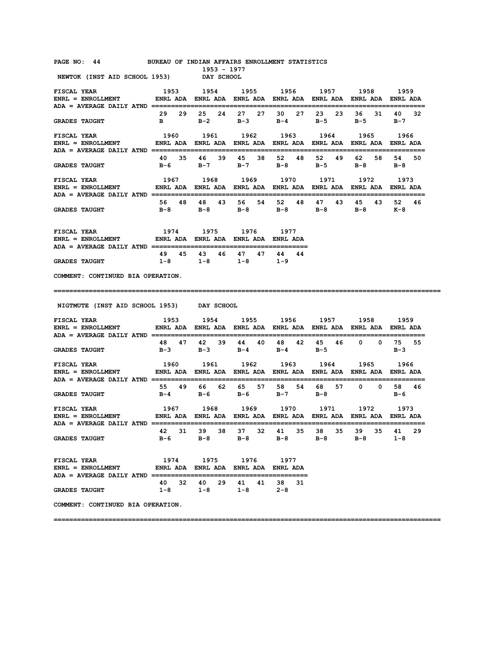| PAGE NO: 44 BUREAU OF INDIAN AFFAIRS ENROLLMENT STATISTICS                                                                                                                                                                                                                                                                                                                                                                          |                                                                                                                                                | 1953 - 1977                                                                 |       |      |                         |                |                 |
|-------------------------------------------------------------------------------------------------------------------------------------------------------------------------------------------------------------------------------------------------------------------------------------------------------------------------------------------------------------------------------------------------------------------------------------|------------------------------------------------------------------------------------------------------------------------------------------------|-----------------------------------------------------------------------------|-------|------|-------------------------|----------------|-----------------|
| NEWTOK (INST AID SCHOOL 1953) DAY SCHOOL                                                                                                                                                                                                                                                                                                                                                                                            |                                                                                                                                                |                                                                             |       |      |                         |                |                 |
| <b>FISCAL YEAR</b><br>ENRL = ENROLLMENT ENRL ADA ENRL ADA ENRL ADA ENRL ADA ENRL ADA ENRL ADA ENRL ADA ENRL ADA                                                                                                                                                                                                                                                                                                                     |                                                                                                                                                | 1953 1954 1955 1956 1957 1958 1959                                          |       |      |                         |                |                 |
| <b>GRADES TAUGHT</b>                                                                                                                                                                                                                                                                                                                                                                                                                |                                                                                                                                                | 29 29 25 24 27 27 30 27 23<br>B B-2 B-3 B-4 B-5 B-5 B-7                     |       |      | 23                      |                | 36 31 40 32     |
| $\begin{array}{ccccccccc} \texttt{FISCAL} & \texttt{YEAR} & & & & 1960 & & 1961 & & 1962 & & 1963 & & 1964 & & 1965 & & 1966 \\ \texttt{ENRL} & = & \texttt{ENROLIMENT} & & & \texttt{ENRL} & \texttt{ADA} & \texttt{ENRL} & \texttt{ADA} & \texttt{ENRL} & \texttt{ADA} & \texttt{BNRL} & \texttt{ADA} & \texttt{ENRL} & \texttt{ADA} & \texttt{ENRL} & \texttt{ADA} & \texttt{ENRL} & \texttt{ADA} & \texttt{BRA} & \texttt{BRA}$ |                                                                                                                                                |                                                                             |       |      |                         |                |                 |
| <b>GRADES TAUGHT</b>                                                                                                                                                                                                                                                                                                                                                                                                                | 40 35 46                                                                                                                                       | B-6 B-7 B-7 B-8                                                             | 39 45 |      | 38 52 48 52 49<br>$B-5$ | 62 58<br>$B-8$ | 54<br>50<br>в-8 |
| <b>FISCAL YEAR</b><br>ENRL = ENROLLMENT                  ENRL ADA    ENRL ADA    ENRL ADA    ENRL ADA    ENRL ADA    ENRL ADA    ENRL ADA                                                                                                                                                                                                                                                                                           | 1967 1968 1969 1970 1971 1972 1973                                                                                                             |                                                                             |       |      |                         |                |                 |
| <b>GRADES TAUGHT</b>                                                                                                                                                                                                                                                                                                                                                                                                                |                                                                                                                                                | 56 48 48 43 56 54 52<br>B-8 B-8 B-8 B-8 B-8                                 |       |      | 48 47<br>43             | 45<br>B-8 K-8  | 43 52 46        |
| <b>FISCAL YEAR</b><br>ENRL = ENROLLMENT ENRL ADA ENRL ADA ENRL ADA ENRL ADA                                                                                                                                                                                                                                                                                                                                                         |                                                                                                                                                | 1974 1975 1976 1977                                                         |       |      |                         |                |                 |
| <b>GRADES TAUGHT</b>                                                                                                                                                                                                                                                                                                                                                                                                                |                                                                                                                                                | 49 45 43 46 47 47 44 44<br>$1-8$ $1-8$ $1-8$ $1-9$                          |       |      |                         |                |                 |
| COMMENT: CONTINUED BIA OPERATION.                                                                                                                                                                                                                                                                                                                                                                                                   |                                                                                                                                                |                                                                             |       |      |                         |                |                 |
|                                                                                                                                                                                                                                                                                                                                                                                                                                     |                                                                                                                                                |                                                                             |       |      |                         |                |                 |
|                                                                                                                                                                                                                                                                                                                                                                                                                                     |                                                                                                                                                |                                                                             |       |      |                         |                |                 |
| NIGTMUTE (INST AID SCHOOL 1953) DAY SCHOOL                                                                                                                                                                                                                                                                                                                                                                                          |                                                                                                                                                |                                                                             |       |      |                         |                |                 |
| FISCAL YEAR<br>ENRL = ENROLLMENT                  ENRL ADA    ENRL ADA    ENRL ADA    ENRL ADA    ENRL ADA    ENRL ADA                                                                                                                                                                                                                                                                                                              |                                                                                                                                                | 1953 1954 1955 1956 1957 1958 1959                                          |       |      |                         |                |                 |
| <b>GRADES TAUGHT</b>                                                                                                                                                                                                                                                                                                                                                                                                                |                                                                                                                                                | 48 47 42 39 44 40 48 42 45 46 0 0 75 55<br>$B-3$ $B-3$ $B-4$ $B-4$ $B-5$    |       |      |                         |                | B-3             |
| <b>FISCAL YEAR</b><br>ENRL = ENROLLMENT ENRL ADA ENRL ADA ENRL ADA ENRL ADA ENRL ADA ENRL ADA ENRL ADA ENRL ADA ENRL ADA                                                                                                                                                                                                                                                                                                            |                                                                                                                                                | 1960 1961 1962 1963 1964 1965 1966                                          |       |      |                         |                |                 |
| <b>GRADES TAUGHT</b>                                                                                                                                                                                                                                                                                                                                                                                                                |                                                                                                                                                | 55  49  66  62  65  57  58  54  68  57  0  0  58  46<br>B-4 B-6 B-6 B-7 B-8 |       |      |                         |                | в-6             |
| FISCAL YEAR<br>ENRL = ENROLLMENT                                                                                                                                                                                                                                                                                                                                                                                                    | 1967        1968        1969        1970        1971        1972        1973<br>ENRL ADA ENRL ADA ENRL ADA ENRL ADA ENRL ADA ENRL ADA ENRL ADA |                                                                             |       |      |                         |                |                 |
| <b>GRADES TAUGHT</b>                                                                                                                                                                                                                                                                                                                                                                                                                |                                                                                                                                                | 42 31 39 38 37 32 41 35 38 35 39 35 41<br>B-6 B-8 B-8 B-8 B-8 B-8           |       |      |                         |                | 29<br>$1 - 8$   |
| <b>FISCAL YEAR</b><br>ENRL = ENROLLMENT              ENRL ADA ENRL ADA ENRL ADA ENRL ADA                                                                                                                                                                                                                                                                                                                                            |                                                                                                                                                | 1974 1975                                                                   | 1976  | 1977 |                         |                |                 |
| <b>GRADES TAUGHT</b>                                                                                                                                                                                                                                                                                                                                                                                                                |                                                                                                                                                | 40 32 40 29 41 41 38 31<br>$1-8$ $1-8$ $1-8$ $2-8$                          |       |      |                         |                |                 |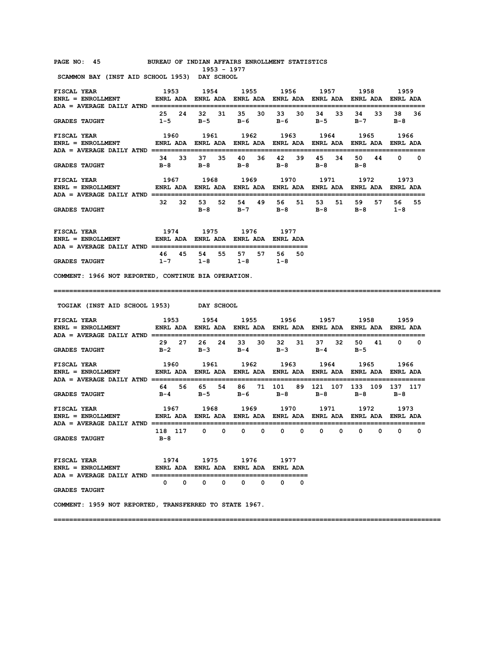#### **PAGE NO: 45 BUREAU OF INDIAN AFFAIRS ENROLLMENT STATISTICS 1953 - 1977**

 **SCAMMON BAY (INST AID SCHOOL 1953) DAY SCHOOL** 

| FISCAL YEAR<br>$ENRL = ENROLLMENT$<br>ADA = AVERAGE DAILY ATND | 1953<br>ENRL ADA |     | 1954<br>ENRL ADA        |    | 1955<br>ENRL ADA        |    | 1956<br><b>ENRL ADA</b> |    | 1957<br>ENRL ADA        |    | 1958<br>ENRL ADA        |     | 1959<br><b>FNRI. ADA</b> |          |
|----------------------------------------------------------------|------------------|-----|-------------------------|----|-------------------------|----|-------------------------|----|-------------------------|----|-------------------------|-----|--------------------------|----------|
| <b>GRADES TAUGHT</b>                                           | 25<br>$1 - 5$    | 24  | 32<br>$B-5$             | 31 | 35.<br>$B-6$            | 30 | 33<br>в-6               | 30 | 34<br>$B-5$             | 33 | 34<br>$B-7$             | 33. | 38<br>$B-8$              | 36       |
| FISCAL YEAR<br>$ENRL = ENROLLMENT$<br>ADA = AVERAGE DAILY ATND | 1960<br>ENRL ADA |     | 1961<br>ENRL ADA        |    | 1962<br><b>ENRL ADA</b> |    | 1963<br><b>ENRL ADA</b> |    | 1964<br><b>ENRL ADA</b> |    | 1965<br><b>ENRL ADA</b> |     | 1966<br>ENRL ADA         |          |
| <b>GRADES TAUGHT</b>                                           | 34<br>$B-8$      | 33. | 37<br>$B-8$             | 35 | 40<br>$B-8$             | 36 | 42<br>$B-8$             | 39 | 45<br>$B-8$             | 34 | 50<br>$B-8$             | 44  | $\Omega$                 | $\Omega$ |
| FISCAL YEAR<br>$ENRL = ENROLLMENT$<br>ADA = AVERAGE DAILY ATND | 1967<br>ENRL ADA |     | 1968<br><b>ENRL ADA</b> |    | 1969<br><b>ENRL ADA</b> |    | 1970<br><b>ENRL ADA</b> |    | 1971<br><b>ENRL ADA</b> |    | 1972<br><b>ENRL ADA</b> |     | 1973<br>ENRL ADA         |          |
| <b>GRADES TAUGHT</b>                                           | 32               | 32  | 53<br>$B-8$             | 52 | 54<br>$B-7$             | 49 | 56<br>$B-8$             | 51 | 53<br>$B-8$             | 51 | 59<br>$B-8$             | 57. | 56.<br>$1 - 8$           | 55.      |

| FISCAL YEAR                                      | 1974                 | 1975                 | 1976                 | 1977               |
|--------------------------------------------------|----------------------|----------------------|----------------------|--------------------|
| $ENRL = ENROLLMENT$                              | <b>FNRI ADA</b>      | ENRI ADA             | <b>FNRI ADA</b>      | <b>FNRI</b> ADA    |
| ADA = AVERAGE DAILY ATND<br><b>GRADES TAUGHT</b> | 46.<br>45<br>$1 - 7$ | 55.<br>54<br>$1 - R$ | 57.<br>57<br>$1 - R$ | 50<br>56.<br>1 – 8 |

**COMMENT: 1966 NOT REPORTED, CONTINUE BIA OPERATION.** 

#### **===================================================================================================**

 **TOGIAK (INST AID SCHOOL 1953) DAY SCHOOL** 

| FISCAL YEAR TISCAL THE THE THE TEAM OF THE TEAM OF THE TEAM OF THE TEAM OF THE TEAM OF THE TEAM OF THE TEAM OF<br>ENRL = ENROLLMENT         ENRL ADA ENRL ADA ENRL ADA ENRL ADA ENRL ADA ENRL ADA ENRL ADA | 1953 |       |       | 1954 — 1954 — 1965 — 1965 — 1975 — 1986 — 1986 — 1986 — 1986 — 1986 — 1986 — 1986 — 1986 — 1986 — 1986 — 1986 — 1986 — 1986 — 1986 — 1986 — 1986 — 1986 — 1986 — 1986 — 1986 — 1986 — 1986 — 1986 — 1986 — 1986 — 1986 — 1986 — |    |       | 1955 1956 1957      |       |                |             | 1958          |          | 1959               |          |
|------------------------------------------------------------------------------------------------------------------------------------------------------------------------------------------------------------|------|-------|-------|---------------------------------------------------------------------------------------------------------------------------------------------------------------------------------------------------------------------------------|----|-------|---------------------|-------|----------------|-------------|---------------|----------|--------------------|----------|
| GRADES TAUGHT $B-2$ $B-3$ $B-4$ $B-3$                                                                                                                                                                      |      | 29 27 | 26 24 |                                                                                                                                                                                                                                 | 33 | 30    |                     | 32 31 | 37             | 32<br>$B-4$ | 50<br>$B - 5$ | 41       |                    | 0 0      |
| ENRL = ENROLLMENT            ENRL ADA   ENRL ADA   ENRL ADA   ENRL ADA   ENRL ADA   ENRL ADA   ENRL ADA                                                                                                    |      |       |       |                                                                                                                                                                                                                                 |    |       |                     |       |                |             |               |          |                    |          |
| GRADES TAUGHT $B-4$ $B-5$ $B-6$ $B-8$                                                                                                                                                                      |      | 64 56 |       | 65 54                                                                                                                                                                                                                           |    | 86 71 |                     |       | 101 89 121 107 | $B-8$       | 133 109       | $B - 8$  | 137 117<br>$B - R$ |          |
| ENRL = ENROLLMENT           ENRL ADA ENRL ADA ENRL ADA ENRL ADA ENRL ADA ENRL ADA ENRL ADA                                                                                                                 |      |       |       |                                                                                                                                                                                                                                 |    |       |                     |       |                |             |               |          |                    |          |
|                                                                                                                                                                                                            |      |       |       |                                                                                                                                                                                                                                 |    |       |                     |       |                |             |               |          |                    |          |
| GRADES TAUGHT B-8                                                                                                                                                                                          |      |       |       |                                                                                                                                                                                                                                 |    |       | 118 117 0 0 0 0 0 0 |       | $\Omega$       | $\Omega$    | $\Omega$      | $\Omega$ | $\Omega$           | $\Omega$ |
| FISCAL YEAR $1974$ 1975 1976 1977<br>ENRL = ENROLLMENT            ENRL ADA ENRL ADA ENRL ADA ENRL ADA                                                                                                      |      |       |       |                                                                                                                                                                                                                                 |    |       |                     |       |                |             |               |          |                    |          |

**GRADES TAUGHT** 

**COMMENT: 1959 NOT REPORTED, TRANSFERRED TO STATE 1967.**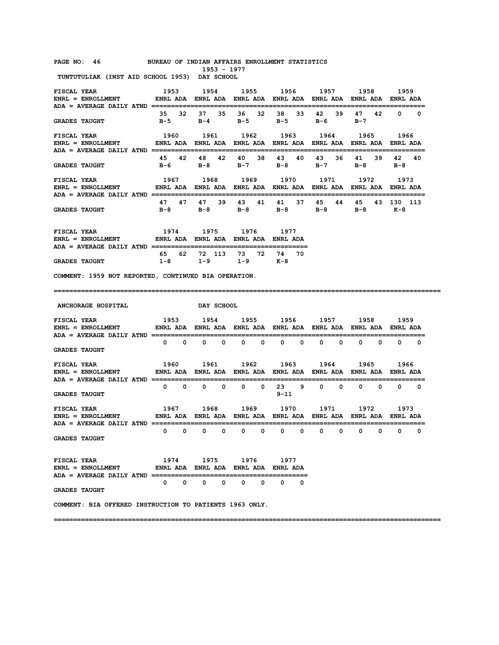#### **PAGE NO: 46 BUREAU OF INDIAN AFFAIRS ENROLLMENT STATISTICS**

 **1953 - 1977 TUNTUTULIAK (INST AID SCHOOL 1953) DAY SCHOOL** 

| <b>FISCAL YEAR</b><br>ENRL = ENROLLMENT                  ENRL ADA    ENRL ADA    ENRL ADA    ENRL ADA    ENRL ADA    ENRL ADA<br>ADA = AVERAGE DAILY ATND =========== | 1953                                                                   | 1954              |                                             | 1955 1956        | 1957                                                                   | 1958                     | 1959                        |
|-----------------------------------------------------------------------------------------------------------------------------------------------------------------------|------------------------------------------------------------------------|-------------------|---------------------------------------------|------------------|------------------------------------------------------------------------|--------------------------|-----------------------------|
| <b>GRADES TAUGHT</b>                                                                                                                                                  | 32<br>35<br>$B-5$                                                      | 37<br>35<br>B-4   | 36 —<br>32<br>B-5                           | 38<br>33<br>B-5  | 42<br>39<br>в-6                                                        | 42<br>47<br>$B-7$        | $\mathbf{0}$<br>0           |
| FISCAL YEAR<br>ENRL = ENROLLMENT                 ENRL ADA   ENRL ADA   ENRL ADA   ENRL ADA   ENRL ADA   ENRL ADA   ENRL ADA                                           | 1960                                                                   | 1961              | 1962                                        | 1963             | 1964                                                                   | 1965                     | 1966<br>=================== |
| <b>GRADES TAUGHT</b>                                                                                                                                                  | 45 42<br>в-6                                                           | 42<br>48<br>в-8   | 40<br>38<br>$B-7$                           | 43<br>40<br>в-8  | 43<br>36<br>$B-7$                                                      | 39<br>41<br>в-8          | 42 40<br>$B-8$              |
| <b>FISCAL YEAR</b><br>$ENRL = ENROLLMENT$                                                                                                                             | 1967                                                                   | 1968              | 1969                                        | 1970             | 1971<br>ENRL ADA ENRL ADA ENRL ADA ENRL ADA ENRL ADA ENRL ADA ENRL ADA | 1972                     | 1973<br>=========           |
| <b>GRADES TAUGHT</b>                                                                                                                                                  | 47<br>47<br>в-8                                                        | 47<br>39<br>в-8   | 43<br>41<br>в-8                             | 41<br>37<br>B-8  | 45<br>44<br>B-8                                                        | 45<br>в-8                | 43 130 113<br>— к−8         |
| <b>FISCAL YEAR</b>                                                                                                                                                    | 1974 1975 1976 1977                                                    |                   |                                             |                  |                                                                        |                          |                             |
| <b>GRADES TAUGHT</b>                                                                                                                                                  | 62<br>65<br>$1 - 8$                                                    | 72 113<br>$1 - 9$ | 73 —<br>72<br>$1 - 9$                       | 74 70<br>к-8     |                                                                        |                          |                             |
| COMMENT: 1959 NOT REPORTED, CONTINUED BIA OPERATION.                                                                                                                  |                                                                        |                   |                                             |                  |                                                                        |                          |                             |
|                                                                                                                                                                       |                                                                        |                   |                                             |                  |                                                                        |                          |                             |
| ANCHORAGE HOSPITAL                                                                                                                                                    |                                                                        | DAY SCHOOL        |                                             |                  |                                                                        |                          |                             |
| FISCAL YEAR<br>ENRL = ENROLLMENT               ENRL ADA   ENRL ADA   ENRL ADA   ENRL ADA   ENRL ADA   ENRL ADA   ENRL ADA                                             | 1953                                                                   |                   |                                             |                  | 1954 1955 1956 1957 1958                                               |                          | 1959                        |
| <b>GRADES TAUGHT</b>                                                                                                                                                  | 0<br>$^{\circ}$                                                        | 0<br>0            | 0<br>0                                      | 0<br>0           | 0<br>0                                                                 | 0<br>0                   | $^{\circ}$<br>0             |
| <b>FISCAL YEAR</b><br>$ENRL = ENROLLMENT$                                                                                                                             | 1960<br>ENRL ADA ENRL ADA ENRL ADA ENRL ADA ENRL ADA ENRL ADA ENRL ADA | 1961              | 1962                                        | 1963             | 1964                                                                   | 1965                     | 1966                        |
| <b>GRADES TAUGHT</b>                                                                                                                                                  | $^{\circ}$<br>$\overline{\phantom{0}}$                                 | $^{\circ}$<br>0   | 0<br>0                                      | 23 9<br>$9 - 11$ | $0\qquad 0$                                                            | $\mathbf{0}$<br>$\Omega$ | $0\qquad 0$                 |
| <b>FISCAL YEAR</b><br>ENRL = ENROLLMENT                  ENRL ADA    ENRL ADA    ENRL ADA    ENRL ADA    ENRL ADA    ENRL ADA                                         | 1967                                                                   | 1968              |                                             | 1969 1970        | 1971                                                                   | 1972                     | 1973                        |
| ADA = AVERAGE DAILY ATND ===========================<br><b>GRADES TAUGHT</b>                                                                                          | 0<br>0                                                                 | 0<br>0            | 0<br>0                                      | 0<br>0           | 0<br>0                                                                 | 0<br>0                   | 0<br>0                      |
| <b>FISCAL YEAR</b><br><b>ENRL = ENROLLMENT</b>                                                                                                                        |                                                                        | 1975 — 197        | 1976<br>ENRL ADA ENRL ADA ENRL ADA ENRL ADA | 1977             |                                                                        |                          |                             |
| <b>ADA = AVERAGE DAILY ATND ==============</b><br><b>GRADES TAUGHT</b>                                                                                                | 0<br>0                                                                 | 0<br>0            | 0<br>0                                      | 0<br>0           |                                                                        |                          |                             |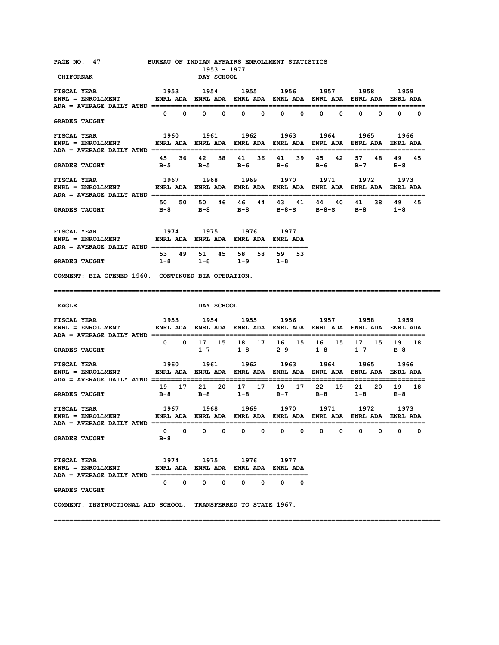| PAGE NO: 47 BUREAU OF INDIAN AFFAIRS ENROLLMENT STATISTICS<br><b>CHIFORNAK</b>                                                                                                                                                                                    |                       |                   |                   | 1953 - 1977<br>DAY SCHOOL |                                                                                                                  |              |              |              |              |              |              |                              |            |
|-------------------------------------------------------------------------------------------------------------------------------------------------------------------------------------------------------------------------------------------------------------------|-----------------------|-------------------|-------------------|---------------------------|------------------------------------------------------------------------------------------------------------------|--------------|--------------|--------------|--------------|--------------|--------------|------------------------------|------------|
| <b>FISCAL YEAR</b><br>ENRL = ENROLLMENT         ENRL ADA ENRL ADA ENRL ADA ENRL ADA ENRL ADA ENRL ADA ENRL ADA                                                                                                                                                    |                       |                   |                   |                           | 1953 1954 1955 1956 1957 1958 1959                                                                               |              |              |              |              |              |              |                              |            |
| <b>GRADES TAUGHT</b>                                                                                                                                                                                                                                              |                       | $0\qquad 0\qquad$ |                   | $0\qquad 0$               | $0\qquad 0$                                                                                                      | $\mathbf{0}$ | $\mathbf{0}$ | $\mathbf{0}$ | $\mathbf{0}$ | $\Omega$     |              | $\mathbf{0}$<br>$\mathbf{0}$ | $\Omega$   |
| ENRL = ENROLLMENT                ENRL ADA   ENRL ADA   ENRL ADA   ENRL ADA   ENRL ADA   ENRL ADA   ENRL ADA                                                                                                                                                       |                       |                   |                   |                           |                                                                                                                  |              |              |              |              |              |              |                              |            |
| <b>GRADES TAUGHT</b>                                                                                                                                                                                                                                              |                       |                   |                   |                           | 45 36 42 38 41 36 41 39<br>B-5 B-5 B-6 B-6 B-6                                                                   |              |              |              | 45 42        |              | 57 48        | $B-7$ $B-8$                  | 49 45      |
| <b>FISCAL YEAR</b><br>ENRL = ENROLLMENT         ENRL ADA ENRL ADA ENRL ADA ENRL ADA ENRL ADA ENRL ADA ENRL ADA<br>ADA = AVERAGE DAILY ATND =================================                                                                                      |                       |                   |                   |                           | 1967 1968 1969 1970 1971 1972 1973                                                                               |              |              |              |              |              |              |                              |            |
| <b>GRADES TAUGHT</b>                                                                                                                                                                                                                                              |                       |                   |                   |                           | 50 50 50 46 46 44 43 41 44 40<br>B-8 B-8 B-8 B-8-S B-8-S B-8 1-8                                                 |              |              |              |              |              | 41 38        | 49                           | 45         |
| ${\tt FISCAL \,\, YEAR} \qquad \qquad 1974 \qquad 1975 \qquad 1976 \qquad 1977 \\ {\tt ENRL} \, = \, {\tt ENROLLMENT} \qquad \qquad {\tt ENRL \,\,ADA} \, \, \, {\tt ENRL \,\,ADA} \, \, \, {\tt ENRL \,\,ADA} \, \, {\tt ENRL \,\,ADA} \, \, {\tt ENRL \,\,ADA}$ |                       |                   |                   |                           |                                                                                                                  |              |              |              |              |              |              |                              |            |
| <b>GRADES TAUGHT</b>                                                                                                                                                                                                                                              |                       |                   |                   |                           | 53 49 51 45 58 58 59 53<br>1-8 1-8 1-9 1-8                                                                       |              |              |              |              |              |              |                              |            |
| COMMENT: BIA OPENED 1960. CONTINUED BIA OPERATION.                                                                                                                                                                                                                |                       |                   |                   |                           |                                                                                                                  |              |              |              |              |              |              |                              |            |
|                                                                                                                                                                                                                                                                   |                       |                   |                   |                           |                                                                                                                  |              |              |              |              |              |              |                              |            |
| <b>EAGLE</b>                                                                                                                                                                                                                                                      |                       |                   | <b>DAY SCHOOL</b> |                           |                                                                                                                  |              |              |              |              |              |              |                              |            |
| <b>FISCAL YEAR</b><br>$ENRL = ENROLLMENT$                                                                                                                                                                                                                         |                       |                   |                   |                           | 1953 1954 1955 1956 1957 1958 1959<br>ENRL ADA ENRL ADA ENRL ADA ENRL ADA ENRL ADA ENRL ADA ENRL ADA             |              |              |              |              |              |              |                              |            |
| <b>GRADES TAUGHT</b>                                                                                                                                                                                                                                              |                       |                   |                   |                           | 0 0 17 15 18 17 16 15 16 15<br>$1-7$ $1-8$ $2-9$ $1-8$ $1-7$ $B-8$                                               |              |              |              |              |              |              | 17 15 19 18                  |            |
| <b>FISCAL YEAR</b><br><b>ENRL = ENROLLMENT</b>                                                                                                                                                                                                                    | 1960                  |                   |                   |                           | 1961 1962 1963 1964 1965 1966<br>ENRL ADA ENRL ADA ENRL ADA ENRL ADA ENRL ADA ENRL ADA ENRL ADA                  |              |              |              |              |              |              |                              |            |
| <b>GRADES TAUGHT</b>                                                                                                                                                                                                                                              |                       |                   |                   |                           | 19 17 21 20 17 17 19 17 22 19<br>B-8 B-8 1-8 B-7 B-8                                                             |              |              |              |              |              | $1 - 8$      | 21 20 19 18<br>в-8           |            |
| FISCAL YEAR<br>$ENRL = ENROLLMENT$<br>$ADA = AVERAGE DALLY AND $                                                                                                                                                                                                  |                       |                   |                   |                           | 1967 - 1968 - 1969 - 1970 - 1971 - 1972 - 1973<br>ENRL-ADA ENRL-ADA ENRL-ADA ENRL-ADA ENRL-ADA ENRL-ADA ENRL-ADA |              |              |              |              |              |              |                              | :========= |
| <b>GRADES TAUGHT</b>                                                                                                                                                                                                                                              | $\mathbf{0}$<br>$B-8$ | $\mathbf{0}$      |                   | $0\qquad 0$               | $0\qquad 0$                                                                                                      | $\mathbf{0}$ | $\mathbf 0$  | $\mathbf{0}$ | $^{\circ}$   | $\mathbf{0}$ | $\mathbf{0}$ | $\mathbf{0}$                 | 0          |
| <b>FISCAL YEAR</b><br>$ENRL = ENROLLMENT$ ENRL ADA ENRL ADA ENRL ADA ENRL ADA ENRL ADA                                                                                                                                                                            |                       |                   |                   |                           | 1974 1975 1976 1977<br>$0\qquad 0\qquad 0\qquad 0\qquad 0\qquad 0\qquad 0$                                       |              |              |              |              |              |              |                              |            |
| <b>GRADES TAUGHT</b><br>COMMENT: INSTRUCTIONAL AID SCHOOL. TRANSFERRED TO STATE 1967.                                                                                                                                                                             |                       |                   |                   |                           |                                                                                                                  |              |              |              |              |              |              |                              |            |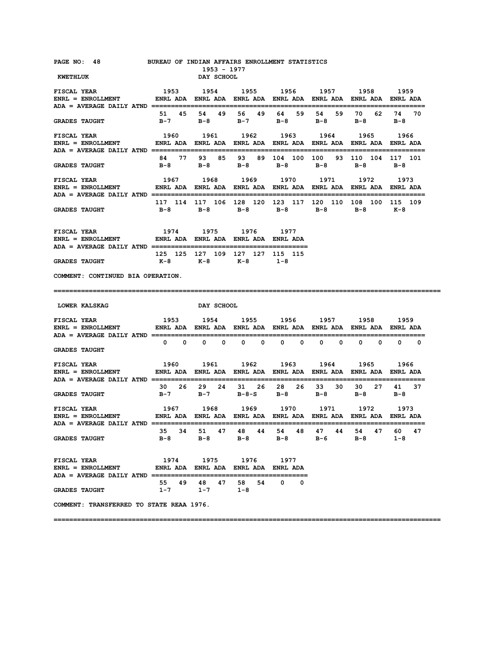| PAGE NO: 48 BUREAU OF INDIAN AFFAIRS ENROLLMENT STATISTICS<br>KWETHLUK                                                                                                                                                                                                                                                                                                                          |                                                | 1953 - 1977<br><b>DAY SCHOOL</b> |                                                     |         |                                                                                        |                                     |              |
|-------------------------------------------------------------------------------------------------------------------------------------------------------------------------------------------------------------------------------------------------------------------------------------------------------------------------------------------------------------------------------------------------|------------------------------------------------|----------------------------------|-----------------------------------------------------|---------|----------------------------------------------------------------------------------------|-------------------------------------|--------------|
|                                                                                                                                                                                                                                                                                                                                                                                                 |                                                |                                  |                                                     |         |                                                                                        |                                     |              |
| <b>GRADES TAUGHT</b>                                                                                                                                                                                                                                                                                                                                                                            |                                                |                                  |                                                     |         | 51 45 54 49 56 49 64 59 54 59<br>B-7 B-8 B-7 B-8 B-8 B-8 B-8                           |                                     | 70 62 74 70  |
|                                                                                                                                                                                                                                                                                                                                                                                                 |                                                |                                  |                                                     |         |                                                                                        |                                     |              |
| <b>GRADES TAUGHT</b>                                                                                                                                                                                                                                                                                                                                                                            |                                                |                                  |                                                     |         | 84 77 93 85 93 89 104 100 100 93 110 104 117 101<br>B-8 B-8 B-8 B-8 B-8 B-8 B-8        |                                     |              |
| ${\tt FISCAL}~~{\tt YEAR}~~{\tt 1967}~~{\tt 1968}~~{\tt 1969}~~{\tt 1970}~~{\tt 1971}~~{\tt 1972}~~{\tt 1973}~~{\tt ENRL}~~{\tt ENRL}~~{\tt ENRLA}~~{\tt ENRL}~~{\tt NDA}~~{\tt ENRL}~~{\tt RNRL}~~{\tt ADA}~~{\tt ENRL}~~{\tt NDA}~~{\tt ENRL}~~{\tt NDA}~~{\tt ENRL}~~{\tt NDA}~~{\tt ENRL}~~{\tt NDA}~~{\tt ENRL}~~{\tt NDA}~~{\tt NNA}~~{\tt NMA}~~{\tt NMA}~~{\tt NMA}~~{\tt NMA}~~{\tt N$ |                                                |                                  |                                                     |         |                                                                                        |                                     |              |
| <b>GRADES TAUGHT</b>                                                                                                                                                                                                                                                                                                                                                                            |                                                |                                  |                                                     |         | 117 114 117 106 128 120 123 117 120 110 108 100 115 109<br>B-8 B-8 B-8 B-8 B-8 B-8 K-8 |                                     |              |
| <b>FISCAL YEAR</b><br>ENRL = ENROLLMENT ENRL ADA ENRL ADA ENRL ADA ENRL ADA                                                                                                                                                                                                                                                                                                                     |                                                |                                  | 1974 1975 1976 1977                                 |         |                                                                                        |                                     |              |
| <b>GRADES TAUGHT</b>                                                                                                                                                                                                                                                                                                                                                                            | 125 125 127 109 127 127 115 115<br>K-8 K-8 K-8 |                                  |                                                     | $1 - 8$ |                                                                                        |                                     |              |
| COMMENT: CONTINUED BIA OPERATION.                                                                                                                                                                                                                                                                                                                                                               |                                                |                                  |                                                     |         |                                                                                        |                                     |              |
|                                                                                                                                                                                                                                                                                                                                                                                                 |                                                |                                  |                                                     |         |                                                                                        |                                     |              |
| <b>LOWER KALSKAG</b>                                                                                                                                                                                                                                                                                                                                                                            |                                                | <b>DAY SCHOOL</b>                |                                                     |         |                                                                                        |                                     |              |
| FISCAL YEAR                                                                                                                                                                                                                                                                                                                                                                                     |                                                |                                  |                                                     |         | 1953 1954 1955 1956 1957 1958 1959                                                     |                                     |              |
| <b>GRADES TAUGHT</b>                                                                                                                                                                                                                                                                                                                                                                            |                                                |                                  | $0\qquad 0\qquad 0\qquad 0\qquad 0\qquad 0\qquad 0$ |         |                                                                                        | $0\qquad 0\qquad 0\qquad 0\qquad 0$ |              |
| <b>FISCAL YEAR</b><br>ENRL = ENROLLMENT ENRL ADA ENRL ADA ENRL ADA ENRL ADA ENRL ADA ENRL ADA ENRL ADA ENRL ADA                                                                                                                                                                                                                                                                                 |                                                |                                  |                                                     |         | 1960 1961 1962 1963 1964 1965                                                          |                                     | 1966         |
| <b>GRADES TAUGHT</b>                                                                                                                                                                                                                                                                                                                                                                            |                                                |                                  |                                                     |         | 30  26  29  24  31  26  28  26  33  30<br>B-7 B-7 B-8-S B-8 B-8                        | $B-8$ $B-8$                         | 30 27 41 37  |
|                                                                                                                                                                                                                                                                                                                                                                                                 |                                                |                                  |                                                     |         |                                                                                        |                                     | ========     |
| $ADA = AVERAGE DALLY AND $<br><b>GRADES TAUGHT</b>                                                                                                                                                                                                                                                                                                                                              |                                                |                                  |                                                     |         | 35 34 51 47 48 44 54 48 47 44<br>B-8 B-8 B-8 B-8 B-6                                   | 54 47<br>$B-8$                      | 60 47<br>1-8 |
| <b>FISCAL YEAR</b><br>$ENRL = ENROLLMENT$ ENRL ADA ENRL ADA ENRL ADA ENRL ADA ENRL ADA                                                                                                                                                                                                                                                                                                          |                                                |                                  | 1974 1975 1976 1977                                 |         |                                                                                        |                                     |              |
| <b>GRADES TAUGHT</b>                                                                                                                                                                                                                                                                                                                                                                            |                                                | $1-7$ $1-7$ $1-8$                | 55 49 48 47 58 54 0 0                               |         |                                                                                        |                                     |              |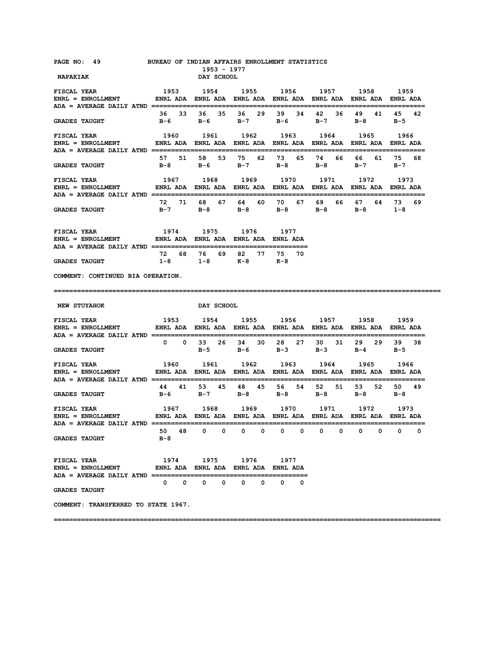| PAGE NO: 49<br><b>NAPAKIAK</b>                                                                                           | BUREAU OF INDIAN AFFAIRS ENROLLMENT STATISTICS | 1953 - 1977<br>DAY SCHOOL                                                |           |             |        |                      |                    |
|--------------------------------------------------------------------------------------------------------------------------|------------------------------------------------|--------------------------------------------------------------------------|-----------|-------------|--------|----------------------|--------------------|
| <b>FISCAL YEAR</b>                                                                                                       |                                                | 1953 1954 1955 1956 1957 1958 1959                                       |           |             |        |                      |                    |
| <b>GRADES TAUGHT</b>                                                                                                     |                                                | 36 33 36 35 36 29 39 34 42 36<br>B-6 B-6 B-7 B-6 B-7                     |           |             |        | 49 41<br>$B-8$       | 45<br>42<br>$B-5$  |
| <b>FISCAL YEAR</b><br>ENRL = ENROLLMENT ENRL ADA ENRL ADA ENRL ADA ENRL ADA ENRL ADA ENRL ADA ENRL ADA ENRL ADA ENRL ADA |                                                | 1960 1961 1962 1963 1964                                                 |           |             |        | 1965                 | 1966               |
| <b>GRADES TAUGHT</b>                                                                                                     |                                                | 57 51 58 53 75 62 73 65 74 66<br>B-8 B-6 B-7 B-8 B-8                     |           |             |        | 66 61<br>$B-7$ $B-7$ | 75 68              |
| <b>FISCAL YEAR</b><br>ENRL = ENROLLMENT ENRL ADA ENRL ADA ENRL ADA ENRL ADA ENRL ADA ENRL ADA ENRL ADA ENRL ADA          |                                                | 1967 1968 1969 1970 1971 1972 1973                                       |           |             |        |                      |                    |
| <b>GRADES TAUGHT</b>                                                                                                     |                                                | 72 71 68 67 64 60 70 67 69 66 67 64 73 69<br>B-7 B-8 B-8 B-8 B-8 B-8 1-8 |           |             |        |                      |                    |
| <b>FISCAL YEAR</b><br>ENRL = ENROLLMENT             ENRL ADA ENRL ADA ENRL ADA ENRL ADA                                  |                                                | 1974 1975                                                                | 1976 1977 |             |        |                      |                    |
| <b>GRADES TAUGHT</b>                                                                                                     | $1-8$ $1-8$                                    | 72 68 76 69 82 77 75 70                                                  | K-8 K-8   |             |        |                      |                    |
| COMMENT: CONTINUED BIA OPERATION.                                                                                        |                                                |                                                                          |           |             |        |                      |                    |
|                                                                                                                          |                                                |                                                                          |           |             |        |                      |                    |
| <b>NEW STUYAHOK</b>                                                                                                      |                                                | <b>DAY SCHOOL</b>                                                        |           |             |        |                      |                    |
| FISCAL YEAR                                                                                                              | 1953 1954 1955 1956 1957 1958                  |                                                                          |           |             |        |                      | 1959               |
| <b>GRADES TAUGHT</b>                                                                                                     |                                                | 0 0 33 26 34 30 28 27<br>$B-5$                                           | $B-6$     | $B-3$ $B-3$ | 30 31  | $B-4$                | 29 29 39 38<br>B-5 |
| <b>FISCAL YEAR</b>                                                                                                       |                                                | 1960 1961                                                                |           | 1962 1963   | 1964   | 1965                 | 1966               |
| <b>GRADES TAUGHT</b>                                                                                                     | в-6                                            | 44 41 53 45 48 45 56 54 52 51<br>$B-7$                                   | $B-8$     | $B-8$       | B-8    | в-8                  | 53 52 50 49<br>B-8 |
| <b>FISCAL YEAR</b>                                                                                                       |                                                | 1967 1968 1969 1970 1971 1972                                            |           |             |        |                      | 1973               |
| <b>ADA = AVERAGE DAILY ATND</b><br><b>GRADES TAUGHT</b>                                                                  | 48<br>50.<br>$B-8$                             | 0<br>0                                                                   | 0<br>0    | 0<br>0      | 0<br>0 | 0<br>0               | 0<br>0             |
| <b>FISCAL YEAR</b><br><b>ENRL = ENROLLMENT</b>                                                                           |                                                | 1974 1975 1976 1977<br>ENRL ADA ENRL ADA ENRL ADA ENRL ADA               |           |             |        |                      |                    |
| <b>ADA = AVERAGE DAILY ATND ========</b><br><b>GRADES TAUGHT</b>                                                         | 0<br>0                                         | 0<br>0                                                                   | 0<br>0    | 0<br>0      |        |                      |                    |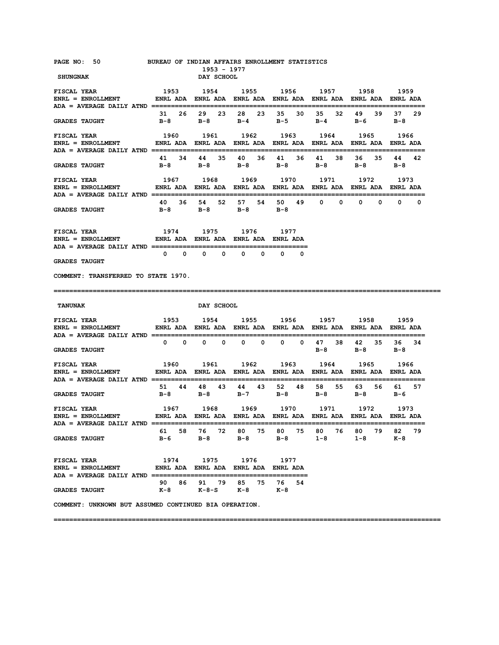| PAGE NO: 50<br>SHUNGNAK                                                                                                                                                                                                                                                                                    | BUREAU OF INDIAN AFFAIRS ENROLLMENT STATISTICS                 | 1953 - 1977<br>DAY SCHOOL   |                                         |                                       |                                                                                                 |                                   |                    |
|------------------------------------------------------------------------------------------------------------------------------------------------------------------------------------------------------------------------------------------------------------------------------------------------------------|----------------------------------------------------------------|-----------------------------|-----------------------------------------|---------------------------------------|-------------------------------------------------------------------------------------------------|-----------------------------------|--------------------|
| <b>FISCAL YEAR</b><br>ENRL = ENROLLMENT             ENRL ADA  ENRL ADA  ENRL ADA  ENRL ADA  ENRL ADA  ENRL ADA  ENRL ADA                                                                                                                                                                                   | 1953                                                           |                             |                                         |                                       | 1954 1955 1956 1957 1958 1959                                                                   |                                   |                    |
| <b>GRADES TAUGHT</b>                                                                                                                                                                                                                                                                                       | 31 26                                                          | 29                          | 23 28 23                                | 35<br>30                              | 35<br>32<br>B-8 B-8 B-4 B-5 B-4                                                                 | 49<br>39<br>B-6 and B-6           | 37<br>29<br>в-8    |
| <b>FISCAL YEAR</b><br>ENRL = ENROLLMENT           ENRL ADA  ENRL ADA  ENRL ADA  ENRL ADA  ENRL ADA  ENRL ADA  ENRL ADA                                                                                                                                                                                     | 1960 1961 1962 1963 1964 1965 1966                             |                             |                                         |                                       |                                                                                                 |                                   |                    |
| <b>GRADES TAUGHT</b>                                                                                                                                                                                                                                                                                       |                                                                |                             | 41 34 44 35 40 36 41<br>B-8 B-8 B-8 B-8 | 36                                    | 41<br>38<br>$B-8$                                                                               | 36 —<br>35<br>$B-8$               | 44<br>42<br>в-8    |
| <b>FISCAL YEAR</b><br>ENRL = ENROLLMENT               ENRL ADA   ENRL ADA   ENRL ADA   ENRL ADA   ENRL ADA   ENRL ADA   ENRL ADA                                                                                                                                                                           |                                                                |                             |                                         |                                       | 1967 1968 1969 1970 1971 1972 1973                                                              |                                   |                    |
| <b>GRADES TAUGHT</b>                                                                                                                                                                                                                                                                                       | 40 36 54                                                       |                             | 52 57 54 50<br>B-8 B-8 B-8 B-8          | 49                                    |                                                                                                 | $0\qquad 0\qquad 0\qquad 0\qquad$ | 0                  |
| ${\tt FISCAL \,\, YEAR} \qquad \qquad 1974 \qquad \qquad 1975 \qquad \qquad 1976 \qquad \qquad 1977$ ${\tt ENRL} \; = \; {\tt ENROLLMENT} \qquad \qquad {\tt ENRL \,\, ADA} \; \; \; {\tt ENRL} \; \; {\tt ADA} \; \; {\tt ENRL} \; {\tt ADA} \; \; {\tt ENRL} \; {\tt ADA} \; \; {\tt ENRL} \; {\tt ADA}$ |                                                                |                             | 1974 1975 1976 1977                     |                                       |                                                                                                 |                                   |                    |
| <b>GRADES TAUGHT</b>                                                                                                                                                                                                                                                                                       |                                                                | $0\qquad 0\qquad 0\qquad 0$ | $0\qquad 0$                             | $\mathbf{0}$<br>$\Omega$              |                                                                                                 |                                   |                    |
| COMMENT: TRANSFERRED TO STATE 1970.                                                                                                                                                                                                                                                                        |                                                                |                             |                                         |                                       |                                                                                                 |                                   |                    |
|                                                                                                                                                                                                                                                                                                            |                                                                |                             |                                         |                                       |                                                                                                 |                                   |                    |
| <b>TANUNAK</b>                                                                                                                                                                                                                                                                                             |                                                                | DAY SCHOOL                  |                                         |                                       |                                                                                                 |                                   |                    |
| <b>FISCAL YEAR</b><br>$ENRL = ENROLLMENT$                                                                                                                                                                                                                                                                  | ENRL ADA ENRL ADA ENRL ADA ENRL ADA ENRL ADA ENRL ADA ENRL ADA |                             |                                         |                                       | 1953 1954 1955 1956 1957 1958 1959                                                              |                                   |                    |
| <b>GRADES TAUGHT</b>                                                                                                                                                                                                                                                                                       |                                                                | $0\qquad 0\qquad 0\qquad 0$ | $0\qquad 0$                             | $^{\circ}$<br>$\overline{\mathbf{0}}$ | в-8                                                                                             | 47 38 42 35<br>$B-8$ $B-8$        | 36 34              |
| <b>FISCAL YEAR</b><br>$ENRL = ENROLLMENT$                                                                                                                                                                                                                                                                  | 1960                                                           |                             |                                         |                                       | 1961 1962 1963 1964 1965 1966<br>ENRL ADA ENRL ADA ENRL ADA ENRL ADA ENRL ADA ENRL ADA ENRL ADA |                                   |                    |
| <b>GRADES TAUGHT</b>                                                                                                                                                                                                                                                                                       |                                                                |                             | 51 44 48 43 44 43 52 48 58              |                                       | 55<br>B-8 B-8 B-7 B-8 B-8                                                                       | $B - 8$                           | 63 56 61 57<br>в-6 |
| FISCAL YEAR<br>$ENRL = ENROLLMENT$                                                                                                                                                                                                                                                                         |                                                                |                             |                                         |                                       |                                                                                                 |                                   |                    |
| <b>GRADES TAUGHT</b>                                                                                                                                                                                                                                                                                       |                                                                |                             |                                         |                                       | 61 58 76 72 80 75 80 75 80 76 80 79 82<br>B-6 B-8 B-8 B-8 1-8                                   | $1-8$                             | 79<br>к-8          |
| <b>FISCAL YEAR</b><br>ENRL = ENROLLMENT              ENRL ADA   ENRL ADA   ENRL ADA   ENRL ADA                                                                                                                                                                                                             | 1974                                                           | 1975                        | 1976                                    | 1977                                  |                                                                                                 |                                   |                    |
| <b>GRADES TAUGHT</b>                                                                                                                                                                                                                                                                                       |                                                                |                             | 90 86 91 79 85 75<br>K-8 K-8-S K-8 K-8  | 76 54                                 |                                                                                                 |                                   |                    |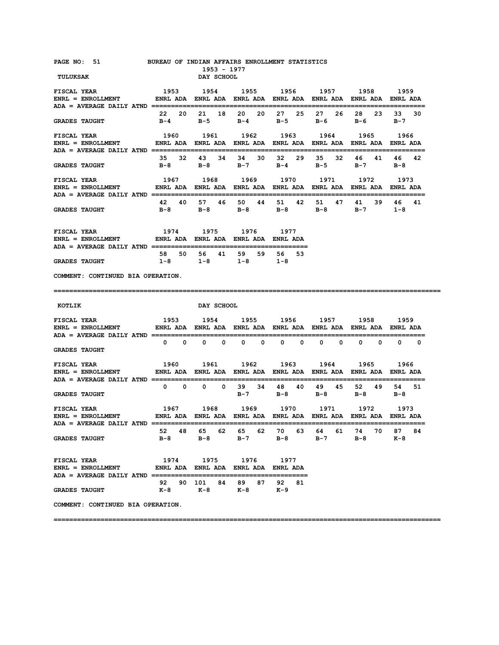| PAGE NO: 51 BUREAU OF INDIAN AFFAIRS ENROLLMENT STATISTICS<br>TULUKSAK                                                                                                                                                                                                                                                                                                                                                                |                                                                                                                                                | 1953 - 1977<br><b>DAY SCHOOL</b>                    |      |                                                                          |                                     |              |
|---------------------------------------------------------------------------------------------------------------------------------------------------------------------------------------------------------------------------------------------------------------------------------------------------------------------------------------------------------------------------------------------------------------------------------------|------------------------------------------------------------------------------------------------------------------------------------------------|-----------------------------------------------------|------|--------------------------------------------------------------------------|-------------------------------------|--------------|
|                                                                                                                                                                                                                                                                                                                                                                                                                                       |                                                                                                                                                |                                                     |      |                                                                          |                                     |              |
| <b>GRADES TAUGHT</b>                                                                                                                                                                                                                                                                                                                                                                                                                  |                                                                                                                                                | 22  20  21  18  20  20  27  25  27                  |      | 26<br>B-4 B-5 B-4 B-5 B-6 B-6 B-7                                        | 28 23                               | 33<br>30     |
| FISCAL YEAR<br>ENRL = ENROLLMENT         ENRL ADA ENRL ADA ENRL ADA ENRL ADA ENRL ADA ENRL ADA ENRL ADA                                                                                                                                                                                                                                                                                                                               | 1960 1961 1962 1963 1964 1965 1966                                                                                                             |                                                     |      |                                                                          |                                     |              |
| <b>GRADES TAUGHT</b>                                                                                                                                                                                                                                                                                                                                                                                                                  |                                                                                                                                                | 35 32 43 34 34 30 32                                |      | 29 35 32<br>B-8 B-8 B-7 B-4 B-5                                          | 46 41<br>$B-7$                      | 46 42<br>в-8 |
| <b>FISCAL YEAR</b><br>ENRL = ENROLLMENT         ENRL ADA ENRL ADA ENRL ADA ENRL ADA ENRL ADA ENRL ADA ENRL ADA                                                                                                                                                                                                                                                                                                                        | 1967 1968 1969 1970 1971 1972 1973                                                                                                             |                                                     |      |                                                                          |                                     |              |
| <b>GRADES TAUGHT</b>                                                                                                                                                                                                                                                                                                                                                                                                                  |                                                                                                                                                |                                                     |      | 42 40 57 46 50 44 51 42 51 47 41<br>B-8 B-8 B-8 B-8 B-8 B-7 1-8          |                                     | 39 46<br>41  |
| ${\tt FISCAL \; YEAR} \qquad \qquad 1974 \qquad \qquad 1975 \qquad \qquad 1976 \qquad \qquad 1977$ ${\tt ENRL} \; = \; {\tt ENROLLMENT} \qquad \qquad {\tt ENRL} \; {\tt ADA} \; \; {\tt ENRL} \; {\tt ADA} \; \; {\tt ENRL} \; {\tt ADA} \; \; {\tt ENRL} \; {\tt ADA}$                                                                                                                                                              |                                                                                                                                                |                                                     |      |                                                                          |                                     |              |
| <b>GRADES TAUGHT</b>                                                                                                                                                                                                                                                                                                                                                                                                                  |                                                                                                                                                | 58 50 56 41 59 59 56 53<br>$1-8$ $1-8$ $1-8$ $1-8$  |      |                                                                          |                                     |              |
| COMMENT: CONTINUED BIA OPERATION.                                                                                                                                                                                                                                                                                                                                                                                                     |                                                                                                                                                |                                                     |      |                                                                          |                                     |              |
|                                                                                                                                                                                                                                                                                                                                                                                                                                       |                                                                                                                                                |                                                     |      |                                                                          |                                     |              |
| KOTLIK                                                                                                                                                                                                                                                                                                                                                                                                                                |                                                                                                                                                | <b>DAY SCHOOL</b>                                   |      |                                                                          |                                     |              |
|                                                                                                                                                                                                                                                                                                                                                                                                                                       |                                                                                                                                                |                                                     |      |                                                                          |                                     |              |
| <b>GRADES TAUGHT</b>                                                                                                                                                                                                                                                                                                                                                                                                                  |                                                                                                                                                | $0\qquad 0\qquad 0\qquad 0\qquad 0\qquad 0\qquad 0$ |      | $0\qquad 0$                                                              | $\begin{matrix}0&0&0&0\end{matrix}$ |              |
| $\begin{array}{ccccccccc} \texttt{FISCAL} & \texttt{YEAR} & & & & 1960 & & 1961 & & 1962 & & 1963 & & 1964 & & 1965 & & 1966 \\ \texttt{ENRL} & = & \texttt{ENROLLMENT} & & & \texttt{ENRL} & \texttt{ADA} & \texttt{ENRL} & \texttt{ADA} & \texttt{ENRL} & \texttt{ADA} & \texttt{BNRL} & \texttt{ADA} & \texttt{ENRL} & \texttt{ADA} & \texttt{ENRL} & \texttt{ADA} & \texttt{ENRL} & \texttt{ADA} & \texttt{BRA} & \texttt{BRA} &$ |                                                                                                                                                |                                                     |      |                                                                          |                                     |              |
| <b>GRADES TAUGHT</b>                                                                                                                                                                                                                                                                                                                                                                                                                  | 0 0 0 0 39 34 48 40 49 45 52 49 54 51                                                                                                          |                                                     |      | B-7 B-8 B-8 B-8 B-8                                                      |                                     |              |
| FISCAL YEAR<br>ENRL = ENROLLMENT                                                                                                                                                                                                                                                                                                                                                                                                      | 1967        1968        1969        1970        1971        1972        1973<br>ENRL ADA ENRL ADA ENRL ADA ENRL ADA ENRL ADA ENRL ADA ENRL ADA |                                                     |      |                                                                          |                                     |              |
| <b>GRADES TAUGHT</b>                                                                                                                                                                                                                                                                                                                                                                                                                  |                                                                                                                                                |                                                     |      | 52 48 65 62 65 62 70 63 64 61 74 70 87 84<br>B-8 B-8 B-7 B-8 B-7 B-8 K-8 |                                     |              |
| <b>FISCAL YEAR</b><br>ENRL = ENROLLMENT             ENRL ADA ENRL ADA ENRL ADA ENRL ADA                                                                                                                                                                                                                                                                                                                                               |                                                                                                                                                | 1974 1975 1976                                      | 1977 |                                                                          |                                     |              |
| <b>GRADES TAUGHT</b>                                                                                                                                                                                                                                                                                                                                                                                                                  |                                                                                                                                                | 92  90  101  84  89  87  92  81<br>K-8 K-8 K-8 K-9  |      |                                                                          |                                     |              |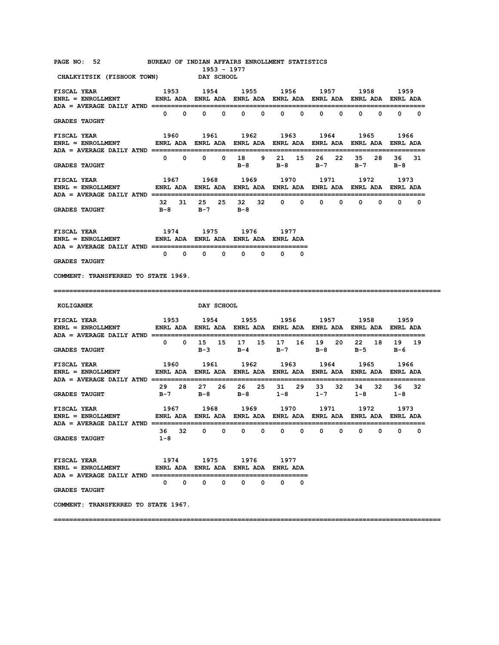| PAGE NO: 52 BUREAU OF INDIAN AFFAIRS ENROLLMENT STATISTICS<br>CHALKYITSIK (FISHOOK TOWN) DAY SCHOOL                                                                   |                                                                                                      | 1953 - 1977                                                                                          |                                              |                            |                                         |                              |                   |
|-----------------------------------------------------------------------------------------------------------------------------------------------------------------------|------------------------------------------------------------------------------------------------------|------------------------------------------------------------------------------------------------------|----------------------------------------------|----------------------------|-----------------------------------------|------------------------------|-------------------|
| <b>FISCAL YEAR</b><br>ENRL = ENROLLMENT           ENRL ADA ENRL ADA ENRL ADA ENRL ADA ENRL ADA ENRL ADA ENRL ADA<br>ADA = AVERAGE DAILY ATND ======================== |                                                                                                      | 1953 1954 1955 1956 1957 1958 1959                                                                   |                                              |                            |                                         |                              |                   |
| <b>GRADES TAUGHT</b>                                                                                                                                                  |                                                                                                      | $0\qquad 0\qquad 0\qquad 0$                                                                          | $0\qquad 0$                                  | $0\qquad 0$                | $\overline{\mathbf{0}}$<br>$\mathbf{0}$ | $0\qquad 0$                  | $0\qquad 0$       |
| 1960 1961 1962 1963 1964 1965<br><b>FISCAL YEAR</b><br>ENRL = ENROLLMENT         ENRL ADA ENRL ADA ENRL ADA ENRL ADA ENRL ADA ENRL ADA ENRL ADA                       |                                                                                                      |                                                                                                      |                                              |                            |                                         |                              | 1966              |
| <b>GRADES TAUGHT</b>                                                                                                                                                  |                                                                                                      | 0 0 0 0 18 9 21 15                                                                                   | $B-8$                                        | B-8 B-7 B-7 B-8            | 26 22                                   | 35<br>28                     | 36 —<br>31        |
| <b>FISCAL YEAR</b><br>ENRL = ENROLLMENT            ENRL ADA ENRL ADA ENRL ADA ENRL ADA ENRL ADA ENRL ADA ENRL ADA                                                     |                                                                                                      | 1967 1968 1969 1970 1971                                                                             |                                              |                            |                                         | 1972 1973                    |                   |
| <b>GRADES TAUGHT</b>                                                                                                                                                  |                                                                                                      | 32 31 25 25 32 32 0 0<br>B-8 B-7 B-8                                                                 |                                              |                            | $\mathbf{0}$<br>$^{\circ}$              | $\mathbf{0}$<br>$\mathbf{0}$ | $\mathbf{0}$<br>0 |
| FISCAL YEAR<br>ENRL = ENROLLMENT         ENRL ADA ENRL ADA ENRL ADA ENRL ADA                                                                                          | 1974 1975 1976 1977                                                                                  |                                                                                                      |                                              |                            |                                         |                              |                   |
| <b>GRADES TAUGHT</b>                                                                                                                                                  |                                                                                                      | $0\qquad 0\qquad 0\qquad$                                                                            | $\mathbf{0}$<br>$\mathbf{0}$<br>$\mathbf{0}$ | $\mathbf{0}$<br>0          |                                         |                              |                   |
| COMMENT: TRANSFERRED TO STATE 1969.                                                                                                                                   |                                                                                                      |                                                                                                      |                                              |                            |                                         |                              |                   |
|                                                                                                                                                                       |                                                                                                      |                                                                                                      |                                              |                            |                                         |                              |                   |
|                                                                                                                                                                       |                                                                                                      |                                                                                                      |                                              |                            |                                         |                              |                   |
| <b>KOLIGANEK</b>                                                                                                                                                      |                                                                                                      | DAY SCHOOL                                                                                           |                                              |                            |                                         |                              |                   |
| 1953 1954 1955 1956 1957 1958 1959<br><b>FISCAL YEAR</b><br>ENRL = ENROLLMENT         ENRL ADA ENRL ADA ENRL ADA ENRL ADA ENRL ADA ENRL ADA ENRL ADA                  |                                                                                                      |                                                                                                      |                                              |                            |                                         |                              |                   |
| <b>GRADES TAUGHT</b>                                                                                                                                                  |                                                                                                      | 0 0 15 15 17 15 17 16 19 20                                                                          |                                              | B-3 B-4 B-7 B-8 B-5 B-6    |                                         |                              | 22 18 19 19       |
| <b>FISCAL YEAR</b><br>$ENRL = ENROLLMENT$                                                                                                                             | 1960 1961 1962 1963 1964 1965 1966<br>ENRL ADA ENRL ADA ENRL ADA ENRL ADA ENRL ADA ENRL ADA ENRL ADA |                                                                                                      |                                              |                            |                                         |                              |                   |
| <b>GRADES TAUGHT</b>                                                                                                                                                  |                                                                                                      | 29  28  27  26  26  25  31  29  33  32<br>B-7 B-8 B-8 1-8 1-7                                        |                                              |                            |                                         | 34 32<br>$1 - 8$ $1 - 8$     | 36 32             |
| FISCAL YEAR<br>$ENRL = ENROLLMENT$                                                                                                                                    |                                                                                                      | 1967 1968 1969 1970 1971 1972 1973<br>ENRL ADA ENRL ADA ENRL ADA ENRL ADA ENRL ADA ENRL ADA ENRL ADA |                                              |                            |                                         |                              |                   |
| <b>GRADES TAUGHT</b>                                                                                                                                                  | $1 - 8$                                                                                              | 36 32 0 0 0 0                                                                                        |                                              | $\mathbf{0}$<br>$^{\circ}$ | $\mathbf 0$<br>$\mathbf 0$              | 0<br>0                       | 0<br>0            |
| <b>FISCAL YEAR</b><br>$ENRL = ENROLLMENT$ ENRL ADA ENRL ADA ENRL ADA ENRL ADA ENRL ADA ENRL ADA                                                                       |                                                                                                      | 1974 1975 1976 1977                                                                                  |                                              |                            |                                         |                              |                   |
| <b>GRADES TAUGHT</b>                                                                                                                                                  |                                                                                                      | $\begin{array}{ccccccccccccccccc} 0 & 0 & 0 & 0 & 0 & 0 & 0 & 0 \end{array}$                         |                                              |                            |                                         |                              |                   |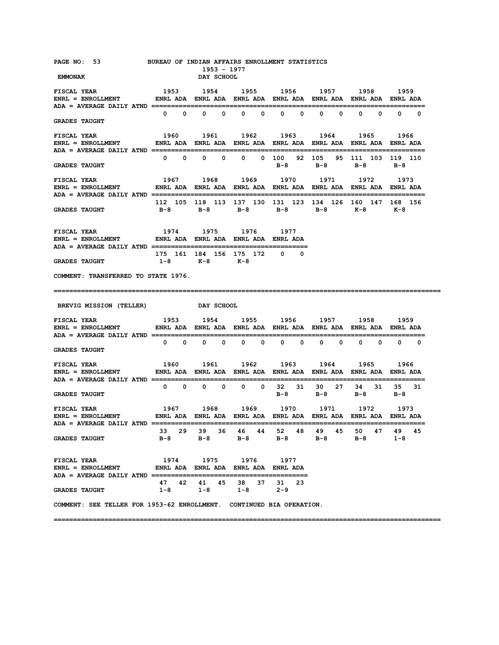| PAGE NO: 53 BUREAU OF INDIAN AFFAIRS ENROLLMENT STATISTICS<br><b>EMMONAK</b>                                                                                                                                                                                                                                                                                            |                                                                                                             |                   |              | DAY SCHOOL | 1953 - 1977                                                                   |      |                   |                                              |              |              |       |                              |            |
|-------------------------------------------------------------------------------------------------------------------------------------------------------------------------------------------------------------------------------------------------------------------------------------------------------------------------------------------------------------------------|-------------------------------------------------------------------------------------------------------------|-------------------|--------------|------------|-------------------------------------------------------------------------------|------|-------------------|----------------------------------------------|--------------|--------------|-------|------------------------------|------------|
| <b>FISCAL YEAR</b><br>ENRL = ENROLLMENT               ENRL ADA   ENRL ADA   ENRL ADA   ENRL ADA   ENRL ADA   ENRL ADA   ENRL ADA                                                                                                                                                                                                                                        | 1953 1954 1955 1956 1957 1958 1959                                                                          |                   |              |            |                                                                               |      |                   |                                              |              |              |       |                              |            |
| <b>GRADES TAUGHT</b>                                                                                                                                                                                                                                                                                                                                                    |                                                                                                             | $0\qquad 0\qquad$ |              |            | $0\qquad 0\qquad 0\qquad 0$                                                   |      | $0\qquad 0\qquad$ | $\mathbf{0}$                                 | $\mathbf{0}$ | $\mathbf{0}$ |       | $\mathbf{0}$<br>$\mathbf{0}$ | $^{\circ}$ |
| FISCAL YEAR<br>ENRL = ENROLLMENT                 ENRL ADA   ENRL ADA   ENRL ADA   ENRL ADA   ENRL ADA   ENRL ADA   ENRL ADA                                                                                                                                                                                                                                             | 1960 1961 1962 1963 1964 1965 1966                                                                          |                   |              |            |                                                                               |      |                   |                                              |              |              |       |                              |            |
| <b>GRADES TAUGHT</b>                                                                                                                                                                                                                                                                                                                                                    |                                                                                                             | $0\qquad 0$       | $\mathbf{0}$ | $^{\circ}$ |                                                                               |      |                   | 0 0 100 92 105 95 111 103 119 110<br>B-8 B-8 |              |              |       | $B-8$ $B-8$                  |            |
| <b>FISCAL YEAR</b><br>ENRL = ENROLLMENT                 ENRL ADA   ENRL ADA   ENRL ADA   ENRL ADA   ENRL ADA   ENRL ADA   ENRL ADA                                                                                                                                                                                                                                      | 1967 1968 1969 1970 1971 1972 1973                                                                          |                   |              |            |                                                                               |      |                   |                                              |              |              |       |                              |            |
| <b>GRADES TAUGHT</b>                                                                                                                                                                                                                                                                                                                                                    | 112 105 118 113 137 130 131 123 134 126 160 147 168 156<br>B-8 B-8 B-8 B-8 B-8 K-8 K-8                      |                   |              |            |                                                                               |      |                   |                                              |              |              |       |                              |            |
| ${\tt FISCAL} \begin{tabular}{lcccc} {\tt FISCAL} \end{tabular} \begin{tabular}{lcccc} \bf FISCAL & \tt YEAR & \tt 1974 & \tt 1975 & \tt 1976 & \tt 1977 \\ \hline ENRL & = ENROLLMENT & & ENRL ADA & ENRL ADA & ENRL ADA & ENRL ADA \\ \end{tabular}$                                                                                                                  |                                                                                                             |                   |              |            |                                                                               |      |                   |                                              |              |              |       |                              |            |
| <b>GRADES TAUGHT</b>                                                                                                                                                                                                                                                                                                                                                    | 175 161 184 156 175 172 0 0<br>1-8 K-8 K-8                                                                  |                   |              |            |                                                                               |      |                   |                                              |              |              |       |                              |            |
| COMMENT: TRANSFERRED TO STATE 1976.                                                                                                                                                                                                                                                                                                                                     |                                                                                                             |                   |              |            |                                                                               |      |                   |                                              |              |              |       |                              |            |
| BREVIG MISSION (TELLER) DAY SCHOOL                                                                                                                                                                                                                                                                                                                                      |                                                                                                             |                   |              |            |                                                                               |      |                   |                                              |              |              |       |                              |            |
| <b>FISCAL YEAR</b><br>ENRL = ENROLLMENT ENRL ADA ENRL ADA ENRL ADA ENRL ADA ENRL ADA ENRL ADA ENRL ADA ENRL ADA                                                                                                                                                                                                                                                         | 1953 1954 1955 1956 1957 1958 1959                                                                          |                   |              |            |                                                                               |      |                   |                                              |              |              |       |                              |            |
| <b>GRADES TAUGHT</b>                                                                                                                                                                                                                                                                                                                                                    |                                                                                                             |                   |              |            | $0\qquad 0\qquad 0\qquad 0\qquad 0$                                           |      |                   | 0 0 0 0 0 0 0 0                              |              |              |       |                              |            |
|                                                                                                                                                                                                                                                                                                                                                                         |                                                                                                             |                   |              |            |                                                                               |      |                   |                                              |              |              |       |                              |            |
| <b>GRADES TAUGHT</b>                                                                                                                                                                                                                                                                                                                                                    |                                                                                                             |                   |              |            | 0 0 0 0 0 0 0 32 31 30 27                                                     |      |                   | $B-8$ $B-8$                                  |              |              |       | 34 31 35 31<br>$B-8$ $B-8$   |            |
| FISCAL YEAR                                                                                                                                                                                                                                                                                                                                                             | 1967 - 1968 - 1969 - 1970 - 1971 - 1972 - 1973<br>ENRL-ADA ENRL-ADA ENRL-ADA ENRL-ADA ENRL-ADA ADA ENRL-ADA |                   |              |            |                                                                               |      |                   |                                              |              |              |       |                              |            |
| <b>GRADES TAUGHT</b>                                                                                                                                                                                                                                                                                                                                                    |                                                                                                             |                   |              |            | 33  29  39  36  46  44  52  48  49  45  50  47  49  45<br>B-8 B-8 B-8 B-8 B-8 |      |                   |                                              |              |              | $B-8$ | $1 - 8$                      |            |
| <b>FISCAL YEAR</b>                                                                                                                                                                                                                                                                                                                                                      | 1974                                                                                                        |                   | 1975         |            | 1976                                                                          | 1977 |                   |                                              |              |              |       |                              |            |
| ${\tt FISCAL}~~{\tt YEAR}~~{\tt 1960}~~{\tt 1961}~~{\tt 1962}~~{\tt 1963}~~{\tt 1965}~~{\tt 1966}~~{\tt ENRL}~~{\tt 1967}~~{\tt ENRL}~~{\tt 1969}~~{\tt 1969}~~{\tt 1969}~~{\tt 1969}~~{\tt 1969}~~{\tt 1969}~~{\tt 1969}~~{\tt 1969}~~{\tt 1961}~~{\tt 1962}~~{\tt 1963}~~{\tt 1964}~~{\tt 1965}~~{\tt 1966}~~{\tt 196$<br>$ENRL = ENROLLMENT$<br><b>GRADES TAUGHT</b> |                                                                                                             |                   |              |            | 47 42 41 45 38 37 31 23<br>$1-8$ $1-8$ $1-8$ $2-9$                            |      |                   |                                              |              |              |       |                              |            |
| COMMENT: SEE TELLER FOR 1953-62 ENROLLMENT. CONTINUED BIA OPERATION.                                                                                                                                                                                                                                                                                                    |                                                                                                             |                   |              |            |                                                                               |      |                   |                                              |              |              |       |                              |            |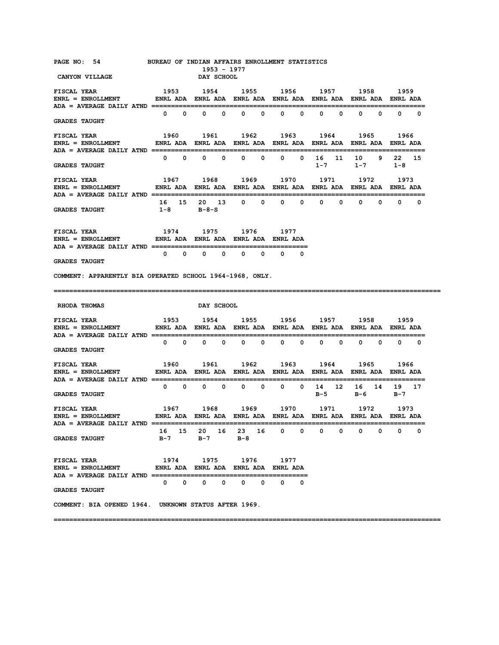| PAGE NO: 54<br><b>CANYON VILLAGE</b>                                                                                                                                                                           | BUREAU OF INDIAN AFFAIRS ENROLLMENT STATISTICS |             | <b>DAY SCHOOL</b>           | 1953 - 1977 |                                                                                  |             |                               |             |                               |                |     |                   |                             |             |
|----------------------------------------------------------------------------------------------------------------------------------------------------------------------------------------------------------------|------------------------------------------------|-------------|-----------------------------|-------------|----------------------------------------------------------------------------------|-------------|-------------------------------|-------------|-------------------------------|----------------|-----|-------------------|-----------------------------|-------------|
| <b>FISCAL YEAR</b>                                                                                                                                                                                             |                                                |             |                             |             | 1953 1954 1955 1956 1957 1958 1959                                               |             |                               |             |                               |                |     |                   |                             |             |
| <b>GRADES TAUGHT</b>                                                                                                                                                                                           |                                                |             |                             |             | $0\qquad 0\qquad 0\qquad 0\qquad 0\qquad 0\qquad 0$                              |             |                               |             |                               | $0 \qquad 0$   |     | $0\qquad 0\qquad$ |                             | $0\qquad 0$ |
| <b>FISCAL YEAR</b>                                                                                                                                                                                             |                                                |             |                             |             | 1960 1961 1962 1963 1964 1965                                                    |             |                               |             |                               |                |     |                   | 1966                        |             |
| <b>GRADES TAUGHT</b>                                                                                                                                                                                           |                                                |             | $0\qquad 0\qquad 0\qquad 0$ |             |                                                                                  | $0\qquad 0$ |                               | $0\qquad 0$ |                               | 16 11<br>$1-7$ |     | 10 9              | 22 15<br>$1 - 7$ $1 - 8$    |             |
| <b>FISCAL YEAR</b><br>ديد عابدا 1967 – 1968 – 1972 – 1974 – 1974 – 1974 – 1974 – 1988 – 1988 – 1988 – 1988 – 1988 – 1988 –<br>ENRL ENROLLMENT – ENRL ADA ENRL ADA ENRL ADA ENRL ADA ENRL ADA ENRL ADA ENRL ADA |                                                |             |                             |             | 1967 1968 1969 1970 1971 1972 1973                                               |             |                               |             |                               |                |     |                   |                             |             |
| <b>GRADES TAUGHT</b>                                                                                                                                                                                           |                                                |             | $1-8$ $B-8-S$               |             | 16 15 20 13 0 0 0 0 0 0 0 0 0 0                                                  |             |                               |             |                               |                |     |                   |                             |             |
| <b>FISCAL YEAR</b><br>ENRL = ENROLLMENT             ENRL ADA ENRL ADA ENRL ADA ENRL ADA                                                                                                                        |                                                |             |                             |             | 1974 1975 1976 1977                                                              |             |                               |             |                               |                |     |                   |                             |             |
| <b>GRADES TAUGHT</b>                                                                                                                                                                                           |                                                |             |                             |             | $\begin{array}{ccccccccccccccccccccc} 0 & 0 & 0 & 0 & 0 & 0 & 0 & 0 \end{array}$ |             |                               |             |                               |                |     |                   |                             |             |
| COMMENT: APPARENTLY BIA OPERATED SCHOOL 1964-1968, ONLY.                                                                                                                                                       |                                                |             |                             |             |                                                                                  |             |                               |             |                               |                |     |                   |                             |             |
|                                                                                                                                                                                                                |                                                |             |                             |             |                                                                                  |             |                               |             |                               |                |     |                   |                             |             |
| <b>RHODA THOMAS</b>                                                                                                                                                                                            |                                                |             | <b>DAY SCHOOL</b>           |             |                                                                                  |             |                               |             |                               |                |     |                   |                             |             |
| FISCAL YEAR<br>ENRL = ENROLLMENT            ENRL ADA ENRL ADA ENRL ADA ENRL ADA ENRL ADA ENRL ADA ENRL ADA                                                                                                     | 1953 1954 1955 1956 1957 1958 1959             |             |                             |             |                                                                                  |             |                               |             |                               |                |     |                   |                             |             |
| <b>GRADES TAUGHT</b>                                                                                                                                                                                           |                                                |             |                             |             | $0\qquad 0\qquad 0\qquad 0\qquad 0$                                              |             | $\overline{0}$ $\overline{0}$ |             |                               | $0\qquad 0$    |     |                   | $0\qquad 0\qquad 0\qquad 0$ |             |
| <b>FISCAL YEAR</b><br>ENRL = ENROLLMENT              ENRL ADA   ENRL ADA   ENRL ADA   ENRL ADA   ENRL ADA   ENRL ADA   ENRL ADA                                                                                |                                                |             | 1960 1961                   |             |                                                                                  |             |                               |             | 1962 1963 1964 1965           |                |     |                   | 1966                        |             |
| <b>GRADES TAUGHT</b>                                                                                                                                                                                           |                                                | $0\qquad 0$ |                             | $0\qquad 0$ |                                                                                  | $0\qquad 0$ |                               |             | $0 \t 0 \t 14 \t 12$<br>$B-5$ |                | в-6 |                   | 16 14 19 17<br>B-7          |             |
|                                                                                                                                                                                                                |                                                |             |                             |             |                                                                                  |             |                               |             |                               |                |     |                   |                             |             |
| ADA = AVERAGE DAILY ATND<br><b>GRADES TAUGHT</b>                                                                                                                                                               | 16<br>в-7                                      | 15          | 20<br>в-7                   | 16          | 23<br>$B-8$                                                                      | 16          | 0                             | 0           | 0                             | 0              | 0   | 0                 | 0                           | 0           |
| <b>FISCAL YEAR</b><br>$ENRL = ENROLLMENT$<br><b>ADA = AVERAGE DAILY ATND ======</b>                                                                                                                            | 1974                                           |             | 1975                        |             | 1976<br>ENRL ADA ENRL ADA ENRL ADA ENRL ADA                                      |             | 1977                          |             |                               |                |     |                   |                             |             |
| <b>GRADES TAUGHT</b>                                                                                                                                                                                           | 0                                              | 0           | 0                           | 0           | 0                                                                                | 0           | 0                             | 0           |                               |                |     |                   |                             |             |
| COMMENT: BIA OPENED 1964. UNKNOWN STATUS AFTER 1969.                                                                                                                                                           |                                                |             |                             |             |                                                                                  |             |                               |             |                               |                |     |                   |                             |             |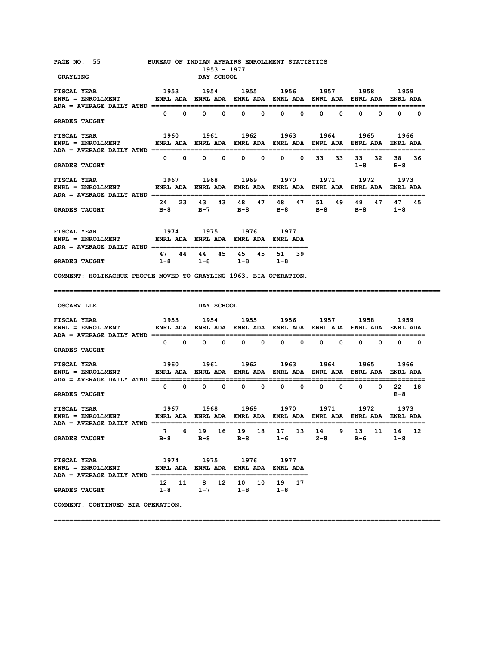| PAGE NO: 55 BUREAU OF INDIAN AFFAIRS ENROLLMENT STATISTICS<br><b>GRAYLING</b>                                                                                                                                                                                                                                                                                                                                                         |       |             |                             | 1953 - 1977<br>DAY SCHOOL |                                                                                                  |                   |                             |              |              |             |                              |                  |                |             |
|---------------------------------------------------------------------------------------------------------------------------------------------------------------------------------------------------------------------------------------------------------------------------------------------------------------------------------------------------------------------------------------------------------------------------------------|-------|-------------|-----------------------------|---------------------------|--------------------------------------------------------------------------------------------------|-------------------|-----------------------------|--------------|--------------|-------------|------------------------------|------------------|----------------|-------------|
|                                                                                                                                                                                                                                                                                                                                                                                                                                       |       |             |                             |                           |                                                                                                  |                   |                             |              |              |             |                              |                  |                |             |
| <b>GRADES TAUGHT</b>                                                                                                                                                                                                                                                                                                                                                                                                                  |       |             |                             |                           | $0\qquad 0\qquad 0\qquad 0\qquad 0\qquad$                                                        |                   |                             | $0\qquad 0$  | $\mathbf{0}$ |             | $\mathbf{0}$<br>$\mathbf{0}$ |                  | $\mathbf{0}$   | $0\qquad 0$ |
| ENRL = ENROLLMENT             ENRL ADA  ENRL ADA  ENRL ADA  ENRL ADA  ENRL ADA  ENRL ADA  ENRL ADA                                                                                                                                                                                                                                                                                                                                    |       |             |                             |                           |                                                                                                  |                   |                             |              |              |             |                              |                  |                |             |
| <b>GRADES TAUGHT</b>                                                                                                                                                                                                                                                                                                                                                                                                                  |       | $0\qquad 0$ |                             | $0\qquad 0\qquad$         |                                                                                                  | $0\qquad 0\qquad$ | $\mathbf{0}$                | $\mathbf{0}$ | 33           | 33          |                              | 33 32<br>$1 - 8$ | 38 36<br>в-8   |             |
| 1967 1968 1969 1970 1971 1972 1973<br><b>FISCAL YEAR</b><br>ENRL = ENROLLMENT               ENRL ADA   ENRL ADA   ENRL ADA   ENRL ADA   ENRL ADA   ENRL ADA   ENRL ADA                                                                                                                                                                                                                                                                |       |             |                             |                           |                                                                                                  |                   |                             |              |              |             |                              |                  |                |             |
| <b>GRADES TAUGHT</b>                                                                                                                                                                                                                                                                                                                                                                                                                  |       |             | 24 23 43                    |                           | 43 48 47 48<br>B-8 B-7 B-8 B-8 B-8 B-8 1-8                                                       |                   |                             |              | 47 51        | 49          | 49                           | 47               | 47             | 45          |
| $\begin{array}{ccccccccc} \texttt{FISCAL} & \texttt{YEAR} & & & & 1974 & & 1975 & & 1976 & & 1977 \\ \texttt{ENRL} & = & \texttt{ENROLLMENT} & & & \texttt{ENRL} & \texttt{ADA} & \texttt{ENRL} & \texttt{ADA} & \texttt{ENRL} & \texttt{ADA} & \texttt{ENRL} & \texttt{ADA} \end{array}$                                                                                                                                             |       |             |                             |                           | 1974 1975 1976 1977                                                                              |                   |                             |              |              |             |                              |                  |                |             |
| <b>GRADES TAUGHT</b>                                                                                                                                                                                                                                                                                                                                                                                                                  | $1-8$ |             |                             |                           | 47 44 44 45 45 45 51 39<br>$1-8$ $1-8$ $1-8$                                                     |                   |                             |              |              |             |                              |                  |                |             |
| COMMENT: HOLIKACHUK PEOPLE MOVED TO GRAYLING 1963. BIA OPERATION.                                                                                                                                                                                                                                                                                                                                                                     |       |             |                             |                           |                                                                                                  |                   |                             |              |              |             |                              |                  |                |             |
|                                                                                                                                                                                                                                                                                                                                                                                                                                       |       |             |                             |                           |                                                                                                  |                   |                             |              |              |             |                              |                  |                |             |
|                                                                                                                                                                                                                                                                                                                                                                                                                                       |       |             |                             |                           |                                                                                                  |                   |                             |              |              |             |                              |                  |                |             |
| <b>OSCARVILLE</b>                                                                                                                                                                                                                                                                                                                                                                                                                     |       |             | <b>DAY SCHOOL</b>           |                           |                                                                                                  |                   |                             |              |              |             |                              |                  |                |             |
|                                                                                                                                                                                                                                                                                                                                                                                                                                       |       |             |                             |                           |                                                                                                  |                   |                             |              |              |             |                              |                  |                |             |
| <b>GRADES TAUGHT</b>                                                                                                                                                                                                                                                                                                                                                                                                                  |       |             | $0\qquad 0\qquad 0\qquad 0$ |                           |                                                                                                  |                   | $0\qquad 0\qquad 0\qquad 0$ |              |              | $0\qquad 0$ |                              | $0\qquad 0$      |                | $0\qquad 0$ |
| $\begin{array}{ccccccccc} \texttt{FISCAL} & \texttt{YEAR} & & & & 1960 & & 1961 & & 1962 & & 1963 & & 1964 & & 1965 & & 1966 \\ \texttt{ENRL} & = & \texttt{ENROLLMENT} & & & \texttt{ENRL} & \texttt{ADA} & \texttt{ENRL} & \texttt{ADA} & \texttt{ENRL} & \texttt{ADA} & \texttt{BNRL} & \texttt{ADA} & \texttt{ENRL} & \texttt{ADA} & \texttt{ENRL} & \texttt{ADA} & \texttt{ENRL} & \texttt{ADA} & \texttt{BRA} & \texttt{BRA} &$ |       |             |                             |                           |                                                                                                  |                   |                             |              |              |             |                              |                  |                |             |
| ADA = AVERAGE DAILY ATND =================================<br><b>GRADES TAUGHT</b>                                                                                                                                                                                                                                                                                                                                                    |       |             |                             |                           | $\begin{array}{ccccccccccccccccccccccccc} 0 & 0 & 0 & 0 & 0 & 0 & 0 & 0 & 0 & 0 & 0 \end{array}$ |                   |                             |              |              |             | ============================ |                  | 22 18<br>$B-8$ |             |
| $\begin{array}{ccccccccc} \texttt{FISCAL} & \texttt{EAR} & & & & 1967 & & 1968 & & 1969 & & 1970 & & 1971 & & 1972 & & 1973 \\ \texttt{ENRL} & = & \texttt{ENROLIMENT} & & & \texttt{ENRL} & \texttt{ADA} & \texttt{ENRL} & \texttt{ADA} & \texttt{ENRL} & \texttt{ADA} & \texttt{BNRL} & \texttt{ADA} & \texttt{ENRL} & \texttt{ADA} & \texttt{ENRL} & \texttt{ADA} & \texttt{ENRL} & \texttt{ADA} & \texttt{BRA} & \texttt{BRA} &$  |       |             |                             |                           |                                                                                                  |                   |                             |              |              |             |                              |                  |                |             |
| $ADA = AVERAGE DAILY ATND == == ==$<br><b>GRADES TAUGHT</b>                                                                                                                                                                                                                                                                                                                                                                           |       |             |                             |                           | 7 6 19 16 19 18 17 13 14 9 13 11 16 12<br>B-8 B-8 B-8 1-6 2-8 B-6                                |                   |                             |              |              |             |                              |                  | 1-8            |             |
| <b>FISCAL YEAR</b><br>ENRL = ENROLLMENT                  ENRL ADA    ENRL ADA    ENRL ADA    ENRL ADA                                                                                                                                                                                                                                                                                                                                 |       |             |                             |                           | 1974 1975 1976 1977                                                                              |                   |                             |              |              |             |                              |                  |                |             |
| <b>GRADES TAUGHT</b>                                                                                                                                                                                                                                                                                                                                                                                                                  |       |             |                             |                           | 12 11 8 12 10 10 19 17<br>$1-8$ $1-7$ $1-8$ $1-8$                                                |                   |                             |              |              |             |                              |                  |                |             |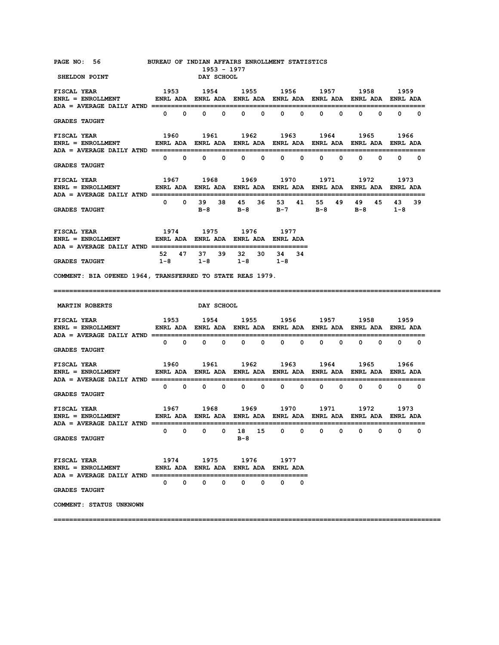| PAGE NO: 56<br>SHELDON POINT                                                                                                                                                                                                                                                                                                                                                                                                                                                                                              |              |                   | <b>DAY SCHOOL</b> | 1953 - 1977 | BUREAU OF INDIAN AFFAIRS ENROLLMENT STATISTICS             |    |                               |   |   |              |                                     |   |                                 |             |
|---------------------------------------------------------------------------------------------------------------------------------------------------------------------------------------------------------------------------------------------------------------------------------------------------------------------------------------------------------------------------------------------------------------------------------------------------------------------------------------------------------------------------|--------------|-------------------|-------------------|-------------|------------------------------------------------------------|----|-------------------------------|---|---|--------------|-------------------------------------|---|---------------------------------|-------------|
| <b>FISCAL YEAR</b><br>ENRL = ENROLLMENT         ENRL ADA ENRL ADA ENRL ADA ENRL ADA ENRL ADA ENRL ADA ENRL ADA                                                                                                                                                                                                                                                                                                                                                                                                            |              |                   |                   |             | 1953 1954 1955 1956 1957 1958 1959                         |    |                               |   |   |              |                                     |   |                                 |             |
| <b>GRADES TAUGHT</b>                                                                                                                                                                                                                                                                                                                                                                                                                                                                                                      |              |                   |                   |             | $0\qquad 0\qquad 0\qquad 0\qquad 0\qquad 0\qquad 0$        |    |                               |   |   | $0 \qquad 0$ |                                     |   | $0\qquad 0\qquad 0\qquad 0$     |             |
| <b>FISCAL YEAR</b>                                                                                                                                                                                                                                                                                                                                                                                                                                                                                                        |              |                   |                   |             | 1960 1961 1962 1963 1964 1965                              |    |                               |   |   |              |                                     |   | 1966                            |             |
| <b>GRADES TAUGHT</b>                                                                                                                                                                                                                                                                                                                                                                                                                                                                                                      |              |                   |                   |             | $0\qquad 0\qquad 0\qquad 0\qquad 0\qquad 0\qquad 0$        |    |                               |   |   |              | $0\qquad 0\qquad 0\qquad 0\qquad 0$ |   |                                 |             |
| <b>FISCAL YEAR</b><br>ENRL = ENROLLMENT ENRL ADA ENRL ADA ENRL ADA ENRL ADA ENRL ADA ENRL ADA ENRL ADA ENRL ADA                                                                                                                                                                                                                                                                                                                                                                                                           |              |                   |                   |             | 1967 1968 1969 1970 1971 1972                              |    |                               |   |   |              |                                     |   | 1973                            |             |
| <b>GRADES TAUGHT</b>                                                                                                                                                                                                                                                                                                                                                                                                                                                                                                      |              |                   |                   |             | 0 0 39 38 45 36 53 41 55<br>B-8 B-8 B-7 B-8 B-8 1-8        |    |                               |   |   | 49           |                                     |   | 49 45 43 39                     |             |
| <b>FISCAL YEAR</b><br>ENRL = ENROLLMENT             ENRL ADA ENRL ADA ENRL ADA ENRL ADA                                                                                                                                                                                                                                                                                                                                                                                                                                   |              |                   |                   |             | 1974 1975 1976 1977                                        |    |                               |   |   |              |                                     |   |                                 |             |
| <b>GRADES TAUGHT</b>                                                                                                                                                                                                                                                                                                                                                                                                                                                                                                      |              |                   |                   |             | 52 47 37 39 32 30 34 34<br>$1-8$ $1-8$ $1-8$ $1-8$         |    |                               |   |   |              |                                     |   |                                 |             |
| COMMENT: BIA OPENED 1964, TRANSFERRED TO STATE REAS 1979.                                                                                                                                                                                                                                                                                                                                                                                                                                                                 |              |                   |                   |             |                                                            |    |                               |   |   |              |                                     |   |                                 |             |
|                                                                                                                                                                                                                                                                                                                                                                                                                                                                                                                           |              |                   |                   |             |                                                            |    |                               |   |   |              |                                     |   |                                 |             |
| <b>MARTIN ROBERTS</b>                                                                                                                                                                                                                                                                                                                                                                                                                                                                                                     |              |                   | <b>DAY SCHOOL</b> |             |                                                            |    |                               |   |   |              |                                     |   |                                 |             |
| <b>FISCAL YEAR</b><br>$\verb ENRL  = \verb ENROLLMENT  \qquad \qquad \verb ENRL  \text{ADA} \quad \verb ENRL  \text{ADA} \quad \verb ENRL  \text{ADA} \quad \verb ENRL  \text{ADA} \quad \verb ENRL  \text{ADA} \quad \verb ENRL  \text{ADA} \quad \verb ENRL  \text{ADA} \quad \verb ENRL  \text{ADA} \quad \verb NRL  \text{ADA} \quad \verb NRL  \text{ADA} \quad \verb NRL  \text{ADA} \quad \verb NRL  \text{ADA} \quad \verb NRL  \text{ADA} \quad \verb NRL  \text{ADA} \quad \verb NRL  \text{ADA} \quad \verb N$ |              |                   |                   |             | 1953 1954 1955 1956 1957 1958                              |    |                               |   |   |              |                                     |   | 1959                            |             |
| <b>GRADES TAUGHT</b>                                                                                                                                                                                                                                                                                                                                                                                                                                                                                                      |              |                   |                   |             | $0\qquad 0\qquad 0\qquad 0\qquad 0$                        |    | $\overline{0}$ $\overline{0}$ |   |   |              | $0\qquad 0\qquad 0\qquad 0$         |   | $\begin{matrix}0&0\end{matrix}$ |             |
| <b>FISCAL YEAR</b>                                                                                                                                                                                                                                                                                                                                                                                                                                                                                                        |              |                   | 1960 1961         |             | 1962 1963 1964                                             |    |                               |   |   |              | 1965                                |   | 1966                            |             |
| <b>GRADES TAUGHT</b>                                                                                                                                                                                                                                                                                                                                                                                                                                                                                                      |              | $0\qquad 0\qquad$ |                   | $0\qquad 0$ | $0\qquad 0$                                                |    | $\overline{0}$ $\overline{0}$ |   |   | $0\qquad 0$  | $\Omega$                            |   | $\mathbf{0}$                    | $0\qquad 0$ |
| <b>FISCAL YEAR</b><br>$ADA = AVERAGE DAILY ATND ==$                                                                                                                                                                                                                                                                                                                                                                                                                                                                       |              |                   |                   |             | 1967 1968 1969 1970 1971 1972                              |    |                               |   |   |              |                                     |   | 1973                            |             |
| <b>GRADES TAUGHT</b>                                                                                                                                                                                                                                                                                                                                                                                                                                                                                                      | 0            | 0                 | 0                 | 0           | 18<br>$B-8$                                                | 15 | 0                             | 0 | 0 | 0            | 0                                   | 0 | 0                               | 0           |
| FISCAL YEAR<br>$ENRL = ENROLLMENT$<br>ADA = AVERAGE DAILY ATND ==========                                                                                                                                                                                                                                                                                                                                                                                                                                                 |              |                   |                   |             | 1974 1975 1976 1977<br>ENRL ADA ENRL ADA ENRL ADA ENRL ADA |    |                               |   |   |              |                                     |   |                                 |             |
| <b>GRADES TAUGHT</b>                                                                                                                                                                                                                                                                                                                                                                                                                                                                                                      | $\mathbf{0}$ | 0                 | 0                 | 0           | 0                                                          | 0  | 0                             | 0 |   |              |                                     |   |                                 |             |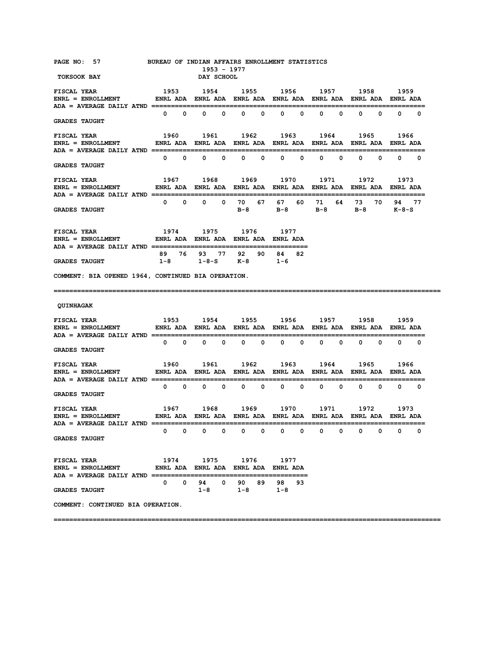| PAGE NO: 57<br>TOKSOOK BAY                                                                                                                   | BUREAU OF INDIAN AFFAIRS ENROLLMENT STATISTICS                 |                   | <b>DAY SCHOOL</b>           | 1953 - 1977 |                                             |             |                             |                                     |              |                   |            |                   |                                |             |
|----------------------------------------------------------------------------------------------------------------------------------------------|----------------------------------------------------------------|-------------------|-----------------------------|-------------|---------------------------------------------|-------------|-----------------------------|-------------------------------------|--------------|-------------------|------------|-------------------|--------------------------------|-------------|
|                                                                                                                                              |                                                                |                   |                             |             |                                             |             |                             |                                     |              |                   |            |                   |                                |             |
| <b>GRADES TAUGHT</b>                                                                                                                         |                                                                | $0\qquad 0\qquad$ |                             |             | $0\qquad 0\qquad 0\qquad 0$                 |             |                             | $\begin{matrix} 0 & 0 \end{matrix}$ | $\mathbf{0}$ | $\mathbf{0}$      | $^{\circ}$ |                   | $\mathbf{0}$                   | $0\qquad 0$ |
| <b>FISCAL YEAR</b><br>$ENRL = ENROLLMENT$                                                                                                    | ENRL ADA ENRL ADA ENRL ADA ENRL ADA ENRL ADA ENRL ADA ENRL ADA |                   |                             |             | 1960 1961 1962 1963 1964 1965               |             |                             |                                     |              |                   |            |                   | 1966                           |             |
| <b>GRADES TAUGHT</b>                                                                                                                         |                                                                |                   |                             |             | $0\qquad 0\qquad 0\qquad 0\qquad 0$         |             |                             | $0\qquad 0$                         |              | $0\qquad 0\qquad$ |            | $0\qquad 0\qquad$ |                                | $0\qquad 0$ |
| <b>FISCAL YEAR</b><br>$ENRL = ENROLLMENT$ ENRL ADA ENRL ADA ENRL ADA ENRL ADA ENRL ADA ENRL ADA ENRL ADA ENRL ADA ENRL ADA ENRL ADA ENRL ADA | 1967 1968 1969 1970 1971 1972                                  |                   |                             |             |                                             |             |                             |                                     |              |                   |            |                   | 1973                           |             |
| <b>GRADES TAUGHT</b>                                                                                                                         |                                                                | $0\qquad 0\qquad$ | $\mathbf{0}$                |             | 0 70 67 67                                  |             |                             |                                     | 60 71        | 64                |            | 73 70             | 94 77<br>B-8 B-8 B-8 B-8 K-8-S |             |
| <b>FISCAL YEAR</b><br>ENRL = ENROLLMENT               ENRL ADA   ENRL ADA   ENRL ADA   ENRL ADA                                              |                                                                |                   | 1974 1975                   |             |                                             |             | 1976 1977                   |                                     |              |                   |            |                   |                                |             |
| <b>GRADES TAUGHT</b>                                                                                                                         | 89<br>$1-8$                                                    |                   |                             |             | 76 93 77 92<br>$1 - 8 - S$ $K - 8$          |             | 90 84<br>$1 - 6$            | 82                                  |              |                   |            |                   |                                |             |
| COMMENT: BIA OPENED 1964, CONTINUED BIA OPERATION.                                                                                           |                                                                |                   |                             |             |                                             |             |                             |                                     |              |                   |            |                   |                                |             |
|                                                                                                                                              |                                                                |                   |                             |             |                                             |             |                             |                                     |              |                   |            |                   |                                |             |
| <b>QUINHAGAK</b>                                                                                                                             |                                                                |                   |                             |             |                                             |             |                             |                                     |              |                   |            |                   |                                |             |
| <b>FISCAL YEAR</b><br>ENRL = ENROLLMENT            ENRL ADA ENRL ADA ENRL ADA ENRL ADA ENRL ADA ENRL ADA ENRL ADA                            |                                                                |                   |                             |             | 1953 1954 1955 1956 1957 1958               |             |                             |                                     |              |                   |            |                   | 1959                           |             |
| <b>GRADES TAUGHT</b>                                                                                                                         |                                                                |                   | $0\qquad 0\qquad 0\qquad 0$ |             |                                             | $0\qquad 0$ |                             | $0\qquad 0$                         |              | $0\qquad 0$       |            | $0\qquad 0$       |                                | $0\qquad 0$ |
| <b>FISCAL YEAR</b>                                                                                                                           |                                                                |                   | 1960 1961                   |             |                                             |             | 1962 1963 1964 1965         |                                     |              |                   |            |                   | 1966                           |             |
| <b>GRADES TAUGHT</b>                                                                                                                         |                                                                | $0\qquad 0\qquad$ |                             | $0\qquad 0$ |                                             |             | $0\qquad 0\qquad 0\qquad 0$ |                                     |              | $0\qquad 0\qquad$ |            |                   | $0\qquad 0\qquad 0\qquad 0$    |             |
|                                                                                                                                              |                                                                |                   |                             |             |                                             |             |                             |                                     |              |                   |            |                   |                                |             |
| ADA = AVERAGE DAILY ATND =<br><b>GRADES TAUGHT</b>                                                                                           | 0                                                              | $\mathbf 0$       | $\mathbf 0$                 | 0           | 0                                           | 0           | 0                           | 0                                   | 0            | 0                 | 0          | 0                 | 0                              | 0           |
| <b>FISCAL YEAR</b><br>$ENRL = ENROLLMENT$<br>$ADA = AVERAGE DAILY AND = = = = = = = = = = = = = = = =$                                       | 1974                                                           |                   |                             | 1975        | 1976<br>ENRL ADA ENRL ADA ENRL ADA ENRL ADA |             | 1977                        |                                     |              |                   |            |                   |                                |             |
| <b>GRADES TAUGHT</b>                                                                                                                         | 0                                                              | 0                 | 94.<br>1-8                  | 0           | 90<br>1-8                                   | 89          | 98<br>$1 - 8$               | 93                                  |              |                   |            |                   |                                |             |
| COMMENT: CONTINUED BIA OPERATION.                                                                                                            |                                                                |                   |                             |             |                                             |             |                             |                                     |              |                   |            |                   |                                |             |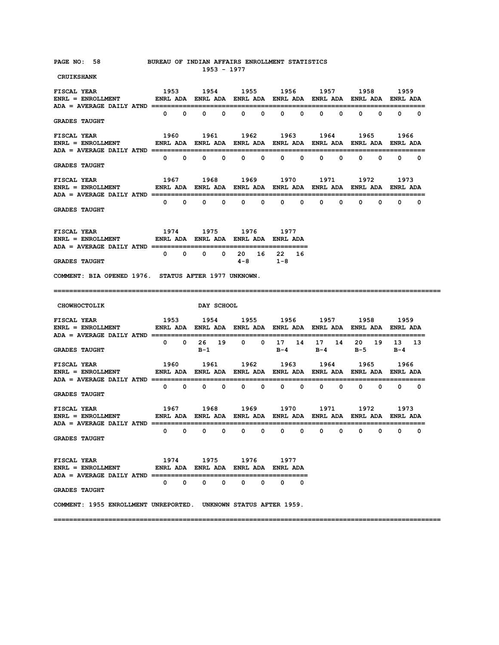| PAGE NO: 58                                                                                                                      | BUREAU OF INDIAN AFFAIRS ENROLLMENT STATISTICS                 |                   |                             |             | 1953 - 1977  |              |                          |              |              |             |              |             |                              |             |
|----------------------------------------------------------------------------------------------------------------------------------|----------------------------------------------------------------|-------------------|-----------------------------|-------------|--------------|--------------|--------------------------|--------------|--------------|-------------|--------------|-------------|------------------------------|-------------|
| <b>CRUIKSHANK</b>                                                                                                                |                                                                |                   |                             |             |              |              |                          |              |              |             |              |             |                              |             |
| <b>FISCAL YEAR</b><br>ENRL = ENROLLMENT         ENRL ADA ENRL ADA ENRL ADA ENRL ADA ENRL ADA ENRL ADA ENRL ADA                   | 1953 1954 1955 1956 1957 1958 1959                             |                   |                             |             |              |              |                          |              |              |             |              |             |                              |             |
|                                                                                                                                  |                                                                | $0\qquad 0$       |                             | $0\qquad 0$ | $\mathbf{0}$ | $\mathbf 0$  | $\mathbf{0}$             | $^{\circ}$   | $\mathbf{0}$ | 0           | $\mathbf{0}$ | 0           |                              | $0\qquad 0$ |
| <b>GRADES TAUGHT</b>                                                                                                             |                                                                |                   |                             |             |              |              |                          |              |              |             |              |             |                              |             |
| <b>FISCAL YEAR</b>                                                                                                               |                                                                |                   | 1960 1961                   |             |              |              | 1962 1963                |              |              | 1964        | 1965         |             | 1966                         |             |
| ENRL = ENROLLMENT         ENRL ADA ENRL ADA ENRL ADA ENRL ADA ENRL ADA ENRL ADA ENRL ADA                                         |                                                                |                   |                             |             |              |              |                          |              |              |             |              |             |                              |             |
|                                                                                                                                  |                                                                | $0\qquad 0$       |                             | $0\qquad 0$ | $\mathbf{0}$ | $\mathbf 0$  | $\mathbf{0}$             | 0            | 0            | 0           | 0            | 0           |                              | $0\qquad 0$ |
| <b>GRADES TAUGHT</b>                                                                                                             |                                                                |                   |                             |             |              |              |                          |              |              |             |              |             |                              |             |
| <b>FISCAL YEAR</b>                                                                                                               |                                                                |                   | 1967 1968                   |             |              |              | 1969 1970                |              | 1971         |             | 1972         |             | 1973                         |             |
| ENRL = ENROLLMENT         ENRL ADA ENRL ADA ENRL ADA ENRL ADA ENRL ADA ENRL ADA ENRL ADA                                         |                                                                |                   |                             |             |              |              |                          |              |              |             |              |             |                              |             |
|                                                                                                                                  |                                                                | $0\qquad 0\qquad$ |                             | $0\qquad 0$ | $\mathbf{0}$ | $^{\circ}$   | $\mathbf{0}$             | $^{\circ}$   | $\mathbf{0}$ | $\mathbf 0$ | $\mathbf{0}$ |             | $\mathbf{0}$<br>$\mathbf{0}$ | $\Omega$    |
| <b>GRADES TAUGHT</b>                                                                                                             |                                                                |                   |                             |             |              |              |                          |              |              |             |              |             |                              |             |
| <b>FISCAL YEAR</b>                                                                                                               | 1974 1975 1976 1977                                            |                   |                             |             |              |              |                          |              |              |             |              |             |                              |             |
| $ENRL = ENROLLMENT$                                                                                                              | ENRL ADA ENRL ADA ENRL ADA ENRL ADA                            |                   |                             |             |              |              |                          |              |              |             |              |             |                              |             |
|                                                                                                                                  |                                                                | $0\qquad 0$       | $\mathbf{0}$                |             | $0\quad 20$  |              | 16 22                    | 16           |              |             |              |             |                              |             |
| <b>GRADES TAUGHT</b>                                                                                                             |                                                                |                   |                             |             | $4 - 8$      |              | $1 - 8$                  |              |              |             |              |             |                              |             |
| COMMENT: BIA OPENED 1976. STATUS AFTER 1977 UNKNOWN.                                                                             |                                                                |                   |                             |             |              |              |                          |              |              |             |              |             |                              |             |
|                                                                                                                                  |                                                                |                   |                             |             |              |              |                          |              |              |             |              |             |                              |             |
|                                                                                                                                  |                                                                |                   |                             |             |              |              |                          |              |              |             |              |             |                              |             |
| <b>CHOWHOCTOLIK</b>                                                                                                              |                                                                |                   |                             | DAY SCHOOL  |              |              |                          |              |              |             |              |             |                              |             |
| <b>FISCAL YEAR</b>                                                                                                               | 1953 1954 1955 1956 1957 1958 1959                             |                   |                             |             |              |              |                          |              |              |             |              |             |                              |             |
| <b>ENRL = ENROLLMENT</b>                                                                                                         | ENRL ADA ENRL ADA ENRL ADA ENRL ADA ENRL ADA ENRL ADA ENRL ADA |                   |                             |             |              |              |                          |              |              |             |              |             |                              |             |
|                                                                                                                                  |                                                                |                   |                             |             |              |              |                          |              |              |             |              |             |                              |             |
| <b>GRADES TAUGHT</b>                                                                                                             | $\mathbf{0}$                                                   | $\mathbf{0}$      | 26<br>B-1                   | 19          | $\mathbf{0}$ |              | 0 17 14 17 14 20 19      | $B-4$        |              |             | $B-4$ $B-5$  |             | 13 13<br>$B-4$               |             |
|                                                                                                                                  |                                                                |                   |                             |             |              |              |                          |              |              |             |              |             |                              |             |
| <b>FISCAL YEAR</b><br>ENRL = ENROLLMENT              ENRL ADA  ENRL ADA  ENRL ADA  ENRL ADA  ENRL ADA  ENRL ADA  ENRL ADA        | 1960                                                           |                   | 1961                        |             |              |              | 1962 1963 1964 1965 1966 |              |              |             |              |             |                              |             |
|                                                                                                                                  |                                                                |                   |                             |             |              |              |                          |              |              |             |              |             |                              |             |
| <b>GRADES TAUGHT</b>                                                                                                             |                                                                | $0\qquad 0\qquad$ |                             | $0\qquad 0$ | $\mathbf{0}$ | $\mathbf{o}$ | $\mathbf{0}$             | $\mathbf{0}$ | $\mathbf{0}$ | $\mathbf 0$ | $\mathbf{0}$ | $^{\circ}$  |                              | $0\qquad 0$ |
|                                                                                                                                  | 1967 1968 1968                                                 |                   |                             |             |              |              | 1969 1970                |              |              | 1971 —      |              | 1972        | 1973                         |             |
| <b>FISCAL YEAR</b><br>ENRL = ENROLLMENT               ENRL ADA   ENRL ADA   ENRL ADA   ENRL ADA   ENRL ADA   ENRL ADA   ENRL ADA |                                                                |                   |                             |             |              |              |                          |              |              |             |              |             |                              |             |
|                                                                                                                                  |                                                                |                   |                             |             |              |              |                          |              |              |             |              |             |                              |             |
| <b>GRADES TAUGHT</b>                                                                                                             | $\mathbf 0$                                                    | $\mathbf 0$       | $\mathbf{0}$                | $\mathbf 0$ | $\mathbf{0}$ | $\mathbf 0$  | $\mathbf{0}$             | 0            | $\mathbf{0}$ | 0           | $\mathbf 0$  | $\mathbf 0$ | $\mathbf 0$                  | 0           |
|                                                                                                                                  |                                                                |                   |                             |             |              |              |                          |              |              |             |              |             |                              |             |
|                                                                                                                                  |                                                                |                   |                             |             |              |              |                          |              |              |             |              |             |                              |             |
| <b>FISCAL YEAR</b><br>$ENRL = ENROLLMENT$                                                                                        | ENRL ADA ENRL ADA ENRL ADA ENRL ADA                            |                   | 1974 1975 1976 1977         |             |              |              |                          |              |              |             |              |             |                              |             |
|                                                                                                                                  |                                                                |                   |                             |             |              |              |                          |              |              |             |              |             |                              |             |
| <b>GRADES TAUGHT</b>                                                                                                             |                                                                |                   | $0\qquad 0\qquad 0\qquad 0$ |             | $\mathbf{0}$ |              | $\mathbf{0}$<br>$\Omega$ | 0            |              |             |              |             |                              |             |
| COMMENT: 1955 ENROLLMENT UNREPORTED. UNKNOWN STATUS AFTER 1959.                                                                  |                                                                |                   |                             |             |              |              |                          |              |              |             |              |             |                              |             |